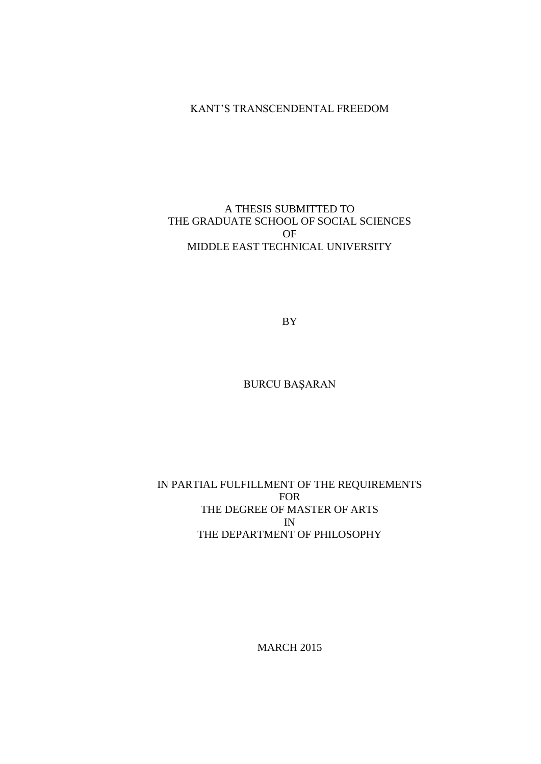# KANT'S TRANSCENDENTAL FREEDOM

# A THESIS SUBMITTED TO THE GRADUATE SCHOOL OF SOCIAL SCIENCES OF MIDDLE EAST TECHNICAL UNIVERSITY

BY

BURCU BAŞARAN

## IN PARTIAL FULFILLMENT OF THE REQUIREMENTS FOR THE DEGREE OF MASTER OF ARTS IN THE DEPARTMENT OF PHILOSOPHY

MARCH 2015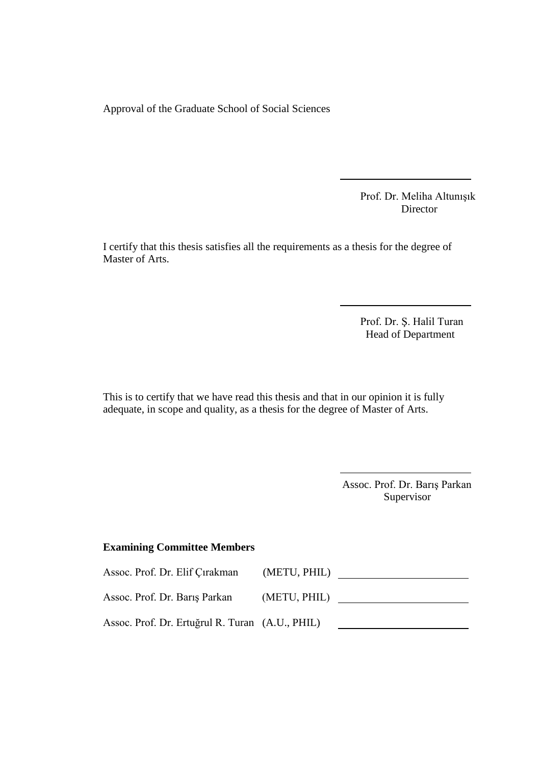Approval of the Graduate School of Social Sciences

Prof. Dr. Meliha Altunışık Director

I certify that this thesis satisfies all the requirements as a thesis for the degree of Master of Arts.

> Prof. Dr. Ş. Halil Turan Head of Department

This is to certify that we have read this thesis and that in our opinion it is fully adequate, in scope and quality, as a thesis for the degree of Master of Arts.

> Assoc. Prof. Dr. Barış Parkan Supervisor

### **Examining Committee Members**

| Assoc. Prof. Dr. Elif Çırakman                  | (METU, PHIL) |  |
|-------------------------------------------------|--------------|--|
| Assoc. Prof. Dr. Barıs Parkan                   | (METU, PHIL) |  |
| Assoc. Prof. Dr. Ertuğrul R. Turan (A.U., PHIL) |              |  |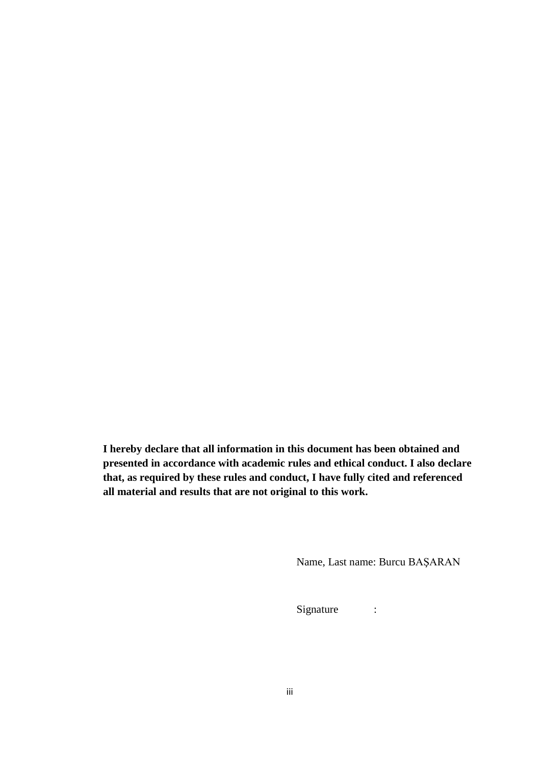**I hereby declare that all information in this document has been obtained and presented in accordance with academic rules and ethical conduct. I also declare that, as required by these rules and conduct, I have fully cited and referenced all material and results that are not original to this work.**

Name, Last name: Burcu BAŞARAN

Signature :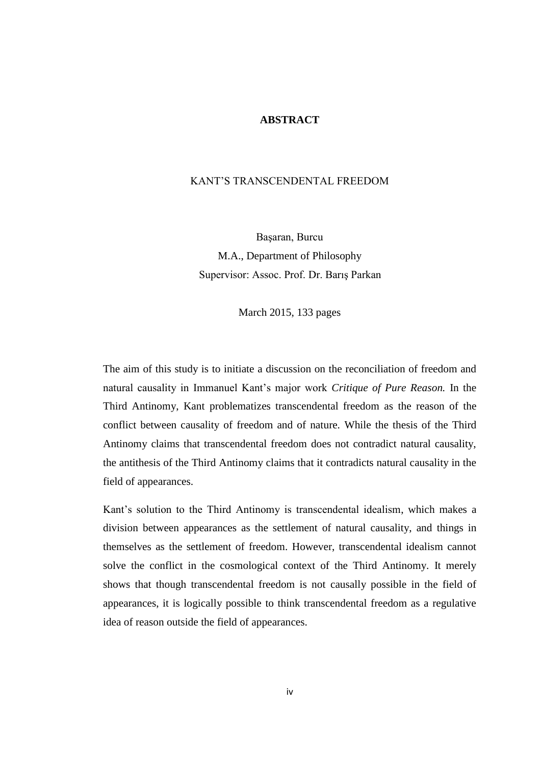### **ABSTRACT**

#### KANT'S TRANSCENDENTAL FREEDOM

Başaran, Burcu M.A., Department of Philosophy Supervisor: Assoc. Prof. Dr. Barış Parkan

March 2015, 133 pages

The aim of this study is to initiate a discussion on the reconciliation of freedom and natural causality in Immanuel Kant's major work *Critique of Pure Reason.* In the Third Antinomy, Kant problematizes transcendental freedom as the reason of the conflict between causality of freedom and of nature. While the thesis of the Third Antinomy claims that transcendental freedom does not contradict natural causality, the antithesis of the Third Antinomy claims that it contradicts natural causality in the field of appearances.

Kant's solution to the Third Antinomy is transcendental idealism, which makes a division between appearances as the settlement of natural causality, and things in themselves as the settlement of freedom. However, transcendental idealism cannot solve the conflict in the cosmological context of the Third Antinomy. It merely shows that though transcendental freedom is not causally possible in the field of appearances, it is logically possible to think transcendental freedom as a regulative idea of reason outside the field of appearances.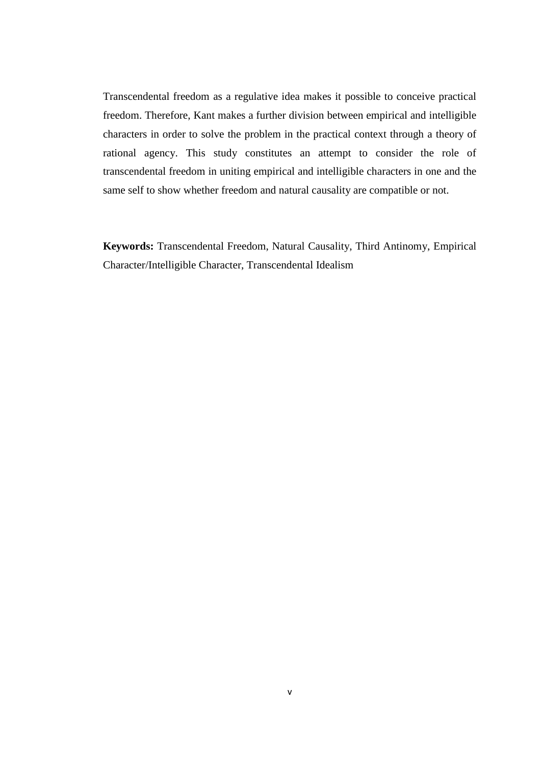Transcendental freedom as a regulative idea makes it possible to conceive practical freedom. Therefore, Kant makes a further division between empirical and intelligible characters in order to solve the problem in the practical context through a theory of rational agency. This study constitutes an attempt to consider the role of transcendental freedom in uniting empirical and intelligible characters in one and the same self to show whether freedom and natural causality are compatible or not.

**Keywords:** Transcendental Freedom, Natural Causality, Third Antinomy, Empirical Character/Intelligible Character, Transcendental Idealism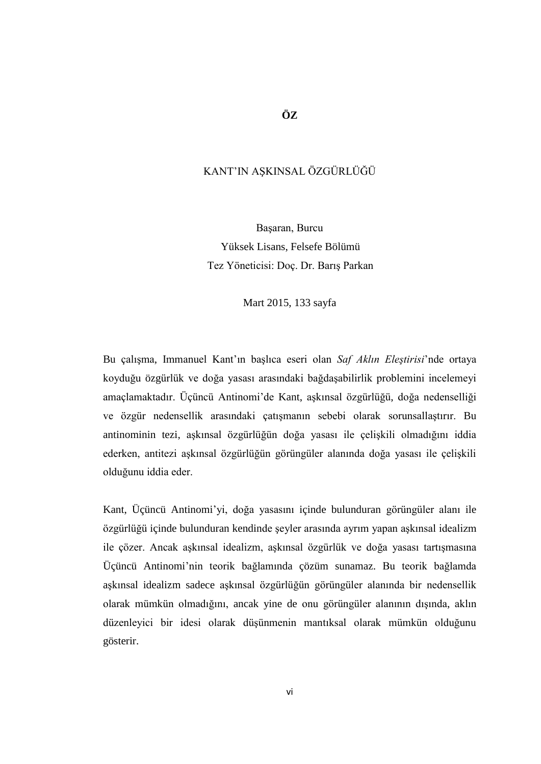### **ÖZ**

### KANT'IN AŞKINSAL ÖZGÜRLÜĞÜ

Başaran, Burcu Yüksek Lisans, Felsefe Bölümü Tez Yöneticisi: Doç. Dr. Barış Parkan

Mart 2015, 133 sayfa

Bu çalışma, Immanuel Kant'ın başlıca eseri olan *Saf Aklın Eleştirisi*'nde ortaya koyduğu özgürlük ve doğa yasası arasındaki bağdaşabilirlik problemini incelemeyi amaçlamaktadır. Üçüncü Antinomi'de Kant, aşkınsal özgürlüğü, doğa nedenselliği ve özgür nedensellik arasındaki çatışmanın sebebi olarak sorunsallaştırır. Bu antinominin tezi, aşkınsal özgürlüğün doğa yasası ile çelişkili olmadığını iddia ederken, antitezi aşkınsal özgürlüğün görüngüler alanında doğa yasası ile çelişkili olduğunu iddia eder.

Kant, Üçüncü Antinomi'yi, doğa yasasını içinde bulunduran görüngüler alanı ile özgürlüğü içinde bulunduran kendinde şeyler arasında ayrım yapan aşkınsal idealizm ile çözer. Ancak aşkınsal idealizm, aşkınsal özgürlük ve doğa yasası tartışmasına Üçüncü Antinomi'nin teorik bağlamında çözüm sunamaz. Bu teorik bağlamda aşkınsal idealizm sadece aşkınsal özgürlüğün görüngüler alanında bir nedensellik olarak mümkün olmadığını, ancak yine de onu görüngüler alanının dışında, aklın düzenleyici bir idesi olarak düşünmenin mantıksal olarak mümkün olduğunu gösterir.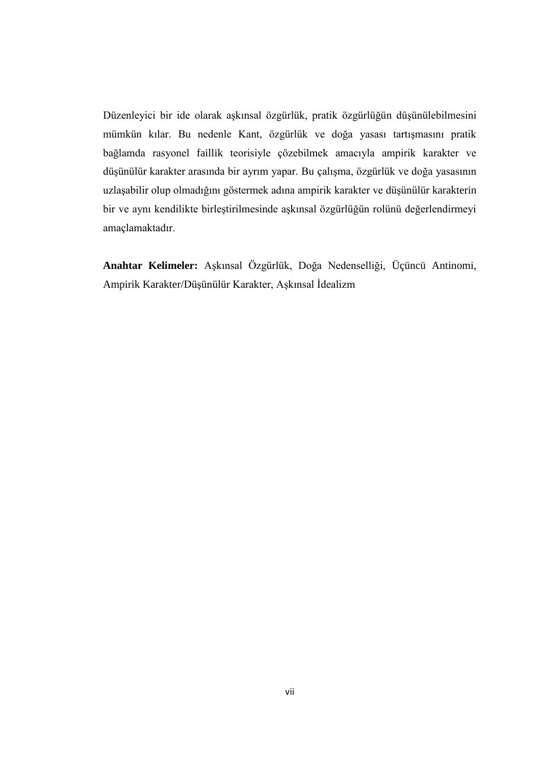Düzenleyici bir ide olarak aşkınsal özgürlük, pratik özgürlüğün düşünülebilmesini mümkün kılar. Bu nedenle Kant, özgürlük ve doğa yasası tartışmasını pratik bağlamda rasyonel faillik teorisiyle çözebilmek amacıyla ampirik karakter ve düşünülür karakter arasında bir ayrım yapar. Bu çalışma, özgürlük ve doğa yasasının uzlaşabilir olup olmadığını göstermek adına ampirik karakter ve düşünülür karakterin bir ve aynı kendilikte birleştirilmesinde aşkınsal özgürlüğün rolünü değerlendirmeyi amaçlamaktadır.

**Anahtar Kelimeler:** Aşkınsal Özgürlük, Doğa Nedenselliği, Üçüncü Antinomi, Ampirik Karakter/Düşünülür Karakter, Aşkınsal İdealizm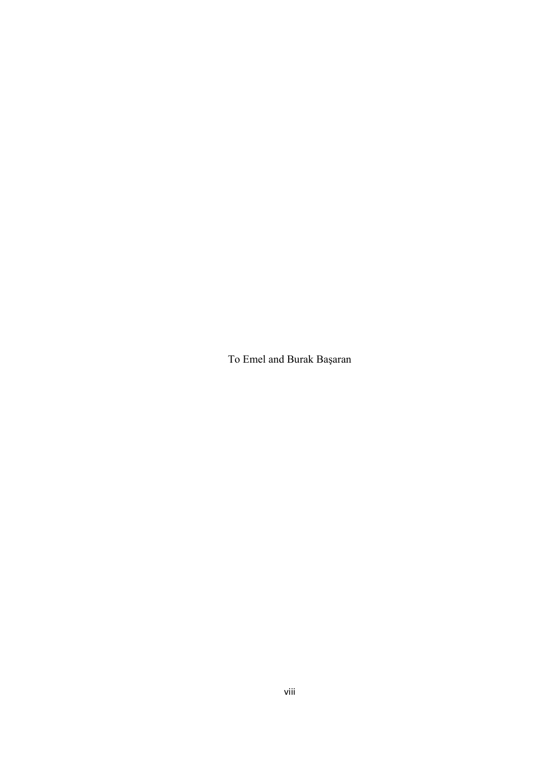To Emel and Burak Başaran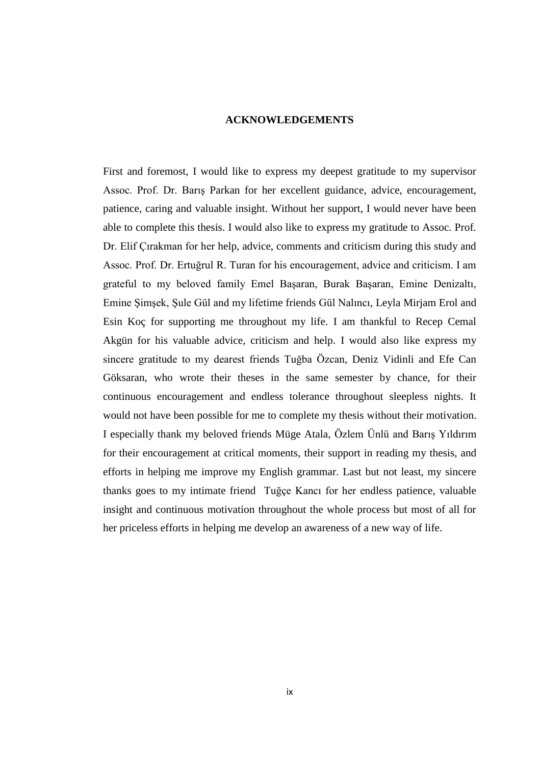### **ACKNOWLEDGEMENTS**

First and foremost, I would like to express my deepest gratitude to my supervisor Assoc. Prof. Dr. Barış Parkan for her excellent guidance, advice, encouragement, patience, caring and valuable insight. Without her support, I would never have been able to complete this thesis. I would also like to express my gratitude to Assoc. Prof. Dr. Elif Çırakman for her help, advice, comments and criticism during this study and Assoc. Prof. Dr. Ertuğrul R. Turan for his encouragement, advice and criticism. I am grateful to my beloved family Emel Başaran, Burak Başaran, Emine Denizaltı, Emine Şimşek, Şule Gül and my lifetime friends Gül Nalıncı, Leyla Mirjam Erol and Esin Koç for supporting me throughout my life. I am thankful to Recep Cemal Akgün for his valuable advice, criticism and help. I would also like express my sincere gratitude to my dearest friends Tuğba Özcan, Deniz Vidinli and Efe Can Göksaran, who wrote their theses in the same semester by chance, for their continuous encouragement and endless tolerance throughout sleepless nights. It would not have been possible for me to complete my thesis without their motivation. I especially thank my beloved friends Müge Atala, Özlem Ünlü and Barış Yıldırım for their encouragement at critical moments, their support in reading my thesis, and efforts in helping me improve my English grammar. Last but not least, my sincere thanks goes to my intimate friend Tuğçe Kancı for her endless patience, valuable insight and continuous motivation throughout the whole process but most of all for her priceless efforts in helping me develop an awareness of a new way of life.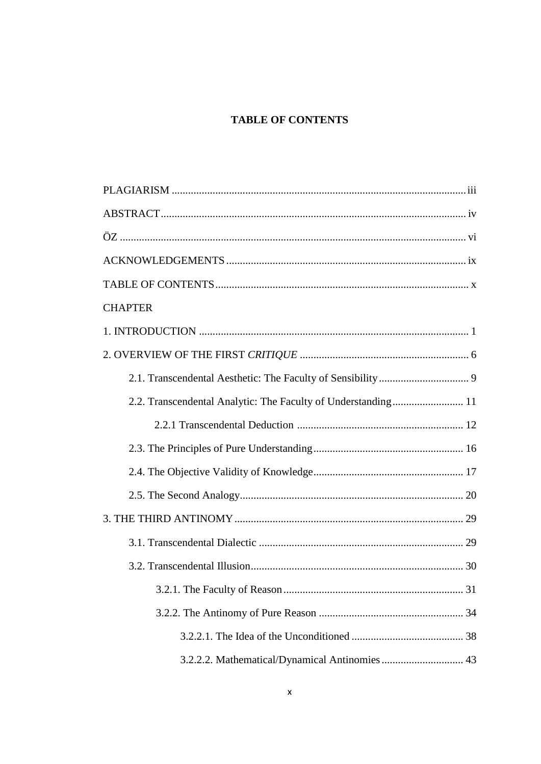# **TABLE OF CONTENTS**

| <b>CHAPTER</b>                                 |
|------------------------------------------------|
|                                                |
|                                                |
|                                                |
|                                                |
|                                                |
|                                                |
|                                                |
|                                                |
|                                                |
|                                                |
|                                                |
| . 31                                           |
|                                                |
|                                                |
| 3.2.2.2. Mathematical/Dynamical Antinomies  43 |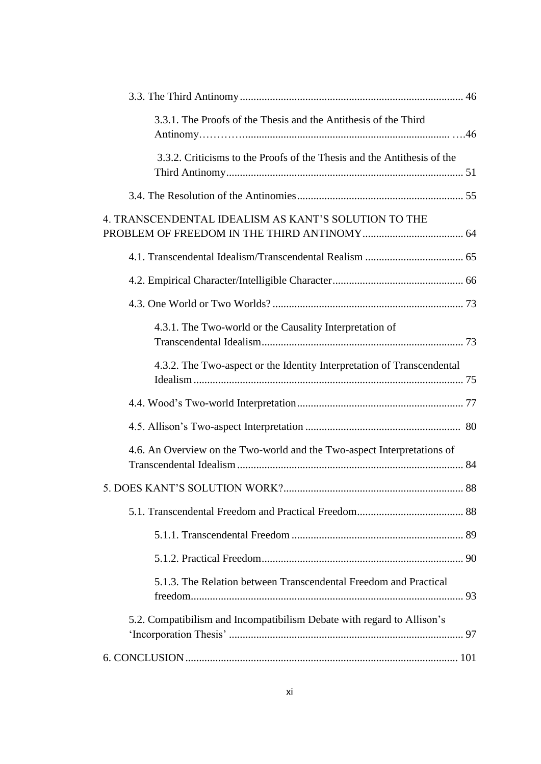| 3.3.1. The Proofs of the Thesis and the Antithesis of the Third         |  |
|-------------------------------------------------------------------------|--|
| 3.3.2. Criticisms to the Proofs of the Thesis and the Antithesis of the |  |
|                                                                         |  |
| 4. TRANSCENDENTAL IDEALISM AS KANT'S SOLUTION TO THE                    |  |
|                                                                         |  |
|                                                                         |  |
|                                                                         |  |
| 4.3.1. The Two-world or the Causality Interpretation of                 |  |
| 4.3.2. The Two-aspect or the Identity Interpretation of Transcendental  |  |
|                                                                         |  |
|                                                                         |  |
| 4.6. An Overview on the Two-world and the Two-aspect Interpretations of |  |
|                                                                         |  |
|                                                                         |  |
|                                                                         |  |
|                                                                         |  |
| 5.1.3. The Relation between Transcendental Freedom and Practical        |  |
| 5.2. Compatibilism and Incompatibilism Debate with regard to Allison's  |  |
|                                                                         |  |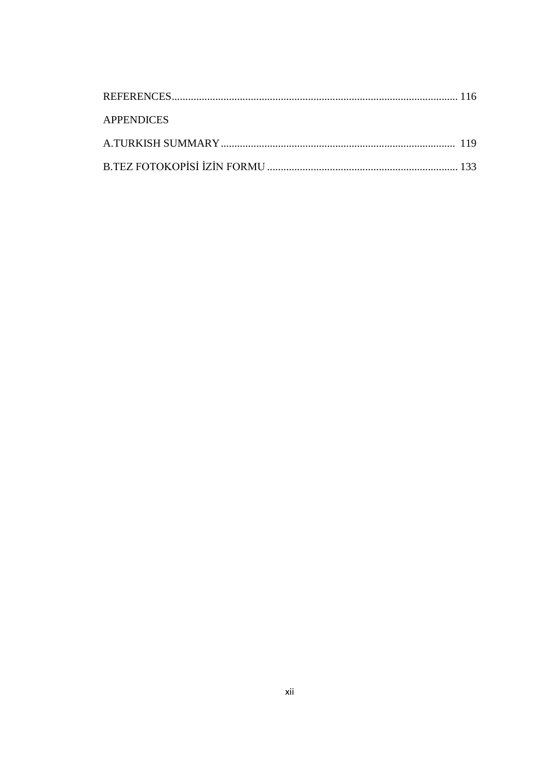| <b>APPENDICES</b> |  |
|-------------------|--|
|                   |  |
|                   |  |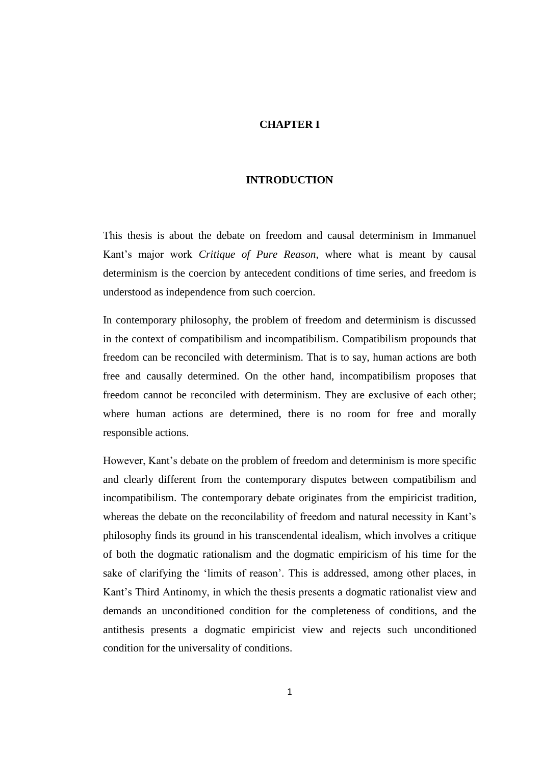### **CHAPTER I**

### **INTRODUCTION**

This thesis is about the debate on freedom and causal determinism in Immanuel Kant's major work *Critique of Pure Reason,* where what is meant by causal determinism is the coercion by antecedent conditions of time series, and freedom is understood as independence from such coercion.

In contemporary philosophy, the problem of freedom and determinism is discussed in the context of compatibilism and incompatibilism. Compatibilism propounds that freedom can be reconciled with determinism. That is to say, human actions are both free and causally determined. On the other hand, incompatibilism proposes that freedom cannot be reconciled with determinism. They are exclusive of each other; where human actions are determined, there is no room for free and morally responsible actions.

However, Kant's debate on the problem of freedom and determinism is more specific and clearly different from the contemporary disputes between compatibilism and incompatibilism. The contemporary debate originates from the empiricist tradition, whereas the debate on the reconcilability of freedom and natural necessity in Kant's philosophy finds its ground in his transcendental idealism, which involves a critique of both the dogmatic rationalism and the dogmatic empiricism of his time for the sake of clarifying the 'limits of reason'. This is addressed, among other places, in Kant's Third Antinomy, in which the thesis presents a dogmatic rationalist view and demands an unconditioned condition for the completeness of conditions, and the antithesis presents a dogmatic empiricist view and rejects such unconditioned condition for the universality of conditions.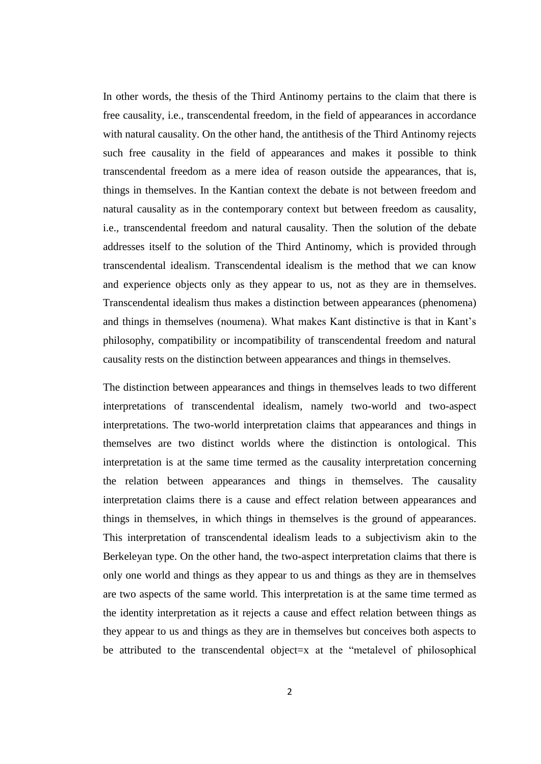In other words, the thesis of the Third Antinomy pertains to the claim that there is free causality, i.e., transcendental freedom, in the field of appearances in accordance with natural causality. On the other hand, the antithesis of the Third Antinomy rejects such free causality in the field of appearances and makes it possible to think transcendental freedom as a mere idea of reason outside the appearances, that is, things in themselves. In the Kantian context the debate is not between freedom and natural causality as in the contemporary context but between freedom as causality, i.e., transcendental freedom and natural causality. Then the solution of the debate addresses itself to the solution of the Third Antinomy, which is provided through transcendental idealism. Transcendental idealism is the method that we can know and experience objects only as they appear to us, not as they are in themselves. Transcendental idealism thus makes a distinction between appearances (phenomena) and things in themselves (noumena). What makes Kant distinctive is that in Kant's philosophy, compatibility or incompatibility of transcendental freedom and natural causality rests on the distinction between appearances and things in themselves.

The distinction between appearances and things in themselves leads to two different interpretations of transcendental idealism, namely two-world and two-aspect interpretations. The two-world interpretation claims that appearances and things in themselves are two distinct worlds where the distinction is ontological. This interpretation is at the same time termed as the causality interpretation concerning the relation between appearances and things in themselves. The causality interpretation claims there is a cause and effect relation between appearances and things in themselves, in which things in themselves is the ground of appearances. This interpretation of transcendental idealism leads to a subjectivism akin to the Berkeleyan type. On the other hand, the two-aspect interpretation claims that there is only one world and things as they appear to us and things as they are in themselves are two aspects of the same world. This interpretation is at the same time termed as the identity interpretation as it rejects a cause and effect relation between things as they appear to us and things as they are in themselves but conceives both aspects to be attributed to the transcendental object=x at the "metalevel of philosophical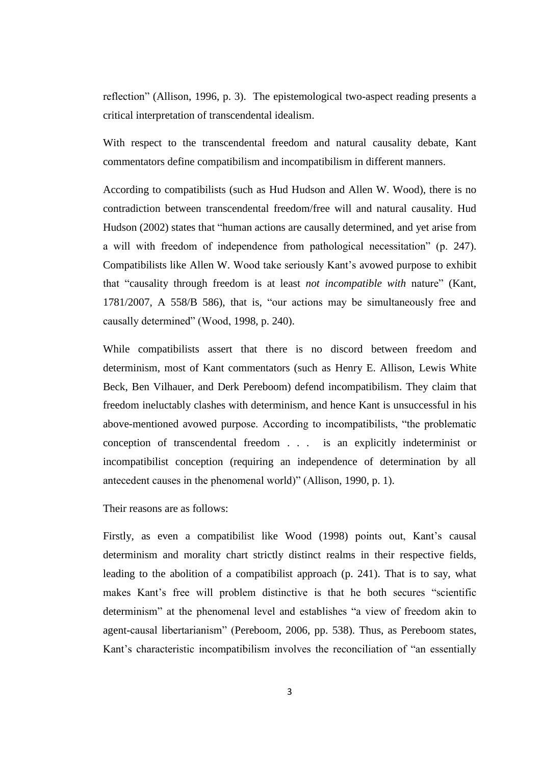reflection" (Allison, 1996, p. 3). The epistemological two-aspect reading presents a critical interpretation of transcendental idealism.

With respect to the transcendental freedom and natural causality debate, Kant commentators define compatibilism and incompatibilism in different manners.

According to compatibilists (such as Hud Hudson and Allen W. Wood), there is no contradiction between transcendental freedom/free will and natural causality. Hud Hudson (2002) states that "human actions are causally determined, and yet arise from a will with freedom of independence from pathological necessitation" (p. 247). Compatibilists like Allen W. Wood take seriously Kant's avowed purpose to exhibit that "causality through freedom is at least *not incompatible with* nature" (Kant, 1781/2007, A 558/B 586), that is, "our actions may be simultaneously free and causally determined" (Wood, 1998, p. 240).

While compatibilists assert that there is no discord between freedom and determinism, most of Kant commentators (such as Henry E. Allison, Lewis White Beck, Ben Vilhauer, and Derk Pereboom) defend incompatibilism. They claim that freedom ineluctably clashes with determinism, and hence Kant is unsuccessful in his above-mentioned avowed purpose. According to incompatibilists, "the problematic conception of transcendental freedom . . . is an explicitly indeterminist or incompatibilist conception (requiring an independence of determination by all antecedent causes in the phenomenal world)" (Allison, 1990, p. 1).

Their reasons are as follows:

Firstly, as even a compatibilist like Wood (1998) points out, Kant's causal determinism and morality chart strictly distinct realms in their respective fields, leading to the abolition of a compatibilist approach (p. 241). That is to say, what makes Kant's free will problem distinctive is that he both secures "scientific determinism" at the phenomenal level and establishes "a view of freedom akin to agent-causal libertarianism" (Pereboom, 2006, pp. 538). Thus, as Pereboom states, Kant's characteristic incompatibilism involves the reconciliation of "an essentially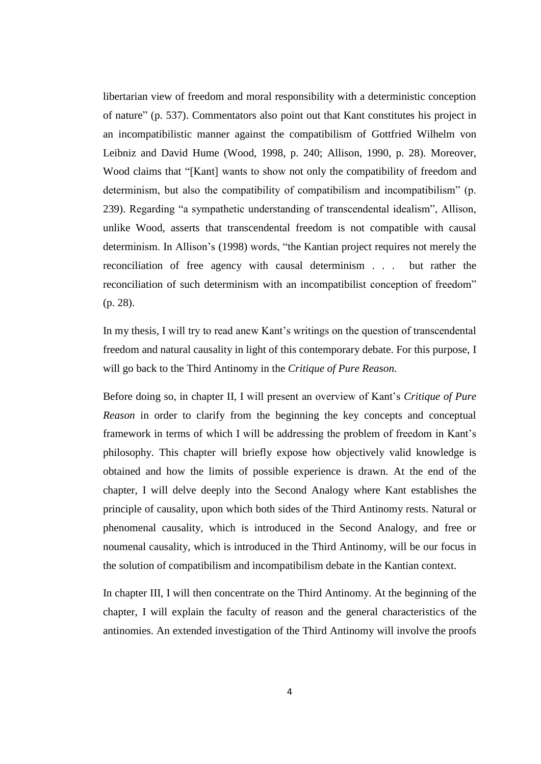libertarian view of freedom and moral responsibility with a deterministic conception of nature" (p. 537). Commentators also point out that Kant constitutes his project in an incompatibilistic manner against the compatibilism of Gottfried Wilhelm von Leibniz and David Hume (Wood, 1998, p. 240; Allison, 1990, p. 28). Moreover, Wood claims that "[Kant] wants to show not only the compatibility of freedom and determinism, but also the compatibility of compatibilism and incompatibilism" (p. 239). Regarding "a sympathetic understanding of transcendental idealism", Allison, unlike Wood, asserts that transcendental freedom is not compatible with causal determinism. In Allison's (1998) words, "the Kantian project requires not merely the reconciliation of free agency with causal determinism . . . but rather the reconciliation of such determinism with an incompatibilist conception of freedom" (p. 28).

In my thesis, I will try to read anew Kant's writings on the question of transcendental freedom and natural causality in light of this contemporary debate. For this purpose, I will go back to the Third Antinomy in the *Critique of Pure Reason.* 

Before doing so, in chapter II, I will present an overview of Kant's *Critique of Pure Reason* in order to clarify from the beginning the key concepts and conceptual framework in terms of which I will be addressing the problem of freedom in Kant's philosophy. This chapter will briefly expose how objectively valid knowledge is obtained and how the limits of possible experience is drawn. At the end of the chapter, I will delve deeply into the Second Analogy where Kant establishes the principle of causality, upon which both sides of the Third Antinomy rests. Natural or phenomenal causality, which is introduced in the Second Analogy, and free or noumenal causality, which is introduced in the Third Antinomy, will be our focus in the solution of compatibilism and incompatibilism debate in the Kantian context.

In chapter III, I will then concentrate on the Third Antinomy. At the beginning of the chapter, I will explain the faculty of reason and the general characteristics of the antinomies. An extended investigation of the Third Antinomy will involve the proofs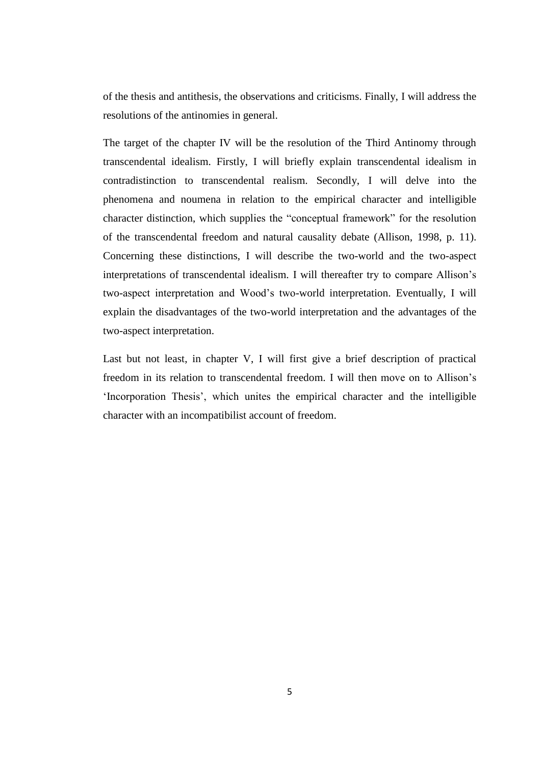of the thesis and antithesis, the observations and criticisms. Finally, I will address the resolutions of the antinomies in general.

The target of the chapter IV will be the resolution of the Third Antinomy through transcendental idealism. Firstly, I will briefly explain transcendental idealism in contradistinction to transcendental realism. Secondly, I will delve into the phenomena and noumena in relation to the empirical character and intelligible character distinction, which supplies the "conceptual framework" for the resolution of the transcendental freedom and natural causality debate (Allison, 1998, p. 11). Concerning these distinctions, I will describe the two-world and the two-aspect interpretations of transcendental idealism. I will thereafter try to compare Allison's two-aspect interpretation and Wood's two-world interpretation. Eventually, I will explain the disadvantages of the two-world interpretation and the advantages of the two-aspect interpretation.

Last but not least, in chapter V, I will first give a brief description of practical freedom in its relation to transcendental freedom. I will then move on to Allison's 'Incorporation Thesis', which unites the empirical character and the intelligible character with an incompatibilist account of freedom.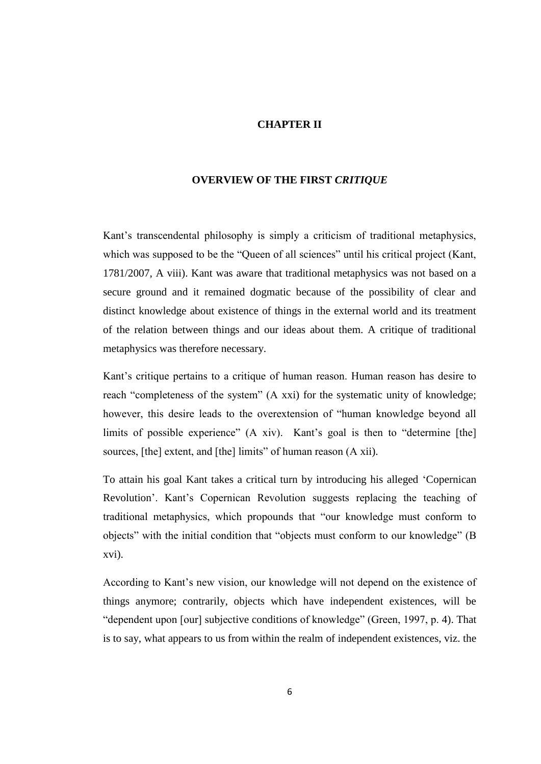### **CHAPTER II**

### **OVERVIEW OF THE FIRST** *CRITIQUE*

Kant's transcendental philosophy is simply a criticism of traditional metaphysics, which was supposed to be the "Queen of all sciences" until his critical project (Kant, 1781/2007, A viii). Kant was aware that traditional metaphysics was not based on a secure ground and it remained dogmatic because of the possibility of clear and distinct knowledge about existence of things in the external world and its treatment of the relation between things and our ideas about them. A critique of traditional metaphysics was therefore necessary.

Kant's critique pertains to a critique of human reason. Human reason has desire to reach "completeness of the system" (A xxi) for the systematic unity of knowledge; however, this desire leads to the overextension of "human knowledge beyond all limits of possible experience" (A xiv). Kant's goal is then to "determine [the] sources, [the] extent, and [the] limits" of human reason (A xii).

To attain his goal Kant takes a critical turn by introducing his alleged 'Copernican Revolution'. Kant's Copernican Revolution suggests replacing the teaching of traditional metaphysics, which propounds that "our knowledge must conform to objects" with the initial condition that "objects must conform to our knowledge" (B xvi).

According to Kant's new vision, our knowledge will not depend on the existence of things anymore; contrarily, objects which have independent existences, will be "dependent upon [our] subjective conditions of knowledge" (Green, 1997, p. 4). That is to say, what appears to us from within the realm of independent existences, viz. the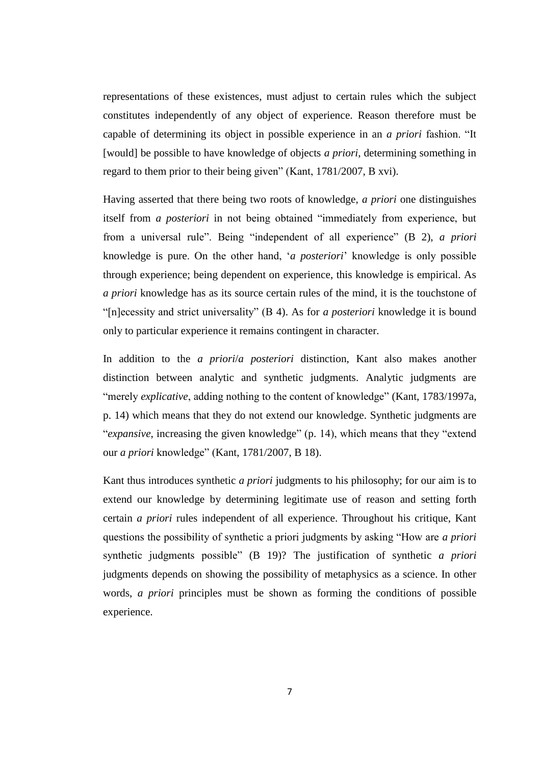representations of these existences, must adjust to certain rules which the subject constitutes independently of any object of experience. Reason therefore must be capable of determining its object in possible experience in an *a priori* fashion. "It [would] be possible to have knowledge of objects *a priori*, determining something in regard to them prior to their being given" (Kant, 1781/2007, B xvi).

Having asserted that there being two roots of knowledge, *a priori* one distinguishes itself from *a posteriori* in not being obtained "immediately from experience, but from a universal rule". Being "independent of all experience" (B 2), *a priori* knowledge is pure. On the other hand, '*a posteriori*' knowledge is only possible through experience; being dependent on experience, this knowledge is empirical. As *a priori* knowledge has as its source certain rules of the mind, it is the touchstone of "[n]ecessity and strict universality" (B 4). As for *a posteriori* knowledge it is bound only to particular experience it remains contingent in character.

In addition to the *a priori*/*a posteriori* distinction, Kant also makes another distinction between analytic and synthetic judgments. Analytic judgments are "merely *explicative*, adding nothing to the content of knowledge" (Kant, 1783/1997a, p. 14) which means that they do not extend our knowledge. Synthetic judgments are "*expansive*, increasing the given knowledge" (p. 14), which means that they "extend our *a priori* knowledge" (Kant, 1781/2007, B 18).

Kant thus introduces synthetic *a priori* judgments to his philosophy; for our aim is to extend our knowledge by determining legitimate use of reason and setting forth certain *a priori* rules independent of all experience. Throughout his critique, Kant questions the possibility of synthetic a priori judgments by asking "How are *a priori* synthetic judgments possible" (B 19)? The justification of synthetic *a priori* judgments depends on showing the possibility of metaphysics as a science. In other words, *a priori* principles must be shown as forming the conditions of possible experience.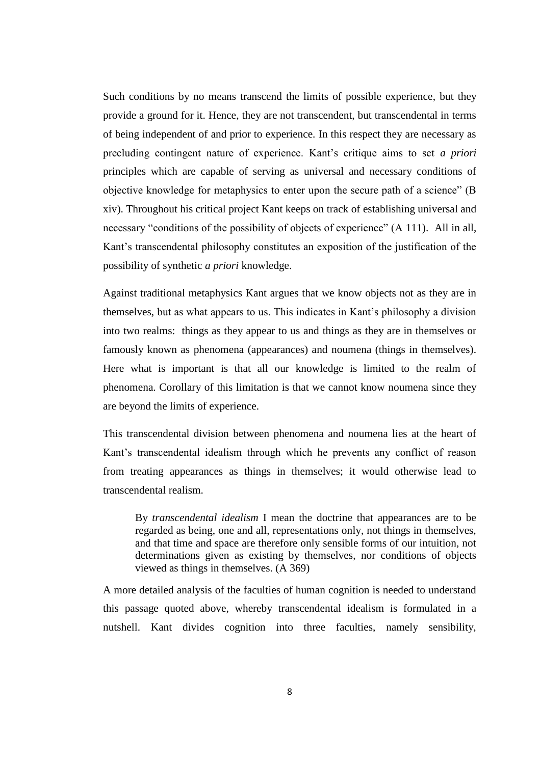Such conditions by no means transcend the limits of possible experience, but they provide a ground for it. Hence, they are not transcendent, but transcendental in terms of being independent of and prior to experience. In this respect they are necessary as precluding contingent nature of experience. Kant's critique aims to set *a priori* principles which are capable of serving as universal and necessary conditions of objective knowledge for metaphysics to enter upon the secure path of a science" (B xiv). Throughout his critical project Kant keeps on track of establishing universal and necessary "conditions of the possibility of objects of experience" (A 111). All in all, Kant's transcendental philosophy constitutes an exposition of the justification of the possibility of synthetic *a priori* knowledge.

Against traditional metaphysics Kant argues that we know objects not as they are in themselves, but as what appears to us. This indicates in Kant's philosophy a division into two realms: things as they appear to us and things as they are in themselves or famously known as phenomena (appearances) and noumena (things in themselves). Here what is important is that all our knowledge is limited to the realm of phenomena. Corollary of this limitation is that we cannot know noumena since they are beyond the limits of experience.

This transcendental division between phenomena and noumena lies at the heart of Kant's transcendental idealism through which he prevents any conflict of reason from treating appearances as things in themselves; it would otherwise lead to transcendental realism.

By *transcendental idealism* I mean the doctrine that appearances are to be regarded as being, one and all, representations only, not things in themselves, and that time and space are therefore only sensible forms of our intuition, not determinations given as existing by themselves, nor conditions of objects viewed as things in themselves. (A 369)

A more detailed analysis of the faculties of human cognition is needed to understand this passage quoted above, whereby transcendental idealism is formulated in a nutshell. Kant divides cognition into three faculties, namely sensibility,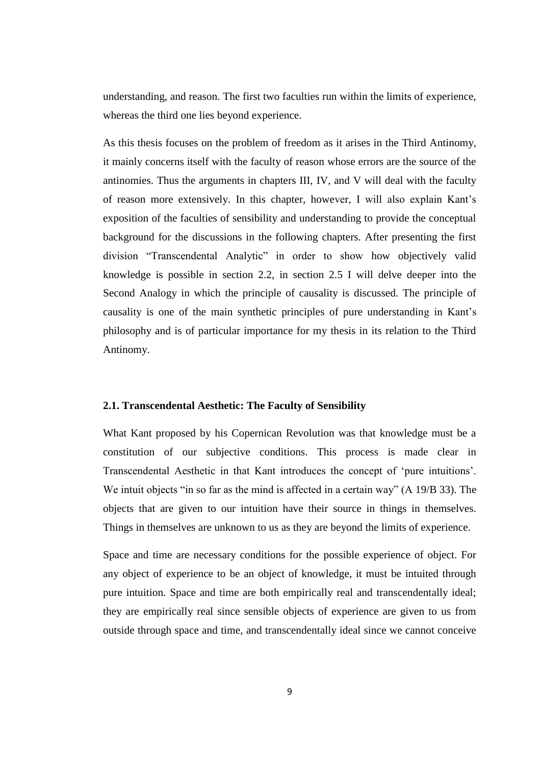understanding, and reason. The first two faculties run within the limits of experience, whereas the third one lies beyond experience.

As this thesis focuses on the problem of freedom as it arises in the Third Antinomy, it mainly concerns itself with the faculty of reason whose errors are the source of the antinomies. Thus the arguments in chapters III, IV, and V will deal with the faculty of reason more extensively. In this chapter, however, I will also explain Kant's exposition of the faculties of sensibility and understanding to provide the conceptual background for the discussions in the following chapters. After presenting the first division "Transcendental Analytic" in order to show how objectively valid knowledge is possible in section 2.2, in section 2.5 I will delve deeper into the Second Analogy in which the principle of causality is discussed. The principle of causality is one of the main synthetic principles of pure understanding in Kant's philosophy and is of particular importance for my thesis in its relation to the Third Antinomy.

### **2.1. Transcendental Aesthetic: The Faculty of Sensibility**

What Kant proposed by his Copernican Revolution was that knowledge must be a constitution of our subjective conditions. This process is made clear in Transcendental Aesthetic in that Kant introduces the concept of 'pure intuitions'. We intuit objects "in so far as the mind is affected in a certain way" (A 19/B 33). The objects that are given to our intuition have their source in things in themselves. Things in themselves are unknown to us as they are beyond the limits of experience.

Space and time are necessary conditions for the possible experience of object. For any object of experience to be an object of knowledge, it must be intuited through pure intuition. Space and time are both empirically real and transcendentally ideal; they are empirically real since sensible objects of experience are given to us from outside through space and time, and transcendentally ideal since we cannot conceive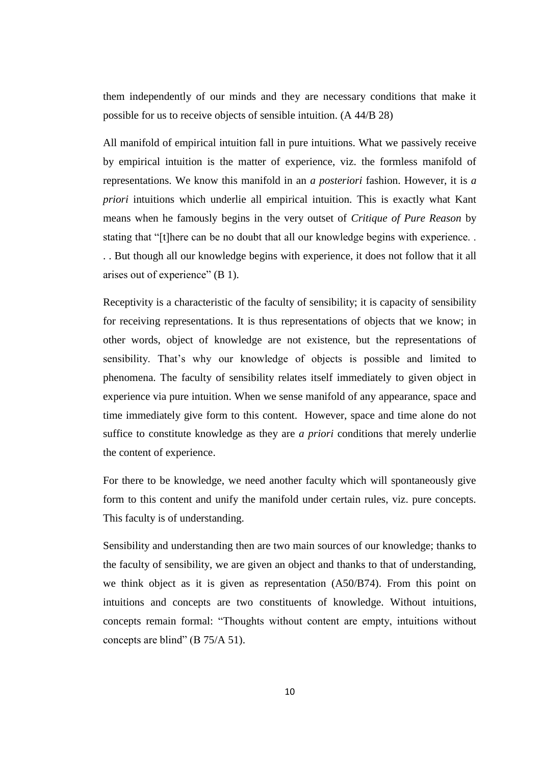them independently of our minds and they are necessary conditions that make it possible for us to receive objects of sensible intuition. (A 44/B 28)

All manifold of empirical intuition fall in pure intuitions. What we passively receive by empirical intuition is the matter of experience, viz. the formless manifold of representations. We know this manifold in an *a posteriori* fashion. However, it is *a priori* intuitions which underlie all empirical intuition. This is exactly what Kant means when he famously begins in the very outset of *Critique of Pure Reason* by stating that "[t]here can be no doubt that all our knowledge begins with experience. . . . But though all our knowledge begins with experience, it does not follow that it all arises out of experience" (B 1).

Receptivity is a characteristic of the faculty of sensibility; it is capacity of sensibility for receiving representations. It is thus representations of objects that we know; in other words, object of knowledge are not existence, but the representations of sensibility. That's why our knowledge of objects is possible and limited to phenomena. The faculty of sensibility relates itself immediately to given object in experience via pure intuition. When we sense manifold of any appearance, space and time immediately give form to this content. However, space and time alone do not suffice to constitute knowledge as they are *a priori* conditions that merely underlie the content of experience.

For there to be knowledge, we need another faculty which will spontaneously give form to this content and unify the manifold under certain rules, viz. pure concepts. This faculty is of understanding.

Sensibility and understanding then are two main sources of our knowledge; thanks to the faculty of sensibility, we are given an object and thanks to that of understanding, we think object as it is given as representation (A50/B74). From this point on intuitions and concepts are two constituents of knowledge. Without intuitions, concepts remain formal: "Thoughts without content are empty, intuitions without concepts are blind" (B 75/A 51).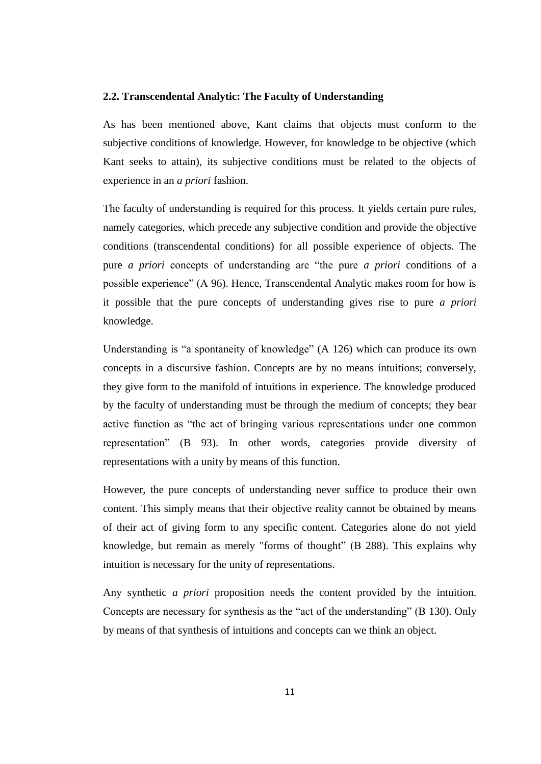### **2.2. Transcendental Analytic: The Faculty of Understanding**

As has been mentioned above, Kant claims that objects must conform to the subjective conditions of knowledge. However, for knowledge to be objective (which Kant seeks to attain), its subjective conditions must be related to the objects of experience in an *a priori* fashion.

The faculty of understanding is required for this process. It yields certain pure rules, namely categories, which precede any subjective condition and provide the objective conditions (transcendental conditions) for all possible experience of objects. The pure *a priori* concepts of understanding are "the pure *a priori* conditions of a possible experience" (A 96). Hence, Transcendental Analytic makes room for how is it possible that the pure concepts of understanding gives rise to pure *a priori* knowledge.

Understanding is "a spontaneity of knowledge" (A 126) which can produce its own concepts in a discursive fashion. Concepts are by no means intuitions; conversely, they give form to the manifold of intuitions in experience. The knowledge produced by the faculty of understanding must be through the medium of concepts; they bear active function as "the act of bringing various representations under one common representation" (B 93). In other words, categories provide diversity of representations with a unity by means of this function.

However, the pure concepts of understanding never suffice to produce their own content. This simply means that their objective reality cannot be obtained by means of their act of giving form to any specific content. Categories alone do not yield knowledge, but remain as merely "forms of thought" (B 288). This explains why intuition is necessary for the unity of representations.

Any synthetic *a priori* proposition needs the content provided by the intuition. Concepts are necessary for synthesis as the "act of the understanding" (B 130). Only by means of that synthesis of intuitions and concepts can we think an object.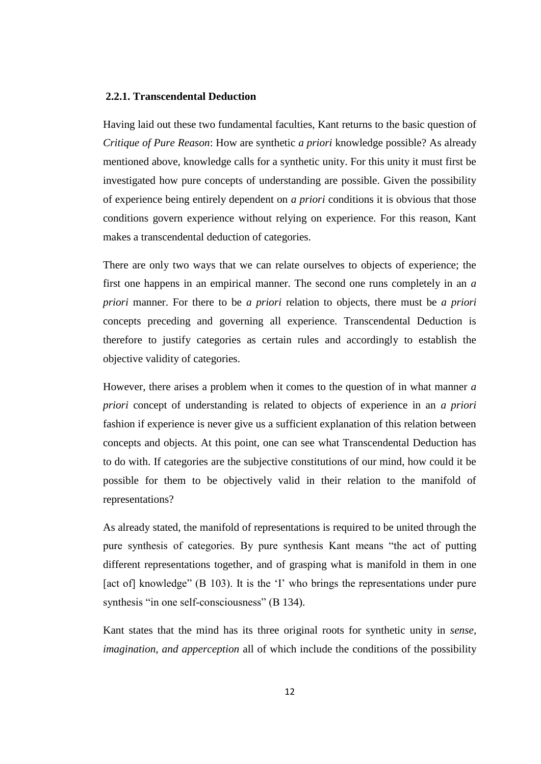### **2.2.1. Transcendental Deduction**

Having laid out these two fundamental faculties, Kant returns to the basic question of *Critique of Pure Reason*: How are synthetic *a priori* knowledge possible? As already mentioned above, knowledge calls for a synthetic unity. For this unity it must first be investigated how pure concepts of understanding are possible. Given the possibility of experience being entirely dependent on *a priori* conditions it is obvious that those conditions govern experience without relying on experience. For this reason, Kant makes a transcendental deduction of categories.

There are only two ways that we can relate ourselves to objects of experience; the first one happens in an empirical manner. The second one runs completely in an *a priori* manner. For there to be *a priori* relation to objects, there must be *a priori* concepts preceding and governing all experience. Transcendental Deduction is therefore to justify categories as certain rules and accordingly to establish the objective validity of categories.

However, there arises a problem when it comes to the question of in what manner *a priori* concept of understanding is related to objects of experience in an *a priori* fashion if experience is never give us a sufficient explanation of this relation between concepts and objects. At this point, one can see what Transcendental Deduction has to do with. If categories are the subjective constitutions of our mind, how could it be possible for them to be objectively valid in their relation to the manifold of representations?

As already stated, the manifold of representations is required to be united through the pure synthesis of categories. By pure synthesis Kant means "the act of putting different representations together, and of grasping what is manifold in them in one [act of] knowledge" (B 103). It is the 'I' who brings the representations under pure synthesis "in one self-consciousness" (B 134).

Kant states that the mind has its three original roots for synthetic unity in *sense, imagination, and apperception* all of which include the conditions of the possibility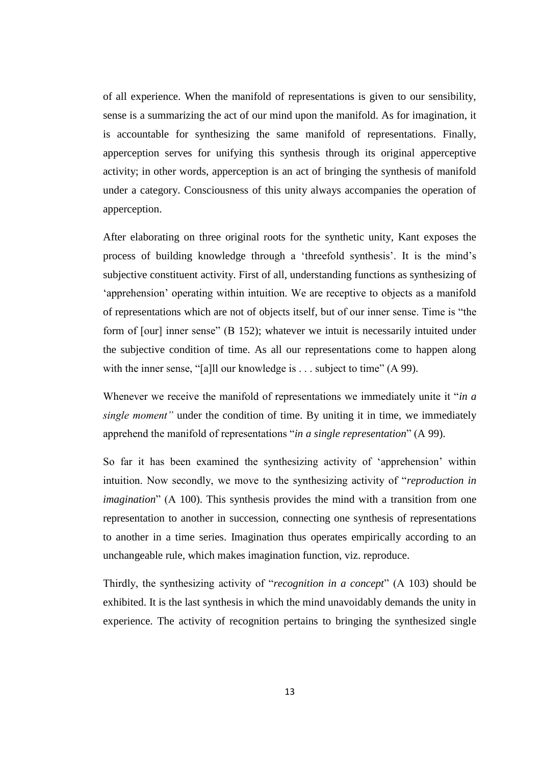of all experience. When the manifold of representations is given to our sensibility, sense is a summarizing the act of our mind upon the manifold. As for imagination, it is accountable for synthesizing the same manifold of representations. Finally, apperception serves for unifying this synthesis through its original apperceptive activity; in other words, apperception is an act of bringing the synthesis of manifold under a category. Consciousness of this unity always accompanies the operation of apperception.

After elaborating on three original roots for the synthetic unity, Kant exposes the process of building knowledge through a 'threefold synthesis'. It is the mind's subjective constituent activity. First of all, understanding functions as synthesizing of 'apprehension' operating within intuition. We are receptive to objects as a manifold of representations which are not of objects itself, but of our inner sense. Time is "the form of [our] inner sense" (B 152); whatever we intuit is necessarily intuited under the subjective condition of time. As all our representations come to happen along with the inner sense, "[a]ll our knowledge is . . . subject to time" (A 99).

Whenever we receive the manifold of representations we immediately unite it "*in a single moment"* under the condition of time. By uniting it in time, we immediately apprehend the manifold of representations "*in a single representation*" (A 99).

So far it has been examined the synthesizing activity of 'apprehension' within intuition. Now secondly, we move to the synthesizing activity of "*reproduction in imagination*" (A 100). This synthesis provides the mind with a transition from one representation to another in succession, connecting one synthesis of representations to another in a time series. Imagination thus operates empirically according to an unchangeable rule, which makes imagination function, viz. reproduce.

Thirdly, the synthesizing activity of "*recognition in a concept*" (A 103) should be exhibited. It is the last synthesis in which the mind unavoidably demands the unity in experience. The activity of recognition pertains to bringing the synthesized single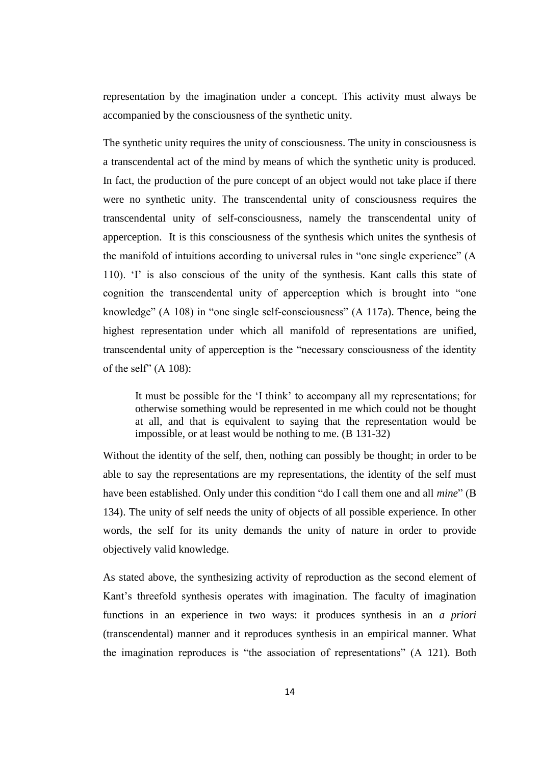representation by the imagination under a concept. This activity must always be accompanied by the consciousness of the synthetic unity.

The synthetic unity requires the unity of consciousness. The unity in consciousness is a transcendental act of the mind by means of which the synthetic unity is produced. In fact, the production of the pure concept of an object would not take place if there were no synthetic unity. The transcendental unity of consciousness requires the transcendental unity of self-consciousness, namely the transcendental unity of apperception. It is this consciousness of the synthesis which unites the synthesis of the manifold of intuitions according to universal rules in "one single experience" (A 110). 'I' is also conscious of the unity of the synthesis. Kant calls this state of cognition the transcendental unity of apperception which is brought into "one knowledge" (A 108) in "one single self-consciousness" (A 117a). Thence, being the highest representation under which all manifold of representations are unified, transcendental unity of apperception is the "necessary consciousness of the identity of the self"  $(A 108)$ :

It must be possible for the 'I think' to accompany all my representations; for otherwise something would be represented in me which could not be thought at all, and that is equivalent to saying that the representation would be impossible, or at least would be nothing to me. (B 131-32)

Without the identity of the self, then, nothing can possibly be thought; in order to be able to say the representations are my representations, the identity of the self must have been established. Only under this condition "do I call them one and all *mine*" (B 134). The unity of self needs the unity of objects of all possible experience. In other words, the self for its unity demands the unity of nature in order to provide objectively valid knowledge.

As stated above, the synthesizing activity of reproduction as the second element of Kant's threefold synthesis operates with imagination. The faculty of imagination functions in an experience in two ways: it produces synthesis in an *a priori* (transcendental) manner and it reproduces synthesis in an empirical manner. What the imagination reproduces is "the association of representations" (A 121). Both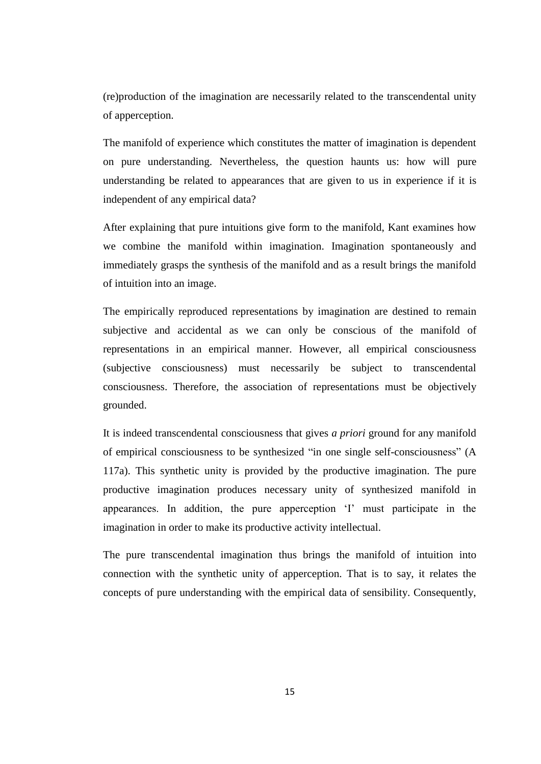(re)production of the imagination are necessarily related to the transcendental unity of apperception.

The manifold of experience which constitutes the matter of imagination is dependent on pure understanding. Nevertheless, the question haunts us: how will pure understanding be related to appearances that are given to us in experience if it is independent of any empirical data?

After explaining that pure intuitions give form to the manifold, Kant examines how we combine the manifold within imagination. Imagination spontaneously and immediately grasps the synthesis of the manifold and as a result brings the manifold of intuition into an image.

The empirically reproduced representations by imagination are destined to remain subjective and accidental as we can only be conscious of the manifold of representations in an empirical manner. However, all empirical consciousness (subjective consciousness) must necessarily be subject to transcendental consciousness. Therefore, the association of representations must be objectively grounded.

It is indeed transcendental consciousness that gives *a priori* ground for any manifold of empirical consciousness to be synthesized "in one single self-consciousness" (A 117a). This synthetic unity is provided by the productive imagination. The pure productive imagination produces necessary unity of synthesized manifold in appearances. In addition, the pure apperception 'I' must participate in the imagination in order to make its productive activity intellectual.

The pure transcendental imagination thus brings the manifold of intuition into connection with the synthetic unity of apperception. That is to say, it relates the concepts of pure understanding with the empirical data of sensibility. Consequently,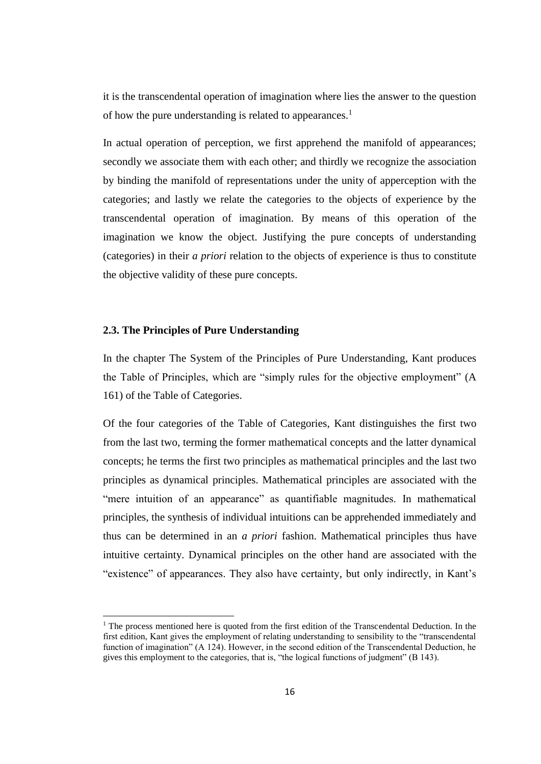it is the transcendental operation of imagination where lies the answer to the question of how the pure understanding is related to appearances.<sup>1</sup>

In actual operation of perception, we first apprehend the manifold of appearances; secondly we associate them with each other; and thirdly we recognize the association by binding the manifold of representations under the unity of apperception with the categories; and lastly we relate the categories to the objects of experience by the transcendental operation of imagination. By means of this operation of the imagination we know the object. Justifying the pure concepts of understanding (categories) in their *a priori* relation to the objects of experience is thus to constitute the objective validity of these pure concepts.

### **2.3. The Principles of Pure Understanding**

l

In the chapter The System of the Principles of Pure Understanding, Kant produces the Table of Principles, which are "simply rules for the objective employment" (A 161) of the Table of Categories.

Of the four categories of the Table of Categories, Kant distinguishes the first two from the last two, terming the former mathematical concepts and the latter dynamical concepts; he terms the first two principles as mathematical principles and the last two principles as dynamical principles. Mathematical principles are associated with the "mere intuition of an appearance" as quantifiable magnitudes. In mathematical principles, the synthesis of individual intuitions can be apprehended immediately and thus can be determined in an *a priori* fashion. Mathematical principles thus have intuitive certainty. Dynamical principles on the other hand are associated with the "existence" of appearances. They also have certainty, but only indirectly, in Kant's

 $<sup>1</sup>$  The process mentioned here is quoted from the first edition of the Transcendental Deduction. In the</sup> first edition, Kant gives the employment of relating understanding to sensibility to the "transcendental function of imagination" (A 124). However, in the second edition of the Transcendental Deduction, he gives this employment to the categories, that is, "the logical functions of judgment" (B 143).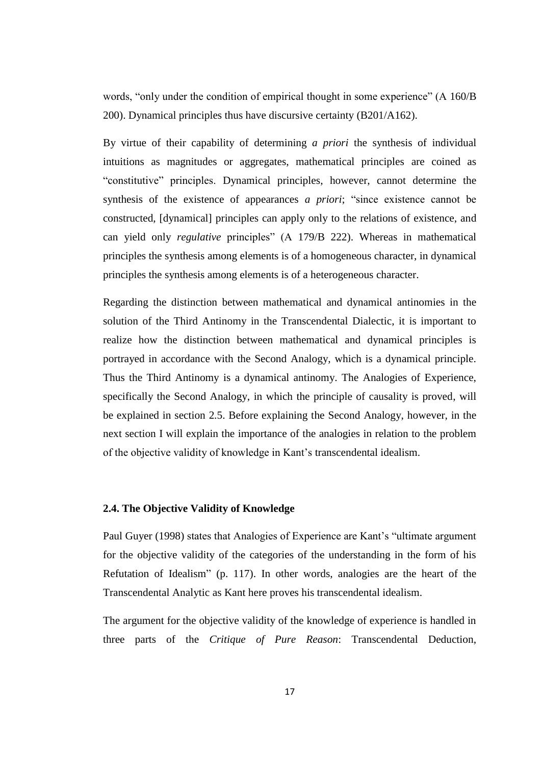words, "only under the condition of empirical thought in some experience" (A 160/B 200). Dynamical principles thus have discursive certainty (B201/A162).

By virtue of their capability of determining *a priori* the synthesis of individual intuitions as magnitudes or aggregates, mathematical principles are coined as "constitutive" principles. Dynamical principles, however, cannot determine the synthesis of the existence of appearances *a priori*; "since existence cannot be constructed, [dynamical] principles can apply only to the relations of existence, and can yield only *regulative* principles" (A 179/B 222). Whereas in mathematical principles the synthesis among elements is of a homogeneous character, in dynamical principles the synthesis among elements is of a heterogeneous character.

Regarding the distinction between mathematical and dynamical antinomies in the solution of the Third Antinomy in the Transcendental Dialectic, it is important to realize how the distinction between mathematical and dynamical principles is portrayed in accordance with the Second Analogy, which is a dynamical principle. Thus the Third Antinomy is a dynamical antinomy. The Analogies of Experience, specifically the Second Analogy, in which the principle of causality is proved, will be explained in section 2.5. Before explaining the Second Analogy, however, in the next section I will explain the importance of the analogies in relation to the problem of the objective validity of knowledge in Kant's transcendental idealism.

#### **2.4. The Objective Validity of Knowledge**

Paul Guyer (1998) states that Analogies of Experience are Kant's "ultimate argument for the objective validity of the categories of the understanding in the form of his Refutation of Idealism" (p. 117). In other words, analogies are the heart of the Transcendental Analytic as Kant here proves his transcendental idealism.

The argument for the objective validity of the knowledge of experience is handled in three parts of the *Critique of Pure Reason*: Transcendental Deduction,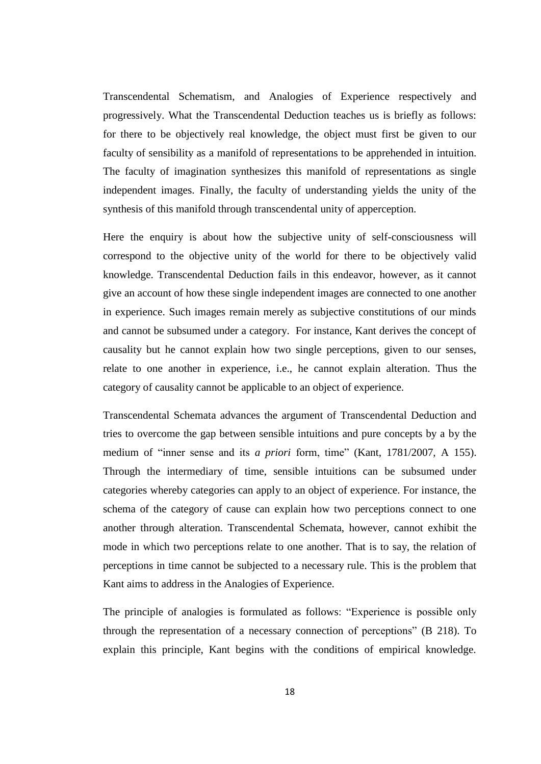Transcendental Schematism, and Analogies of Experience respectively and progressively. What the Transcendental Deduction teaches us is briefly as follows: for there to be objectively real knowledge, the object must first be given to our faculty of sensibility as a manifold of representations to be apprehended in intuition. The faculty of imagination synthesizes this manifold of representations as single independent images. Finally, the faculty of understanding yields the unity of the synthesis of this manifold through transcendental unity of apperception.

Here the enquiry is about how the subjective unity of self-consciousness will correspond to the objective unity of the world for there to be objectively valid knowledge. Transcendental Deduction fails in this endeavor, however, as it cannot give an account of how these single independent images are connected to one another in experience. Such images remain merely as subjective constitutions of our minds and cannot be subsumed under a category. For instance, Kant derives the concept of causality but he cannot explain how two single perceptions, given to our senses, relate to one another in experience, i.e., he cannot explain alteration. Thus the category of causality cannot be applicable to an object of experience.

Transcendental Schemata advances the argument of Transcendental Deduction and tries to overcome the gap between sensible intuitions and pure concepts by a by the medium of "inner sense and its *a priori* form, time" (Kant, 1781/2007, A 155). Through the intermediary of time, sensible intuitions can be subsumed under categories whereby categories can apply to an object of experience. For instance, the schema of the category of cause can explain how two perceptions connect to one another through alteration. Transcendental Schemata, however, cannot exhibit the mode in which two perceptions relate to one another. That is to say, the relation of perceptions in time cannot be subjected to a necessary rule. This is the problem that Kant aims to address in the Analogies of Experience.

The principle of analogies is formulated as follows: "Experience is possible only through the representation of a necessary connection of perceptions" (B 218). To explain this principle, Kant begins with the conditions of empirical knowledge.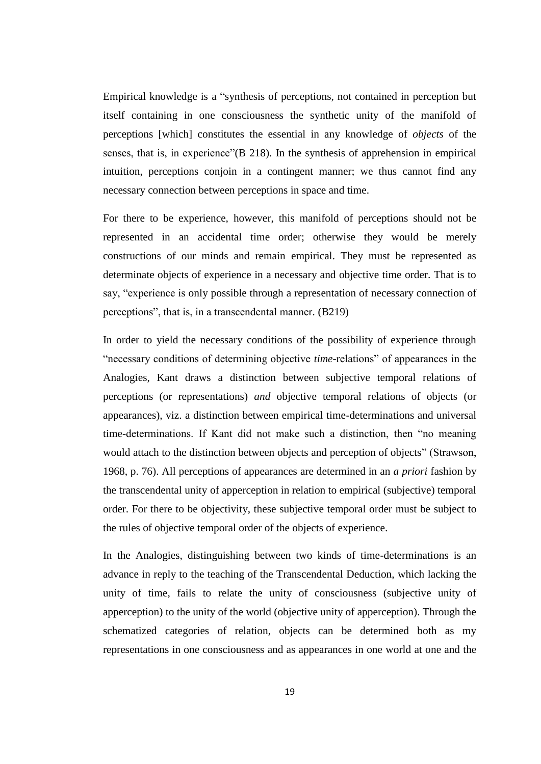Empirical knowledge is a "synthesis of perceptions, not contained in perception but itself containing in one consciousness the synthetic unity of the manifold of perceptions [which] constitutes the essential in any knowledge of *objects* of the senses, that is, in experience"(B 218). In the synthesis of apprehension in empirical intuition, perceptions conjoin in a contingent manner; we thus cannot find any necessary connection between perceptions in space and time.

For there to be experience, however, this manifold of perceptions should not be represented in an accidental time order; otherwise they would be merely constructions of our minds and remain empirical. They must be represented as determinate objects of experience in a necessary and objective time order. That is to say, "experience is only possible through a representation of necessary connection of perceptions", that is, in a transcendental manner. (B219)

In order to yield the necessary conditions of the possibility of experience through "necessary conditions of determining objective *time*-relations" of appearances in the Analogies, Kant draws a distinction between subjective temporal relations of perceptions (or representations) *and* objective temporal relations of objects (or appearances), viz. a distinction between empirical time-determinations and universal time-determinations. If Kant did not make such a distinction, then "no meaning would attach to the distinction between objects and perception of objects" (Strawson, 1968, p. 76). All perceptions of appearances are determined in an *a priori* fashion by the transcendental unity of apperception in relation to empirical (subjective) temporal order. For there to be objectivity, these subjective temporal order must be subject to the rules of objective temporal order of the objects of experience.

In the Analogies, distinguishing between two kinds of time-determinations is an advance in reply to the teaching of the Transcendental Deduction, which lacking the unity of time, fails to relate the unity of consciousness (subjective unity of apperception) to the unity of the world (objective unity of apperception). Through the schematized categories of relation, objects can be determined both as my representations in one consciousness and as appearances in one world at one and the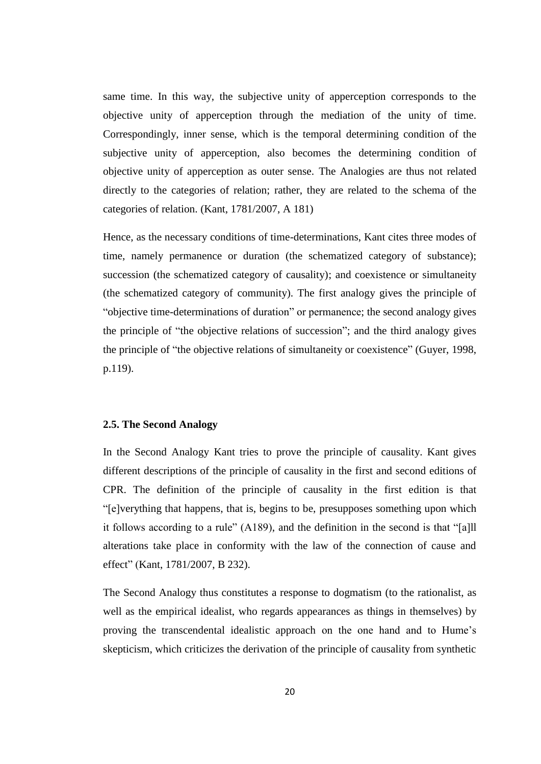same time. In this way, the subjective unity of apperception corresponds to the objective unity of apperception through the mediation of the unity of time. Correspondingly, inner sense, which is the temporal determining condition of the subjective unity of apperception, also becomes the determining condition of objective unity of apperception as outer sense. The Analogies are thus not related directly to the categories of relation; rather, they are related to the schema of the categories of relation. (Kant, 1781/2007, A 181)

Hence, as the necessary conditions of time-determinations, Kant cites three modes of time, namely permanence or duration (the schematized category of substance); succession (the schematized category of causality); and coexistence or simultaneity (the schematized category of community). The first analogy gives the principle of "objective time-determinations of duration" or permanence; the second analogy gives the principle of "the objective relations of succession"; and the third analogy gives the principle of "the objective relations of simultaneity or coexistence" (Guyer, 1998, p.119).

### **2.5. The Second Analogy**

In the Second Analogy Kant tries to prove the principle of causality. Kant gives different descriptions of the principle of causality in the first and second editions of CPR. The definition of the principle of causality in the first edition is that "[e]verything that happens, that is, begins to be, presupposes something upon which it follows according to a rule" (A189), and the definition in the second is that "[a]ll alterations take place in conformity with the law of the connection of cause and effect" (Kant, 1781/2007, B 232).

The Second Analogy thus constitutes a response to dogmatism (to the rationalist, as well as the empirical idealist, who regards appearances as things in themselves) by proving the transcendental idealistic approach on the one hand and to Hume's skepticism, which criticizes the derivation of the principle of causality from synthetic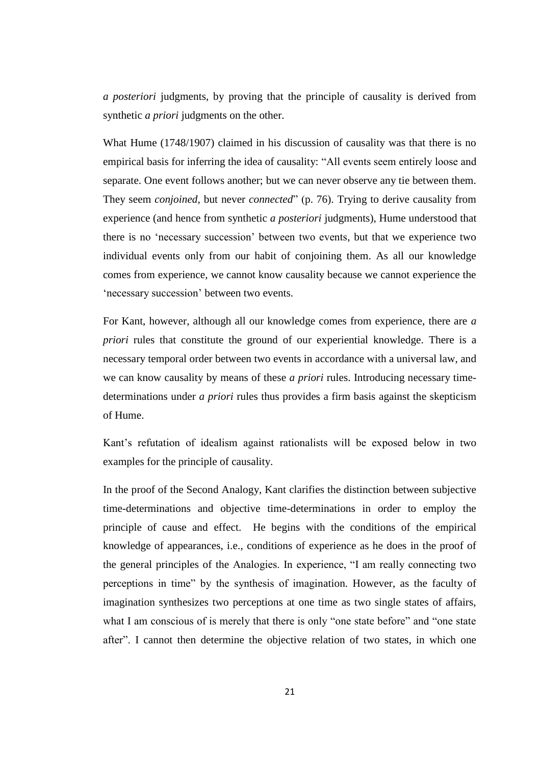*a posteriori* judgments, by proving that the principle of causality is derived from synthetic *a priori* judgments on the other.

What Hume (1748/1907) claimed in his discussion of causality was that there is no empirical basis for inferring the idea of causality: "All events seem entirely loose and separate. One event follows another; but we can never observe any tie between them. They seem *conjoined*, but never *connected*" (p. 76). Trying to derive causality from experience (and hence from synthetic *a posteriori* judgments), Hume understood that there is no 'necessary succession' between two events, but that we experience two individual events only from our habit of conjoining them. As all our knowledge comes from experience, we cannot know causality because we cannot experience the 'necessary succession' between two events.

For Kant, however, although all our knowledge comes from experience, there are *a priori* rules that constitute the ground of our experiential knowledge. There is a necessary temporal order between two events in accordance with a universal law, and we can know causality by means of these *a priori* rules. Introducing necessary timedeterminations under *a priori* rules thus provides a firm basis against the skepticism of Hume.

Kant's refutation of idealism against rationalists will be exposed below in two examples for the principle of causality.

In the proof of the Second Analogy, Kant clarifies the distinction between subjective time-determinations and objective time-determinations in order to employ the principle of cause and effect. He begins with the conditions of the empirical knowledge of appearances, i.e., conditions of experience as he does in the proof of the general principles of the Analogies. In experience, "I am really connecting two perceptions in time" by the synthesis of imagination. However, as the faculty of imagination synthesizes two perceptions at one time as two single states of affairs, what I am conscious of is merely that there is only "one state before" and "one state after". I cannot then determine the objective relation of two states, in which one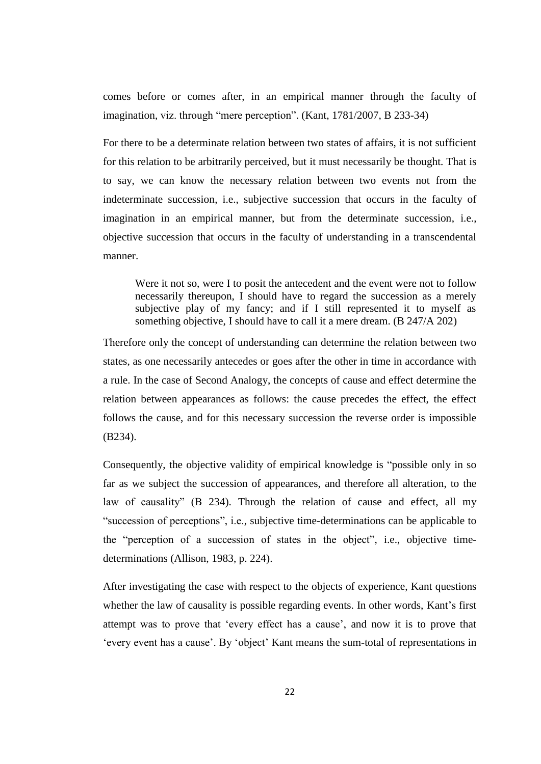comes before or comes after, in an empirical manner through the faculty of imagination, viz. through "mere perception". (Kant, 1781/2007, B 233-34)

For there to be a determinate relation between two states of affairs, it is not sufficient for this relation to be arbitrarily perceived, but it must necessarily be thought. That is to say, we can know the necessary relation between two events not from the indeterminate succession, i.e., subjective succession that occurs in the faculty of imagination in an empirical manner, but from the determinate succession, i.e., objective succession that occurs in the faculty of understanding in a transcendental manner.

Were it not so, were I to posit the antecedent and the event were not to follow necessarily thereupon, I should have to regard the succession as a merely subjective play of my fancy; and if I still represented it to myself as something objective, I should have to call it a mere dream. (B 247/A 202)

Therefore only the concept of understanding can determine the relation between two states, as one necessarily antecedes or goes after the other in time in accordance with a rule. In the case of Second Analogy, the concepts of cause and effect determine the relation between appearances as follows: the cause precedes the effect, the effect follows the cause, and for this necessary succession the reverse order is impossible (B234).

Consequently, the objective validity of empirical knowledge is "possible only in so far as we subject the succession of appearances, and therefore all alteration, to the law of causality" (B 234). Through the relation of cause and effect, all my "succession of perceptions", i.e., subjective time-determinations can be applicable to the "perception of a succession of states in the object", i.e., objective timedeterminations (Allison, 1983, p. 224).

After investigating the case with respect to the objects of experience, Kant questions whether the law of causality is possible regarding events. In other words, Kant's first attempt was to prove that 'every effect has a cause', and now it is to prove that 'every event has a cause'. By 'object' Kant means the sum-total of representations in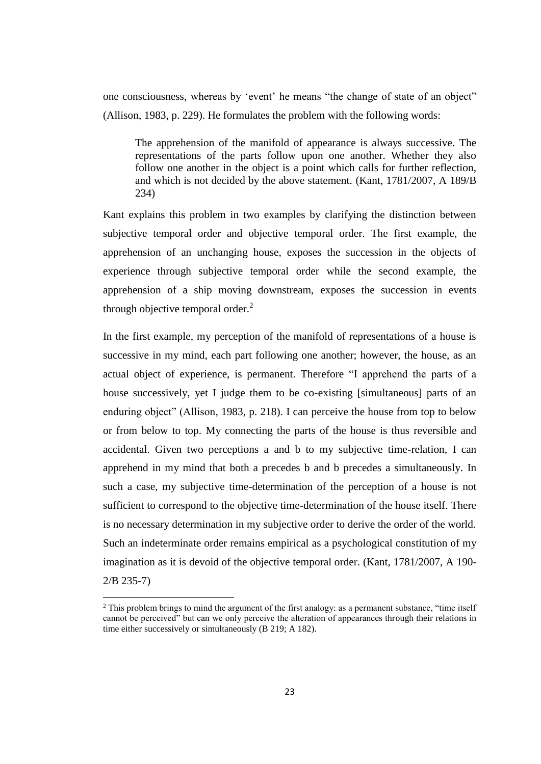one consciousness, whereas by 'event' he means "the change of state of an object" (Allison, 1983, p. 229). He formulates the problem with the following words:

The apprehension of the manifold of appearance is always successive. The representations of the parts follow upon one another. Whether they also follow one another in the object is a point which calls for further reflection, and which is not decided by the above statement. (Kant, 1781/2007, A 189/B 234)

Kant explains this problem in two examples by clarifying the distinction between subjective temporal order and objective temporal order. The first example, the apprehension of an unchanging house, exposes the succession in the objects of experience through subjective temporal order while the second example, the apprehension of a ship moving downstream, exposes the succession in events through objective temporal order. $<sup>2</sup>$ </sup>

In the first example, my perception of the manifold of representations of a house is successive in my mind, each part following one another; however, the house, as an actual object of experience, is permanent. Therefore "I apprehend the parts of a house successively, yet I judge them to be co-existing [simultaneous] parts of an enduring object" (Allison, 1983, p. 218). I can perceive the house from top to below or from below to top. My connecting the parts of the house is thus reversible and accidental. Given two perceptions a and b to my subjective time-relation, I can apprehend in my mind that both a precedes b and b precedes a simultaneously. In such a case, my subjective time-determination of the perception of a house is not sufficient to correspond to the objective time-determination of the house itself. There is no necessary determination in my subjective order to derive the order of the world. Such an indeterminate order remains empirical as a psychological constitution of my imagination as it is devoid of the objective temporal order. (Kant, 1781/2007, A 190- 2/B 235-7)

 $\overline{a}$ 

<sup>&</sup>lt;sup>2</sup> This problem brings to mind the argument of the first analogy: as a permanent substance, "time itself" cannot be perceived" but can we only perceive the alteration of appearances through their relations in time either successively or simultaneously (B 219; A 182).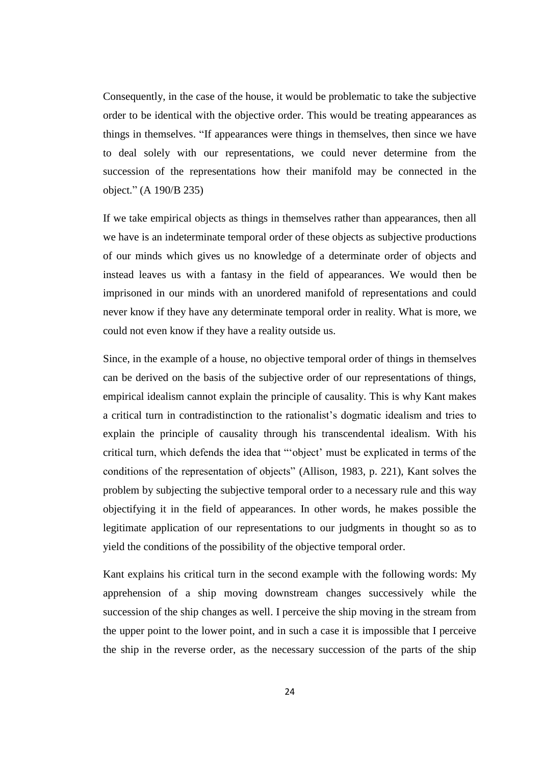Consequently, in the case of the house, it would be problematic to take the subjective order to be identical with the objective order. This would be treating appearances as things in themselves. "If appearances were things in themselves, then since we have to deal solely with our representations, we could never determine from the succession of the representations how their manifold may be connected in the object." (A 190/B 235)

If we take empirical objects as things in themselves rather than appearances, then all we have is an indeterminate temporal order of these objects as subjective productions of our minds which gives us no knowledge of a determinate order of objects and instead leaves us with a fantasy in the field of appearances. We would then be imprisoned in our minds with an unordered manifold of representations and could never know if they have any determinate temporal order in reality. What is more, we could not even know if they have a reality outside us.

Since, in the example of a house, no objective temporal order of things in themselves can be derived on the basis of the subjective order of our representations of things, empirical idealism cannot explain the principle of causality. This is why Kant makes a critical turn in contradistinction to the rationalist's dogmatic idealism and tries to explain the principle of causality through his transcendental idealism. With his critical turn, which defends the idea that "'object' must be explicated in terms of the conditions of the representation of objects" (Allison, 1983, p. 221), Kant solves the problem by subjecting the subjective temporal order to a necessary rule and this way objectifying it in the field of appearances. In other words, he makes possible the legitimate application of our representations to our judgments in thought so as to yield the conditions of the possibility of the objective temporal order.

Kant explains his critical turn in the second example with the following words: My apprehension of a ship moving downstream changes successively while the succession of the ship changes as well. I perceive the ship moving in the stream from the upper point to the lower point, and in such a case it is impossible that I perceive the ship in the reverse order, as the necessary succession of the parts of the ship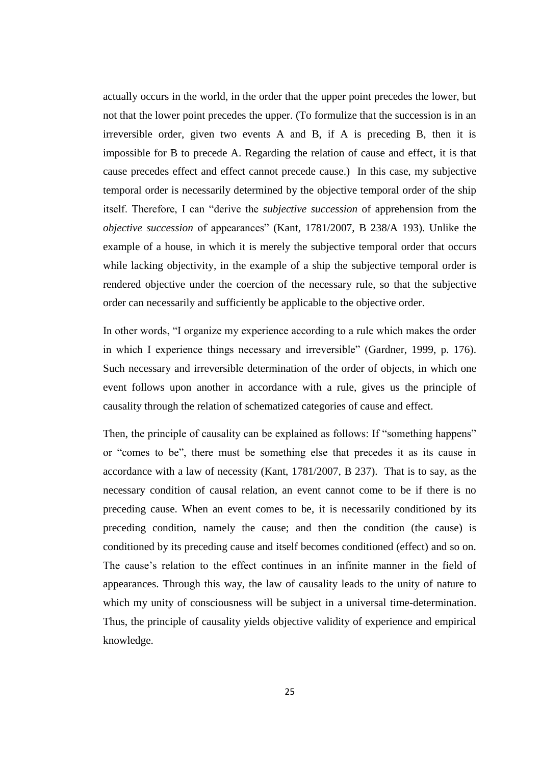actually occurs in the world, in the order that the upper point precedes the lower, but not that the lower point precedes the upper. (To formulize that the succession is in an irreversible order, given two events A and B, if A is preceding B, then it is impossible for B to precede A. Regarding the relation of cause and effect, it is that cause precedes effect and effect cannot precede cause.) In this case, my subjective temporal order is necessarily determined by the objective temporal order of the ship itself. Therefore, I can "derive the *subjective succession* of apprehension from the *objective succession* of appearances" (Kant, 1781/2007, B 238/A 193). Unlike the example of a house, in which it is merely the subjective temporal order that occurs while lacking objectivity, in the example of a ship the subjective temporal order is rendered objective under the coercion of the necessary rule, so that the subjective order can necessarily and sufficiently be applicable to the objective order.

In other words, "I organize my experience according to a rule which makes the order in which I experience things necessary and irreversible" (Gardner, 1999, p. 176). Such necessary and irreversible determination of the order of objects, in which one event follows upon another in accordance with a rule, gives us the principle of causality through the relation of schematized categories of cause and effect.

Then, the principle of causality can be explained as follows: If "something happens" or "comes to be", there must be something else that precedes it as its cause in accordance with a law of necessity (Kant, 1781/2007, B 237). That is to say, as the necessary condition of causal relation, an event cannot come to be if there is no preceding cause. When an event comes to be, it is necessarily conditioned by its preceding condition, namely the cause; and then the condition (the cause) is conditioned by its preceding cause and itself becomes conditioned (effect) and so on. The cause's relation to the effect continues in an infinite manner in the field of appearances. Through this way, the law of causality leads to the unity of nature to which my unity of consciousness will be subject in a universal time-determination. Thus, the principle of causality yields objective validity of experience and empirical knowledge.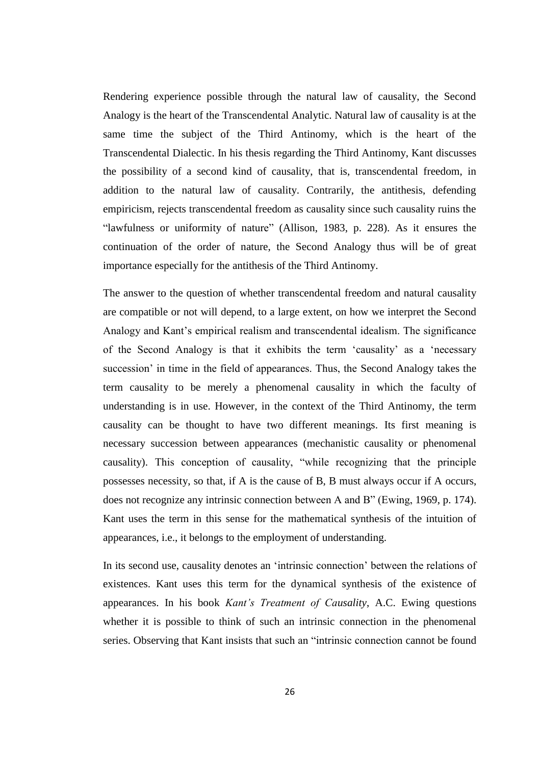Rendering experience possible through the natural law of causality, the Second Analogy is the heart of the Transcendental Analytic. Natural law of causality is at the same time the subject of the Third Antinomy, which is the heart of the Transcendental Dialectic. In his thesis regarding the Third Antinomy, Kant discusses the possibility of a second kind of causality, that is, transcendental freedom, in addition to the natural law of causality. Contrarily, the antithesis, defending empiricism, rejects transcendental freedom as causality since such causality ruins the "lawfulness or uniformity of nature" (Allison, 1983, p. 228). As it ensures the continuation of the order of nature, the Second Analogy thus will be of great importance especially for the antithesis of the Third Antinomy.

The answer to the question of whether transcendental freedom and natural causality are compatible or not will depend, to a large extent, on how we interpret the Second Analogy and Kant's empirical realism and transcendental idealism. The significance of the Second Analogy is that it exhibits the term 'causality' as a 'necessary succession' in time in the field of appearances. Thus, the Second Analogy takes the term causality to be merely a phenomenal causality in which the faculty of understanding is in use. However, in the context of the Third Antinomy, the term causality can be thought to have two different meanings. Its first meaning is necessary succession between appearances (mechanistic causality or phenomenal causality). This conception of causality, "while recognizing that the principle possesses necessity, so that, if A is the cause of B, B must always occur if A occurs, does not recognize any intrinsic connection between A and B" (Ewing, 1969, p. 174). Kant uses the term in this sense for the mathematical synthesis of the intuition of appearances, i.e., it belongs to the employment of understanding.

In its second use, causality denotes an 'intrinsic connection' between the relations of existences. Kant uses this term for the dynamical synthesis of the existence of appearances. In his book *Kant's Treatment of Causality*, A.C. Ewing questions whether it is possible to think of such an intrinsic connection in the phenomenal series. Observing that Kant insists that such an "intrinsic connection cannot be found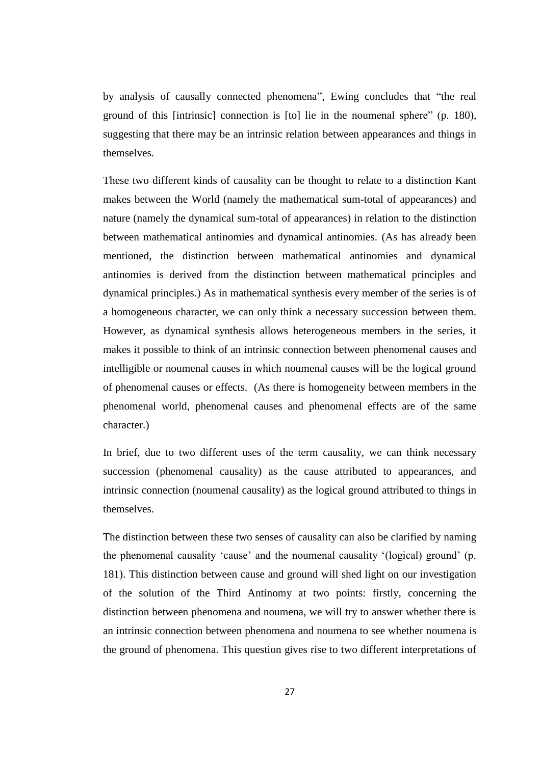by analysis of causally connected phenomena", Ewing concludes that "the real ground of this [intrinsic] connection is [to] lie in the noumenal sphere" (p. 180), suggesting that there may be an intrinsic relation between appearances and things in themselves.

These two different kinds of causality can be thought to relate to a distinction Kant makes between the World (namely the mathematical sum-total of appearances) and nature (namely the dynamical sum-total of appearances) in relation to the distinction between mathematical antinomies and dynamical antinomies. (As has already been mentioned, the distinction between mathematical antinomies and dynamical antinomies is derived from the distinction between mathematical principles and dynamical principles.) As in mathematical synthesis every member of the series is of a homogeneous character, we can only think a necessary succession between them. However, as dynamical synthesis allows heterogeneous members in the series, it makes it possible to think of an intrinsic connection between phenomenal causes and intelligible or noumenal causes in which noumenal causes will be the logical ground of phenomenal causes or effects. (As there is homogeneity between members in the phenomenal world, phenomenal causes and phenomenal effects are of the same character.)

In brief, due to two different uses of the term causality, we can think necessary succession (phenomenal causality) as the cause attributed to appearances, and intrinsic connection (noumenal causality) as the logical ground attributed to things in themselves.

The distinction between these two senses of causality can also be clarified by naming the phenomenal causality 'cause' and the noumenal causality '(logical) ground' (p. 181). This distinction between cause and ground will shed light on our investigation of the solution of the Third Antinomy at two points: firstly, concerning the distinction between phenomena and noumena, we will try to answer whether there is an intrinsic connection between phenomena and noumena to see whether noumena is the ground of phenomena. This question gives rise to two different interpretations of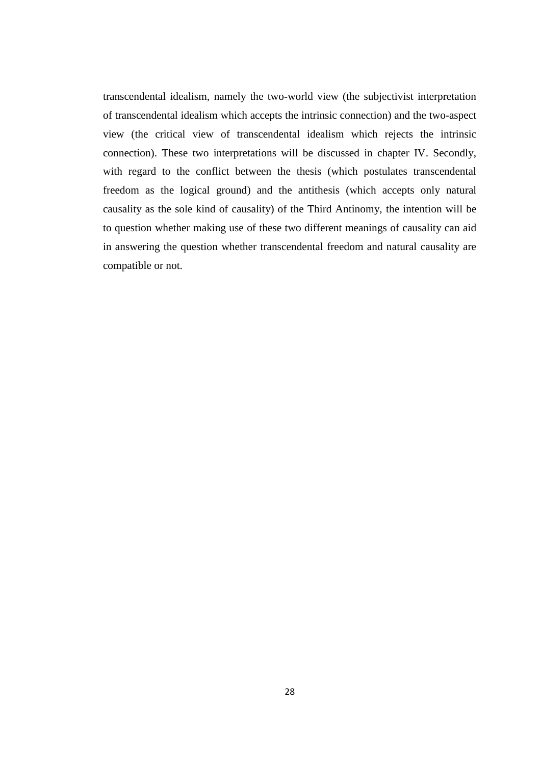transcendental idealism, namely the two-world view (the subjectivist interpretation of transcendental idealism which accepts the intrinsic connection) and the two-aspect view (the critical view of transcendental idealism which rejects the intrinsic connection). These two interpretations will be discussed in chapter IV. Secondly, with regard to the conflict between the thesis (which postulates transcendental freedom as the logical ground) and the antithesis (which accepts only natural causality as the sole kind of causality) of the Third Antinomy, the intention will be to question whether making use of these two different meanings of causality can aid in answering the question whether transcendental freedom and natural causality are compatible or not.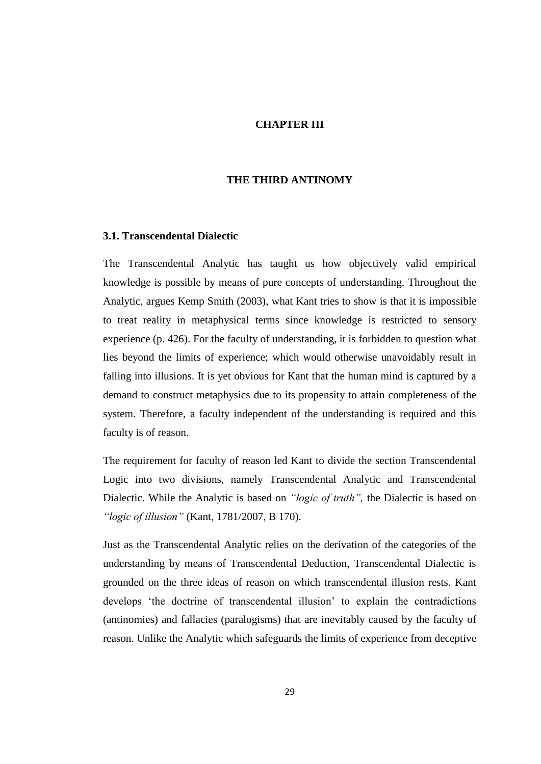# **CHAPTER III**

## **THE THIRD ANTINOMY**

## **3.1. Transcendental Dialectic**

The Transcendental Analytic has taught us how objectively valid empirical knowledge is possible by means of pure concepts of understanding. Throughout the Analytic, argues Kemp Smith (2003), what Kant tries to show is that it is impossible to treat reality in metaphysical terms since knowledge is restricted to sensory experience (p. 426). For the faculty of understanding, it is forbidden to question what lies beyond the limits of experience; which would otherwise unavoidably result in falling into illusions. It is yet obvious for Kant that the human mind is captured by a demand to construct metaphysics due to its propensity to attain completeness of the system. Therefore, a faculty independent of the understanding is required and this faculty is of reason.

The requirement for faculty of reason led Kant to divide the section Transcendental Logic into two divisions, namely Transcendental Analytic and Transcendental Dialectic. While the Analytic is based on *"logic of truth",* the Dialectic is based on *"logic of illusion"* (Kant, 1781/2007, B 170).

Just as the Transcendental Analytic relies on the derivation of the categories of the understanding by means of Transcendental Deduction, Transcendental Dialectic is grounded on the three ideas of reason on which transcendental illusion rests. Kant develops 'the doctrine of transcendental illusion' to explain the contradictions (antinomies) and fallacies (paralogisms) that are inevitably caused by the faculty of reason. Unlike the Analytic which safeguards the limits of experience from deceptive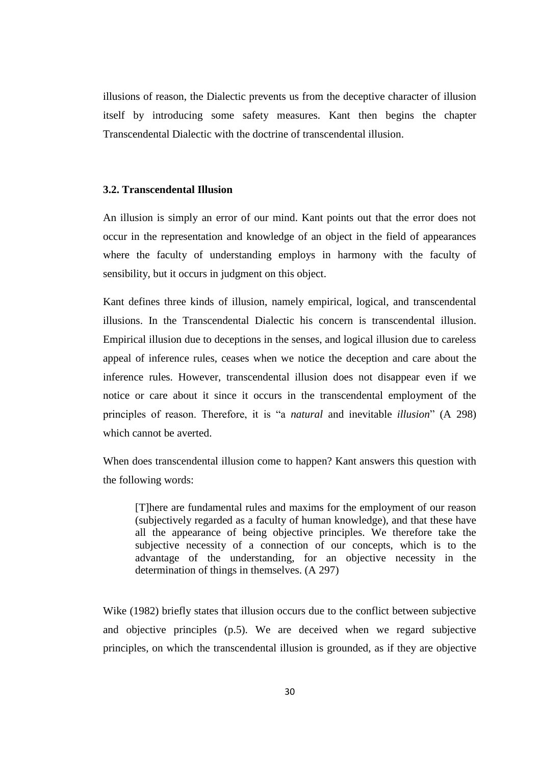illusions of reason, the Dialectic prevents us from the deceptive character of illusion itself by introducing some safety measures. Kant then begins the chapter Transcendental Dialectic with the doctrine of transcendental illusion.

#### **3.2. Transcendental Illusion**

An illusion is simply an error of our mind. Kant points out that the error does not occur in the representation and knowledge of an object in the field of appearances where the faculty of understanding employs in harmony with the faculty of sensibility, but it occurs in judgment on this object.

Kant defines three kinds of illusion, namely empirical, logical, and transcendental illusions. In the Transcendental Dialectic his concern is transcendental illusion. Empirical illusion due to deceptions in the senses, and logical illusion due to careless appeal of inference rules, ceases when we notice the deception and care about the inference rules. However, transcendental illusion does not disappear even if we notice or care about it since it occurs in the transcendental employment of the principles of reason. Therefore, it is "a *natural* and inevitable *illusion*" (A 298) which cannot be averted.

When does transcendental illusion come to happen? Kant answers this question with the following words:

[T]here are fundamental rules and maxims for the employment of our reason (subjectively regarded as a faculty of human knowledge), and that these have all the appearance of being objective principles. We therefore take the subjective necessity of a connection of our concepts, which is to the advantage of the understanding, for an objective necessity in the determination of things in themselves. (A 297)

Wike (1982) briefly states that illusion occurs due to the conflict between subjective and objective principles (p.5). We are deceived when we regard subjective principles, on which the transcendental illusion is grounded, as if they are objective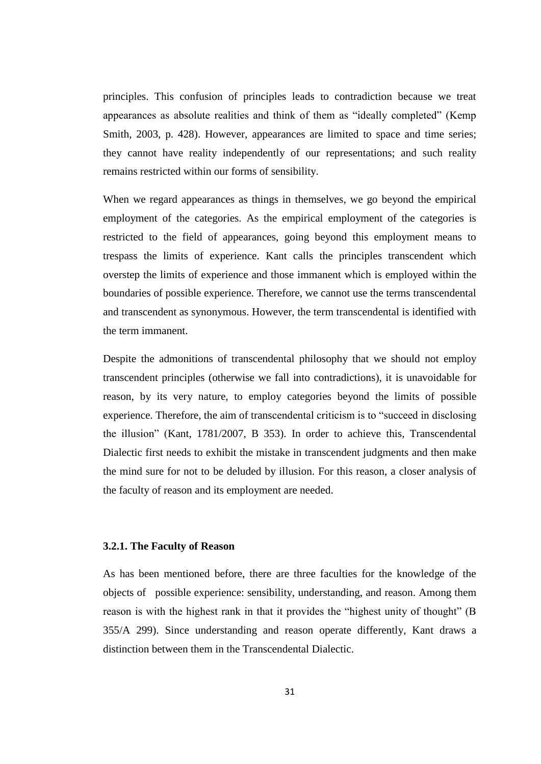principles. This confusion of principles leads to contradiction because we treat appearances as absolute realities and think of them as "ideally completed" (Kemp Smith, 2003, p. 428). However, appearances are limited to space and time series; they cannot have reality independently of our representations; and such reality remains restricted within our forms of sensibility.

When we regard appearances as things in themselves, we go beyond the empirical employment of the categories. As the empirical employment of the categories is restricted to the field of appearances, going beyond this employment means to trespass the limits of experience. Kant calls the principles transcendent which overstep the limits of experience and those immanent which is employed within the boundaries of possible experience. Therefore, we cannot use the terms transcendental and transcendent as synonymous. However, the term transcendental is identified with the term immanent.

Despite the admonitions of transcendental philosophy that we should not employ transcendent principles (otherwise we fall into contradictions), it is unavoidable for reason, by its very nature, to employ categories beyond the limits of possible experience. Therefore, the aim of transcendental criticism is to "succeed in disclosing the illusion" (Kant, 1781/2007, B 353). In order to achieve this, Transcendental Dialectic first needs to exhibit the mistake in transcendent judgments and then make the mind sure for not to be deluded by illusion. For this reason, a closer analysis of the faculty of reason and its employment are needed.

# **3.2.1. The Faculty of Reason**

As has been mentioned before, there are three faculties for the knowledge of the objects of possible experience: sensibility, understanding, and reason. Among them reason is with the highest rank in that it provides the "highest unity of thought" (B 355/A 299). Since understanding and reason operate differently, Kant draws a distinction between them in the Transcendental Dialectic.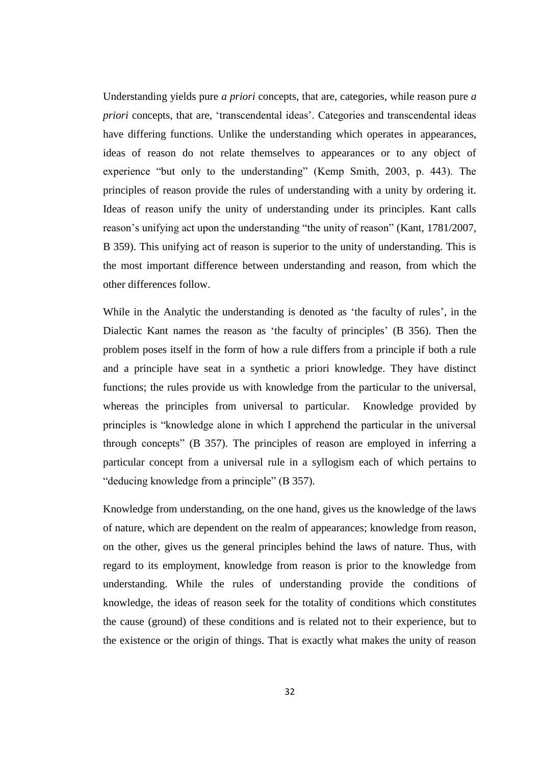Understanding yields pure *a priori* concepts, that are, categories, while reason pure *a priori* concepts, that are, 'transcendental ideas'. Categories and transcendental ideas have differing functions. Unlike the understanding which operates in appearances, ideas of reason do not relate themselves to appearances or to any object of experience "but only to the understanding" (Kemp Smith, 2003, p. 443). The principles of reason provide the rules of understanding with a unity by ordering it. Ideas of reason unify the unity of understanding under its principles. Kant calls reason's unifying act upon the understanding "the unity of reason" (Kant, 1781/2007, B 359). This unifying act of reason is superior to the unity of understanding. This is the most important difference between understanding and reason, from which the other differences follow.

While in the Analytic the understanding is denoted as 'the faculty of rules', in the Dialectic Kant names the reason as 'the faculty of principles' (B 356). Then the problem poses itself in the form of how a rule differs from a principle if both a rule and a principle have seat in a synthetic a priori knowledge. They have distinct functions; the rules provide us with knowledge from the particular to the universal, whereas the principles from universal to particular. Knowledge provided by principles is "knowledge alone in which I apprehend the particular in the universal through concepts" (B 357). The principles of reason are employed in inferring a particular concept from a universal rule in a syllogism each of which pertains to "deducing knowledge from a principle" (B 357).

Knowledge from understanding, on the one hand, gives us the knowledge of the laws of nature, which are dependent on the realm of appearances; knowledge from reason, on the other, gives us the general principles behind the laws of nature. Thus, with regard to its employment, knowledge from reason is prior to the knowledge from understanding. While the rules of understanding provide the conditions of knowledge, the ideas of reason seek for the totality of conditions which constitutes the cause (ground) of these conditions and is related not to their experience, but to the existence or the origin of things. That is exactly what makes the unity of reason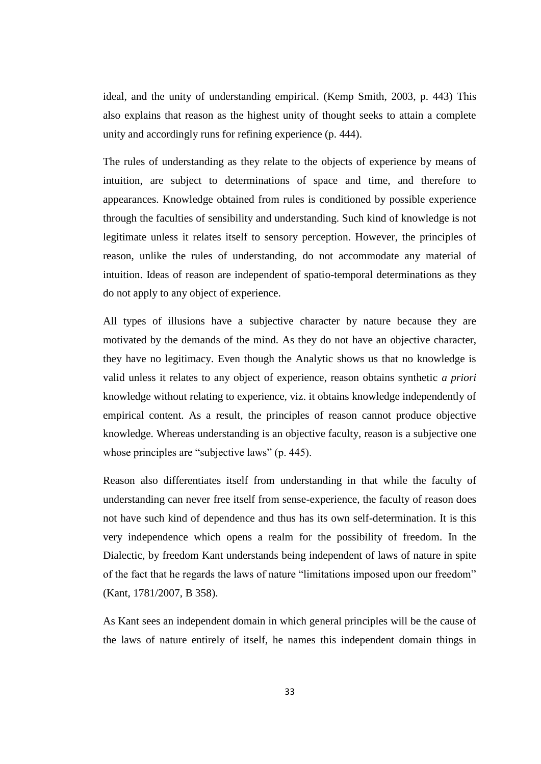ideal, and the unity of understanding empirical. (Kemp Smith, 2003, p. 443) This also explains that reason as the highest unity of thought seeks to attain a complete unity and accordingly runs for refining experience (p. 444).

The rules of understanding as they relate to the objects of experience by means of intuition, are subject to determinations of space and time, and therefore to appearances. Knowledge obtained from rules is conditioned by possible experience through the faculties of sensibility and understanding. Such kind of knowledge is not legitimate unless it relates itself to sensory perception. However, the principles of reason, unlike the rules of understanding, do not accommodate any material of intuition. Ideas of reason are independent of spatio-temporal determinations as they do not apply to any object of experience.

All types of illusions have a subjective character by nature because they are motivated by the demands of the mind. As they do not have an objective character, they have no legitimacy. Even though the Analytic shows us that no knowledge is valid unless it relates to any object of experience, reason obtains synthetic *a priori* knowledge without relating to experience, viz. it obtains knowledge independently of empirical content. As a result, the principles of reason cannot produce objective knowledge. Whereas understanding is an objective faculty, reason is a subjective one whose principles are "subjective laws" (p. 445).

Reason also differentiates itself from understanding in that while the faculty of understanding can never free itself from sense-experience, the faculty of reason does not have such kind of dependence and thus has its own self-determination. It is this very independence which opens a realm for the possibility of freedom. In the Dialectic, by freedom Kant understands being independent of laws of nature in spite of the fact that he regards the laws of nature "limitations imposed upon our freedom" (Kant, 1781/2007, B 358).

As Kant sees an independent domain in which general principles will be the cause of the laws of nature entirely of itself, he names this independent domain things in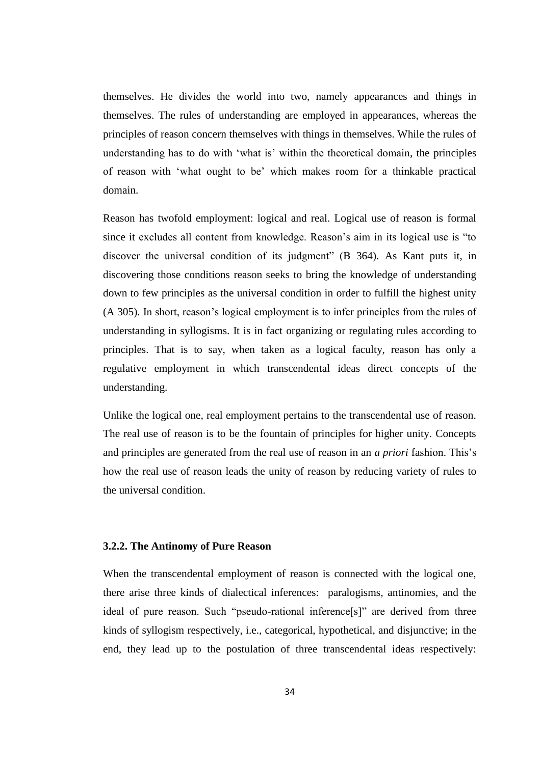themselves. He divides the world into two, namely appearances and things in themselves. The rules of understanding are employed in appearances, whereas the principles of reason concern themselves with things in themselves. While the rules of understanding has to do with 'what is' within the theoretical domain, the principles of reason with 'what ought to be' which makes room for a thinkable practical domain.

Reason has twofold employment: logical and real. Logical use of reason is formal since it excludes all content from knowledge. Reason's aim in its logical use is "to discover the universal condition of its judgment" (B 364). As Kant puts it, in discovering those conditions reason seeks to bring the knowledge of understanding down to few principles as the universal condition in order to fulfill the highest unity (A 305). In short, reason's logical employment is to infer principles from the rules of understanding in syllogisms. It is in fact organizing or regulating rules according to principles. That is to say, when taken as a logical faculty, reason has only a regulative employment in which transcendental ideas direct concepts of the understanding.

Unlike the logical one, real employment pertains to the transcendental use of reason. The real use of reason is to be the fountain of principles for higher unity. Concepts and principles are generated from the real use of reason in an *a priori* fashion. This's how the real use of reason leads the unity of reason by reducing variety of rules to the universal condition.

## **3.2.2. The Antinomy of Pure Reason**

When the transcendental employment of reason is connected with the logical one, there arise three kinds of dialectical inferences: paralogisms, antinomies, and the ideal of pure reason. Such "pseudo-rational inference[s]" are derived from three kinds of syllogism respectively, i.e., categorical, hypothetical, and disjunctive; in the end, they lead up to the postulation of three transcendental ideas respectively: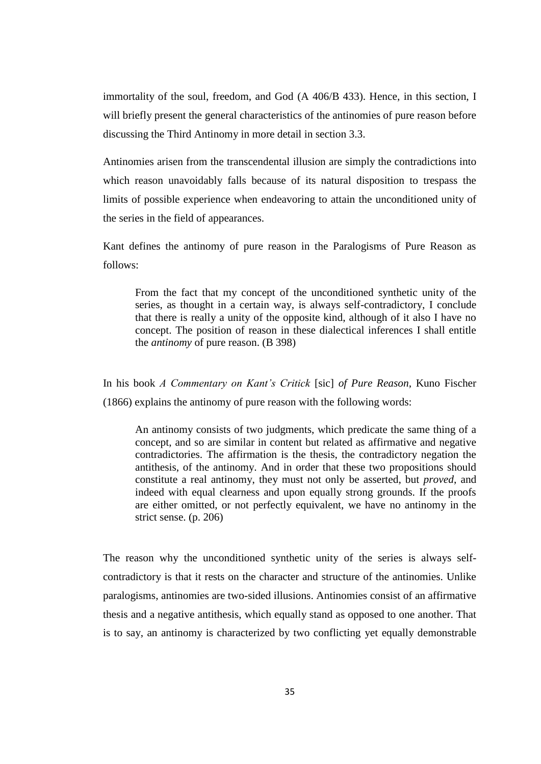immortality of the soul, freedom, and God (A 406/B 433). Hence, in this section, I will briefly present the general characteristics of the antinomies of pure reason before discussing the Third Antinomy in more detail in section 3.3.

Antinomies arisen from the transcendental illusion are simply the contradictions into which reason unavoidably falls because of its natural disposition to trespass the limits of possible experience when endeavoring to attain the unconditioned unity of the series in the field of appearances.

Kant defines the antinomy of pure reason in the Paralogisms of Pure Reason as follows:

From the fact that my concept of the unconditioned synthetic unity of the series, as thought in a certain way, is always self-contradictory, I conclude that there is really a unity of the opposite kind, although of it also I have no concept. The position of reason in these dialectical inferences I shall entitle the *antinomy* of pure reason. (B 398)

In his book *A Commentary on Kant's Critick* [sic] *of Pure Reason*, Kuno Fischer (1866) explains the antinomy of pure reason with the following words:

An antinomy consists of two judgments, which predicate the same thing of a concept, and so are similar in content but related as affirmative and negative contradictories. The affirmation is the thesis, the contradictory negation the antithesis, of the antinomy. And in order that these two propositions should constitute a real antinomy, they must not only be asserted, but *proved*, and indeed with equal clearness and upon equally strong grounds. If the proofs are either omitted, or not perfectly equivalent, we have no antinomy in the strict sense. (p. 206)

The reason why the unconditioned synthetic unity of the series is always selfcontradictory is that it rests on the character and structure of the antinomies. Unlike paralogisms, antinomies are two-sided illusions. Antinomies consist of an affirmative thesis and a negative antithesis, which equally stand as opposed to one another. That is to say, an antinomy is characterized by two conflicting yet equally demonstrable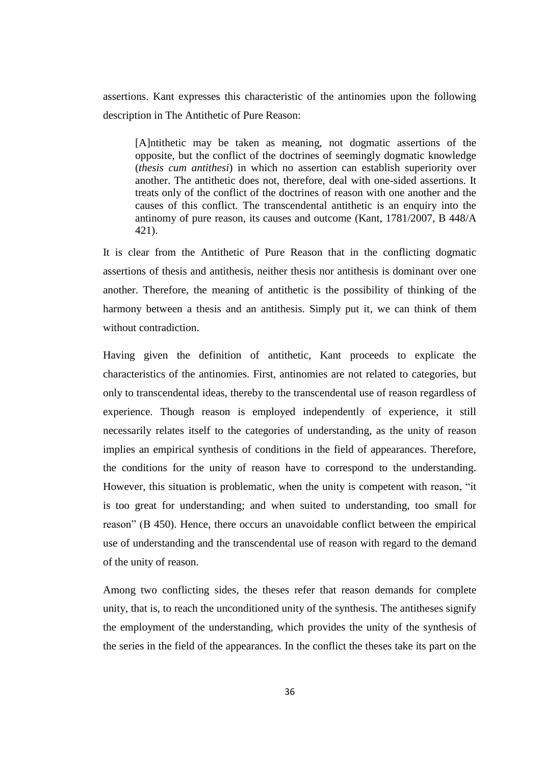assertions. Kant expresses this characteristic of the antinomies upon the following description in The Antithetic of Pure Reason:

[A]ntithetic may be taken as meaning, not dogmatic assertions of the opposite, but the conflict of the doctrines of seemingly dogmatic knowledge (*thesis cum antithesi*) in which no assertion can establish superiority over another. The antithetic does not, therefore, deal with one-sided assertions. It treats only of the conflict of the doctrines of reason with one another and the causes of this conflict. The transcendental antithetic is an enquiry into the antinomy of pure reason, its causes and outcome (Kant, 1781/2007, B 448/A 421).

It is clear from the Antithetic of Pure Reason that in the conflicting dogmatic assertions of thesis and antithesis, neither thesis nor antithesis is dominant over one another. Therefore, the meaning of antithetic is the possibility of thinking of the harmony between a thesis and an antithesis. Simply put it, we can think of them without contradiction.

Having given the definition of antithetic, Kant proceeds to explicate the characteristics of the antinomies. First, antinomies are not related to categories, but only to transcendental ideas, thereby to the transcendental use of reason regardless of experience. Though reason is employed independently of experience, it still necessarily relates itself to the categories of understanding, as the unity of reason implies an empirical synthesis of conditions in the field of appearances. Therefore, the conditions for the unity of reason have to correspond to the understanding. However, this situation is problematic, when the unity is competent with reason, "it is too great for understanding; and when suited to understanding, too small for reason" (B 450). Hence, there occurs an unavoidable conflict between the empirical use of understanding and the transcendental use of reason with regard to the demand of the unity of reason.

Among two conflicting sides, the theses refer that reason demands for complete unity, that is, to reach the unconditioned unity of the synthesis. The antitheses signify the employment of the understanding, which provides the unity of the synthesis of the series in the field of the appearances. In the conflict the theses take its part on the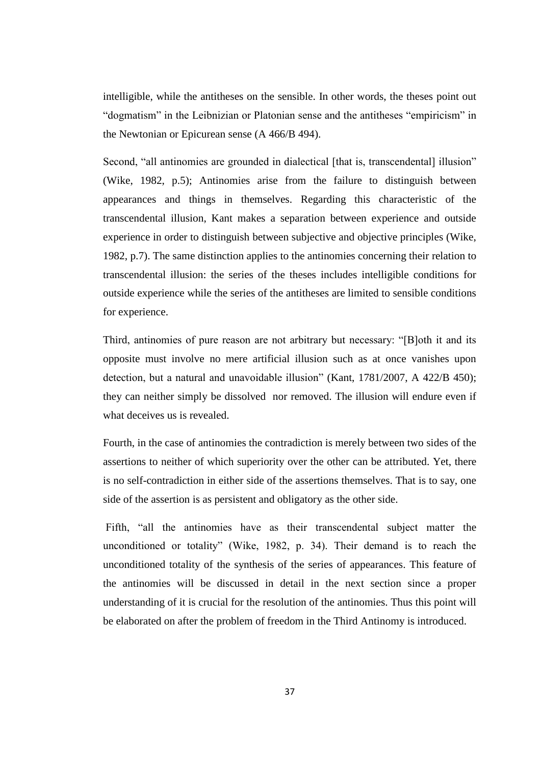intelligible, while the antitheses on the sensible. In other words, the theses point out "dogmatism" in the Leibnizian or Platonian sense and the antitheses "empiricism" in the Newtonian or Epicurean sense (A 466/B 494).

Second, "all antinomies are grounded in dialectical [that is, transcendental] illusion" (Wike, 1982, p.5); Antinomies arise from the failure to distinguish between appearances and things in themselves. Regarding this characteristic of the transcendental illusion, Kant makes a separation between experience and outside experience in order to distinguish between subjective and objective principles (Wike, 1982, p.7). The same distinction applies to the antinomies concerning their relation to transcendental illusion: the series of the theses includes intelligible conditions for outside experience while the series of the antitheses are limited to sensible conditions for experience.

Third, antinomies of pure reason are not arbitrary but necessary: "[B]oth it and its opposite must involve no mere artificial illusion such as at once vanishes upon detection, but a natural and unavoidable illusion" (Kant, 1781/2007, A 422/B 450); they can neither simply be dissolved nor removed. The illusion will endure even if what deceives us is revealed.

Fourth, in the case of antinomies the contradiction is merely between two sides of the assertions to neither of which superiority over the other can be attributed. Yet, there is no self-contradiction in either side of the assertions themselves. That is to say, one side of the assertion is as persistent and obligatory as the other side.

Fifth, "all the antinomies have as their transcendental subject matter the unconditioned or totality" (Wike, 1982, p. 34). Their demand is to reach the unconditioned totality of the synthesis of the series of appearances. This feature of the antinomies will be discussed in detail in the next section since a proper understanding of it is crucial for the resolution of the antinomies. Thus this point will be elaborated on after the problem of freedom in the Third Antinomy is introduced.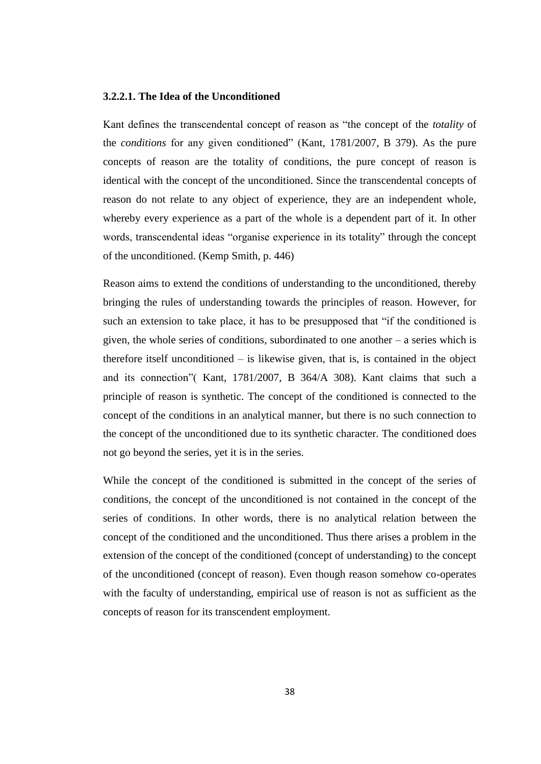#### **3.2.2.1. The Idea of the Unconditioned**

Kant defines the transcendental concept of reason as "the concept of the *totality* of the *conditions* for any given conditioned" (Kant, 1781/2007, B 379). As the pure concepts of reason are the totality of conditions, the pure concept of reason is identical with the concept of the unconditioned. Since the transcendental concepts of reason do not relate to any object of experience, they are an independent whole, whereby every experience as a part of the whole is a dependent part of it. In other words, transcendental ideas "organise experience in its totality" through the concept of the unconditioned. (Kemp Smith, p. 446)

Reason aims to extend the conditions of understanding to the unconditioned, thereby bringing the rules of understanding towards the principles of reason. However, for such an extension to take place, it has to be presupposed that "if the conditioned is given, the whole series of conditions, subordinated to one another – a series which is therefore itself unconditioned – is likewise given, that is, is contained in the object and its connection"( Kant, 1781/2007, B 364/A 308). Kant claims that such a principle of reason is synthetic. The concept of the conditioned is connected to the concept of the conditions in an analytical manner, but there is no such connection to the concept of the unconditioned due to its synthetic character. The conditioned does not go beyond the series, yet it is in the series.

While the concept of the conditioned is submitted in the concept of the series of conditions, the concept of the unconditioned is not contained in the concept of the series of conditions. In other words, there is no analytical relation between the concept of the conditioned and the unconditioned. Thus there arises a problem in the extension of the concept of the conditioned (concept of understanding) to the concept of the unconditioned (concept of reason). Even though reason somehow co-operates with the faculty of understanding, empirical use of reason is not as sufficient as the concepts of reason for its transcendent employment.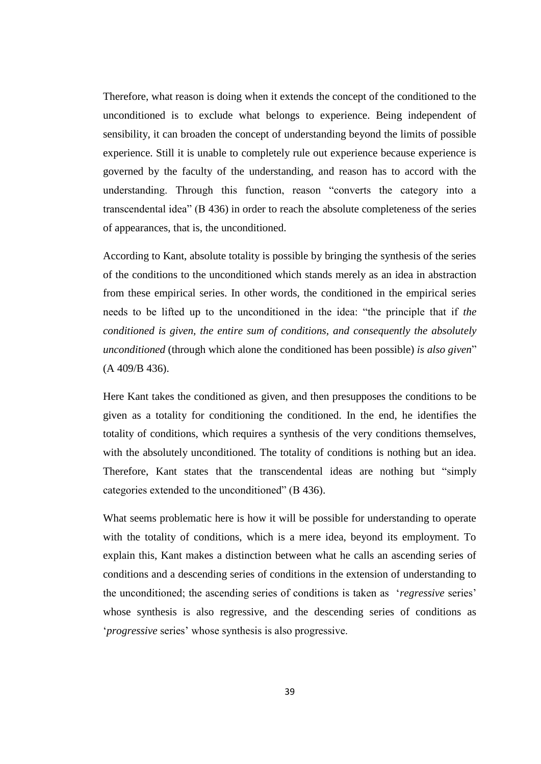Therefore, what reason is doing when it extends the concept of the conditioned to the unconditioned is to exclude what belongs to experience. Being independent of sensibility, it can broaden the concept of understanding beyond the limits of possible experience. Still it is unable to completely rule out experience because experience is governed by the faculty of the understanding, and reason has to accord with the understanding. Through this function, reason "converts the category into a transcendental idea" (B 436) in order to reach the absolute completeness of the series of appearances, that is, the unconditioned.

According to Kant, absolute totality is possible by bringing the synthesis of the series of the conditions to the unconditioned which stands merely as an idea in abstraction from these empirical series. In other words, the conditioned in the empirical series needs to be lifted up to the unconditioned in the idea: "the principle that if *the conditioned is given, the entire sum of conditions, and consequently the absolutely unconditioned* (through which alone the conditioned has been possible) *is also given*" (A 409/B 436).

Here Kant takes the conditioned as given, and then presupposes the conditions to be given as a totality for conditioning the conditioned. In the end, he identifies the totality of conditions, which requires a synthesis of the very conditions themselves, with the absolutely unconditioned. The totality of conditions is nothing but an idea. Therefore, Kant states that the transcendental ideas are nothing but "simply categories extended to the unconditioned" (B 436).

What seems problematic here is how it will be possible for understanding to operate with the totality of conditions, which is a mere idea, beyond its employment. To explain this, Kant makes a distinction between what he calls an ascending series of conditions and a descending series of conditions in the extension of understanding to the unconditioned; the ascending series of conditions is taken as '*regressive* series' whose synthesis is also regressive, and the descending series of conditions as '*progressive* series' whose synthesis is also progressive.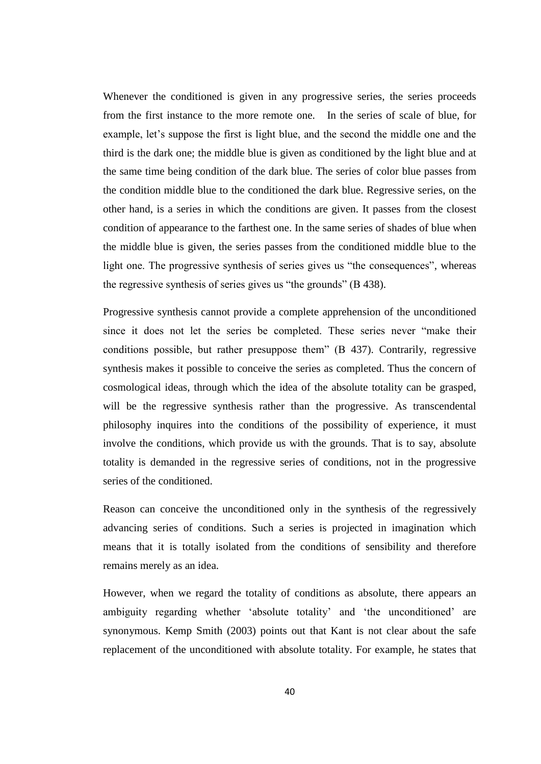Whenever the conditioned is given in any progressive series, the series proceeds from the first instance to the more remote one. In the series of scale of blue, for example, let's suppose the first is light blue, and the second the middle one and the third is the dark one; the middle blue is given as conditioned by the light blue and at the same time being condition of the dark blue. The series of color blue passes from the condition middle blue to the conditioned the dark blue. Regressive series, on the other hand, is a series in which the conditions are given. It passes from the closest condition of appearance to the farthest one. In the same series of shades of blue when the middle blue is given, the series passes from the conditioned middle blue to the light one. The progressive synthesis of series gives us "the consequences", whereas the regressive synthesis of series gives us "the grounds" (B 438).

Progressive synthesis cannot provide a complete apprehension of the unconditioned since it does not let the series be completed. These series never "make their conditions possible, but rather presuppose them" (B 437). Contrarily, regressive synthesis makes it possible to conceive the series as completed. Thus the concern of cosmological ideas, through which the idea of the absolute totality can be grasped, will be the regressive synthesis rather than the progressive. As transcendental philosophy inquires into the conditions of the possibility of experience, it must involve the conditions, which provide us with the grounds. That is to say, absolute totality is demanded in the regressive series of conditions, not in the progressive series of the conditioned.

Reason can conceive the unconditioned only in the synthesis of the regressively advancing series of conditions. Such a series is projected in imagination which means that it is totally isolated from the conditions of sensibility and therefore remains merely as an idea.

However, when we regard the totality of conditions as absolute, there appears an ambiguity regarding whether 'absolute totality' and 'the unconditioned' are synonymous. Kemp Smith (2003) points out that Kant is not clear about the safe replacement of the unconditioned with absolute totality. For example, he states that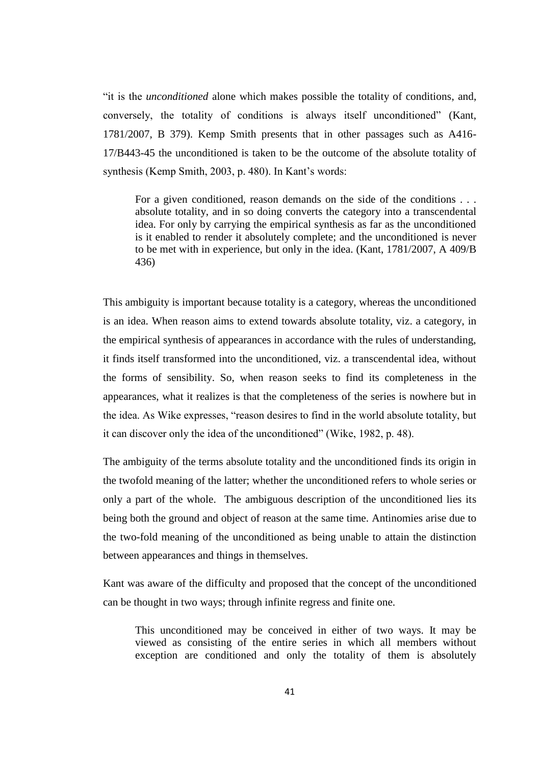"it is the *unconditioned* alone which makes possible the totality of conditions, and, conversely, the totality of conditions is always itself unconditioned" (Kant, 1781/2007, B 379). Kemp Smith presents that in other passages such as A416- 17/B443-45 the unconditioned is taken to be the outcome of the absolute totality of synthesis (Kemp Smith, 2003, p. 480). In Kant's words:

For a given conditioned, reason demands on the side of the conditions . . . absolute totality, and in so doing converts the category into a transcendental idea. For only by carrying the empirical synthesis as far as the unconditioned is it enabled to render it absolutely complete; and the unconditioned is never to be met with in experience, but only in the idea. (Kant, 1781/2007, A 409/B 436)

This ambiguity is important because totality is a category, whereas the unconditioned is an idea. When reason aims to extend towards absolute totality, viz. a category, in the empirical synthesis of appearances in accordance with the rules of understanding, it finds itself transformed into the unconditioned, viz. a transcendental idea, without the forms of sensibility. So, when reason seeks to find its completeness in the appearances, what it realizes is that the completeness of the series is nowhere but in the idea. As Wike expresses, "reason desires to find in the world absolute totality, but it can discover only the idea of the unconditioned" (Wike, 1982, p. 48).

The ambiguity of the terms absolute totality and the unconditioned finds its origin in the twofold meaning of the latter; whether the unconditioned refers to whole series or only a part of the whole. The ambiguous description of the unconditioned lies its being both the ground and object of reason at the same time. Antinomies arise due to the two-fold meaning of the unconditioned as being unable to attain the distinction between appearances and things in themselves.

Kant was aware of the difficulty and proposed that the concept of the unconditioned can be thought in two ways; through infinite regress and finite one.

This unconditioned may be conceived in either of two ways. It may be viewed as consisting of the entire series in which all members without exception are conditioned and only the totality of them is absolutely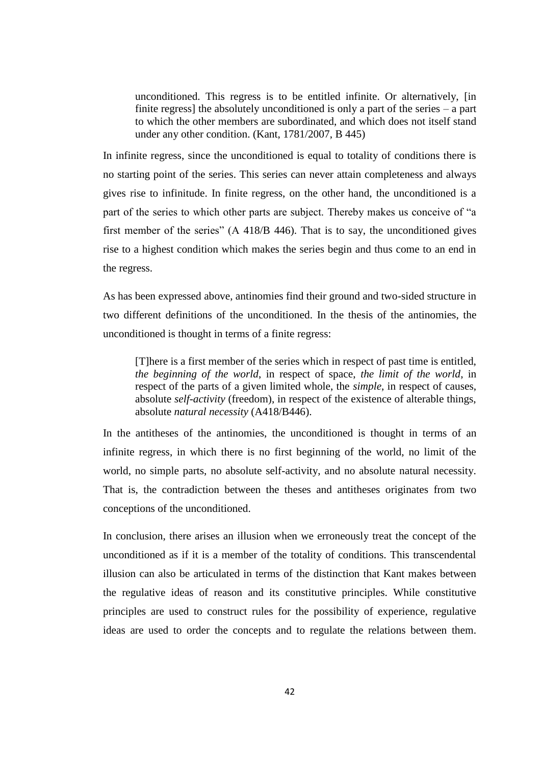unconditioned. This regress is to be entitled infinite. Or alternatively, [in finite regress] the absolutely unconditioned is only a part of the series – a part to which the other members are subordinated, and which does not itself stand under any other condition. (Kant, 1781/2007, B 445)

In infinite regress, since the unconditioned is equal to totality of conditions there is no starting point of the series. This series can never attain completeness and always gives rise to infinitude. In finite regress, on the other hand, the unconditioned is a part of the series to which other parts are subject. Thereby makes us conceive of "a first member of the series" (A 418/B 446). That is to say, the unconditioned gives rise to a highest condition which makes the series begin and thus come to an end in the regress.

As has been expressed above, antinomies find their ground and two-sided structure in two different definitions of the unconditioned. In the thesis of the antinomies, the unconditioned is thought in terms of a finite regress:

[T]here is a first member of the series which in respect of past time is entitled, *the beginning of the world*, in respect of space, *the limit of the world*, in respect of the parts of a given limited whole, the *simple*, in respect of causes, absolute *self-activity* (freedom), in respect of the existence of alterable things, absolute *natural necessity* (A418/B446).

In the antitheses of the antinomies, the unconditioned is thought in terms of an infinite regress, in which there is no first beginning of the world, no limit of the world, no simple parts, no absolute self-activity, and no absolute natural necessity. That is, the contradiction between the theses and antitheses originates from two conceptions of the unconditioned.

In conclusion, there arises an illusion when we erroneously treat the concept of the unconditioned as if it is a member of the totality of conditions. This transcendental illusion can also be articulated in terms of the distinction that Kant makes between the regulative ideas of reason and its constitutive principles. While constitutive principles are used to construct rules for the possibility of experience, regulative ideas are used to order the concepts and to regulate the relations between them.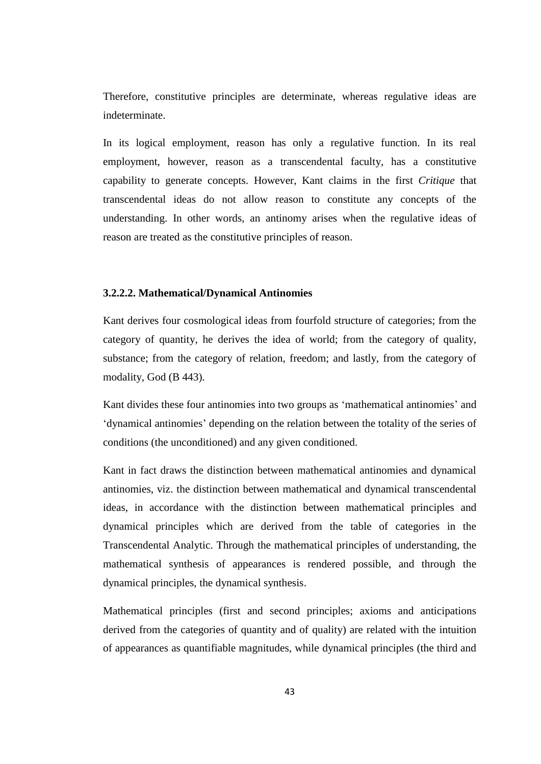Therefore, constitutive principles are determinate, whereas regulative ideas are indeterminate.

In its logical employment, reason has only a regulative function. In its real employment, however, reason as a transcendental faculty, has a constitutive capability to generate concepts. However, Kant claims in the first *Critique* that transcendental ideas do not allow reason to constitute any concepts of the understanding. In other words, an antinomy arises when the regulative ideas of reason are treated as the constitutive principles of reason.

#### **3.2.2.2. Mathematical/Dynamical Antinomies**

Kant derives four cosmological ideas from fourfold structure of categories; from the category of quantity, he derives the idea of world; from the category of quality, substance; from the category of relation, freedom; and lastly, from the category of modality, God (B 443).

Kant divides these four antinomies into two groups as 'mathematical antinomies' and 'dynamical antinomies' depending on the relation between the totality of the series of conditions (the unconditioned) and any given conditioned.

Kant in fact draws the distinction between mathematical antinomies and dynamical antinomies, viz. the distinction between mathematical and dynamical transcendental ideas, in accordance with the distinction between mathematical principles and dynamical principles which are derived from the table of categories in the Transcendental Analytic. Through the mathematical principles of understanding, the mathematical synthesis of appearances is rendered possible, and through the dynamical principles, the dynamical synthesis.

Mathematical principles (first and second principles; axioms and anticipations derived from the categories of quantity and of quality) are related with the intuition of appearances as quantifiable magnitudes, while dynamical principles (the third and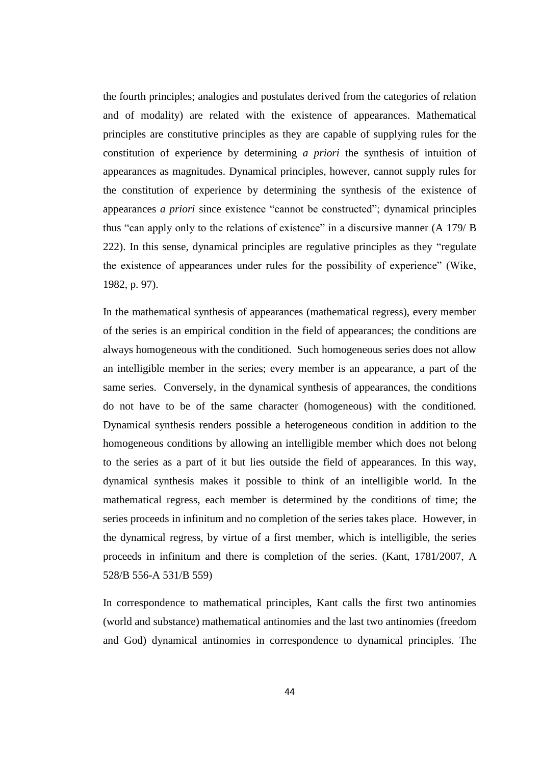the fourth principles; analogies and postulates derived from the categories of relation and of modality) are related with the existence of appearances. Mathematical principles are constitutive principles as they are capable of supplying rules for the constitution of experience by determining *a priori* the synthesis of intuition of appearances as magnitudes. Dynamical principles, however, cannot supply rules for the constitution of experience by determining the synthesis of the existence of appearances *a priori* since existence "cannot be constructed"; dynamical principles thus "can apply only to the relations of existence" in a discursive manner (A 179/ B 222). In this sense, dynamical principles are regulative principles as they "regulate the existence of appearances under rules for the possibility of experience" (Wike, 1982, p. 97).

In the mathematical synthesis of appearances (mathematical regress), every member of the series is an empirical condition in the field of appearances; the conditions are always homogeneous with the conditioned. Such homogeneous series does not allow an intelligible member in the series; every member is an appearance, a part of the same series. Conversely, in the dynamical synthesis of appearances, the conditions do not have to be of the same character (homogeneous) with the conditioned. Dynamical synthesis renders possible a heterogeneous condition in addition to the homogeneous conditions by allowing an intelligible member which does not belong to the series as a part of it but lies outside the field of appearances. In this way, dynamical synthesis makes it possible to think of an intelligible world. In the mathematical regress, each member is determined by the conditions of time; the series proceeds in infinitum and no completion of the series takes place. However, in the dynamical regress, by virtue of a first member, which is intelligible, the series proceeds in infinitum and there is completion of the series. (Kant, 1781/2007, A 528/B 556-A 531/B 559)

In correspondence to mathematical principles, Kant calls the first two antinomies (world and substance) mathematical antinomies and the last two antinomies (freedom and God) dynamical antinomies in correspondence to dynamical principles. The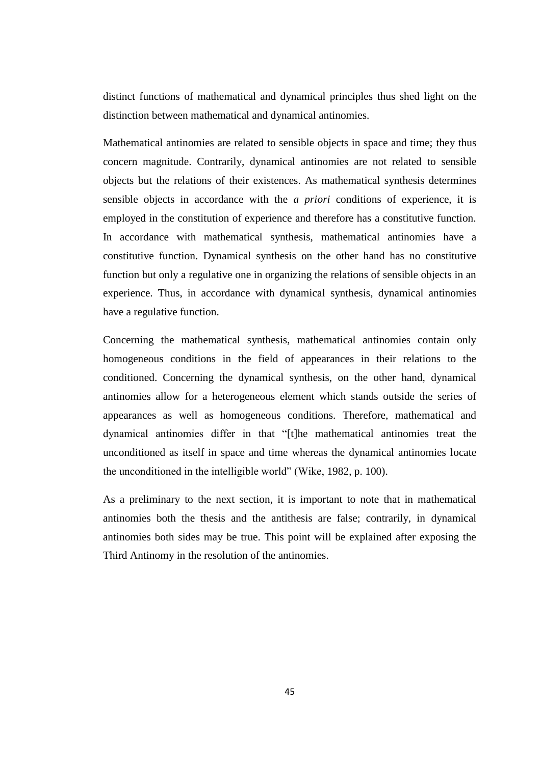distinct functions of mathematical and dynamical principles thus shed light on the distinction between mathematical and dynamical antinomies.

Mathematical antinomies are related to sensible objects in space and time; they thus concern magnitude. Contrarily, dynamical antinomies are not related to sensible objects but the relations of their existences. As mathematical synthesis determines sensible objects in accordance with the *a priori* conditions of experience, it is employed in the constitution of experience and therefore has a constitutive function. In accordance with mathematical synthesis, mathematical antinomies have a constitutive function. Dynamical synthesis on the other hand has no constitutive function but only a regulative one in organizing the relations of sensible objects in an experience. Thus, in accordance with dynamical synthesis, dynamical antinomies have a regulative function.

Concerning the mathematical synthesis, mathematical antinomies contain only homogeneous conditions in the field of appearances in their relations to the conditioned. Concerning the dynamical synthesis, on the other hand, dynamical antinomies allow for a heterogeneous element which stands outside the series of appearances as well as homogeneous conditions. Therefore, mathematical and dynamical antinomies differ in that "[t]he mathematical antinomies treat the unconditioned as itself in space and time whereas the dynamical antinomies locate the unconditioned in the intelligible world" (Wike, 1982, p. 100).

As a preliminary to the next section, it is important to note that in mathematical antinomies both the thesis and the antithesis are false; contrarily, in dynamical antinomies both sides may be true. This point will be explained after exposing the Third Antinomy in the resolution of the antinomies.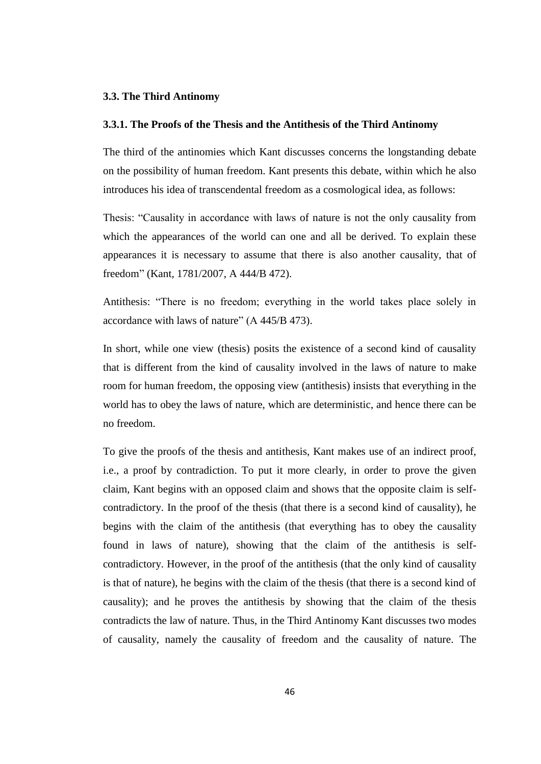#### **3.3. The Third Antinomy**

#### **3.3.1. The Proofs of the Thesis and the Antithesis of the Third Antinomy**

The third of the antinomies which Kant discusses concerns the longstanding debate on the possibility of human freedom. Kant presents this debate, within which he also introduces his idea of transcendental freedom as a cosmological idea, as follows:

Thesis: "Causality in accordance with laws of nature is not the only causality from which the appearances of the world can one and all be derived. To explain these appearances it is necessary to assume that there is also another causality, that of freedom" (Kant, 1781/2007, A 444/B 472).

Antithesis: "There is no freedom; everything in the world takes place solely in accordance with laws of nature" (A 445/B 473).

In short, while one view (thesis) posits the existence of a second kind of causality that is different from the kind of causality involved in the laws of nature to make room for human freedom, the opposing view (antithesis) insists that everything in the world has to obey the laws of nature, which are deterministic, and hence there can be no freedom.

To give the proofs of the thesis and antithesis, Kant makes use of an indirect proof, i.e., a proof by contradiction. To put it more clearly, in order to prove the given claim, Kant begins with an opposed claim and shows that the opposite claim is selfcontradictory. In the proof of the thesis (that there is a second kind of causality), he begins with the claim of the antithesis (that everything has to obey the causality found in laws of nature), showing that the claim of the antithesis is selfcontradictory. However, in the proof of the antithesis (that the only kind of causality is that of nature), he begins with the claim of the thesis (that there is a second kind of causality); and he proves the antithesis by showing that the claim of the thesis contradicts the law of nature. Thus, in the Third Antinomy Kant discusses two modes of causality, namely the causality of freedom and the causality of nature. The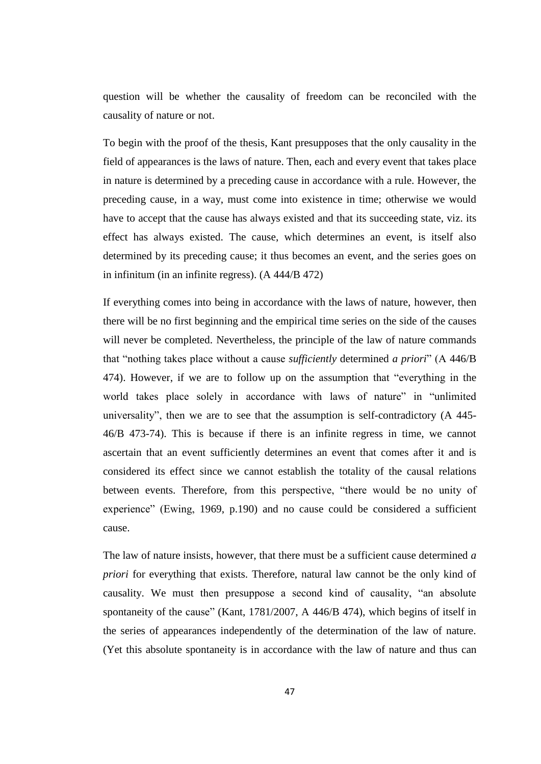question will be whether the causality of freedom can be reconciled with the causality of nature or not.

To begin with the proof of the thesis, Kant presupposes that the only causality in the field of appearances is the laws of nature. Then, each and every event that takes place in nature is determined by a preceding cause in accordance with a rule. However, the preceding cause, in a way, must come into existence in time; otherwise we would have to accept that the cause has always existed and that its succeeding state, viz. its effect has always existed. The cause, which determines an event, is itself also determined by its preceding cause; it thus becomes an event, and the series goes on in infinitum (in an infinite regress). (A 444/B 472)

If everything comes into being in accordance with the laws of nature, however, then there will be no first beginning and the empirical time series on the side of the causes will never be completed. Nevertheless, the principle of the law of nature commands that "nothing takes place without a cause *sufficiently* determined *a priori*" (A 446/B 474). However, if we are to follow up on the assumption that "everything in the world takes place solely in accordance with laws of nature" in "unlimited universality", then we are to see that the assumption is self-contradictory (A 445- 46/B 473-74). This is because if there is an infinite regress in time, we cannot ascertain that an event sufficiently determines an event that comes after it and is considered its effect since we cannot establish the totality of the causal relations between events. Therefore, from this perspective, "there would be no unity of experience" (Ewing, 1969, p.190) and no cause could be considered a sufficient cause.

The law of nature insists, however, that there must be a sufficient cause determined *a priori* for everything that exists. Therefore, natural law cannot be the only kind of causality. We must then presuppose a second kind of causality, "an absolute spontaneity of the cause" (Kant, 1781/2007, A 446/B 474), which begins of itself in the series of appearances independently of the determination of the law of nature. (Yet this absolute spontaneity is in accordance with the law of nature and thus can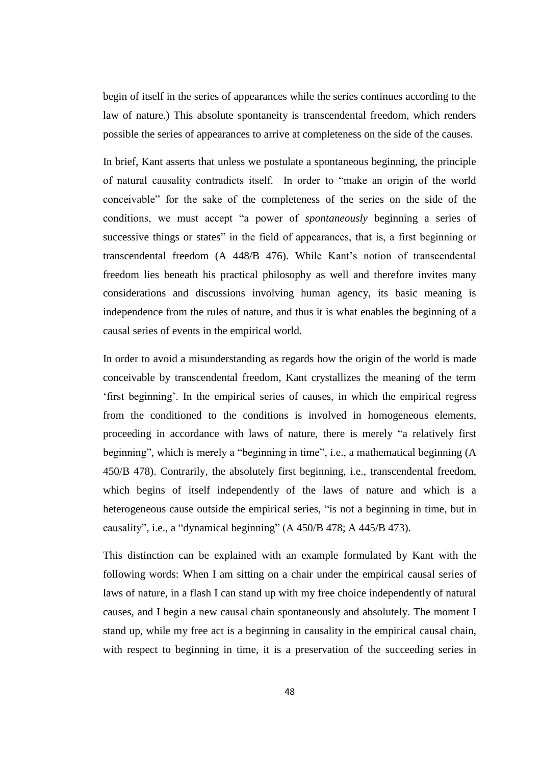begin of itself in the series of appearances while the series continues according to the law of nature.) This absolute spontaneity is transcendental freedom, which renders possible the series of appearances to arrive at completeness on the side of the causes.

In brief, Kant asserts that unless we postulate a spontaneous beginning, the principle of natural causality contradicts itself. In order to "make an origin of the world conceivable" for the sake of the completeness of the series on the side of the conditions, we must accept "a power of *spontaneously* beginning a series of successive things or states" in the field of appearances, that is, a first beginning or transcendental freedom (A 448/B 476). While Kant's notion of transcendental freedom lies beneath his practical philosophy as well and therefore invites many considerations and discussions involving human agency, its basic meaning is independence from the rules of nature, and thus it is what enables the beginning of a causal series of events in the empirical world.

In order to avoid a misunderstanding as regards how the origin of the world is made conceivable by transcendental freedom, Kant crystallizes the meaning of the term 'first beginning'. In the empirical series of causes, in which the empirical regress from the conditioned to the conditions is involved in homogeneous elements, proceeding in accordance with laws of nature, there is merely "a relatively first beginning", which is merely a "beginning in time", i.e., a mathematical beginning (A 450/B 478). Contrarily, the absolutely first beginning, i.e., transcendental freedom, which begins of itself independently of the laws of nature and which is a heterogeneous cause outside the empirical series, "is not a beginning in time, but in causality", i.e., a "dynamical beginning" (A 450/B 478; A 445/B 473).

This distinction can be explained with an example formulated by Kant with the following words: When I am sitting on a chair under the empirical causal series of laws of nature, in a flash I can stand up with my free choice independently of natural causes, and I begin a new causal chain spontaneously and absolutely. The moment I stand up, while my free act is a beginning in causality in the empirical causal chain, with respect to beginning in time, it is a preservation of the succeeding series in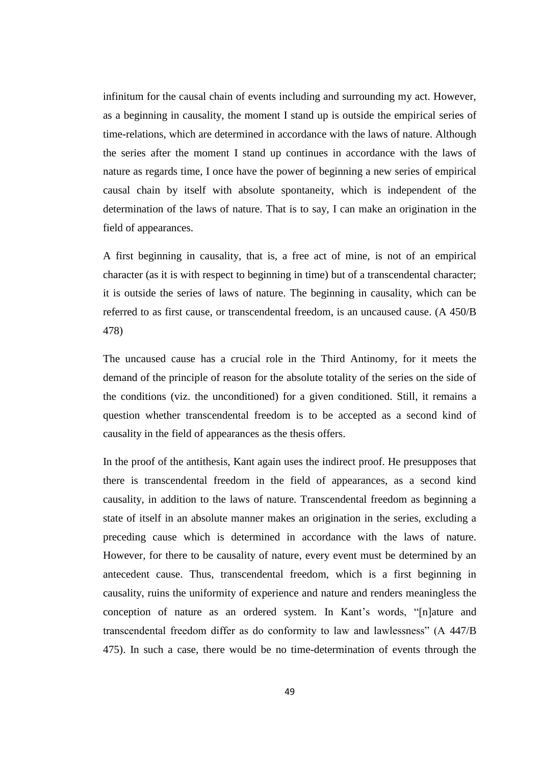infinitum for the causal chain of events including and surrounding my act. However, as a beginning in causality, the moment I stand up is outside the empirical series of time-relations, which are determined in accordance with the laws of nature. Although the series after the moment I stand up continues in accordance with the laws of nature as regards time, I once have the power of beginning a new series of empirical causal chain by itself with absolute spontaneity, which is independent of the determination of the laws of nature. That is to say, I can make an origination in the field of appearances.

A first beginning in causality, that is, a free act of mine, is not of an empirical character (as it is with respect to beginning in time) but of a transcendental character; it is outside the series of laws of nature. The beginning in causality, which can be referred to as first cause, or transcendental freedom, is an uncaused cause. (A 450/B 478)

The uncaused cause has a crucial role in the Third Antinomy, for it meets the demand of the principle of reason for the absolute totality of the series on the side of the conditions (viz. the unconditioned) for a given conditioned. Still, it remains a question whether transcendental freedom is to be accepted as a second kind of causality in the field of appearances as the thesis offers.

In the proof of the antithesis, Kant again uses the indirect proof. He presupposes that there is transcendental freedom in the field of appearances, as a second kind causality, in addition to the laws of nature. Transcendental freedom as beginning a state of itself in an absolute manner makes an origination in the series, excluding a preceding cause which is determined in accordance with the laws of nature. However, for there to be causality of nature, every event must be determined by an antecedent cause. Thus, transcendental freedom, which is a first beginning in causality, ruins the uniformity of experience and nature and renders meaningless the conception of nature as an ordered system. In Kant's words, "[n]ature and transcendental freedom differ as do conformity to law and lawlessness" (A 447/B 475). In such a case, there would be no time-determination of events through the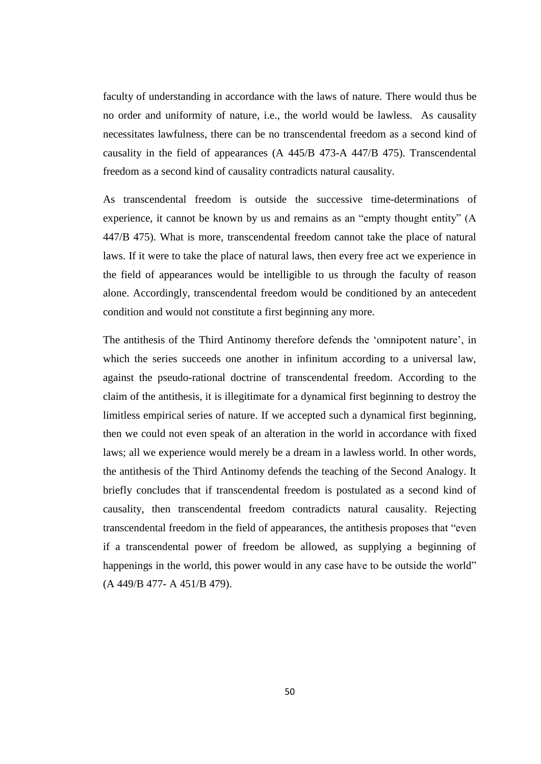faculty of understanding in accordance with the laws of nature. There would thus be no order and uniformity of nature, i.e., the world would be lawless. As causality necessitates lawfulness, there can be no transcendental freedom as a second kind of causality in the field of appearances (A 445/B 473-A 447/B 475). Transcendental freedom as a second kind of causality contradicts natural causality.

As transcendental freedom is outside the successive time-determinations of experience, it cannot be known by us and remains as an "empty thought entity" (A 447/B 475). What is more, transcendental freedom cannot take the place of natural laws. If it were to take the place of natural laws, then every free act we experience in the field of appearances would be intelligible to us through the faculty of reason alone. Accordingly, transcendental freedom would be conditioned by an antecedent condition and would not constitute a first beginning any more.

The antithesis of the Third Antinomy therefore defends the 'omnipotent nature', in which the series succeeds one another in infinitum according to a universal law, against the pseudo-rational doctrine of transcendental freedom. According to the claim of the antithesis, it is illegitimate for a dynamical first beginning to destroy the limitless empirical series of nature. If we accepted such a dynamical first beginning, then we could not even speak of an alteration in the world in accordance with fixed laws; all we experience would merely be a dream in a lawless world. In other words, the antithesis of the Third Antinomy defends the teaching of the Second Analogy. It briefly concludes that if transcendental freedom is postulated as a second kind of causality, then transcendental freedom contradicts natural causality. Rejecting transcendental freedom in the field of appearances, the antithesis proposes that "even if a transcendental power of freedom be allowed, as supplying a beginning of happenings in the world, this power would in any case have to be outside the world" (A 449/B 477- A 451/B 479).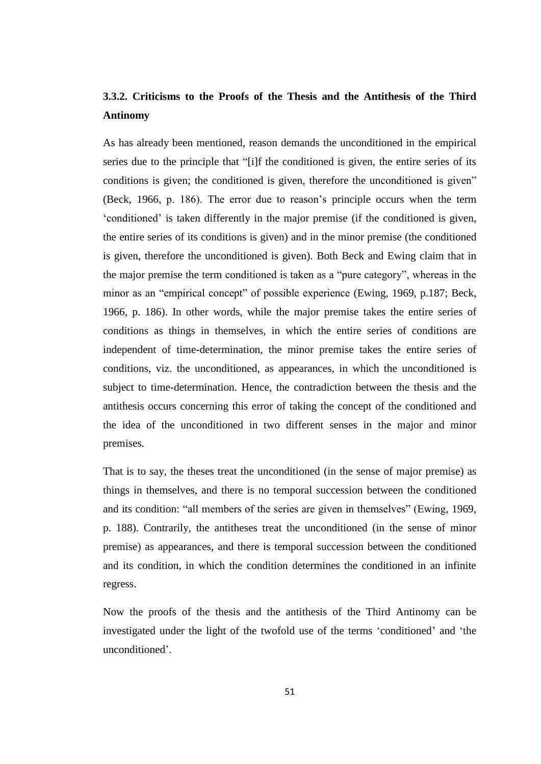# **3.3.2. Criticisms to the Proofs of the Thesis and the Antithesis of the Third Antinomy**

As has already been mentioned, reason demands the unconditioned in the empirical series due to the principle that "[i]f the conditioned is given, the entire series of its conditions is given; the conditioned is given, therefore the unconditioned is given" (Beck, 1966, p. 186). The error due to reason's principle occurs when the term 'conditioned' is taken differently in the major premise (if the conditioned is given, the entire series of its conditions is given) and in the minor premise (the conditioned is given, therefore the unconditioned is given). Both Beck and Ewing claim that in the major premise the term conditioned is taken as a "pure category", whereas in the minor as an "empirical concept" of possible experience (Ewing, 1969, p.187; Beck, 1966, p. 186). In other words, while the major premise takes the entire series of conditions as things in themselves, in which the entire series of conditions are independent of time-determination, the minor premise takes the entire series of conditions, viz. the unconditioned, as appearances, in which the unconditioned is subject to time-determination. Hence, the contradiction between the thesis and the antithesis occurs concerning this error of taking the concept of the conditioned and the idea of the unconditioned in two different senses in the major and minor premises.

That is to say, the theses treat the unconditioned (in the sense of major premise) as things in themselves, and there is no temporal succession between the conditioned and its condition: "all members of the series are given in themselves" (Ewing, 1969, p. 188). Contrarily, the antitheses treat the unconditioned (in the sense of minor premise) as appearances, and there is temporal succession between the conditioned and its condition, in which the condition determines the conditioned in an infinite regress.

Now the proofs of the thesis and the antithesis of the Third Antinomy can be investigated under the light of the twofold use of the terms 'conditioned' and 'the unconditioned'.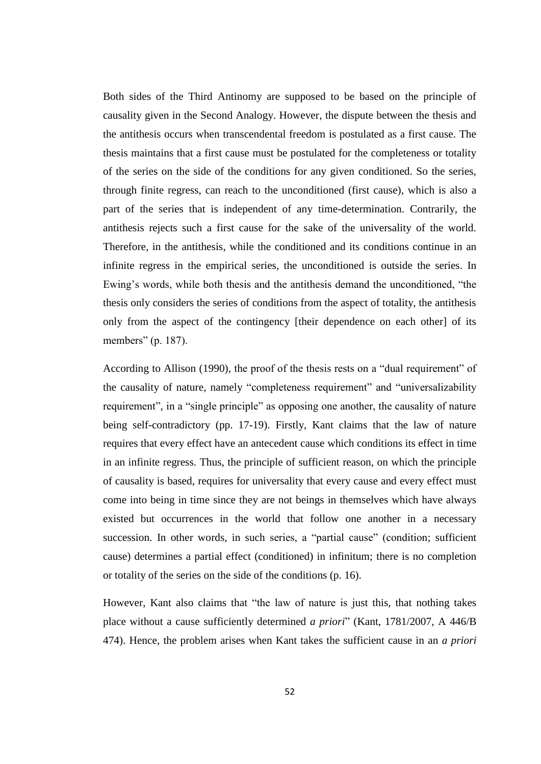Both sides of the Third Antinomy are supposed to be based on the principle of causality given in the Second Analogy. However, the dispute between the thesis and the antithesis occurs when transcendental freedom is postulated as a first cause. The thesis maintains that a first cause must be postulated for the completeness or totality of the series on the side of the conditions for any given conditioned. So the series, through finite regress, can reach to the unconditioned (first cause), which is also a part of the series that is independent of any time-determination. Contrarily, the antithesis rejects such a first cause for the sake of the universality of the world. Therefore, in the antithesis, while the conditioned and its conditions continue in an infinite regress in the empirical series, the unconditioned is outside the series. In Ewing's words, while both thesis and the antithesis demand the unconditioned, "the thesis only considers the series of conditions from the aspect of totality, the antithesis only from the aspect of the contingency [their dependence on each other] of its members" (p. 187).

According to Allison (1990), the proof of the thesis rests on a "dual requirement" of the causality of nature, namely "completeness requirement" and "universalizability requirement", in a "single principle" as opposing one another, the causality of nature being self-contradictory (pp. 17-19). Firstly, Kant claims that the law of nature requires that every effect have an antecedent cause which conditions its effect in time in an infinite regress. Thus, the principle of sufficient reason, on which the principle of causality is based, requires for universality that every cause and every effect must come into being in time since they are not beings in themselves which have always existed but occurrences in the world that follow one another in a necessary succession. In other words, in such series, a "partial cause" (condition; sufficient cause) determines a partial effect (conditioned) in infinitum; there is no completion or totality of the series on the side of the conditions (p. 16).

However, Kant also claims that "the law of nature is just this, that nothing takes place without a cause sufficiently determined *a priori*" (Kant, 1781/2007, A 446/B 474). Hence, the problem arises when Kant takes the sufficient cause in an *a priori*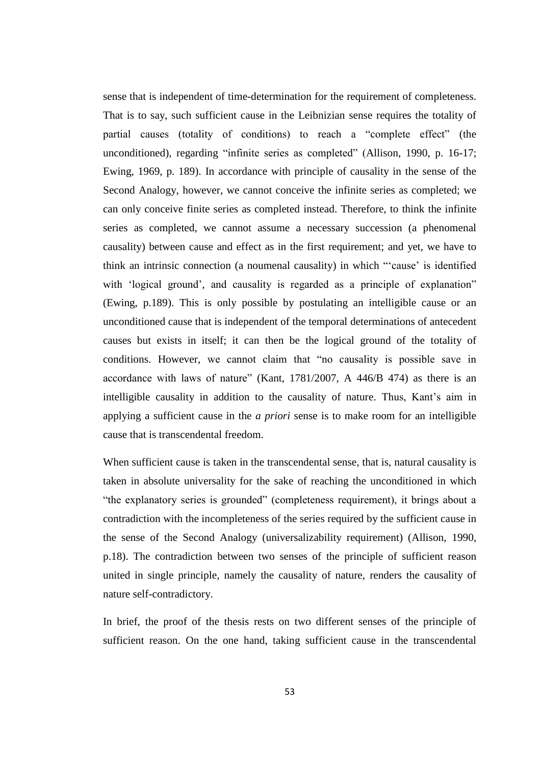sense that is independent of time-determination for the requirement of completeness. That is to say, such sufficient cause in the Leibnizian sense requires the totality of partial causes (totality of conditions) to reach a "complete effect" (the unconditioned), regarding "infinite series as completed" (Allison, 1990, p. 16-17; Ewing, 1969, p. 189). In accordance with principle of causality in the sense of the Second Analogy, however, we cannot conceive the infinite series as completed; we can only conceive finite series as completed instead. Therefore, to think the infinite series as completed, we cannot assume a necessary succession (a phenomenal causality) between cause and effect as in the first requirement; and yet, we have to think an intrinsic connection (a noumenal causality) in which "'cause' is identified with 'logical ground', and causality is regarded as a principle of explanation" (Ewing, p.189). This is only possible by postulating an intelligible cause or an unconditioned cause that is independent of the temporal determinations of antecedent causes but exists in itself; it can then be the logical ground of the totality of conditions. However, we cannot claim that "no causality is possible save in accordance with laws of nature" (Kant, 1781/2007, A 446/B 474) as there is an intelligible causality in addition to the causality of nature. Thus, Kant's aim in applying a sufficient cause in the *a priori* sense is to make room for an intelligible cause that is transcendental freedom.

When sufficient cause is taken in the transcendental sense, that is, natural causality is taken in absolute universality for the sake of reaching the unconditioned in which "the explanatory series is grounded" (completeness requirement), it brings about a contradiction with the incompleteness of the series required by the sufficient cause in the sense of the Second Analogy (universalizability requirement) (Allison, 1990, p.18). The contradiction between two senses of the principle of sufficient reason united in single principle, namely the causality of nature, renders the causality of nature self-contradictory.

In brief, the proof of the thesis rests on two different senses of the principle of sufficient reason. On the one hand, taking sufficient cause in the transcendental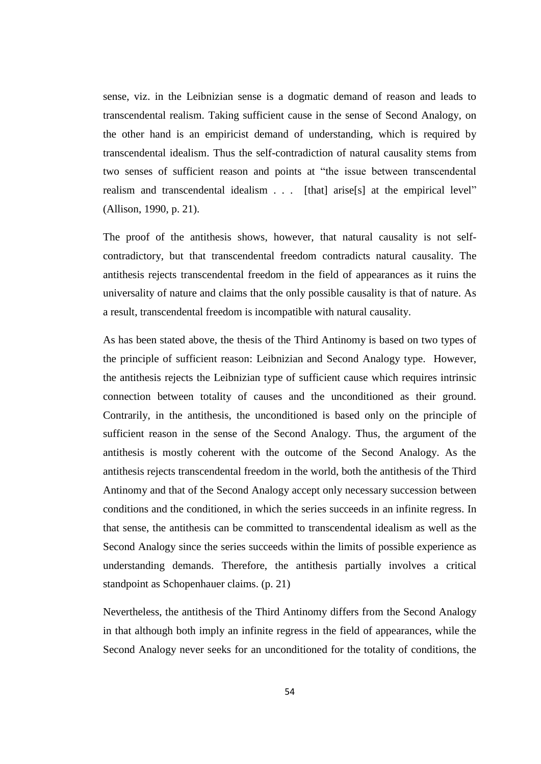sense, viz. in the Leibnizian sense is a dogmatic demand of reason and leads to transcendental realism. Taking sufficient cause in the sense of Second Analogy, on the other hand is an empiricist demand of understanding, which is required by transcendental idealism. Thus the self-contradiction of natural causality stems from two senses of sufficient reason and points at "the issue between transcendental realism and transcendental idealism . . . [that] arise[s] at the empirical level" (Allison, 1990, p. 21).

The proof of the antithesis shows, however, that natural causality is not selfcontradictory, but that transcendental freedom contradicts natural causality. The antithesis rejects transcendental freedom in the field of appearances as it ruins the universality of nature and claims that the only possible causality is that of nature. As a result, transcendental freedom is incompatible with natural causality.

As has been stated above, the thesis of the Third Antinomy is based on two types of the principle of sufficient reason: Leibnizian and Second Analogy type. However, the antithesis rejects the Leibnizian type of sufficient cause which requires intrinsic connection between totality of causes and the unconditioned as their ground. Contrarily, in the antithesis, the unconditioned is based only on the principle of sufficient reason in the sense of the Second Analogy. Thus, the argument of the antithesis is mostly coherent with the outcome of the Second Analogy. As the antithesis rejects transcendental freedom in the world, both the antithesis of the Third Antinomy and that of the Second Analogy accept only necessary succession between conditions and the conditioned, in which the series succeeds in an infinite regress. In that sense, the antithesis can be committed to transcendental idealism as well as the Second Analogy since the series succeeds within the limits of possible experience as understanding demands. Therefore, the antithesis partially involves a critical standpoint as Schopenhauer claims. (p. 21)

Nevertheless, the antithesis of the Third Antinomy differs from the Second Analogy in that although both imply an infinite regress in the field of appearances, while the Second Analogy never seeks for an unconditioned for the totality of conditions, the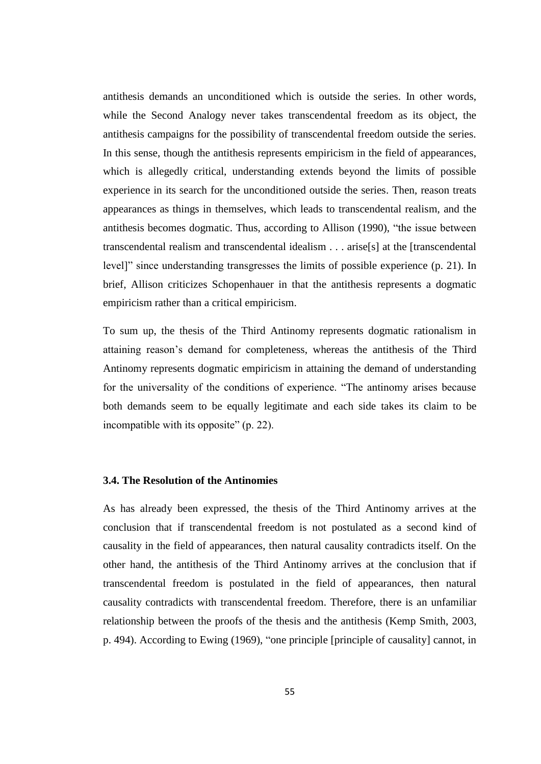antithesis demands an unconditioned which is outside the series. In other words, while the Second Analogy never takes transcendental freedom as its object, the antithesis campaigns for the possibility of transcendental freedom outside the series. In this sense, though the antithesis represents empiricism in the field of appearances, which is allegedly critical, understanding extends beyond the limits of possible experience in its search for the unconditioned outside the series. Then, reason treats appearances as things in themselves, which leads to transcendental realism, and the antithesis becomes dogmatic. Thus, according to Allison (1990), "the issue between transcendental realism and transcendental idealism . . . arise[s] at the [transcendental level]" since understanding transgresses the limits of possible experience (p. 21). In brief, Allison criticizes Schopenhauer in that the antithesis represents a dogmatic empiricism rather than a critical empiricism.

To sum up, the thesis of the Third Antinomy represents dogmatic rationalism in attaining reason's demand for completeness, whereas the antithesis of the Third Antinomy represents dogmatic empiricism in attaining the demand of understanding for the universality of the conditions of experience. "The antinomy arises because both demands seem to be equally legitimate and each side takes its claim to be incompatible with its opposite" (p. 22).

#### **3.4. The Resolution of the Antinomies**

As has already been expressed, the thesis of the Third Antinomy arrives at the conclusion that if transcendental freedom is not postulated as a second kind of causality in the field of appearances, then natural causality contradicts itself. On the other hand, the antithesis of the Third Antinomy arrives at the conclusion that if transcendental freedom is postulated in the field of appearances, then natural causality contradicts with transcendental freedom. Therefore, there is an unfamiliar relationship between the proofs of the thesis and the antithesis (Kemp Smith, 2003, p. 494). According to Ewing (1969), "one principle [principle of causality] cannot, in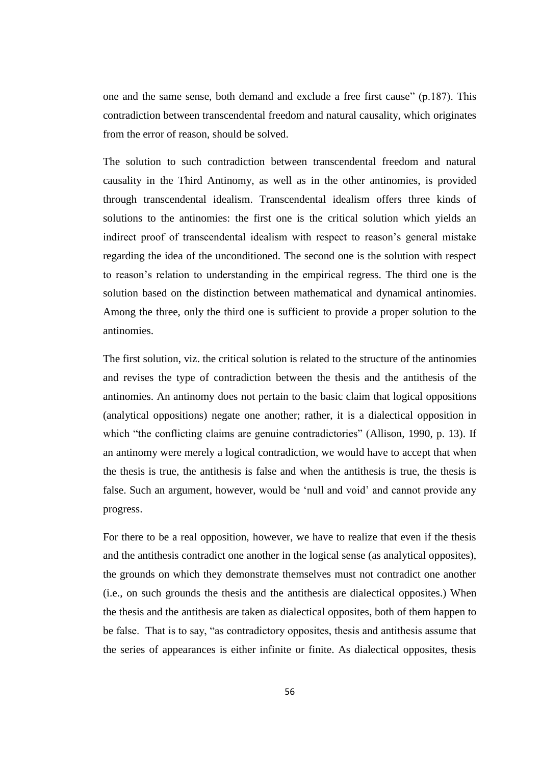one and the same sense, both demand and exclude a free first cause" (p.187). This contradiction between transcendental freedom and natural causality, which originates from the error of reason, should be solved.

The solution to such contradiction between transcendental freedom and natural causality in the Third Antinomy, as well as in the other antinomies, is provided through transcendental idealism. Transcendental idealism offers three kinds of solutions to the antinomies: the first one is the critical solution which yields an indirect proof of transcendental idealism with respect to reason's general mistake regarding the idea of the unconditioned. The second one is the solution with respect to reason's relation to understanding in the empirical regress. The third one is the solution based on the distinction between mathematical and dynamical antinomies. Among the three, only the third one is sufficient to provide a proper solution to the antinomies.

The first solution, viz. the critical solution is related to the structure of the antinomies and revises the type of contradiction between the thesis and the antithesis of the antinomies. An antinomy does not pertain to the basic claim that logical oppositions (analytical oppositions) negate one another; rather, it is a dialectical opposition in which "the conflicting claims are genuine contradictories" (Allison, 1990, p. 13). If an antinomy were merely a logical contradiction, we would have to accept that when the thesis is true, the antithesis is false and when the antithesis is true, the thesis is false. Such an argument, however, would be 'null and void' and cannot provide any progress.

For there to be a real opposition, however, we have to realize that even if the thesis and the antithesis contradict one another in the logical sense (as analytical opposites), the grounds on which they demonstrate themselves must not contradict one another (i.e., on such grounds the thesis and the antithesis are dialectical opposites.) When the thesis and the antithesis are taken as dialectical opposites, both of them happen to be false. That is to say, "as contradictory opposites, thesis and antithesis assume that the series of appearances is either infinite or finite. As dialectical opposites, thesis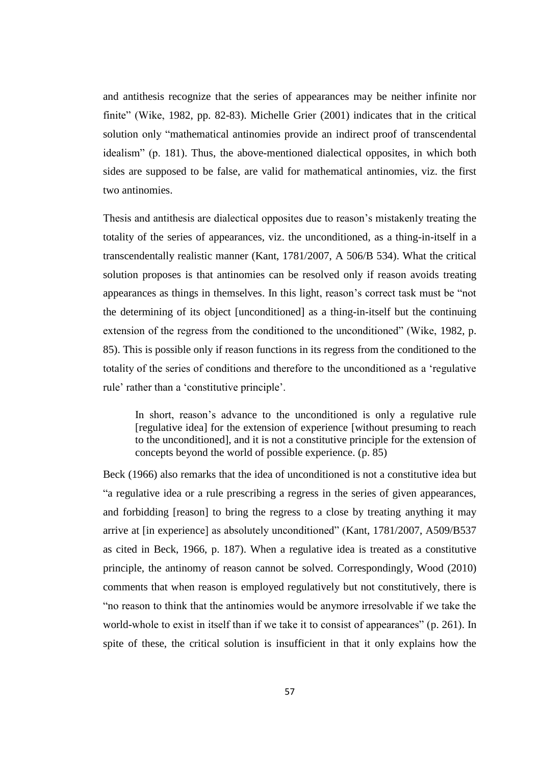and antithesis recognize that the series of appearances may be neither infinite nor finite" (Wike, 1982, pp. 82-83). Michelle Grier (2001) indicates that in the critical solution only "mathematical antinomies provide an indirect proof of transcendental idealism" (p. 181). Thus, the above-mentioned dialectical opposites, in which both sides are supposed to be false, are valid for mathematical antinomies, viz. the first two antinomies.

Thesis and antithesis are dialectical opposites due to reason's mistakenly treating the totality of the series of appearances, viz. the unconditioned, as a thing-in-itself in a transcendentally realistic manner (Kant, 1781/2007, A 506/B 534). What the critical solution proposes is that antinomies can be resolved only if reason avoids treating appearances as things in themselves. In this light, reason's correct task must be "not the determining of its object [unconditioned] as a thing-in-itself but the continuing extension of the regress from the conditioned to the unconditioned" (Wike, 1982, p. 85). This is possible only if reason functions in its regress from the conditioned to the totality of the series of conditions and therefore to the unconditioned as a 'regulative rule' rather than a 'constitutive principle'.

In short, reason's advance to the unconditioned is only a regulative rule [regulative idea] for the extension of experience [without presuming to reach to the unconditioned], and it is not a constitutive principle for the extension of concepts beyond the world of possible experience. (p. 85)

Beck (1966) also remarks that the idea of unconditioned is not a constitutive idea but "a regulative idea or a rule prescribing a regress in the series of given appearances, and forbidding [reason] to bring the regress to a close by treating anything it may arrive at [in experience] as absolutely unconditioned" (Kant, 1781/2007, A509/B537 as cited in Beck, 1966, p. 187). When a regulative idea is treated as a constitutive principle, the antinomy of reason cannot be solved. Correspondingly, Wood (2010) comments that when reason is employed regulatively but not constitutively, there is "no reason to think that the antinomies would be anymore irresolvable if we take the world-whole to exist in itself than if we take it to consist of appearances" (p. 261). In spite of these, the critical solution is insufficient in that it only explains how the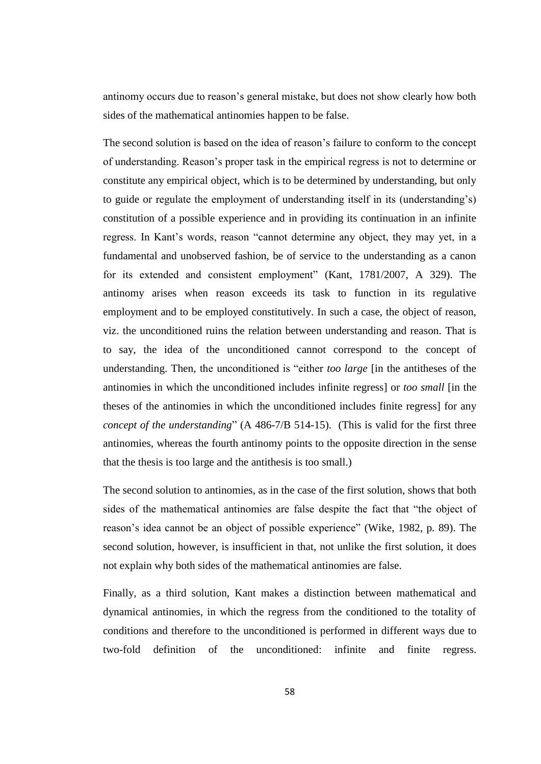antinomy occurs due to reason's general mistake, but does not show clearly how both sides of the mathematical antinomies happen to be false.

The second solution is based on the idea of reason's failure to conform to the concept of understanding. Reason's proper task in the empirical regress is not to determine or constitute any empirical object, which is to be determined by understanding, but only to guide or regulate the employment of understanding itself in its (understanding's) constitution of a possible experience and in providing its continuation in an infinite regress. In Kant's words, reason "cannot determine any object, they may yet, in a fundamental and unobserved fashion, be of service to the understanding as a canon for its extended and consistent employment" (Kant, 1781/2007, A 329). The antinomy arises when reason exceeds its task to function in its regulative employment and to be employed constitutively. In such a case, the object of reason, viz. the unconditioned ruins the relation between understanding and reason. That is to say, the idea of the unconditioned cannot correspond to the concept of understanding. Then, the unconditioned is "either *too large* [in the antitheses of the antinomies in which the unconditioned includes infinite regress] or *too small* [in the theses of the antinomies in which the unconditioned includes finite regress] for any *concept of the understanding*" (A 486-7/B 514-15). (This is valid for the first three antinomies, whereas the fourth antinomy points to the opposite direction in the sense that the thesis is too large and the antithesis is too small.)

The second solution to antinomies, as in the case of the first solution, shows that both sides of the mathematical antinomies are false despite the fact that "the object of reason's idea cannot be an object of possible experience" (Wike, 1982, p. 89). The second solution, however, is insufficient in that, not unlike the first solution, it does not explain why both sides of the mathematical antinomies are false.

Finally, as a third solution, Kant makes a distinction between mathematical and dynamical antinomies, in which the regress from the conditioned to the totality of conditions and therefore to the unconditioned is performed in different ways due to two-fold definition of the unconditioned: infinite and finite regress.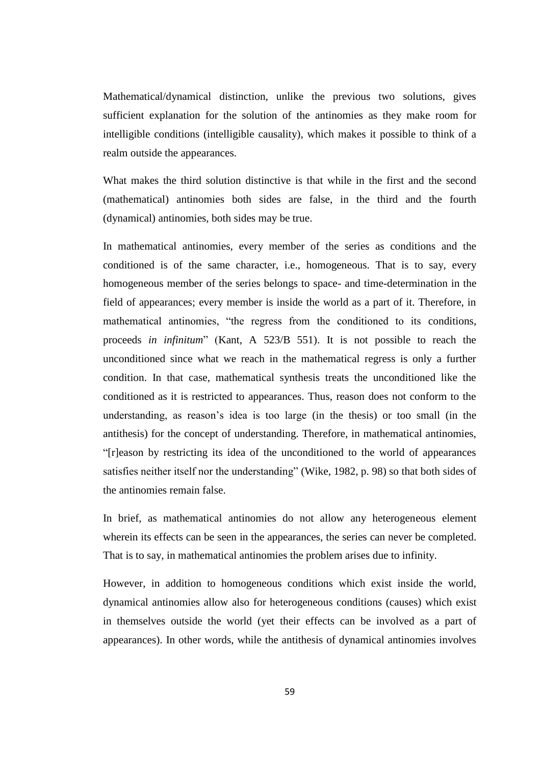Mathematical/dynamical distinction, unlike the previous two solutions, gives sufficient explanation for the solution of the antinomies as they make room for intelligible conditions (intelligible causality), which makes it possible to think of a realm outside the appearances.

What makes the third solution distinctive is that while in the first and the second (mathematical) antinomies both sides are false, in the third and the fourth (dynamical) antinomies, both sides may be true.

In mathematical antinomies, every member of the series as conditions and the conditioned is of the same character, i.e., homogeneous. That is to say, every homogeneous member of the series belongs to space- and time-determination in the field of appearances; every member is inside the world as a part of it. Therefore, in mathematical antinomies, "the regress from the conditioned to its conditions, proceeds *in infinitum*" (Kant, A 523/B 551). It is not possible to reach the unconditioned since what we reach in the mathematical regress is only a further condition. In that case, mathematical synthesis treats the unconditioned like the conditioned as it is restricted to appearances. Thus, reason does not conform to the understanding, as reason's idea is too large (in the thesis) or too small (in the antithesis) for the concept of understanding. Therefore, in mathematical antinomies, "[r]eason by restricting its idea of the unconditioned to the world of appearances satisfies neither itself nor the understanding" (Wike, 1982, p. 98) so that both sides of the antinomies remain false.

In brief, as mathematical antinomies do not allow any heterogeneous element wherein its effects can be seen in the appearances, the series can never be completed. That is to say, in mathematical antinomies the problem arises due to infinity.

However, in addition to homogeneous conditions which exist inside the world, dynamical antinomies allow also for heterogeneous conditions (causes) which exist in themselves outside the world (yet their effects can be involved as a part of appearances). In other words, while the antithesis of dynamical antinomies involves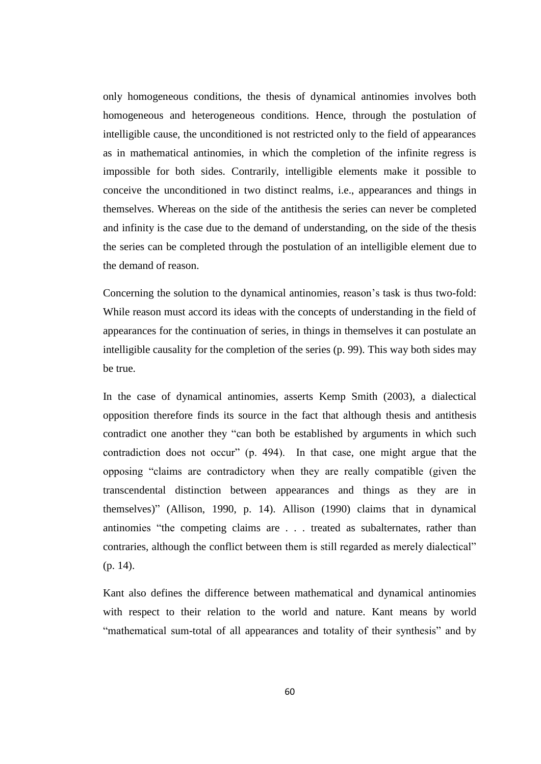only homogeneous conditions, the thesis of dynamical antinomies involves both homogeneous and heterogeneous conditions. Hence, through the postulation of intelligible cause, the unconditioned is not restricted only to the field of appearances as in mathematical antinomies, in which the completion of the infinite regress is impossible for both sides. Contrarily, intelligible elements make it possible to conceive the unconditioned in two distinct realms, i.e., appearances and things in themselves. Whereas on the side of the antithesis the series can never be completed and infinity is the case due to the demand of understanding, on the side of the thesis the series can be completed through the postulation of an intelligible element due to the demand of reason.

Concerning the solution to the dynamical antinomies, reason's task is thus two-fold: While reason must accord its ideas with the concepts of understanding in the field of appearances for the continuation of series, in things in themselves it can postulate an intelligible causality for the completion of the series (p. 99). This way both sides may be true.

In the case of dynamical antinomies, asserts Kemp Smith (2003), a dialectical opposition therefore finds its source in the fact that although thesis and antithesis contradict one another they "can both be established by arguments in which such contradiction does not occur" (p. 494). In that case, one might argue that the opposing "claims are contradictory when they are really compatible (given the transcendental distinction between appearances and things as they are in themselves)" (Allison, 1990, p. 14). Allison (1990) claims that in dynamical antinomies "the competing claims are . . . treated as subalternates, rather than contraries, although the conflict between them is still regarded as merely dialectical" (p. 14).

Kant also defines the difference between mathematical and dynamical antinomies with respect to their relation to the world and nature. Kant means by world "mathematical sum-total of all appearances and totality of their synthesis" and by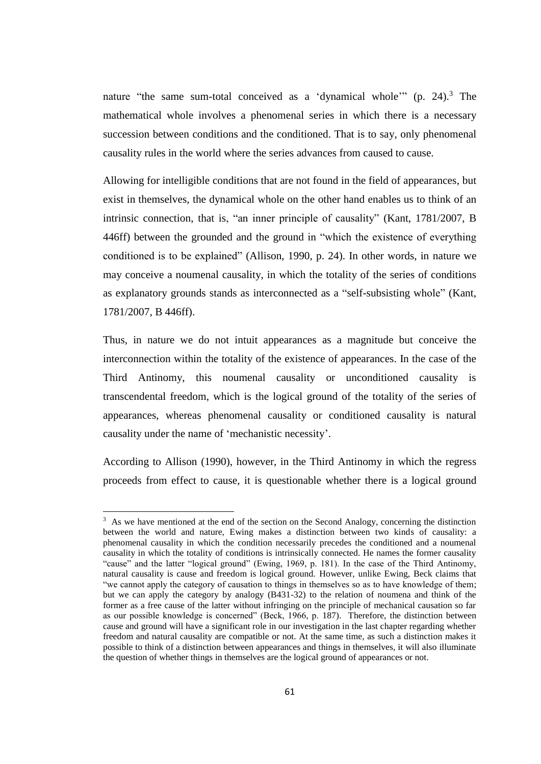nature "the same sum-total conceived as a 'dynamical whole'"  $(p. 24)$ .<sup>3</sup> The mathematical whole involves a phenomenal series in which there is a necessary succession between conditions and the conditioned. That is to say, only phenomenal causality rules in the world where the series advances from caused to cause.

Allowing for intelligible conditions that are not found in the field of appearances, but exist in themselves, the dynamical whole on the other hand enables us to think of an intrinsic connection, that is, "an inner principle of causality" (Kant, 1781/2007, B 446ff) between the grounded and the ground in "which the existence of everything conditioned is to be explained" (Allison, 1990, p. 24). In other words, in nature we may conceive a noumenal causality, in which the totality of the series of conditions as explanatory grounds stands as interconnected as a "self-subsisting whole" (Kant, 1781/2007, B 446ff).

Thus, in nature we do not intuit appearances as a magnitude but conceive the interconnection within the totality of the existence of appearances. In the case of the Third Antinomy, this noumenal causality or unconditioned causality is transcendental freedom, which is the logical ground of the totality of the series of appearances, whereas phenomenal causality or conditioned causality is natural causality under the name of 'mechanistic necessity'.

According to Allison (1990), however, in the Third Antinomy in which the regress proceeds from effect to cause, it is questionable whether there is a logical ground

 $\overline{\phantom{a}}$ 

<sup>&</sup>lt;sup>3</sup> As we have mentioned at the end of the section on the Second Analogy, concerning the distinction between the world and nature, Ewing makes a distinction between two kinds of causality: a phenomenal causality in which the condition necessarily precedes the conditioned and a noumenal causality in which the totality of conditions is intrinsically connected. He names the former causality "cause" and the latter "logical ground" (Ewing, 1969, p. 181). In the case of the Third Antinomy, natural causality is cause and freedom is logical ground. However, unlike Ewing, Beck claims that "we cannot apply the category of causation to things in themselves so as to have knowledge of them; but we can apply the category by analogy (B431-32) to the relation of noumena and think of the former as a free cause of the latter without infringing on the principle of mechanical causation so far as our possible knowledge is concerned" (Beck, 1966, p. 187). Therefore, the distinction between cause and ground will have a significant role in our investigation in the last chapter regarding whether freedom and natural causality are compatible or not. At the same time, as such a distinction makes it possible to think of a distinction between appearances and things in themselves, it will also illuminate the question of whether things in themselves are the logical ground of appearances or not.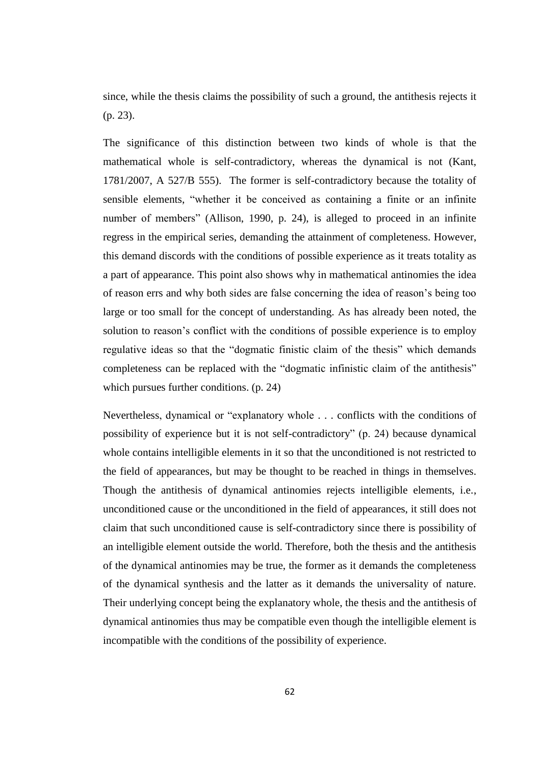since, while the thesis claims the possibility of such a ground, the antithesis rejects it (p. 23).

The significance of this distinction between two kinds of whole is that the mathematical whole is self-contradictory, whereas the dynamical is not (Kant, 1781/2007, A 527/B 555). The former is self-contradictory because the totality of sensible elements, "whether it be conceived as containing a finite or an infinite number of members" (Allison, 1990, p. 24), is alleged to proceed in an infinite regress in the empirical series, demanding the attainment of completeness. However, this demand discords with the conditions of possible experience as it treats totality as a part of appearance. This point also shows why in mathematical antinomies the idea of reason errs and why both sides are false concerning the idea of reason's being too large or too small for the concept of understanding. As has already been noted, the solution to reason's conflict with the conditions of possible experience is to employ regulative ideas so that the "dogmatic finistic claim of the thesis" which demands completeness can be replaced with the "dogmatic infinistic claim of the antithesis" which pursues further conditions. (p. 24)

Nevertheless, dynamical or "explanatory whole . . . conflicts with the conditions of possibility of experience but it is not self-contradictory" (p. 24) because dynamical whole contains intelligible elements in it so that the unconditioned is not restricted to the field of appearances, but may be thought to be reached in things in themselves. Though the antithesis of dynamical antinomies rejects intelligible elements, i.e., unconditioned cause or the unconditioned in the field of appearances, it still does not claim that such unconditioned cause is self-contradictory since there is possibility of an intelligible element outside the world. Therefore, both the thesis and the antithesis of the dynamical antinomies may be true, the former as it demands the completeness of the dynamical synthesis and the latter as it demands the universality of nature. Their underlying concept being the explanatory whole, the thesis and the antithesis of dynamical antinomies thus may be compatible even though the intelligible element is incompatible with the conditions of the possibility of experience.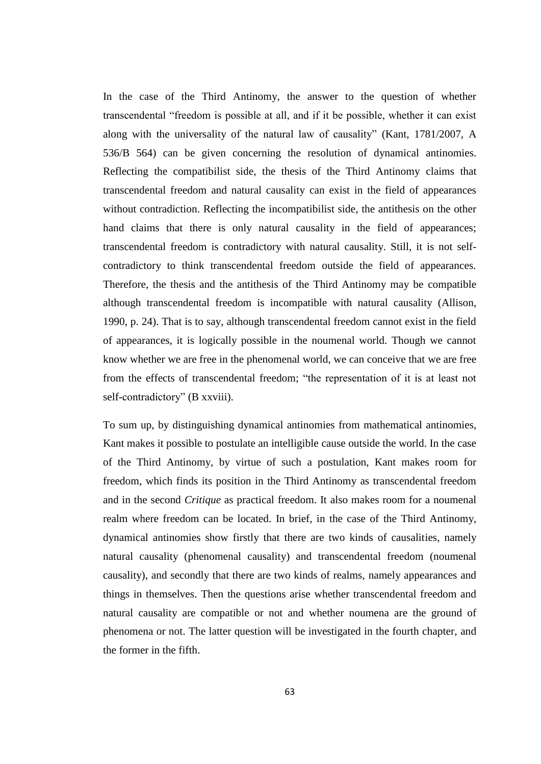In the case of the Third Antinomy, the answer to the question of whether transcendental "freedom is possible at all, and if it be possible, whether it can exist along with the universality of the natural law of causality" (Kant, 1781/2007, A 536/B 564) can be given concerning the resolution of dynamical antinomies. Reflecting the compatibilist side, the thesis of the Third Antinomy claims that transcendental freedom and natural causality can exist in the field of appearances without contradiction. Reflecting the incompatibilist side, the antithesis on the other hand claims that there is only natural causality in the field of appearances; transcendental freedom is contradictory with natural causality. Still, it is not selfcontradictory to think transcendental freedom outside the field of appearances. Therefore, the thesis and the antithesis of the Third Antinomy may be compatible although transcendental freedom is incompatible with natural causality (Allison, 1990, p. 24). That is to say, although transcendental freedom cannot exist in the field of appearances, it is logically possible in the noumenal world. Though we cannot know whether we are free in the phenomenal world, we can conceive that we are free from the effects of transcendental freedom; "the representation of it is at least not self-contradictory" (B xxviii).

To sum up, by distinguishing dynamical antinomies from mathematical antinomies, Kant makes it possible to postulate an intelligible cause outside the world. In the case of the Third Antinomy, by virtue of such a postulation, Kant makes room for freedom, which finds its position in the Third Antinomy as transcendental freedom and in the second *Critique* as practical freedom. It also makes room for a noumenal realm where freedom can be located. In brief, in the case of the Third Antinomy, dynamical antinomies show firstly that there are two kinds of causalities, namely natural causality (phenomenal causality) and transcendental freedom (noumenal causality), and secondly that there are two kinds of realms, namely appearances and things in themselves. Then the questions arise whether transcendental freedom and natural causality are compatible or not and whether noumena are the ground of phenomena or not. The latter question will be investigated in the fourth chapter, and the former in the fifth.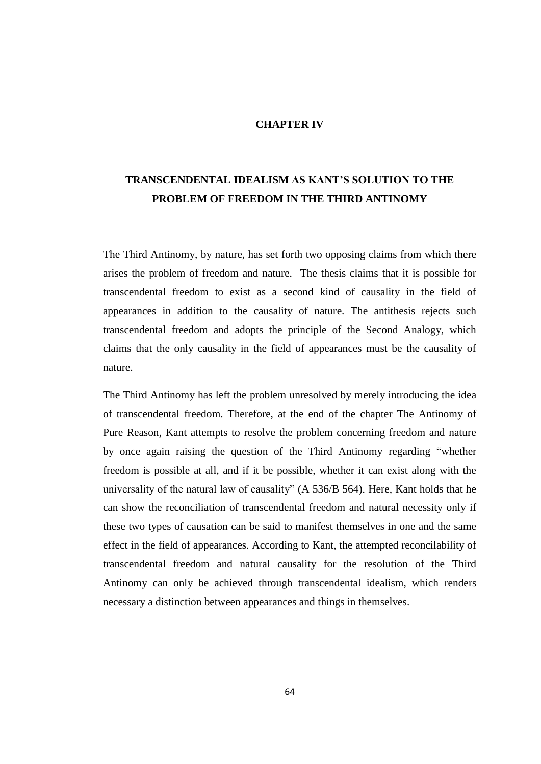# **CHAPTER IV**

# **TRANSCENDENTAL IDEALISM AS KANT'S SOLUTION TO THE PROBLEM OF FREEDOM IN THE THIRD ANTINOMY**

The Third Antinomy, by nature, has set forth two opposing claims from which there arises the problem of freedom and nature. The thesis claims that it is possible for transcendental freedom to exist as a second kind of causality in the field of appearances in addition to the causality of nature. The antithesis rejects such transcendental freedom and adopts the principle of the Second Analogy, which claims that the only causality in the field of appearances must be the causality of nature.

The Third Antinomy has left the problem unresolved by merely introducing the idea of transcendental freedom. Therefore, at the end of the chapter The Antinomy of Pure Reason, Kant attempts to resolve the problem concerning freedom and nature by once again raising the question of the Third Antinomy regarding "whether freedom is possible at all, and if it be possible, whether it can exist along with the universality of the natural law of causality" (A 536/B 564). Here, Kant holds that he can show the reconciliation of transcendental freedom and natural necessity only if these two types of causation can be said to manifest themselves in one and the same effect in the field of appearances. According to Kant, the attempted reconcilability of transcendental freedom and natural causality for the resolution of the Third Antinomy can only be achieved through transcendental idealism, which renders necessary a distinction between appearances and things in themselves.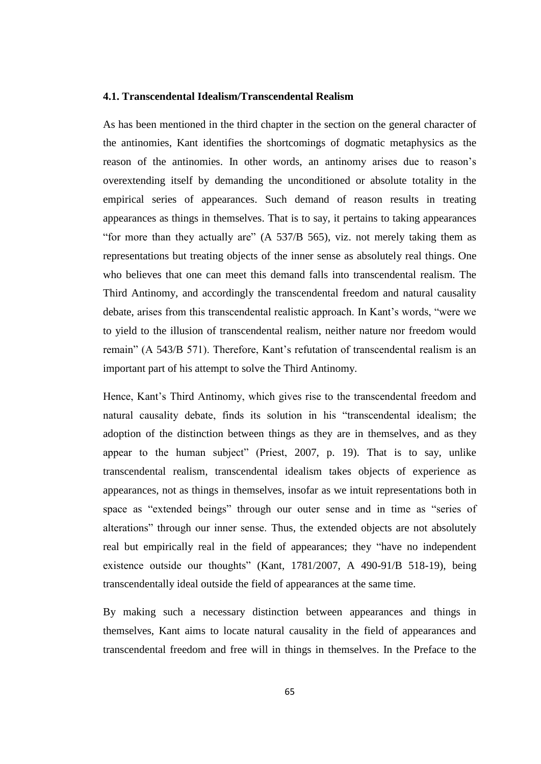## **4.1. Transcendental Idealism/Transcendental Realism**

As has been mentioned in the third chapter in the section on the general character of the antinomies, Kant identifies the shortcomings of dogmatic metaphysics as the reason of the antinomies. In other words, an antinomy arises due to reason's overextending itself by demanding the unconditioned or absolute totality in the empirical series of appearances. Such demand of reason results in treating appearances as things in themselves. That is to say, it pertains to taking appearances "for more than they actually are" (A 537/B 565), viz. not merely taking them as representations but treating objects of the inner sense as absolutely real things. One who believes that one can meet this demand falls into transcendental realism. The Third Antinomy, and accordingly the transcendental freedom and natural causality debate, arises from this transcendental realistic approach. In Kant's words, "were we to yield to the illusion of transcendental realism, neither nature nor freedom would remain" (A 543/B 571). Therefore, Kant's refutation of transcendental realism is an important part of his attempt to solve the Third Antinomy.

Hence, Kant's Third Antinomy, which gives rise to the transcendental freedom and natural causality debate, finds its solution in his "transcendental idealism; the adoption of the distinction between things as they are in themselves, and as they appear to the human subject" (Priest, 2007, p. 19). That is to say, unlike transcendental realism, transcendental idealism takes objects of experience as appearances, not as things in themselves, insofar as we intuit representations both in space as "extended beings" through our outer sense and in time as "series of alterations" through our inner sense. Thus, the extended objects are not absolutely real but empirically real in the field of appearances; they "have no independent existence outside our thoughts" (Kant, 1781/2007, A 490-91/B 518-19), being transcendentally ideal outside the field of appearances at the same time.

By making such a necessary distinction between appearances and things in themselves, Kant aims to locate natural causality in the field of appearances and transcendental freedom and free will in things in themselves. In the Preface to the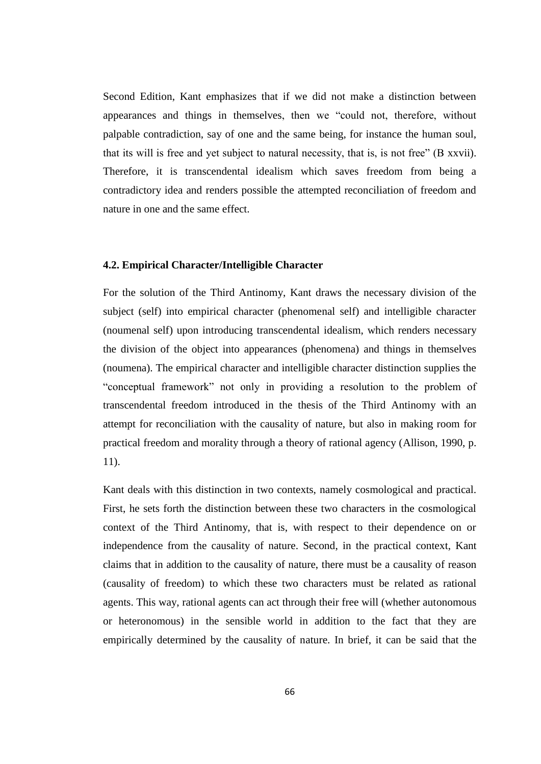Second Edition, Kant emphasizes that if we did not make a distinction between appearances and things in themselves, then we "could not, therefore, without palpable contradiction, say of one and the same being, for instance the human soul, that its will is free and yet subject to natural necessity, that is, is not free" (B xxvii). Therefore, it is transcendental idealism which saves freedom from being a contradictory idea and renders possible the attempted reconciliation of freedom and nature in one and the same effect.

### **4.2. Empirical Character/Intelligible Character**

For the solution of the Third Antinomy, Kant draws the necessary division of the subject (self) into empirical character (phenomenal self) and intelligible character (noumenal self) upon introducing transcendental idealism, which renders necessary the division of the object into appearances (phenomena) and things in themselves (noumena). The empirical character and intelligible character distinction supplies the "conceptual framework" not only in providing a resolution to the problem of transcendental freedom introduced in the thesis of the Third Antinomy with an attempt for reconciliation with the causality of nature, but also in making room for practical freedom and morality through a theory of rational agency (Allison, 1990, p. 11).

Kant deals with this distinction in two contexts, namely cosmological and practical. First, he sets forth the distinction between these two characters in the cosmological context of the Third Antinomy, that is, with respect to their dependence on or independence from the causality of nature. Second, in the practical context, Kant claims that in addition to the causality of nature, there must be a causality of reason (causality of freedom) to which these two characters must be related as rational agents. This way, rational agents can act through their free will (whether autonomous or heteronomous) in the sensible world in addition to the fact that they are empirically determined by the causality of nature. In brief, it can be said that the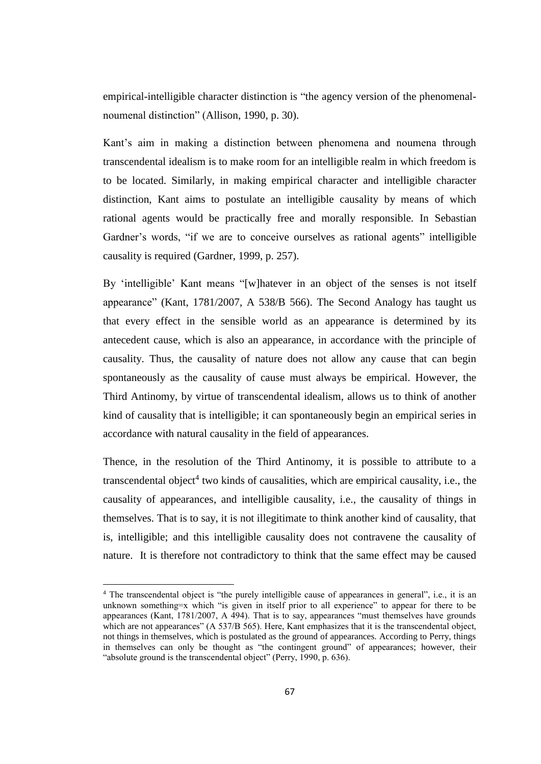empirical-intelligible character distinction is "the agency version of the phenomenalnoumenal distinction" (Allison, 1990, p. 30).

Kant's aim in making a distinction between phenomena and noumena through transcendental idealism is to make room for an intelligible realm in which freedom is to be located. Similarly, in making empirical character and intelligible character distinction, Kant aims to postulate an intelligible causality by means of which rational agents would be practically free and morally responsible. In Sebastian Gardner's words, "if we are to conceive ourselves as rational agents" intelligible causality is required (Gardner, 1999, p. 257).

By 'intelligible' Kant means "[w]hatever in an object of the senses is not itself appearance" (Kant, 1781/2007, A 538/B 566). The Second Analogy has taught us that every effect in the sensible world as an appearance is determined by its antecedent cause, which is also an appearance, in accordance with the principle of causality. Thus, the causality of nature does not allow any cause that can begin spontaneously as the causality of cause must always be empirical. However, the Third Antinomy, by virtue of transcendental idealism, allows us to think of another kind of causality that is intelligible; it can spontaneously begin an empirical series in accordance with natural causality in the field of appearances.

Thence, in the resolution of the Third Antinomy, it is possible to attribute to a transcendental object<sup>4</sup> two kinds of causalities, which are empirical causality, i.e., the causality of appearances, and intelligible causality, i.e., the causality of things in themselves. That is to say, it is not illegitimate to think another kind of causality, that is, intelligible; and this intelligible causality does not contravene the causality of nature. It is therefore not contradictory to think that the same effect may be caused

l

<sup>4</sup> The transcendental object is "the purely intelligible cause of appearances in general", i.e., it is an unknown something=x which "is given in itself prior to all experience" to appear for there to be appearances (Kant,  $\frac{1781}{2007}$ , A 494). That is to say, appearances "must themselves have grounds" which are not appearances" (A 537/B 565). Here, Kant emphasizes that it is the transcendental object, not things in themselves, which is postulated as the ground of appearances. According to Perry, things in themselves can only be thought as "the contingent ground" of appearances; however, their "absolute ground is the transcendental object" (Perry, 1990, p. 636).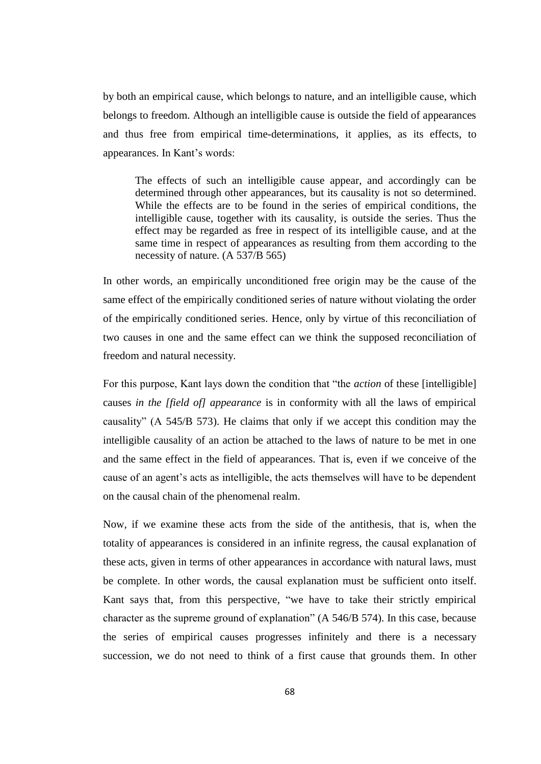by both an empirical cause, which belongs to nature, and an intelligible cause, which belongs to freedom. Although an intelligible cause is outside the field of appearances and thus free from empirical time-determinations, it applies, as its effects, to appearances. In Kant's words:

The effects of such an intelligible cause appear, and accordingly can be determined through other appearances, but its causality is not so determined. While the effects are to be found in the series of empirical conditions, the intelligible cause, together with its causality, is outside the series. Thus the effect may be regarded as free in respect of its intelligible cause, and at the same time in respect of appearances as resulting from them according to the necessity of nature. (A 537/B 565)

In other words, an empirically unconditioned free origin may be the cause of the same effect of the empirically conditioned series of nature without violating the order of the empirically conditioned series. Hence, only by virtue of this reconciliation of two causes in one and the same effect can we think the supposed reconciliation of freedom and natural necessity.

For this purpose, Kant lays down the condition that "the *action* of these [intelligible] causes *in the [field of] appearance* is in conformity with all the laws of empirical causality" (A 545/B 573). He claims that only if we accept this condition may the intelligible causality of an action be attached to the laws of nature to be met in one and the same effect in the field of appearances. That is, even if we conceive of the cause of an agent's acts as intelligible, the acts themselves will have to be dependent on the causal chain of the phenomenal realm.

Now, if we examine these acts from the side of the antithesis, that is, when the totality of appearances is considered in an infinite regress, the causal explanation of these acts, given in terms of other appearances in accordance with natural laws, must be complete. In other words, the causal explanation must be sufficient onto itself. Kant says that, from this perspective, "we have to take their strictly empirical character as the supreme ground of explanation" (A 546/B 574). In this case, because the series of empirical causes progresses infinitely and there is a necessary succession, we do not need to think of a first cause that grounds them. In other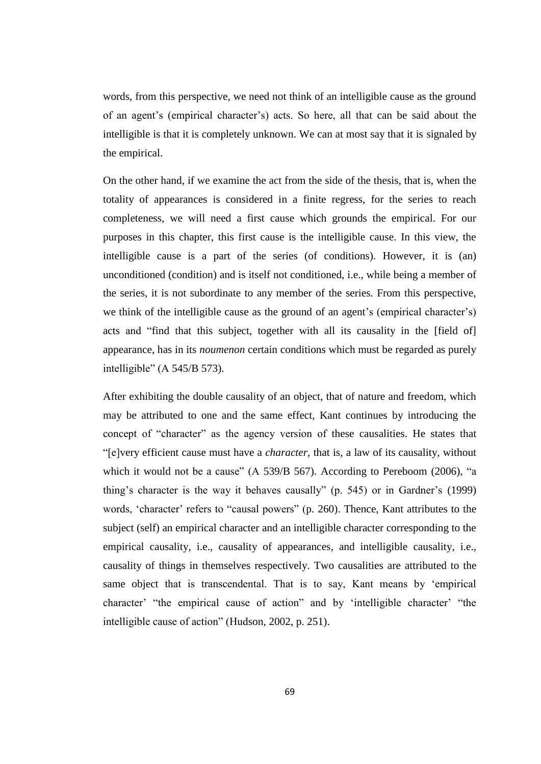words, from this perspective, we need not think of an intelligible cause as the ground of an agent's (empirical character's) acts. So here, all that can be said about the intelligible is that it is completely unknown. We can at most say that it is signaled by the empirical.

On the other hand, if we examine the act from the side of the thesis, that is, when the totality of appearances is considered in a finite regress, for the series to reach completeness, we will need a first cause which grounds the empirical. For our purposes in this chapter, this first cause is the intelligible cause. In this view, the intelligible cause is a part of the series (of conditions). However, it is (an) unconditioned (condition) and is itself not conditioned, i.e., while being a member of the series, it is not subordinate to any member of the series. From this perspective, we think of the intelligible cause as the ground of an agent's (empirical character's) acts and "find that this subject, together with all its causality in the [field of] appearance, has in its *noumenon* certain conditions which must be regarded as purely intelligible" (A 545/B 573).

After exhibiting the double causality of an object, that of nature and freedom, which may be attributed to one and the same effect, Kant continues by introducing the concept of "character" as the agency version of these causalities. He states that "[e]very efficient cause must have a *character*, that is, a law of its causality, without which it would not be a cause" (A 539/B 567). According to Pereboom (2006), "a thing's character is the way it behaves causally" (p. 545) or in Gardner's (1999) words, 'character' refers to "causal powers" (p. 260). Thence, Kant attributes to the subject (self) an empirical character and an intelligible character corresponding to the empirical causality, i.e., causality of appearances, and intelligible causality, i.e., causality of things in themselves respectively. Two causalities are attributed to the same object that is transcendental. That is to say, Kant means by 'empirical character' "the empirical cause of action" and by 'intelligible character' "the intelligible cause of action" (Hudson, 2002, p. 251).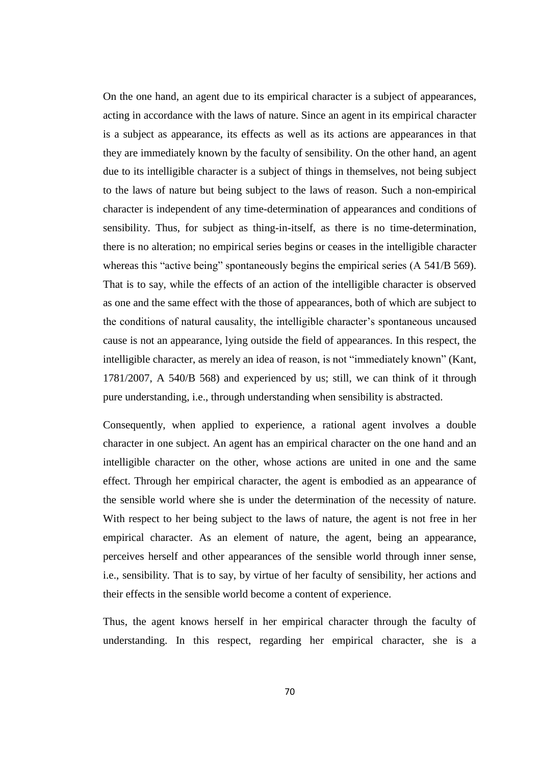On the one hand, an agent due to its empirical character is a subject of appearances, acting in accordance with the laws of nature. Since an agent in its empirical character is a subject as appearance, its effects as well as its actions are appearances in that they are immediately known by the faculty of sensibility. On the other hand, an agent due to its intelligible character is a subject of things in themselves, not being subject to the laws of nature but being subject to the laws of reason. Such a non-empirical character is independent of any time-determination of appearances and conditions of sensibility. Thus, for subject as thing-in-itself, as there is no time-determination, there is no alteration; no empirical series begins or ceases in the intelligible character whereas this "active being" spontaneously begins the empirical series (A 541/B 569). That is to say, while the effects of an action of the intelligible character is observed as one and the same effect with the those of appearances, both of which are subject to the conditions of natural causality, the intelligible character's spontaneous uncaused cause is not an appearance, lying outside the field of appearances. In this respect, the intelligible character, as merely an idea of reason, is not "immediately known" (Kant, 1781/2007, A 540/B 568) and experienced by us; still, we can think of it through pure understanding, i.e., through understanding when sensibility is abstracted.

Consequently, when applied to experience, a rational agent involves a double character in one subject. An agent has an empirical character on the one hand and an intelligible character on the other, whose actions are united in one and the same effect. Through her empirical character, the agent is embodied as an appearance of the sensible world where she is under the determination of the necessity of nature. With respect to her being subject to the laws of nature, the agent is not free in her empirical character. As an element of nature, the agent, being an appearance, perceives herself and other appearances of the sensible world through inner sense, i.e., sensibility. That is to say, by virtue of her faculty of sensibility, her actions and their effects in the sensible world become a content of experience.

Thus, the agent knows herself in her empirical character through the faculty of understanding. In this respect, regarding her empirical character, she is a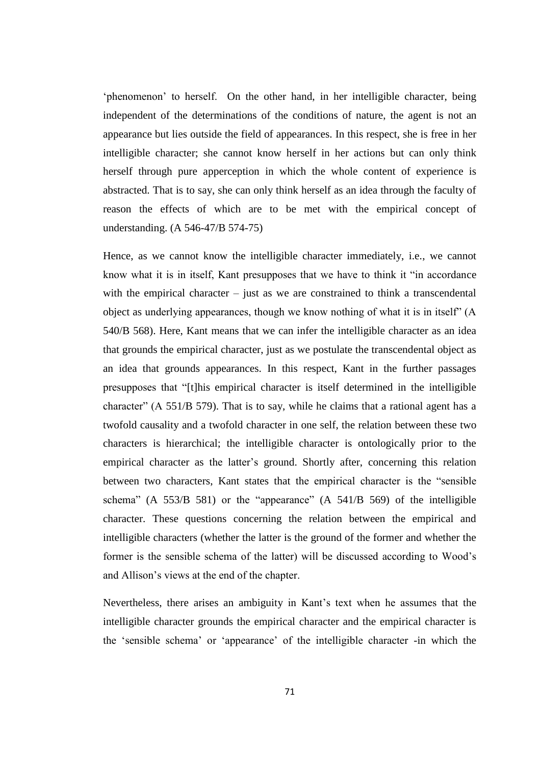'phenomenon' to herself. On the other hand, in her intelligible character, being independent of the determinations of the conditions of nature, the agent is not an appearance but lies outside the field of appearances. In this respect, she is free in her intelligible character; she cannot know herself in her actions but can only think herself through pure apperception in which the whole content of experience is abstracted. That is to say, she can only think herself as an idea through the faculty of reason the effects of which are to be met with the empirical concept of understanding. (A 546-47/B 574-75)

Hence, as we cannot know the intelligible character immediately, i.e., we cannot know what it is in itself, Kant presupposes that we have to think it "in accordance with the empirical character – just as we are constrained to think a transcendental object as underlying appearances, though we know nothing of what it is in itself" (A 540/B 568). Here, Kant means that we can infer the intelligible character as an idea that grounds the empirical character, just as we postulate the transcendental object as an idea that grounds appearances. In this respect, Kant in the further passages presupposes that "[t]his empirical character is itself determined in the intelligible character" (A 551/B 579). That is to say, while he claims that a rational agent has a twofold causality and a twofold character in one self, the relation between these two characters is hierarchical; the intelligible character is ontologically prior to the empirical character as the latter's ground. Shortly after, concerning this relation between two characters, Kant states that the empirical character is the "sensible schema" (A 553/B 581) or the "appearance" (A 541/B 569) of the intelligible character. These questions concerning the relation between the empirical and intelligible characters (whether the latter is the ground of the former and whether the former is the sensible schema of the latter) will be discussed according to Wood's and Allison's views at the end of the chapter.

Nevertheless, there arises an ambiguity in Kant's text when he assumes that the intelligible character grounds the empirical character and the empirical character is the 'sensible schema' or 'appearance' of the intelligible character -in which the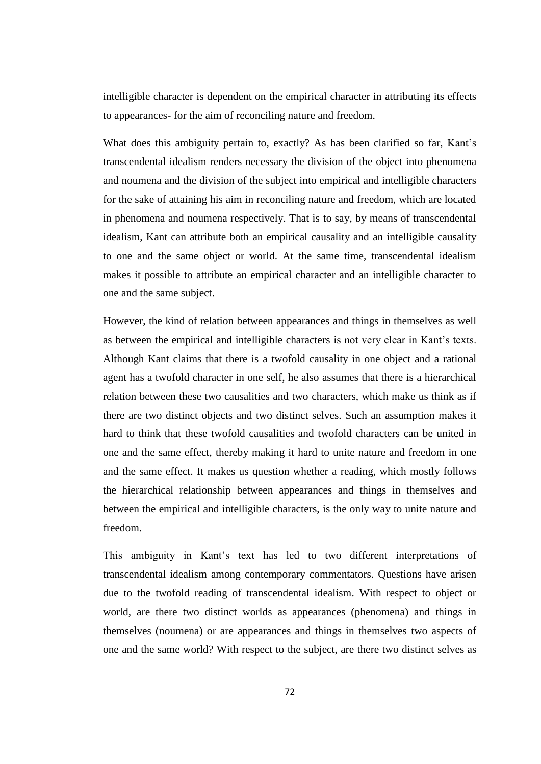intelligible character is dependent on the empirical character in attributing its effects to appearances- for the aim of reconciling nature and freedom.

What does this ambiguity pertain to, exactly? As has been clarified so far, Kant's transcendental idealism renders necessary the division of the object into phenomena and noumena and the division of the subject into empirical and intelligible characters for the sake of attaining his aim in reconciling nature and freedom, which are located in phenomena and noumena respectively. That is to say, by means of transcendental idealism, Kant can attribute both an empirical causality and an intelligible causality to one and the same object or world. At the same time, transcendental idealism makes it possible to attribute an empirical character and an intelligible character to one and the same subject.

However, the kind of relation between appearances and things in themselves as well as between the empirical and intelligible characters is not very clear in Kant's texts. Although Kant claims that there is a twofold causality in one object and a rational agent has a twofold character in one self, he also assumes that there is a hierarchical relation between these two causalities and two characters, which make us think as if there are two distinct objects and two distinct selves. Such an assumption makes it hard to think that these twofold causalities and twofold characters can be united in one and the same effect, thereby making it hard to unite nature and freedom in one and the same effect. It makes us question whether a reading, which mostly follows the hierarchical relationship between appearances and things in themselves and between the empirical and intelligible characters, is the only way to unite nature and freedom.

This ambiguity in Kant's text has led to two different interpretations of transcendental idealism among contemporary commentators. Questions have arisen due to the twofold reading of transcendental idealism. With respect to object or world, are there two distinct worlds as appearances (phenomena) and things in themselves (noumena) or are appearances and things in themselves two aspects of one and the same world? With respect to the subject, are there two distinct selves as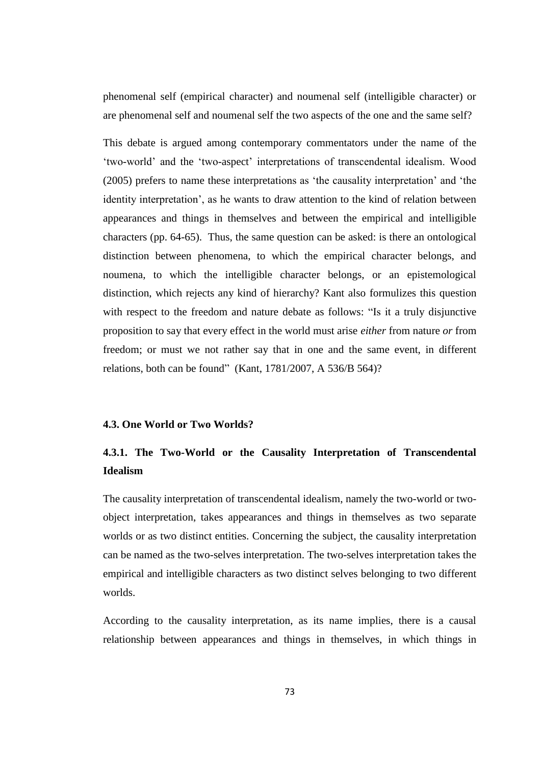phenomenal self (empirical character) and noumenal self (intelligible character) or are phenomenal self and noumenal self the two aspects of the one and the same self?

This debate is argued among contemporary commentators under the name of the 'two-world' and the 'two-aspect' interpretations of transcendental idealism. Wood (2005) prefers to name these interpretations as 'the causality interpretation' and 'the identity interpretation', as he wants to draw attention to the kind of relation between appearances and things in themselves and between the empirical and intelligible characters (pp. 64-65). Thus, the same question can be asked: is there an ontological distinction between phenomena, to which the empirical character belongs, and noumena, to which the intelligible character belongs, or an epistemological distinction, which rejects any kind of hierarchy? Kant also formulizes this question with respect to the freedom and nature debate as follows: "Is it a truly disjunctive proposition to say that every effect in the world must arise *either* from nature *or* from freedom; or must we not rather say that in one and the same event, in different relations, both can be found" (Kant, 1781/2007, A 536/B 564)?

# **4.3. One World or Two Worlds?**

# **4.3.1. The Two-World or the Causality Interpretation of Transcendental Idealism**

The causality interpretation of transcendental idealism, namely the two-world or twoobject interpretation, takes appearances and things in themselves as two separate worlds or as two distinct entities. Concerning the subject, the causality interpretation can be named as the two-selves interpretation. The two-selves interpretation takes the empirical and intelligible characters as two distinct selves belonging to two different worlds.

According to the causality interpretation, as its name implies, there is a causal relationship between appearances and things in themselves, in which things in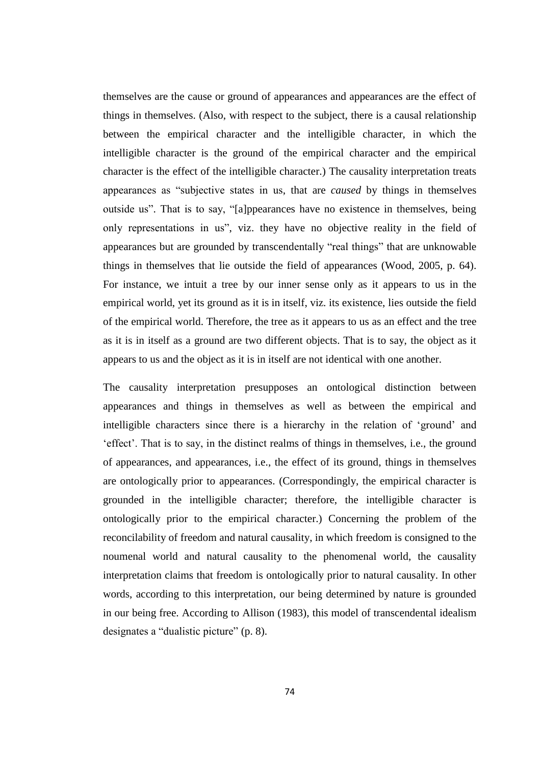themselves are the cause or ground of appearances and appearances are the effect of things in themselves. (Also, with respect to the subject, there is a causal relationship between the empirical character and the intelligible character, in which the intelligible character is the ground of the empirical character and the empirical character is the effect of the intelligible character.) The causality interpretation treats appearances as "subjective states in us, that are *caused* by things in themselves outside us". That is to say, "[a]ppearances have no existence in themselves, being only representations in us", viz. they have no objective reality in the field of appearances but are grounded by transcendentally "real things" that are unknowable things in themselves that lie outside the field of appearances (Wood, 2005, p. 64). For instance, we intuit a tree by our inner sense only as it appears to us in the empirical world, yet its ground as it is in itself, viz. its existence, lies outside the field of the empirical world. Therefore, the tree as it appears to us as an effect and the tree as it is in itself as a ground are two different objects. That is to say, the object as it appears to us and the object as it is in itself are not identical with one another.

The causality interpretation presupposes an ontological distinction between appearances and things in themselves as well as between the empirical and intelligible characters since there is a hierarchy in the relation of 'ground' and 'effect'. That is to say, in the distinct realms of things in themselves, i.e., the ground of appearances, and appearances, i.e., the effect of its ground, things in themselves are ontologically prior to appearances. (Correspondingly, the empirical character is grounded in the intelligible character; therefore, the intelligible character is ontologically prior to the empirical character.) Concerning the problem of the reconcilability of freedom and natural causality, in which freedom is consigned to the noumenal world and natural causality to the phenomenal world, the causality interpretation claims that freedom is ontologically prior to natural causality. In other words, according to this interpretation, our being determined by nature is grounded in our being free. According to Allison (1983), this model of transcendental idealism designates a "dualistic picture" (p. 8).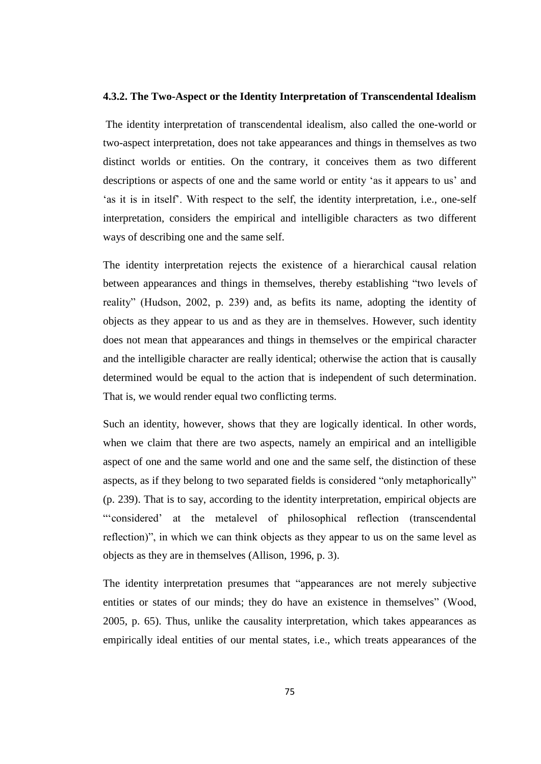#### **4.3.2. The Two-Aspect or the Identity Interpretation of Transcendental Idealism**

The identity interpretation of transcendental idealism, also called the one-world or two-aspect interpretation, does not take appearances and things in themselves as two distinct worlds or entities. On the contrary, it conceives them as two different descriptions or aspects of one and the same world or entity 'as it appears to us' and 'as it is in itself'. With respect to the self, the identity interpretation, i.e., one-self interpretation, considers the empirical and intelligible characters as two different ways of describing one and the same self.

The identity interpretation rejects the existence of a hierarchical causal relation between appearances and things in themselves, thereby establishing "two levels of reality" (Hudson, 2002, p. 239) and, as befits its name, adopting the identity of objects as they appear to us and as they are in themselves. However, such identity does not mean that appearances and things in themselves or the empirical character and the intelligible character are really identical; otherwise the action that is causally determined would be equal to the action that is independent of such determination. That is, we would render equal two conflicting terms.

Such an identity, however, shows that they are logically identical. In other words, when we claim that there are two aspects, namely an empirical and an intelligible aspect of one and the same world and one and the same self, the distinction of these aspects, as if they belong to two separated fields is considered "only metaphorically" (p. 239). That is to say, according to the identity interpretation, empirical objects are "'considered' at the metalevel of philosophical reflection (transcendental reflection)", in which we can think objects as they appear to us on the same level as objects as they are in themselves (Allison, 1996, p. 3).

The identity interpretation presumes that "appearances are not merely subjective entities or states of our minds; they do have an existence in themselves" (Wood, 2005, p. 65). Thus, unlike the causality interpretation, which takes appearances as empirically ideal entities of our mental states, i.e., which treats appearances of the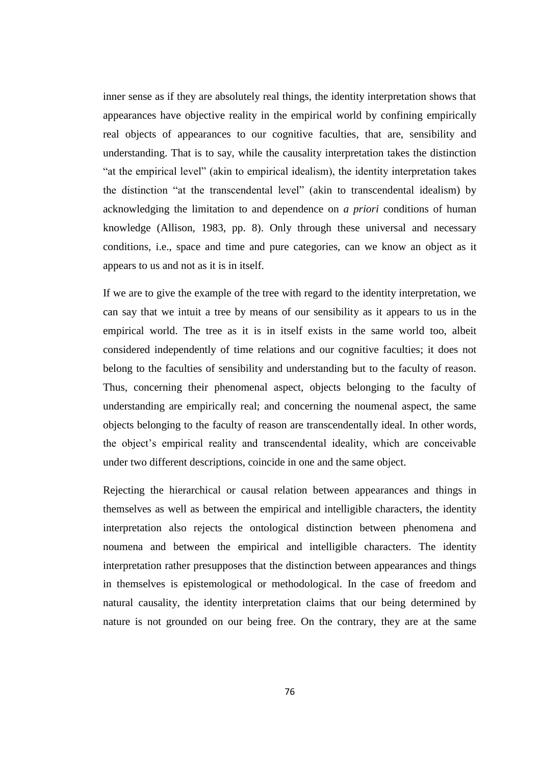inner sense as if they are absolutely real things, the identity interpretation shows that appearances have objective reality in the empirical world by confining empirically real objects of appearances to our cognitive faculties, that are, sensibility and understanding. That is to say, while the causality interpretation takes the distinction "at the empirical level" (akin to empirical idealism), the identity interpretation takes the distinction "at the transcendental level" (akin to transcendental idealism) by acknowledging the limitation to and dependence on *a priori* conditions of human knowledge (Allison, 1983, pp. 8). Only through these universal and necessary conditions, i.e., space and time and pure categories, can we know an object as it appears to us and not as it is in itself.

If we are to give the example of the tree with regard to the identity interpretation, we can say that we intuit a tree by means of our sensibility as it appears to us in the empirical world. The tree as it is in itself exists in the same world too, albeit considered independently of time relations and our cognitive faculties; it does not belong to the faculties of sensibility and understanding but to the faculty of reason. Thus, concerning their phenomenal aspect, objects belonging to the faculty of understanding are empirically real; and concerning the noumenal aspect, the same objects belonging to the faculty of reason are transcendentally ideal. In other words, the object's empirical reality and transcendental ideality, which are conceivable under two different descriptions, coincide in one and the same object.

Rejecting the hierarchical or causal relation between appearances and things in themselves as well as between the empirical and intelligible characters, the identity interpretation also rejects the ontological distinction between phenomena and noumena and between the empirical and intelligible characters. The identity interpretation rather presupposes that the distinction between appearances and things in themselves is epistemological or methodological. In the case of freedom and natural causality, the identity interpretation claims that our being determined by nature is not grounded on our being free. On the contrary, they are at the same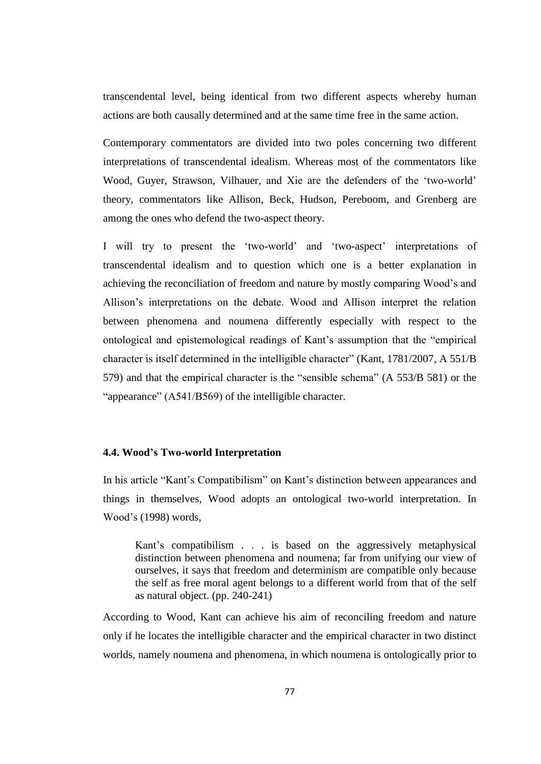transcendental level, being identical from two different aspects whereby human actions are both causally determined and at the same time free in the same action.

Contemporary commentators are divided into two poles concerning two different interpretations of transcendental idealism. Whereas most of the commentators like Wood, Guyer, Strawson, Vilhauer, and Xie are the defenders of the 'two-world' theory, commentators like Allison, Beck, Hudson, Pereboom, and Grenberg are among the ones who defend the two-aspect theory.

I will try to present the 'two-world' and 'two-aspect' interpretations of transcendental idealism and to question which one is a better explanation in achieving the reconciliation of freedom and nature by mostly comparing Wood's and Allison's interpretations on the debate. Wood and Allison interpret the relation between phenomena and noumena differently especially with respect to the ontological and epistemological readings of Kant's assumption that the "empirical character is itself determined in the intelligible character" (Kant, 1781/2007, A 551/B 579) and that the empirical character is the "sensible schema" (A 553/B 581) or the "appearance" (A541/B569) of the intelligible character.

## **4.4. Wood's Two-world Interpretation**

In his article "Kant's Compatibilism" on Kant's distinction between appearances and things in themselves, Wood adopts an ontological two-world interpretation. In Wood's (1998) words,

Kant's compatibilism . . . is based on the aggressively metaphysical distinction between phenomena and noumena; far from unifying our view of ourselves, it says that freedom and determinism are compatible only because the self as free moral agent belongs to a different world from that of the self as natural object. (pp. 240-241)

According to Wood, Kant can achieve his aim of reconciling freedom and nature only if he locates the intelligible character and the empirical character in two distinct worlds, namely noumena and phenomena, in which noumena is ontologically prior to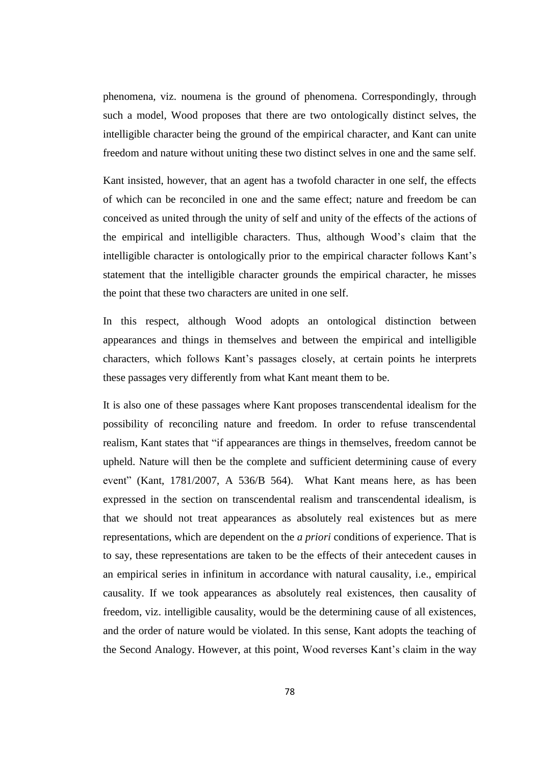phenomena, viz. noumena is the ground of phenomena. Correspondingly, through such a model, Wood proposes that there are two ontologically distinct selves, the intelligible character being the ground of the empirical character, and Kant can unite freedom and nature without uniting these two distinct selves in one and the same self.

Kant insisted, however, that an agent has a twofold character in one self, the effects of which can be reconciled in one and the same effect; nature and freedom be can conceived as united through the unity of self and unity of the effects of the actions of the empirical and intelligible characters. Thus, although Wood's claim that the intelligible character is ontologically prior to the empirical character follows Kant's statement that the intelligible character grounds the empirical character, he misses the point that these two characters are united in one self.

In this respect, although Wood adopts an ontological distinction between appearances and things in themselves and between the empirical and intelligible characters, which follows Kant's passages closely, at certain points he interprets these passages very differently from what Kant meant them to be.

It is also one of these passages where Kant proposes transcendental idealism for the possibility of reconciling nature and freedom. In order to refuse transcendental realism, Kant states that "if appearances are things in themselves, freedom cannot be upheld. Nature will then be the complete and sufficient determining cause of every event" (Kant, 1781/2007, A 536/B 564). What Kant means here, as has been expressed in the section on transcendental realism and transcendental idealism, is that we should not treat appearances as absolutely real existences but as mere representations, which are dependent on the *a priori* conditions of experience. That is to say, these representations are taken to be the effects of their antecedent causes in an empirical series in infinitum in accordance with natural causality, i.e., empirical causality. If we took appearances as absolutely real existences, then causality of freedom, viz. intelligible causality, would be the determining cause of all existences, and the order of nature would be violated. In this sense, Kant adopts the teaching of the Second Analogy. However, at this point, Wood reverses Kant's claim in the way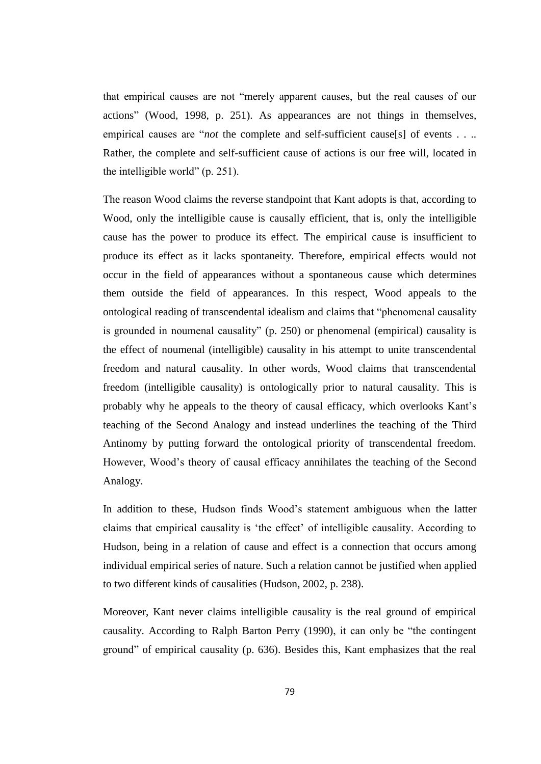that empirical causes are not "merely apparent causes, but the real causes of our actions" (Wood, 1998, p. 251). As appearances are not things in themselves, empirical causes are "*not* the complete and self-sufficient cause[s] of events . . .. Rather, the complete and self-sufficient cause of actions is our free will, located in the intelligible world" (p. 251).

The reason Wood claims the reverse standpoint that Kant adopts is that, according to Wood, only the intelligible cause is causally efficient, that is, only the intelligible cause has the power to produce its effect. The empirical cause is insufficient to produce its effect as it lacks spontaneity. Therefore, empirical effects would not occur in the field of appearances without a spontaneous cause which determines them outside the field of appearances. In this respect, Wood appeals to the ontological reading of transcendental idealism and claims that "phenomenal causality is grounded in noumenal causality" (p. 250) or phenomenal (empirical) causality is the effect of noumenal (intelligible) causality in his attempt to unite transcendental freedom and natural causality. In other words, Wood claims that transcendental freedom (intelligible causality) is ontologically prior to natural causality. This is probably why he appeals to the theory of causal efficacy, which overlooks Kant's teaching of the Second Analogy and instead underlines the teaching of the Third Antinomy by putting forward the ontological priority of transcendental freedom. However, Wood's theory of causal efficacy annihilates the teaching of the Second Analogy.

In addition to these, Hudson finds Wood's statement ambiguous when the latter claims that empirical causality is 'the effect' of intelligible causality. According to Hudson, being in a relation of cause and effect is a connection that occurs among individual empirical series of nature. Such a relation cannot be justified when applied to two different kinds of causalities (Hudson, 2002, p. 238).

Moreover, Kant never claims intelligible causality is the real ground of empirical causality. According to Ralph Barton Perry (1990), it can only be "the contingent ground" of empirical causality (p. 636). Besides this, Kant emphasizes that the real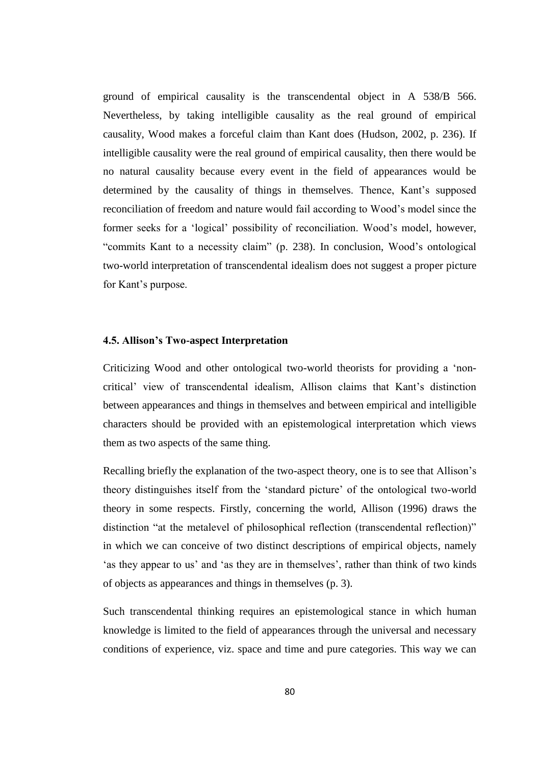ground of empirical causality is the transcendental object in A 538/B 566. Nevertheless, by taking intelligible causality as the real ground of empirical causality, Wood makes a forceful claim than Kant does (Hudson, 2002, p. 236). If intelligible causality were the real ground of empirical causality, then there would be no natural causality because every event in the field of appearances would be determined by the causality of things in themselves. Thence, Kant's supposed reconciliation of freedom and nature would fail according to Wood's model since the former seeks for a 'logical' possibility of reconciliation. Wood's model, however, "commits Kant to a necessity claim" (p. 238). In conclusion, Wood's ontological two-world interpretation of transcendental idealism does not suggest a proper picture for Kant's purpose.

#### **4.5. Allison's Two-aspect Interpretation**

Criticizing Wood and other ontological two-world theorists for providing a 'noncritical' view of transcendental idealism, Allison claims that Kant's distinction between appearances and things in themselves and between empirical and intelligible characters should be provided with an epistemological interpretation which views them as two aspects of the same thing.

Recalling briefly the explanation of the two-aspect theory, one is to see that Allison's theory distinguishes itself from the 'standard picture' of the ontological two-world theory in some respects. Firstly, concerning the world, Allison (1996) draws the distinction "at the metalevel of philosophical reflection (transcendental reflection)" in which we can conceive of two distinct descriptions of empirical objects, namely 'as they appear to us' and 'as they are in themselves', rather than think of two kinds of objects as appearances and things in themselves (p. 3).

Such transcendental thinking requires an epistemological stance in which human knowledge is limited to the field of appearances through the universal and necessary conditions of experience, viz. space and time and pure categories. This way we can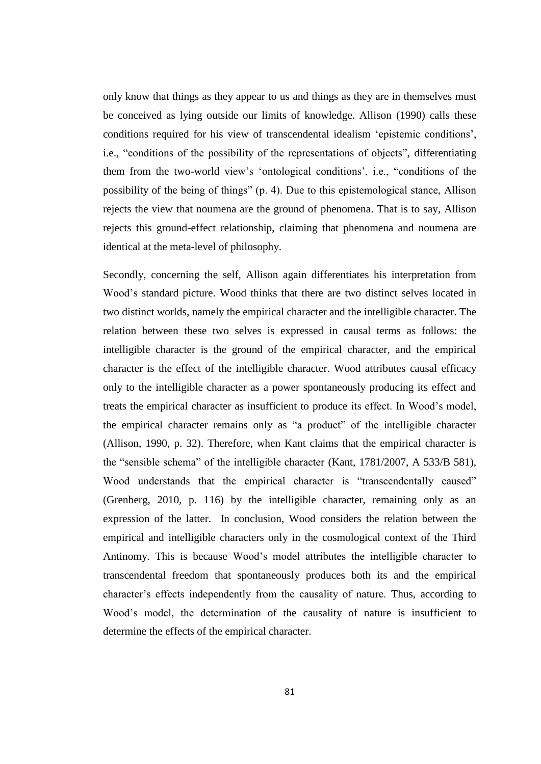only know that things as they appear to us and things as they are in themselves must be conceived as lying outside our limits of knowledge. Allison (1990) calls these conditions required for his view of transcendental idealism 'epistemic conditions', i.e., "conditions of the possibility of the representations of objects", differentiating them from the two-world view's 'ontological conditions', i.e., "conditions of the possibility of the being of things" (p. 4). Due to this epistemological stance, Allison rejects the view that noumena are the ground of phenomena. That is to say, Allison rejects this ground-effect relationship, claiming that phenomena and noumena are identical at the meta-level of philosophy.

Secondly, concerning the self, Allison again differentiates his interpretation from Wood's standard picture. Wood thinks that there are two distinct selves located in two distinct worlds, namely the empirical character and the intelligible character. The relation between these two selves is expressed in causal terms as follows: the intelligible character is the ground of the empirical character, and the empirical character is the effect of the intelligible character. Wood attributes causal efficacy only to the intelligible character as a power spontaneously producing its effect and treats the empirical character as insufficient to produce its effect. In Wood's model, the empirical character remains only as "a product" of the intelligible character (Allison, 1990, p. 32). Therefore, when Kant claims that the empirical character is the "sensible schema" of the intelligible character (Kant, 1781/2007, A 533/B 581), Wood understands that the empirical character is "transcendentally caused" (Grenberg, 2010, p. 116) by the intelligible character, remaining only as an expression of the latter. In conclusion, Wood considers the relation between the empirical and intelligible characters only in the cosmological context of the Third Antinomy. This is because Wood's model attributes the intelligible character to transcendental freedom that spontaneously produces both its and the empirical character's effects independently from the causality of nature. Thus, according to Wood's model, the determination of the causality of nature is insufficient to determine the effects of the empirical character.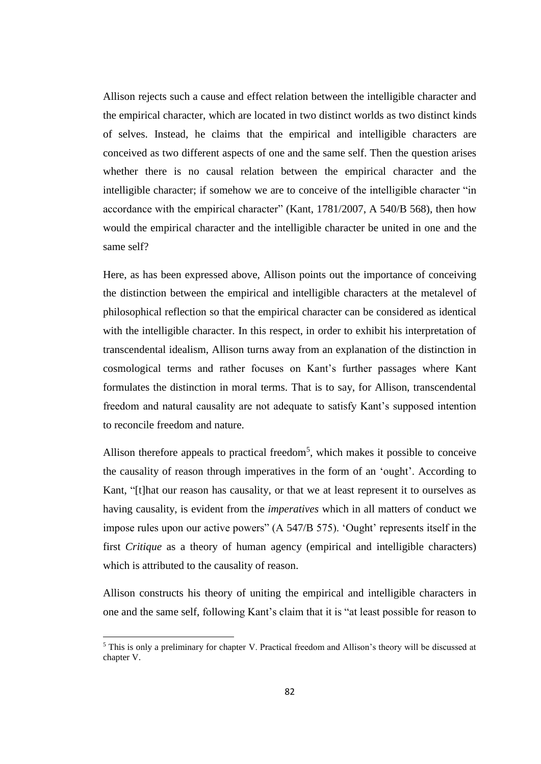Allison rejects such a cause and effect relation between the intelligible character and the empirical character, which are located in two distinct worlds as two distinct kinds of selves. Instead, he claims that the empirical and intelligible characters are conceived as two different aspects of one and the same self. Then the question arises whether there is no causal relation between the empirical character and the intelligible character; if somehow we are to conceive of the intelligible character "in accordance with the empirical character" (Kant, 1781/2007, A 540/B 568), then how would the empirical character and the intelligible character be united in one and the same self?

Here, as has been expressed above, Allison points out the importance of conceiving the distinction between the empirical and intelligible characters at the metalevel of philosophical reflection so that the empirical character can be considered as identical with the intelligible character. In this respect, in order to exhibit his interpretation of transcendental idealism, Allison turns away from an explanation of the distinction in cosmological terms and rather focuses on Kant's further passages where Kant formulates the distinction in moral terms. That is to say, for Allison, transcendental freedom and natural causality are not adequate to satisfy Kant's supposed intention to reconcile freedom and nature.

Allison therefore appeals to practical freedom<sup>5</sup>, which makes it possible to conceive the causality of reason through imperatives in the form of an 'ought'. According to Kant, "[t]hat our reason has causality, or that we at least represent it to ourselves as having causality, is evident from the *imperatives* which in all matters of conduct we impose rules upon our active powers" (A 547/B 575). 'Ought' represents itself in the first *Critique* as a theory of human agency (empirical and intelligible characters) which is attributed to the causality of reason.

Allison constructs his theory of uniting the empirical and intelligible characters in one and the same self, following Kant's claim that it is "at least possible for reason to

 $\overline{\phantom{a}}$ 

<sup>5</sup> This is only a preliminary for chapter V. Practical freedom and Allison's theory will be discussed at chapter V.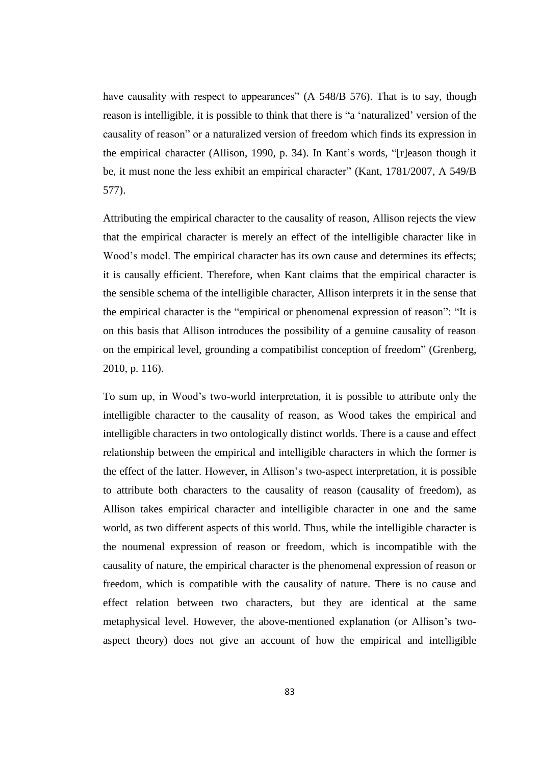have causality with respect to appearances" (A 548/B 576). That is to say, though reason is intelligible, it is possible to think that there is "a 'naturalized' version of the causality of reason" or a naturalized version of freedom which finds its expression in the empirical character (Allison, 1990, p. 34). In Kant's words, "[r]eason though it be, it must none the less exhibit an empirical character" (Kant, 1781/2007, A 549/B 577).

Attributing the empirical character to the causality of reason, Allison rejects the view that the empirical character is merely an effect of the intelligible character like in Wood's model. The empirical character has its own cause and determines its effects; it is causally efficient. Therefore, when Kant claims that the empirical character is the sensible schema of the intelligible character, Allison interprets it in the sense that the empirical character is the "empirical or phenomenal expression of reason": "It is on this basis that Allison introduces the possibility of a genuine causality of reason on the empirical level, grounding a compatibilist conception of freedom" (Grenberg, 2010, p. 116).

To sum up, in Wood's two-world interpretation, it is possible to attribute only the intelligible character to the causality of reason, as Wood takes the empirical and intelligible characters in two ontologically distinct worlds. There is a cause and effect relationship between the empirical and intelligible characters in which the former is the effect of the latter. However, in Allison's two-aspect interpretation, it is possible to attribute both characters to the causality of reason (causality of freedom), as Allison takes empirical character and intelligible character in one and the same world, as two different aspects of this world. Thus, while the intelligible character is the noumenal expression of reason or freedom, which is incompatible with the causality of nature, the empirical character is the phenomenal expression of reason or freedom, which is compatible with the causality of nature. There is no cause and effect relation between two characters, but they are identical at the same metaphysical level. However, the above-mentioned explanation (or Allison's twoaspect theory) does not give an account of how the empirical and intelligible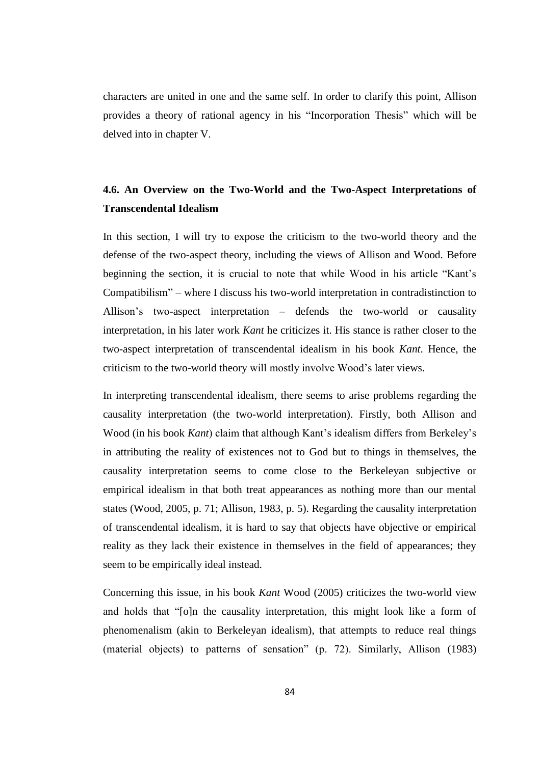characters are united in one and the same self. In order to clarify this point, Allison provides a theory of rational agency in his "Incorporation Thesis" which will be delved into in chapter V.

# **4.6. An Overview on the Two-World and the Two-Aspect Interpretations of Transcendental Idealism**

In this section, I will try to expose the criticism to the two-world theory and the defense of the two-aspect theory, including the views of Allison and Wood. Before beginning the section, it is crucial to note that while Wood in his article "Kant's Compatibilism" – where I discuss his two-world interpretation in contradistinction to Allison's two-aspect interpretation – defends the two-world or causality interpretation, in his later work *Kant* he criticizes it. His stance is rather closer to the two-aspect interpretation of transcendental idealism in his book *Kant*. Hence, the criticism to the two-world theory will mostly involve Wood's later views.

In interpreting transcendental idealism, there seems to arise problems regarding the causality interpretation (the two-world interpretation). Firstly, both Allison and Wood (in his book *Kant*) claim that although Kant's idealism differs from Berkeley's in attributing the reality of existences not to God but to things in themselves, the causality interpretation seems to come close to the Berkeleyan subjective or empirical idealism in that both treat appearances as nothing more than our mental states (Wood, 2005, p. 71; Allison, 1983, p. 5). Regarding the causality interpretation of transcendental idealism, it is hard to say that objects have objective or empirical reality as they lack their existence in themselves in the field of appearances; they seem to be empirically ideal instead.

Concerning this issue, in his book *Kant* Wood (2005) criticizes the two-world view and holds that "[o]n the causality interpretation, this might look like a form of phenomenalism (akin to Berkeleyan idealism), that attempts to reduce real things (material objects) to patterns of sensation" (p. 72). Similarly, Allison (1983)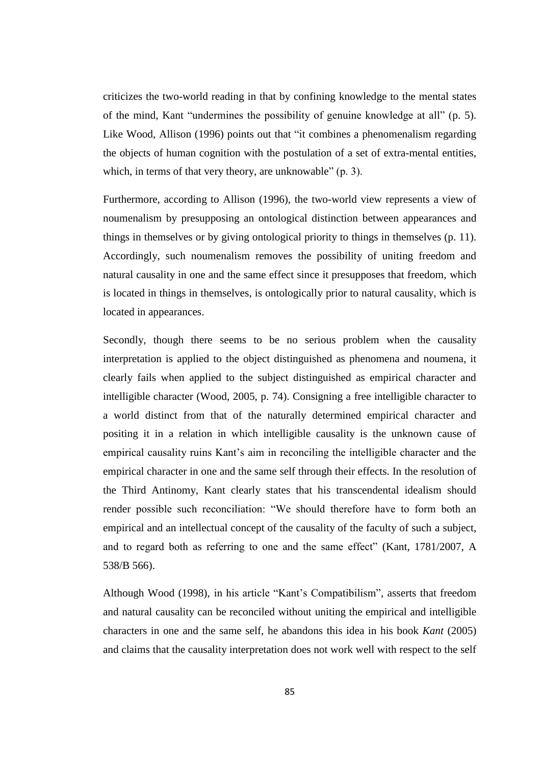criticizes the two-world reading in that by confining knowledge to the mental states of the mind, Kant "undermines the possibility of genuine knowledge at all" (p. 5). Like Wood, Allison (1996) points out that "it combines a phenomenalism regarding the objects of human cognition with the postulation of a set of extra-mental entities, which, in terms of that very theory, are unknowable" (p. 3).

Furthermore, according to Allison (1996), the two-world view represents a view of noumenalism by presupposing an ontological distinction between appearances and things in themselves or by giving ontological priority to things in themselves (p. 11). Accordingly, such noumenalism removes the possibility of uniting freedom and natural causality in one and the same effect since it presupposes that freedom, which is located in things in themselves, is ontologically prior to natural causality, which is located in appearances.

Secondly, though there seems to be no serious problem when the causality interpretation is applied to the object distinguished as phenomena and noumena, it clearly fails when applied to the subject distinguished as empirical character and intelligible character (Wood, 2005, p. 74). Consigning a free intelligible character to a world distinct from that of the naturally determined empirical character and positing it in a relation in which intelligible causality is the unknown cause of empirical causality ruins Kant's aim in reconciling the intelligible character and the empirical character in one and the same self through their effects. In the resolution of the Third Antinomy, Kant clearly states that his transcendental idealism should render possible such reconciliation: "We should therefore have to form both an empirical and an intellectual concept of the causality of the faculty of such a subject, and to regard both as referring to one and the same effect" (Kant, 1781/2007, A 538/B 566).

Although Wood (1998), in his article "Kant's Compatibilism", asserts that freedom and natural causality can be reconciled without uniting the empirical and intelligible characters in one and the same self, he abandons this idea in his book *Kant* (2005) and claims that the causality interpretation does not work well with respect to the self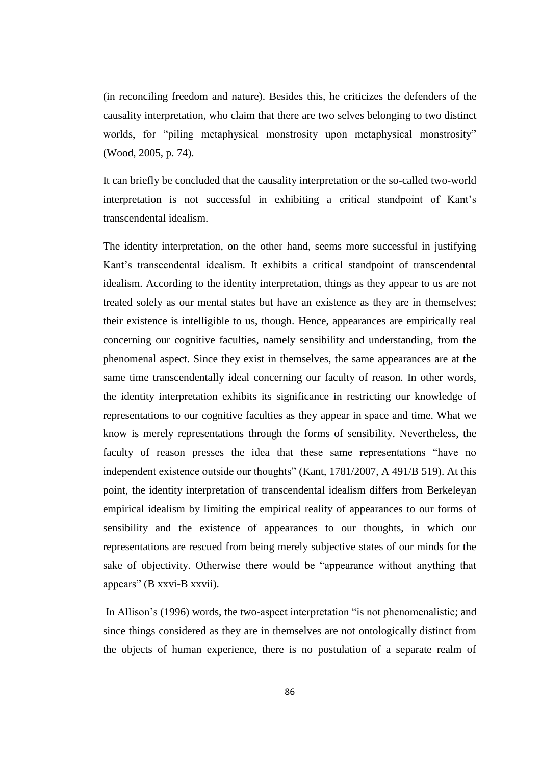(in reconciling freedom and nature). Besides this, he criticizes the defenders of the causality interpretation, who claim that there are two selves belonging to two distinct worlds, for "piling metaphysical monstrosity upon metaphysical monstrosity" (Wood, 2005, p. 74).

It can briefly be concluded that the causality interpretation or the so-called two-world interpretation is not successful in exhibiting a critical standpoint of Kant's transcendental idealism.

The identity interpretation, on the other hand, seems more successful in justifying Kant's transcendental idealism. It exhibits a critical standpoint of transcendental idealism. According to the identity interpretation, things as they appear to us are not treated solely as our mental states but have an existence as they are in themselves; their existence is intelligible to us, though. Hence, appearances are empirically real concerning our cognitive faculties, namely sensibility and understanding, from the phenomenal aspect. Since they exist in themselves, the same appearances are at the same time transcendentally ideal concerning our faculty of reason. In other words, the identity interpretation exhibits its significance in restricting our knowledge of representations to our cognitive faculties as they appear in space and time. What we know is merely representations through the forms of sensibility. Nevertheless, the faculty of reason presses the idea that these same representations "have no independent existence outside our thoughts" (Kant, 1781/2007, A 491/B 519). At this point, the identity interpretation of transcendental idealism differs from Berkeleyan empirical idealism by limiting the empirical reality of appearances to our forms of sensibility and the existence of appearances to our thoughts, in which our representations are rescued from being merely subjective states of our minds for the sake of objectivity. Otherwise there would be "appearance without anything that appears" (B xxvi-B xxvii).

In Allison's (1996) words, the two-aspect interpretation "is not phenomenalistic; and since things considered as they are in themselves are not ontologically distinct from the objects of human experience, there is no postulation of a separate realm of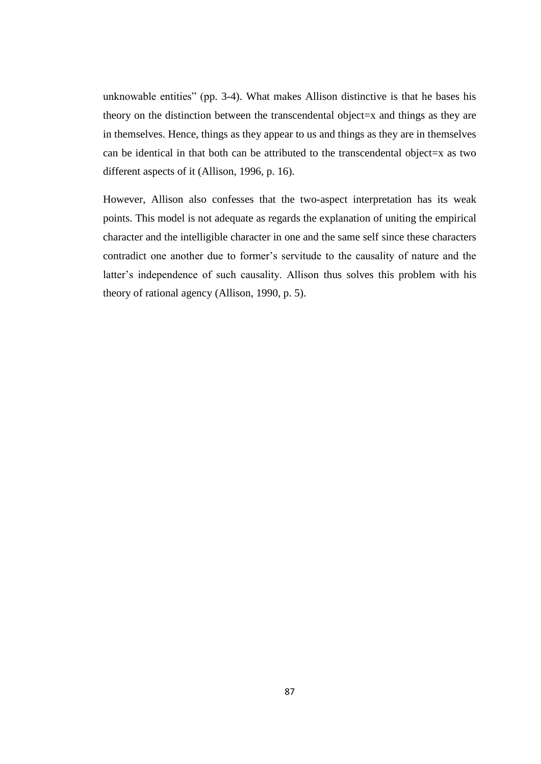unknowable entities" (pp. 3-4). What makes Allison distinctive is that he bases his theory on the distinction between the transcendental object=x and things as they are in themselves. Hence, things as they appear to us and things as they are in themselves can be identical in that both can be attributed to the transcendental object=x as two different aspects of it (Allison, 1996, p. 16).

However, Allison also confesses that the two-aspect interpretation has its weak points. This model is not adequate as regards the explanation of uniting the empirical character and the intelligible character in one and the same self since these characters contradict one another due to former's servitude to the causality of nature and the latter's independence of such causality. Allison thus solves this problem with his theory of rational agency (Allison, 1990, p. 5).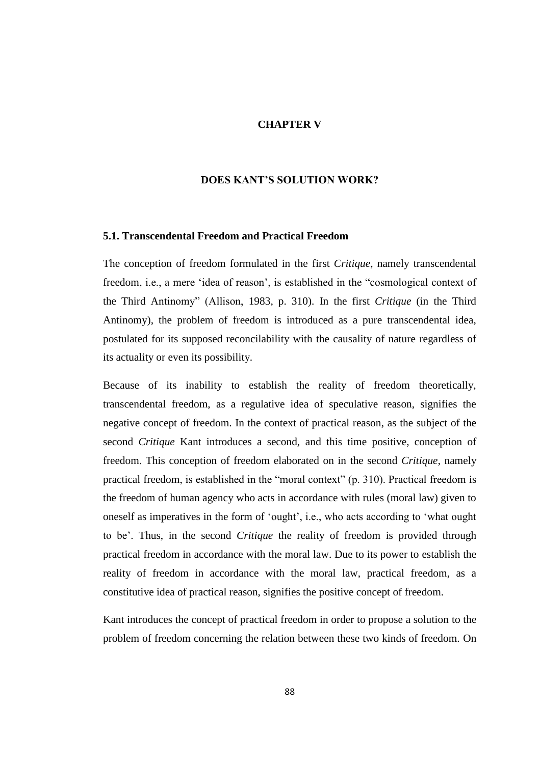# **CHAPTER V**

## **DOES KANT'S SOLUTION WORK?**

## **5.1. Transcendental Freedom and Practical Freedom**

The conception of freedom formulated in the first *Critique*, namely transcendental freedom, i.e., a mere 'idea of reason', is established in the "cosmological context of the Third Antinomy" (Allison, 1983, p. 310). In the first *Critique* (in the Third Antinomy), the problem of freedom is introduced as a pure transcendental idea, postulated for its supposed reconcilability with the causality of nature regardless of its actuality or even its possibility.

Because of its inability to establish the reality of freedom theoretically, transcendental freedom, as a regulative idea of speculative reason, signifies the negative concept of freedom. In the context of practical reason, as the subject of the second *Critique* Kant introduces a second, and this time positive, conception of freedom. This conception of freedom elaborated on in the second *Critique*, namely practical freedom, is established in the "moral context" (p. 310). Practical freedom is the freedom of human agency who acts in accordance with rules (moral law) given to oneself as imperatives in the form of 'ought', i.e., who acts according to 'what ought to be'. Thus, in the second *Critique* the reality of freedom is provided through practical freedom in accordance with the moral law. Due to its power to establish the reality of freedom in accordance with the moral law, practical freedom, as a constitutive idea of practical reason, signifies the positive concept of freedom.

Kant introduces the concept of practical freedom in order to propose a solution to the problem of freedom concerning the relation between these two kinds of freedom. On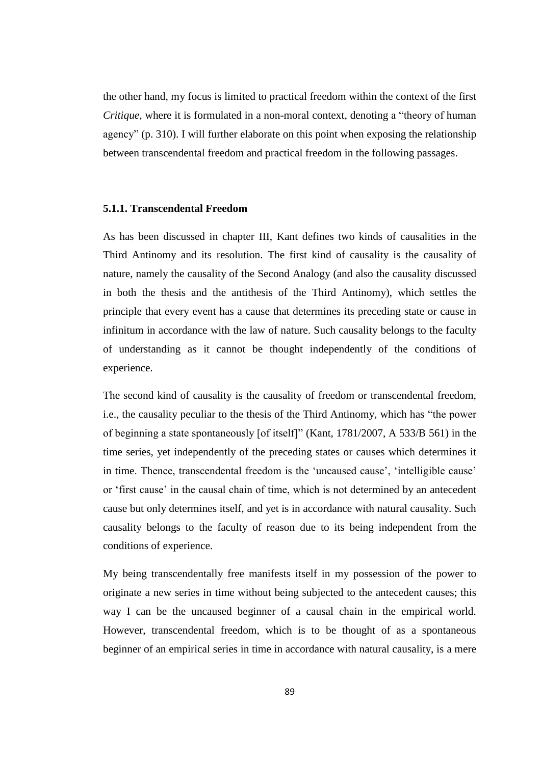the other hand, my focus is limited to practical freedom within the context of the first *Critique*, where it is formulated in a non-moral context, denoting a "theory of human agency" (p. 310). I will further elaborate on this point when exposing the relationship between transcendental freedom and practical freedom in the following passages.

### **5.1.1. Transcendental Freedom**

As has been discussed in chapter III, Kant defines two kinds of causalities in the Third Antinomy and its resolution. The first kind of causality is the causality of nature, namely the causality of the Second Analogy (and also the causality discussed in both the thesis and the antithesis of the Third Antinomy), which settles the principle that every event has a cause that determines its preceding state or cause in infinitum in accordance with the law of nature. Such causality belongs to the faculty of understanding as it cannot be thought independently of the conditions of experience.

The second kind of causality is the causality of freedom or transcendental freedom, i.e., the causality peculiar to the thesis of the Third Antinomy, which has "the power of beginning a state spontaneously [of itself]" (Kant, 1781/2007, A 533/B 561) in the time series, yet independently of the preceding states or causes which determines it in time. Thence, transcendental freedom is the 'uncaused cause', 'intelligible cause' or 'first cause' in the causal chain of time, which is not determined by an antecedent cause but only determines itself, and yet is in accordance with natural causality. Such causality belongs to the faculty of reason due to its being independent from the conditions of experience.

My being transcendentally free manifests itself in my possession of the power to originate a new series in time without being subjected to the antecedent causes; this way I can be the uncaused beginner of a causal chain in the empirical world. However, transcendental freedom, which is to be thought of as a spontaneous beginner of an empirical series in time in accordance with natural causality, is a mere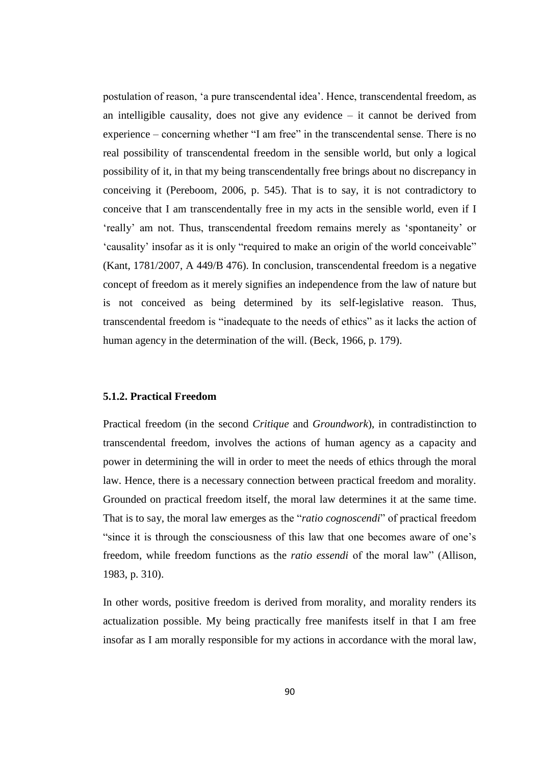postulation of reason, 'a pure transcendental idea'. Hence, transcendental freedom, as an intelligible causality, does not give any evidence – it cannot be derived from experience – concerning whether "I am free" in the transcendental sense. There is no real possibility of transcendental freedom in the sensible world, but only a logical possibility of it, in that my being transcendentally free brings about no discrepancy in conceiving it (Pereboom, 2006, p. 545). That is to say, it is not contradictory to conceive that I am transcendentally free in my acts in the sensible world, even if I 'really' am not. Thus, transcendental freedom remains merely as 'spontaneity' or 'causality' insofar as it is only "required to make an origin of the world conceivable" (Kant, 1781/2007, A 449/B 476). In conclusion, transcendental freedom is a negative concept of freedom as it merely signifies an independence from the law of nature but is not conceived as being determined by its self-legislative reason. Thus, transcendental freedom is "inadequate to the needs of ethics" as it lacks the action of human agency in the determination of the will. (Beck, 1966, p. 179).

## **5.1.2. Practical Freedom**

Practical freedom (in the second *Critique* and *Groundwork*), in contradistinction to transcendental freedom, involves the actions of human agency as a capacity and power in determining the will in order to meet the needs of ethics through the moral law. Hence, there is a necessary connection between practical freedom and morality. Grounded on practical freedom itself, the moral law determines it at the same time. That is to say, the moral law emerges as the "*ratio cognoscendi*" of practical freedom "since it is through the consciousness of this law that one becomes aware of one's freedom, while freedom functions as the *ratio essendi* of the moral law" (Allison, 1983, p. 310).

In other words, positive freedom is derived from morality, and morality renders its actualization possible. My being practically free manifests itself in that I am free insofar as I am morally responsible for my actions in accordance with the moral law,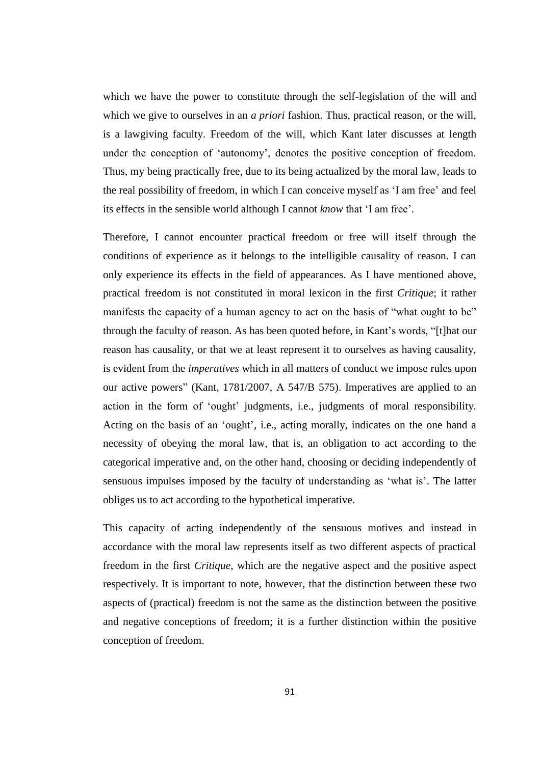which we have the power to constitute through the self-legislation of the will and which we give to ourselves in an *a priori* fashion. Thus, practical reason, or the will, is a lawgiving faculty. Freedom of the will, which Kant later discusses at length under the conception of 'autonomy', denotes the positive conception of freedom. Thus, my being practically free, due to its being actualized by the moral law, leads to the real possibility of freedom, in which I can conceive myself as 'I am free' and feel its effects in the sensible world although I cannot *know* that 'I am free'.

Therefore, I cannot encounter practical freedom or free will itself through the conditions of experience as it belongs to the intelligible causality of reason. I can only experience its effects in the field of appearances. As I have mentioned above, practical freedom is not constituted in moral lexicon in the first *Critique*; it rather manifests the capacity of a human agency to act on the basis of "what ought to be" through the faculty of reason. As has been quoted before, in Kant's words, "[t]hat our reason has causality, or that we at least represent it to ourselves as having causality, is evident from the *imperatives* which in all matters of conduct we impose rules upon our active powers" (Kant, 1781/2007, A 547/B 575). Imperatives are applied to an action in the form of 'ought' judgments, i.e., judgments of moral responsibility. Acting on the basis of an 'ought', i.e., acting morally, indicates on the one hand a necessity of obeying the moral law, that is, an obligation to act according to the categorical imperative and, on the other hand, choosing or deciding independently of sensuous impulses imposed by the faculty of understanding as 'what is'. The latter obliges us to act according to the hypothetical imperative.

This capacity of acting independently of the sensuous motives and instead in accordance with the moral law represents itself as two different aspects of practical freedom in the first *Critique*, which are the negative aspect and the positive aspect respectively. It is important to note, however, that the distinction between these two aspects of (practical) freedom is not the same as the distinction between the positive and negative conceptions of freedom; it is a further distinction within the positive conception of freedom.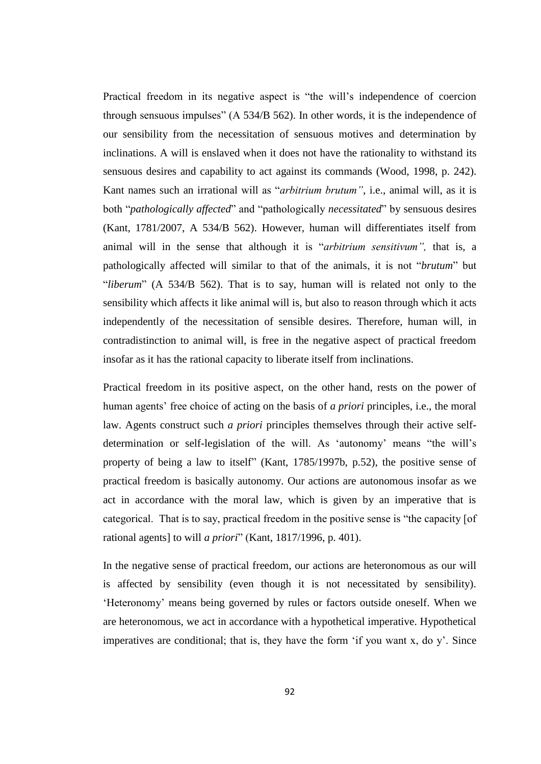Practical freedom in its negative aspect is "the will's independence of coercion through sensuous impulses" (A 534/B 562). In other words, it is the independence of our sensibility from the necessitation of sensuous motives and determination by inclinations. A will is enslaved when it does not have the rationality to withstand its sensuous desires and capability to act against its commands (Wood, 1998, p. 242). Kant names such an irrational will as "*arbitrium brutum"*, i.e., animal will, as it is both "*pathologically affected*" and "pathologically *necessitated*" by sensuous desires (Kant, 1781/2007, A 534/B 562). However, human will differentiates itself from animal will in the sense that although it is "*arbitrium sensitivum",* that is, a pathologically affected will similar to that of the animals, it is not "*brutum*" but "*liberum*" (A 534/B 562). That is to say, human will is related not only to the sensibility which affects it like animal will is, but also to reason through which it acts independently of the necessitation of sensible desires. Therefore, human will, in contradistinction to animal will, is free in the negative aspect of practical freedom insofar as it has the rational capacity to liberate itself from inclinations.

Practical freedom in its positive aspect, on the other hand, rests on the power of human agents' free choice of acting on the basis of *a priori* principles, i.e., the moral law. Agents construct such *a priori* principles themselves through their active selfdetermination or self-legislation of the will. As 'autonomy' means "the will's property of being a law to itself" (Kant, 1785/1997b, p.52), the positive sense of practical freedom is basically autonomy. Our actions are autonomous insofar as we act in accordance with the moral law, which is given by an imperative that is categorical. That is to say, practical freedom in the positive sense is "the capacity [of rational agents] to will *a priori*" (Kant, 1817/1996, p. 401).

In the negative sense of practical freedom, our actions are heteronomous as our will is affected by sensibility (even though it is not necessitated by sensibility). 'Heteronomy' means being governed by rules or factors outside oneself. When we are heteronomous, we act in accordance with a hypothetical imperative. Hypothetical imperatives are conditional; that is, they have the form 'if you want x, do y'. Since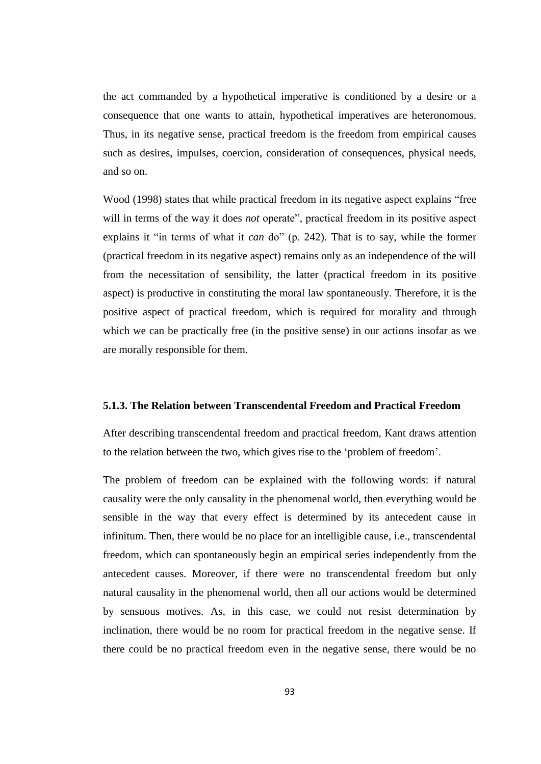the act commanded by a hypothetical imperative is conditioned by a desire or a consequence that one wants to attain, hypothetical imperatives are heteronomous. Thus, in its negative sense, practical freedom is the freedom from empirical causes such as desires, impulses, coercion, consideration of consequences, physical needs, and so on.

Wood (1998) states that while practical freedom in its negative aspect explains "free will in terms of the way it does *not* operate", practical freedom in its positive aspect explains it "in terms of what it *can* do" (p. 242). That is to say, while the former (practical freedom in its negative aspect) remains only as an independence of the will from the necessitation of sensibility, the latter (practical freedom in its positive aspect) is productive in constituting the moral law spontaneously. Therefore, it is the positive aspect of practical freedom, which is required for morality and through which we can be practically free (in the positive sense) in our actions insofar as we are morally responsible for them.

#### **5.1.3. The Relation between Transcendental Freedom and Practical Freedom**

After describing transcendental freedom and practical freedom, Kant draws attention to the relation between the two, which gives rise to the 'problem of freedom'.

The problem of freedom can be explained with the following words: if natural causality were the only causality in the phenomenal world, then everything would be sensible in the way that every effect is determined by its antecedent cause in infinitum. Then, there would be no place for an intelligible cause, i.e., transcendental freedom, which can spontaneously begin an empirical series independently from the antecedent causes. Moreover, if there were no transcendental freedom but only natural causality in the phenomenal world, then all our actions would be determined by sensuous motives. As, in this case, we could not resist determination by inclination, there would be no room for practical freedom in the negative sense. If there could be no practical freedom even in the negative sense, there would be no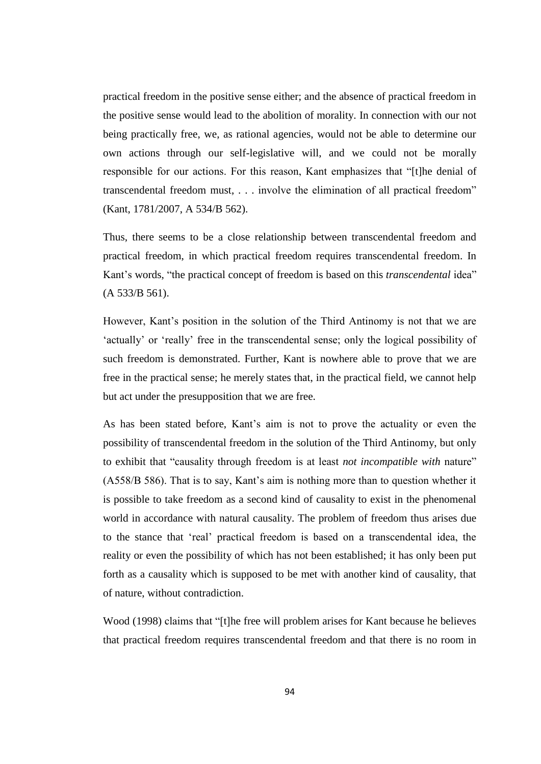practical freedom in the positive sense either; and the absence of practical freedom in the positive sense would lead to the abolition of morality. In connection with our not being practically free, we, as rational agencies, would not be able to determine our own actions through our self-legislative will, and we could not be morally responsible for our actions. For this reason, Kant emphasizes that "[t]he denial of transcendental freedom must, . . . involve the elimination of all practical freedom" (Kant, 1781/2007, A 534/B 562).

Thus, there seems to be a close relationship between transcendental freedom and practical freedom, in which practical freedom requires transcendental freedom. In Kant's words, "the practical concept of freedom is based on this *transcendental* idea" (A 533/B 561).

However, Kant's position in the solution of the Third Antinomy is not that we are 'actually' or 'really' free in the transcendental sense; only the logical possibility of such freedom is demonstrated. Further, Kant is nowhere able to prove that we are free in the practical sense; he merely states that, in the practical field, we cannot help but act under the presupposition that we are free.

As has been stated before, Kant's aim is not to prove the actuality or even the possibility of transcendental freedom in the solution of the Third Antinomy, but only to exhibit that "causality through freedom is at least *not incompatible with* nature" (A558/B 586). That is to say, Kant's aim is nothing more than to question whether it is possible to take freedom as a second kind of causality to exist in the phenomenal world in accordance with natural causality. The problem of freedom thus arises due to the stance that 'real' practical freedom is based on a transcendental idea, the reality or even the possibility of which has not been established; it has only been put forth as a causality which is supposed to be met with another kind of causality, that of nature, without contradiction.

Wood (1998) claims that "[t]he free will problem arises for Kant because he believes that practical freedom requires transcendental freedom and that there is no room in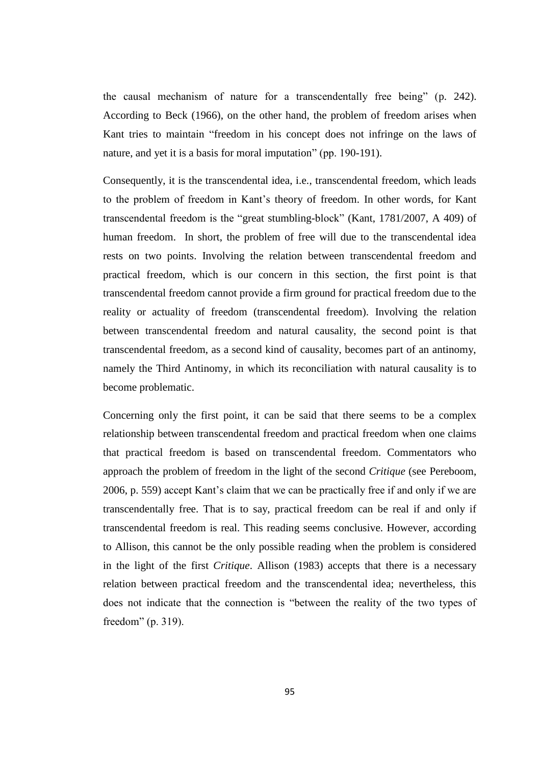the causal mechanism of nature for a transcendentally free being" (p. 242). According to Beck (1966), on the other hand, the problem of freedom arises when Kant tries to maintain "freedom in his concept does not infringe on the laws of nature, and yet it is a basis for moral imputation" (pp. 190-191).

Consequently, it is the transcendental idea, i.e., transcendental freedom, which leads to the problem of freedom in Kant's theory of freedom. In other words, for Kant transcendental freedom is the "great stumbling-block" (Kant, 1781/2007, A 409) of human freedom. In short, the problem of free will due to the transcendental idea rests on two points. Involving the relation between transcendental freedom and practical freedom, which is our concern in this section, the first point is that transcendental freedom cannot provide a firm ground for practical freedom due to the reality or actuality of freedom (transcendental freedom). Involving the relation between transcendental freedom and natural causality, the second point is that transcendental freedom, as a second kind of causality, becomes part of an antinomy, namely the Third Antinomy, in which its reconciliation with natural causality is to become problematic.

Concerning only the first point, it can be said that there seems to be a complex relationship between transcendental freedom and practical freedom when one claims that practical freedom is based on transcendental freedom. Commentators who approach the problem of freedom in the light of the second *Critique* (see Pereboom, 2006, p. 559) accept Kant's claim that we can be practically free if and only if we are transcendentally free. That is to say, practical freedom can be real if and only if transcendental freedom is real. This reading seems conclusive. However, according to Allison, this cannot be the only possible reading when the problem is considered in the light of the first *Critique*. Allison (1983) accepts that there is a necessary relation between practical freedom and the transcendental idea; nevertheless, this does not indicate that the connection is "between the reality of the two types of freedom" (p. 319).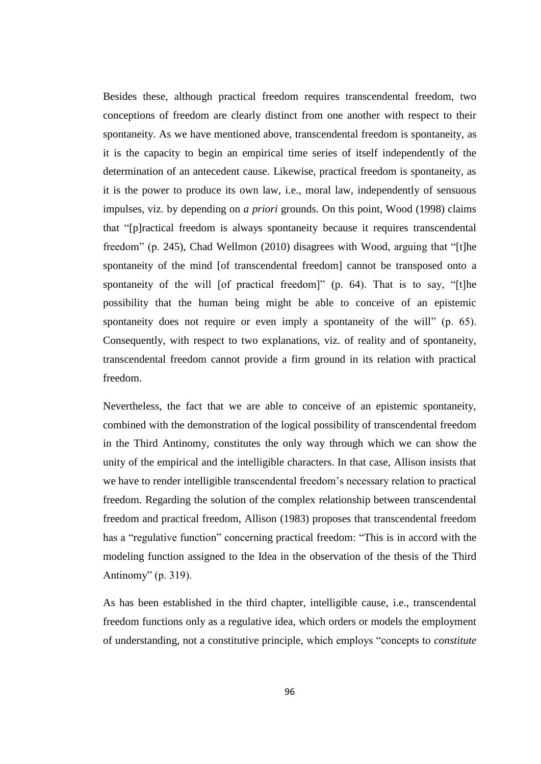Besides these, although practical freedom requires transcendental freedom, two conceptions of freedom are clearly distinct from one another with respect to their spontaneity. As we have mentioned above, transcendental freedom is spontaneity, as it is the capacity to begin an empirical time series of itself independently of the determination of an antecedent cause. Likewise, practical freedom is spontaneity, as it is the power to produce its own law, i.e., moral law, independently of sensuous impulses, viz. by depending on *a priori* grounds. On this point, Wood (1998) claims that "[p]ractical freedom is always spontaneity because it requires transcendental freedom" (p. 245), Chad Wellmon (2010) disagrees with Wood, arguing that "[t]he spontaneity of the mind [of transcendental freedom] cannot be transposed onto a spontaneity of the will [of practical freedom]" (p. 64). That is to say, "[t]he possibility that the human being might be able to conceive of an epistemic spontaneity does not require or even imply a spontaneity of the will" (p. 65). Consequently, with respect to two explanations, viz. of reality and of spontaneity, transcendental freedom cannot provide a firm ground in its relation with practical freedom.

Nevertheless, the fact that we are able to conceive of an epistemic spontaneity, combined with the demonstration of the logical possibility of transcendental freedom in the Third Antinomy, constitutes the only way through which we can show the unity of the empirical and the intelligible characters. In that case, Allison insists that we have to render intelligible transcendental freedom's necessary relation to practical freedom. Regarding the solution of the complex relationship between transcendental freedom and practical freedom, Allison (1983) proposes that transcendental freedom has a "regulative function" concerning practical freedom: "This is in accord with the modeling function assigned to the Idea in the observation of the thesis of the Third Antinomy" (p. 319).

As has been established in the third chapter, intelligible cause, i.e., transcendental freedom functions only as a regulative idea, which orders or models the employment of understanding, not a constitutive principle, which employs "concepts to *constitute*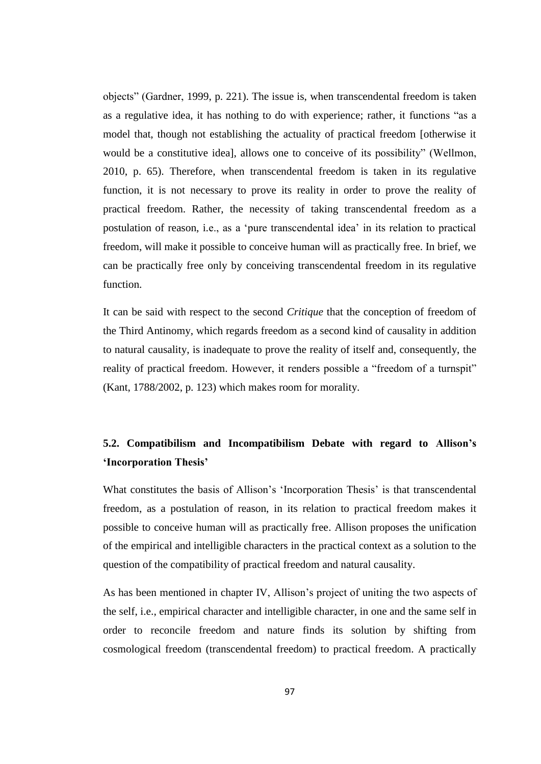objects" (Gardner, 1999, p. 221). The issue is, when transcendental freedom is taken as a regulative idea, it has nothing to do with experience; rather, it functions "as a model that, though not establishing the actuality of practical freedom [otherwise it would be a constitutive idea], allows one to conceive of its possibility" (Wellmon, 2010, p. 65). Therefore, when transcendental freedom is taken in its regulative function, it is not necessary to prove its reality in order to prove the reality of practical freedom. Rather, the necessity of taking transcendental freedom as a postulation of reason, i.e., as a 'pure transcendental idea' in its relation to practical freedom, will make it possible to conceive human will as practically free. In brief, we can be practically free only by conceiving transcendental freedom in its regulative function.

It can be said with respect to the second *Critique* that the conception of freedom of the Third Antinomy, which regards freedom as a second kind of causality in addition to natural causality, is inadequate to prove the reality of itself and, consequently, the reality of practical freedom. However, it renders possible a "freedom of a turnspit" (Kant, 1788/2002, p. 123) which makes room for morality.

# **5.2. Compatibilism and Incompatibilism Debate with regard to Allison's 'Incorporation Thesis'**

What constitutes the basis of Allison's 'Incorporation Thesis' is that transcendental freedom, as a postulation of reason, in its relation to practical freedom makes it possible to conceive human will as practically free. Allison proposes the unification of the empirical and intelligible characters in the practical context as a solution to the question of the compatibility of practical freedom and natural causality.

As has been mentioned in chapter IV, Allison's project of uniting the two aspects of the self, i.e., empirical character and intelligible character, in one and the same self in order to reconcile freedom and nature finds its solution by shifting from cosmological freedom (transcendental freedom) to practical freedom. A practically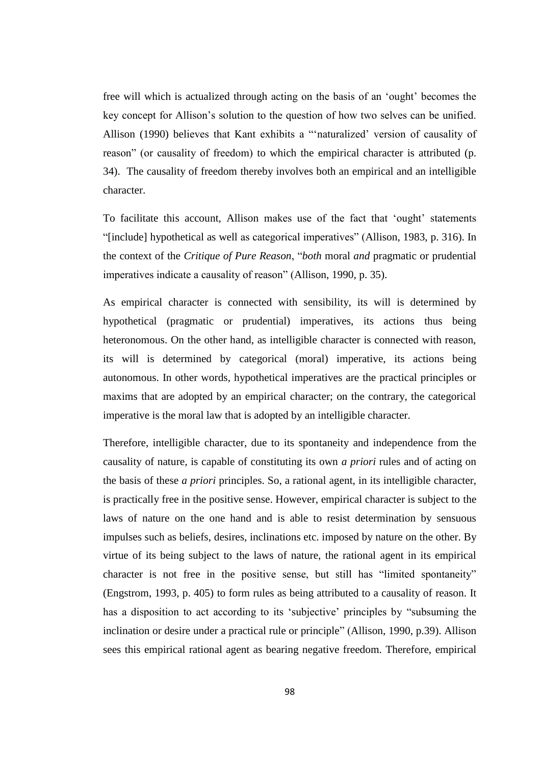free will which is actualized through acting on the basis of an 'ought' becomes the key concept for Allison's solution to the question of how two selves can be unified. Allison (1990) believes that Kant exhibits a "'naturalized' version of causality of reason" (or causality of freedom) to which the empirical character is attributed (p. 34). The causality of freedom thereby involves both an empirical and an intelligible character.

To facilitate this account, Allison makes use of the fact that 'ought' statements "[include] hypothetical as well as categorical imperatives" (Allison, 1983, p. 316). In the context of the *Critique of Pure Reason*, "*both* moral *and* pragmatic or prudential imperatives indicate a causality of reason" (Allison, 1990, p. 35).

As empirical character is connected with sensibility, its will is determined by hypothetical (pragmatic or prudential) imperatives, its actions thus being heteronomous. On the other hand, as intelligible character is connected with reason, its will is determined by categorical (moral) imperative, its actions being autonomous. In other words, hypothetical imperatives are the practical principles or maxims that are adopted by an empirical character; on the contrary, the categorical imperative is the moral law that is adopted by an intelligible character.

Therefore, intelligible character, due to its spontaneity and independence from the causality of nature, is capable of constituting its own *a priori* rules and of acting on the basis of these *a priori* principles. So, a rational agent, in its intelligible character, is practically free in the positive sense. However, empirical character is subject to the laws of nature on the one hand and is able to resist determination by sensuous impulses such as beliefs, desires, inclinations etc. imposed by nature on the other. By virtue of its being subject to the laws of nature, the rational agent in its empirical character is not free in the positive sense, but still has "limited spontaneity" (Engstrom, 1993, p. 405) to form rules as being attributed to a causality of reason. It has a disposition to act according to its 'subjective' principles by "subsuming the inclination or desire under a practical rule or principle" (Allison, 1990, p.39). Allison sees this empirical rational agent as bearing negative freedom. Therefore, empirical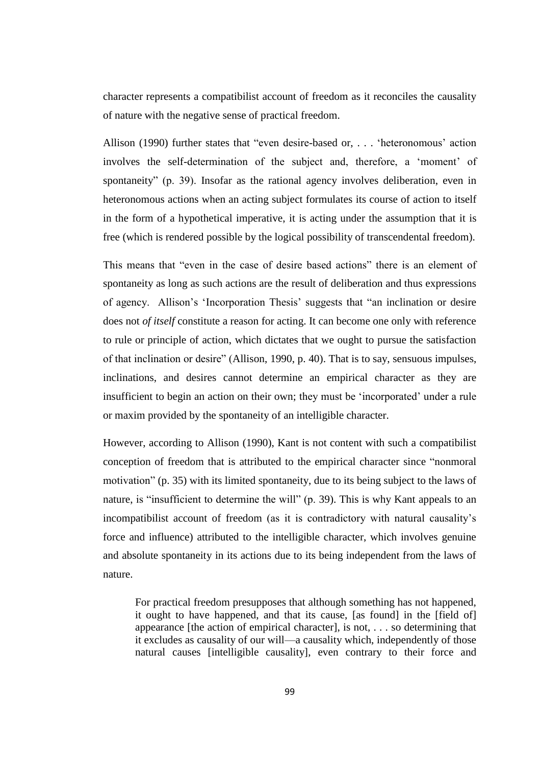character represents a compatibilist account of freedom as it reconciles the causality of nature with the negative sense of practical freedom.

Allison (1990) further states that "even desire-based or, . . . 'heteronomous' action involves the self-determination of the subject and, therefore, a 'moment' of spontaneity" (p. 39). Insofar as the rational agency involves deliberation, even in heteronomous actions when an acting subject formulates its course of action to itself in the form of a hypothetical imperative, it is acting under the assumption that it is free (which is rendered possible by the logical possibility of transcendental freedom).

This means that "even in the case of desire based actions" there is an element of spontaneity as long as such actions are the result of deliberation and thus expressions of agency. Allison's 'Incorporation Thesis' suggests that "an inclination or desire does not *of itself* constitute a reason for acting. It can become one only with reference to rule or principle of action, which dictates that we ought to pursue the satisfaction of that inclination or desire" (Allison, 1990, p. 40). That is to say, sensuous impulses, inclinations, and desires cannot determine an empirical character as they are insufficient to begin an action on their own; they must be 'incorporated' under a rule or maxim provided by the spontaneity of an intelligible character.

However, according to Allison (1990), Kant is not content with such a compatibilist conception of freedom that is attributed to the empirical character since "nonmoral motivation" (p. 35) with its limited spontaneity, due to its being subject to the laws of nature, is "insufficient to determine the will" (p. 39). This is why Kant appeals to an incompatibilist account of freedom (as it is contradictory with natural causality's force and influence) attributed to the intelligible character, which involves genuine and absolute spontaneity in its actions due to its being independent from the laws of nature.

For practical freedom presupposes that although something has not happened, it ought to have happened, and that its cause, [as found] in the [field of] appearance [the action of empirical character], is not, . . . so determining that it excludes as causality of our will—a causality which, independently of those natural causes [intelligible causality], even contrary to their force and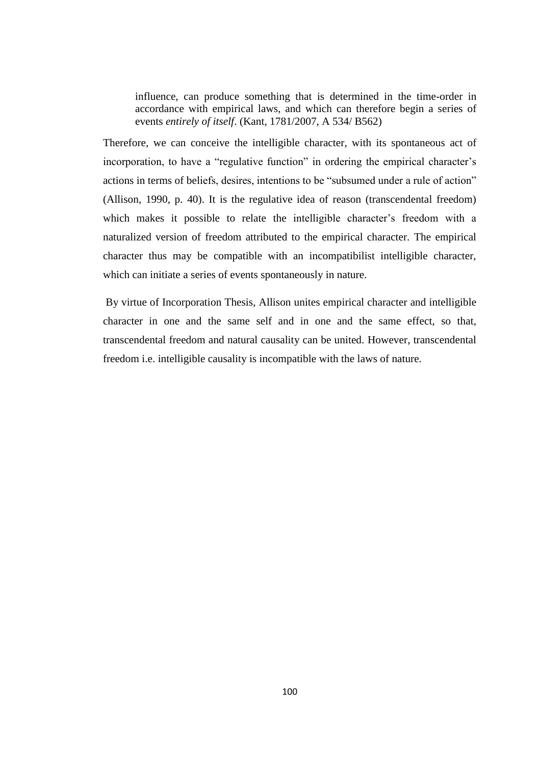influence, can produce something that is determined in the time-order in accordance with empirical laws, and which can therefore begin a series of events *entirely of itself*. (Kant, 1781/2007, A 534/ B562)

Therefore, we can conceive the intelligible character, with its spontaneous act of incorporation, to have a "regulative function" in ordering the empirical character's actions in terms of beliefs, desires, intentions to be "subsumed under a rule of action" (Allison, 1990, p. 40). It is the regulative idea of reason (transcendental freedom) which makes it possible to relate the intelligible character's freedom with a naturalized version of freedom attributed to the empirical character. The empirical character thus may be compatible with an incompatibilist intelligible character, which can initiate a series of events spontaneously in nature.

By virtue of Incorporation Thesis, Allison unites empirical character and intelligible character in one and the same self and in one and the same effect, so that, transcendental freedom and natural causality can be united. However, transcendental freedom i.e. intelligible causality is incompatible with the laws of nature.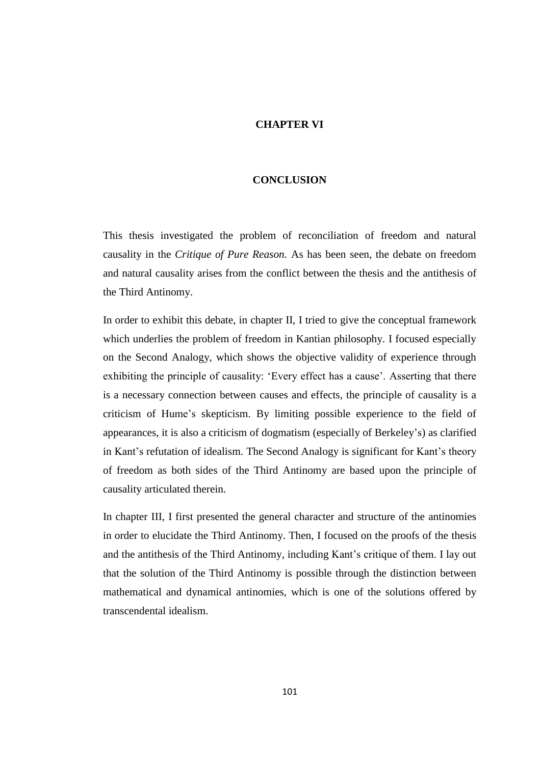## **CHAPTER VI**

#### **CONCLUSION**

This thesis investigated the problem of reconciliation of freedom and natural causality in the *Critique of Pure Reason.* As has been seen, the debate on freedom and natural causality arises from the conflict between the thesis and the antithesis of the Third Antinomy.

In order to exhibit this debate, in chapter II, I tried to give the conceptual framework which underlies the problem of freedom in Kantian philosophy. I focused especially on the Second Analogy, which shows the objective validity of experience through exhibiting the principle of causality: 'Every effect has a cause'. Asserting that there is a necessary connection between causes and effects, the principle of causality is a criticism of Hume's skepticism. By limiting possible experience to the field of appearances, it is also a criticism of dogmatism (especially of Berkeley's) as clarified in Kant's refutation of idealism. The Second Analogy is significant for Kant's theory of freedom as both sides of the Third Antinomy are based upon the principle of causality articulated therein.

In chapter III, I first presented the general character and structure of the antinomies in order to elucidate the Third Antinomy. Then, I focused on the proofs of the thesis and the antithesis of the Third Antinomy, including Kant's critique of them. I lay out that the solution of the Third Antinomy is possible through the distinction between mathematical and dynamical antinomies, which is one of the solutions offered by transcendental idealism.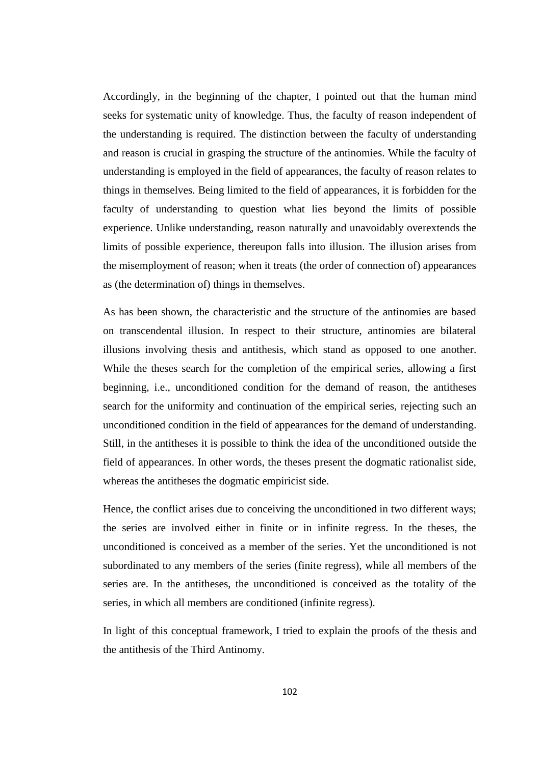Accordingly, in the beginning of the chapter, I pointed out that the human mind seeks for systematic unity of knowledge. Thus, the faculty of reason independent of the understanding is required. The distinction between the faculty of understanding and reason is crucial in grasping the structure of the antinomies. While the faculty of understanding is employed in the field of appearances, the faculty of reason relates to things in themselves. Being limited to the field of appearances, it is forbidden for the faculty of understanding to question what lies beyond the limits of possible experience. Unlike understanding, reason naturally and unavoidably overextends the limits of possible experience, thereupon falls into illusion. The illusion arises from the misemployment of reason; when it treats (the order of connection of) appearances as (the determination of) things in themselves.

As has been shown, the characteristic and the structure of the antinomies are based on transcendental illusion. In respect to their structure, antinomies are bilateral illusions involving thesis and antithesis, which stand as opposed to one another. While the theses search for the completion of the empirical series, allowing a first beginning, i.e., unconditioned condition for the demand of reason, the antitheses search for the uniformity and continuation of the empirical series, rejecting such an unconditioned condition in the field of appearances for the demand of understanding. Still, in the antitheses it is possible to think the idea of the unconditioned outside the field of appearances. In other words, the theses present the dogmatic rationalist side, whereas the antitheses the dogmatic empiricist side.

Hence, the conflict arises due to conceiving the unconditioned in two different ways; the series are involved either in finite or in infinite regress. In the theses, the unconditioned is conceived as a member of the series. Yet the unconditioned is not subordinated to any members of the series (finite regress), while all members of the series are. In the antitheses, the unconditioned is conceived as the totality of the series, in which all members are conditioned (infinite regress).

In light of this conceptual framework, I tried to explain the proofs of the thesis and the antithesis of the Third Antinomy.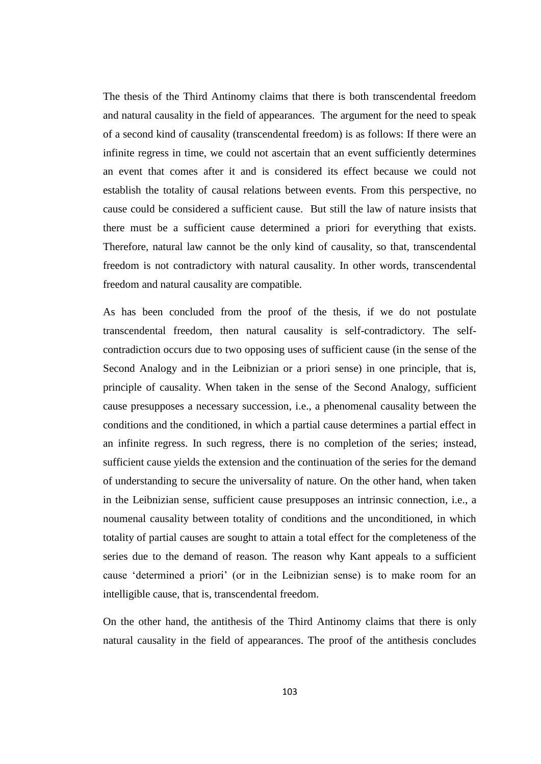The thesis of the Third Antinomy claims that there is both transcendental freedom and natural causality in the field of appearances. The argument for the need to speak of a second kind of causality (transcendental freedom) is as follows: If there were an infinite regress in time, we could not ascertain that an event sufficiently determines an event that comes after it and is considered its effect because we could not establish the totality of causal relations between events. From this perspective, no cause could be considered a sufficient cause. But still the law of nature insists that there must be a sufficient cause determined a priori for everything that exists. Therefore, natural law cannot be the only kind of causality, so that, transcendental freedom is not contradictory with natural causality. In other words, transcendental freedom and natural causality are compatible.

As has been concluded from the proof of the thesis, if we do not postulate transcendental freedom, then natural causality is self-contradictory. The selfcontradiction occurs due to two opposing uses of sufficient cause (in the sense of the Second Analogy and in the Leibnizian or a priori sense) in one principle, that is, principle of causality. When taken in the sense of the Second Analogy, sufficient cause presupposes a necessary succession, i.e., a phenomenal causality between the conditions and the conditioned, in which a partial cause determines a partial effect in an infinite regress. In such regress, there is no completion of the series; instead, sufficient cause yields the extension and the continuation of the series for the demand of understanding to secure the universality of nature. On the other hand, when taken in the Leibnizian sense, sufficient cause presupposes an intrinsic connection, i.e., a noumenal causality between totality of conditions and the unconditioned, in which totality of partial causes are sought to attain a total effect for the completeness of the series due to the demand of reason. The reason why Kant appeals to a sufficient cause 'determined a priori' (or in the Leibnizian sense) is to make room for an intelligible cause, that is, transcendental freedom.

On the other hand, the antithesis of the Third Antinomy claims that there is only natural causality in the field of appearances. The proof of the antithesis concludes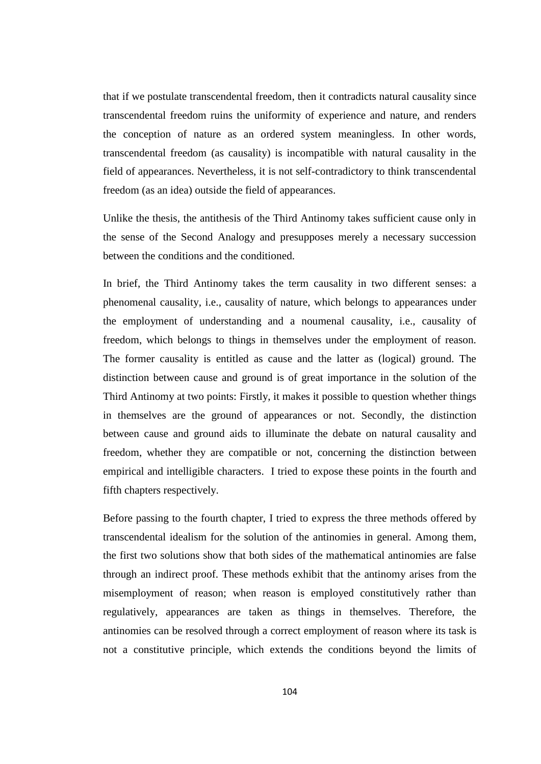that if we postulate transcendental freedom, then it contradicts natural causality since transcendental freedom ruins the uniformity of experience and nature, and renders the conception of nature as an ordered system meaningless. In other words, transcendental freedom (as causality) is incompatible with natural causality in the field of appearances. Nevertheless, it is not self-contradictory to think transcendental freedom (as an idea) outside the field of appearances.

Unlike the thesis, the antithesis of the Third Antinomy takes sufficient cause only in the sense of the Second Analogy and presupposes merely a necessary succession between the conditions and the conditioned.

In brief, the Third Antinomy takes the term causality in two different senses: a phenomenal causality, i.e., causality of nature, which belongs to appearances under the employment of understanding and a noumenal causality, i.e., causality of freedom, which belongs to things in themselves under the employment of reason. The former causality is entitled as cause and the latter as (logical) ground. The distinction between cause and ground is of great importance in the solution of the Third Antinomy at two points: Firstly, it makes it possible to question whether things in themselves are the ground of appearances or not. Secondly, the distinction between cause and ground aids to illuminate the debate on natural causality and freedom, whether they are compatible or not, concerning the distinction between empirical and intelligible characters. I tried to expose these points in the fourth and fifth chapters respectively.

Before passing to the fourth chapter, I tried to express the three methods offered by transcendental idealism for the solution of the antinomies in general. Among them, the first two solutions show that both sides of the mathematical antinomies are false through an indirect proof. These methods exhibit that the antinomy arises from the misemployment of reason; when reason is employed constitutively rather than regulatively, appearances are taken as things in themselves. Therefore, the antinomies can be resolved through a correct employment of reason where its task is not a constitutive principle, which extends the conditions beyond the limits of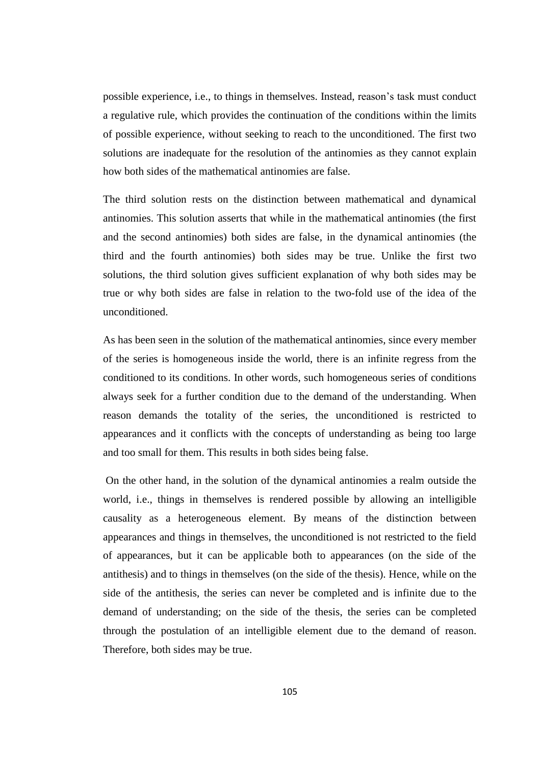possible experience, i.e., to things in themselves. Instead, reason's task must conduct a regulative rule, which provides the continuation of the conditions within the limits of possible experience, without seeking to reach to the unconditioned. The first two solutions are inadequate for the resolution of the antinomies as they cannot explain how both sides of the mathematical antinomies are false.

The third solution rests on the distinction between mathematical and dynamical antinomies. This solution asserts that while in the mathematical antinomies (the first and the second antinomies) both sides are false, in the dynamical antinomies (the third and the fourth antinomies) both sides may be true. Unlike the first two solutions, the third solution gives sufficient explanation of why both sides may be true or why both sides are false in relation to the two-fold use of the idea of the unconditioned.

As has been seen in the solution of the mathematical antinomies, since every member of the series is homogeneous inside the world, there is an infinite regress from the conditioned to its conditions. In other words, such homogeneous series of conditions always seek for a further condition due to the demand of the understanding. When reason demands the totality of the series, the unconditioned is restricted to appearances and it conflicts with the concepts of understanding as being too large and too small for them. This results in both sides being false.

On the other hand, in the solution of the dynamical antinomies a realm outside the world, i.e., things in themselves is rendered possible by allowing an intelligible causality as a heterogeneous element. By means of the distinction between appearances and things in themselves, the unconditioned is not restricted to the field of appearances, but it can be applicable both to appearances (on the side of the antithesis) and to things in themselves (on the side of the thesis). Hence, while on the side of the antithesis, the series can never be completed and is infinite due to the demand of understanding; on the side of the thesis, the series can be completed through the postulation of an intelligible element due to the demand of reason. Therefore, both sides may be true.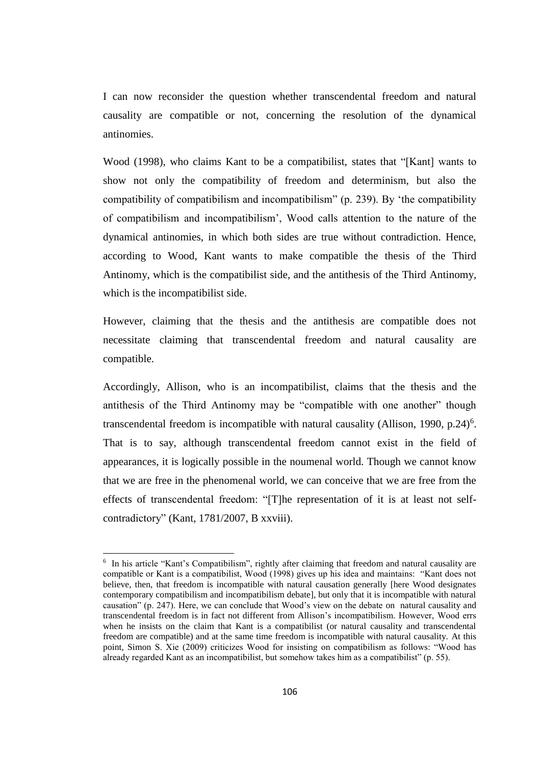I can now reconsider the question whether transcendental freedom and natural causality are compatible or not, concerning the resolution of the dynamical antinomies.

Wood (1998), who claims Kant to be a compatibilist, states that "[Kant] wants to show not only the compatibility of freedom and determinism, but also the compatibility of compatibilism and incompatibilism" (p. 239). By 'the compatibility of compatibilism and incompatibilism', Wood calls attention to the nature of the dynamical antinomies, in which both sides are true without contradiction. Hence, according to Wood, Kant wants to make compatible the thesis of the Third Antinomy, which is the compatibilist side, and the antithesis of the Third Antinomy, which is the incompatibilist side.

However, claiming that the thesis and the antithesis are compatible does not necessitate claiming that transcendental freedom and natural causality are compatible.

Accordingly, Allison, who is an incompatibilist, claims that the thesis and the antithesis of the Third Antinomy may be "compatible with one another" though transcendental freedom is incompatible with natural causality (Allison, 1990, p.24)<sup>6</sup>. That is to say, although transcendental freedom cannot exist in the field of appearances, it is logically possible in the noumenal world. Though we cannot know that we are free in the phenomenal world, we can conceive that we are free from the effects of transcendental freedom: "[T]he representation of it is at least not selfcontradictory" (Kant, 1781/2007, B xxviii).

 $\overline{a}$ 

<sup>&</sup>lt;sup>6</sup> In his article "Kant's Compatibilism", rightly after claiming that freedom and natural causality are compatible or Kant is a compatibilist, Wood (1998) gives up his idea and maintains: "Kant does not believe, then, that freedom is incompatible with natural causation generally [here Wood designates contemporary compatibilism and incompatibilism debate], but only that it is incompatible with natural causation" (p. 247). Here, we can conclude that Wood's view on the debate on natural causality and transcendental freedom is in fact not different from Allison's incompatibilism. However, Wood errs when he insists on the claim that Kant is a compatibilist (or natural causality and transcendental freedom are compatible) and at the same time freedom is incompatible with natural causality. At this point, Simon S. Xie (2009) criticizes Wood for insisting on compatibilism as follows: "Wood has already regarded Kant as an incompatibilist, but somehow takes him as a compatibilist" (p. 55).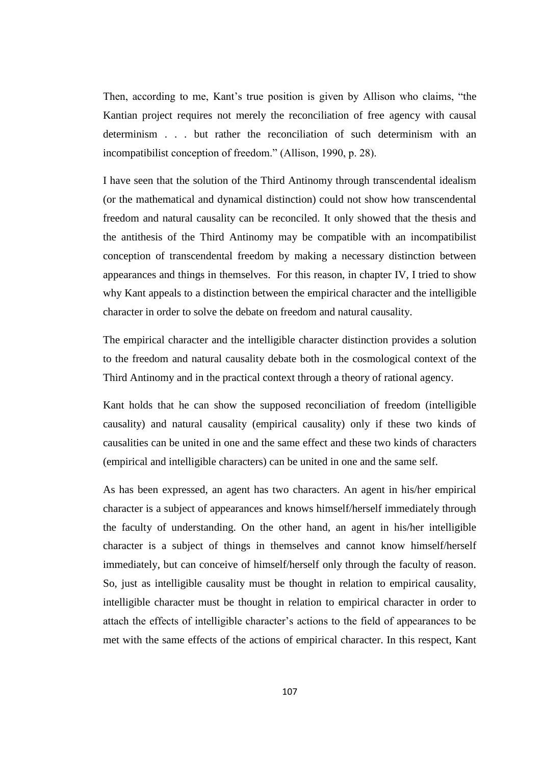Then, according to me, Kant's true position is given by Allison who claims, "the Kantian project requires not merely the reconciliation of free agency with causal determinism . . . but rather the reconciliation of such determinism with an incompatibilist conception of freedom." (Allison, 1990, p. 28).

I have seen that the solution of the Third Antinomy through transcendental idealism (or the mathematical and dynamical distinction) could not show how transcendental freedom and natural causality can be reconciled. It only showed that the thesis and the antithesis of the Third Antinomy may be compatible with an incompatibilist conception of transcendental freedom by making a necessary distinction between appearances and things in themselves. For this reason, in chapter IV, I tried to show why Kant appeals to a distinction between the empirical character and the intelligible character in order to solve the debate on freedom and natural causality.

The empirical character and the intelligible character distinction provides a solution to the freedom and natural causality debate both in the cosmological context of the Third Antinomy and in the practical context through a theory of rational agency.

Kant holds that he can show the supposed reconciliation of freedom (intelligible causality) and natural causality (empirical causality) only if these two kinds of causalities can be united in one and the same effect and these two kinds of characters (empirical and intelligible characters) can be united in one and the same self.

As has been expressed, an agent has two characters. An agent in his/her empirical character is a subject of appearances and knows himself/herself immediately through the faculty of understanding. On the other hand, an agent in his/her intelligible character is a subject of things in themselves and cannot know himself/herself immediately, but can conceive of himself/herself only through the faculty of reason. So, just as intelligible causality must be thought in relation to empirical causality, intelligible character must be thought in relation to empirical character in order to attach the effects of intelligible character's actions to the field of appearances to be met with the same effects of the actions of empirical character. In this respect, Kant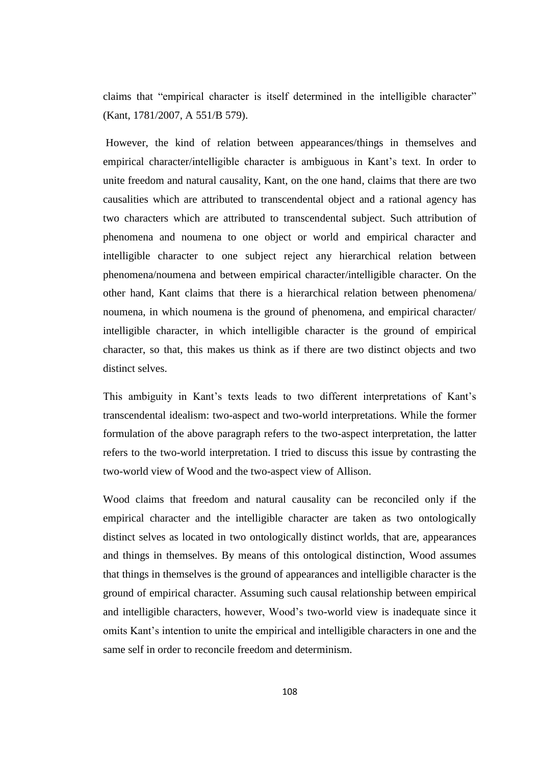claims that "empirical character is itself determined in the intelligible character" (Kant, 1781/2007, A 551/B 579).

However, the kind of relation between appearances/things in themselves and empirical character/intelligible character is ambiguous in Kant's text. In order to unite freedom and natural causality, Kant, on the one hand, claims that there are two causalities which are attributed to transcendental object and a rational agency has two characters which are attributed to transcendental subject. Such attribution of phenomena and noumena to one object or world and empirical character and intelligible character to one subject reject any hierarchical relation between phenomena/noumena and between empirical character/intelligible character. On the other hand, Kant claims that there is a hierarchical relation between phenomena/ noumena, in which noumena is the ground of phenomena, and empirical character/ intelligible character, in which intelligible character is the ground of empirical character, so that, this makes us think as if there are two distinct objects and two distinct selves.

This ambiguity in Kant's texts leads to two different interpretations of Kant's transcendental idealism: two-aspect and two-world interpretations. While the former formulation of the above paragraph refers to the two-aspect interpretation, the latter refers to the two-world interpretation. I tried to discuss this issue by contrasting the two-world view of Wood and the two-aspect view of Allison.

Wood claims that freedom and natural causality can be reconciled only if the empirical character and the intelligible character are taken as two ontologically distinct selves as located in two ontologically distinct worlds, that are, appearances and things in themselves. By means of this ontological distinction, Wood assumes that things in themselves is the ground of appearances and intelligible character is the ground of empirical character. Assuming such causal relationship between empirical and intelligible characters, however, Wood's two-world view is inadequate since it omits Kant's intention to unite the empirical and intelligible characters in one and the same self in order to reconcile freedom and determinism.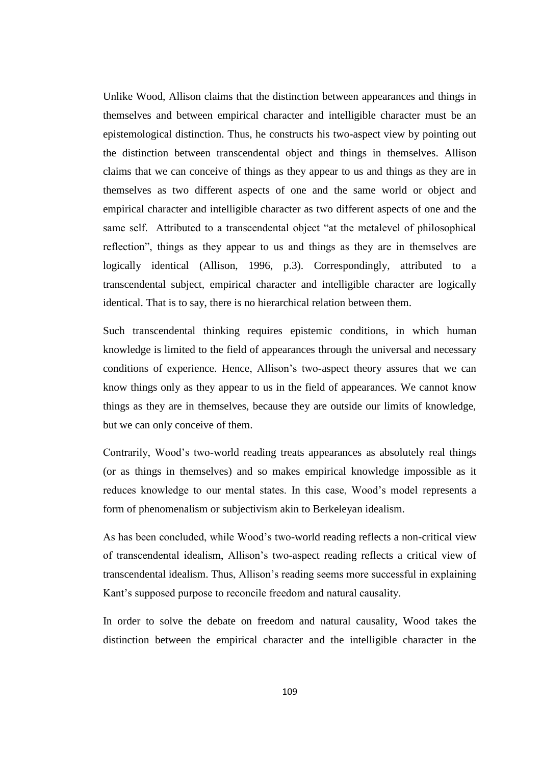Unlike Wood, Allison claims that the distinction between appearances and things in themselves and between empirical character and intelligible character must be an epistemological distinction. Thus, he constructs his two-aspect view by pointing out the distinction between transcendental object and things in themselves. Allison claims that we can conceive of things as they appear to us and things as they are in themselves as two different aspects of one and the same world or object and empirical character and intelligible character as two different aspects of one and the same self. Attributed to a transcendental object "at the metalevel of philosophical reflection", things as they appear to us and things as they are in themselves are logically identical (Allison, 1996, p.3). Correspondingly, attributed to a transcendental subject, empirical character and intelligible character are logically identical. That is to say, there is no hierarchical relation between them.

Such transcendental thinking requires epistemic conditions, in which human knowledge is limited to the field of appearances through the universal and necessary conditions of experience. Hence, Allison's two-aspect theory assures that we can know things only as they appear to us in the field of appearances. We cannot know things as they are in themselves, because they are outside our limits of knowledge, but we can only conceive of them.

Contrarily, Wood's two-world reading treats appearances as absolutely real things (or as things in themselves) and so makes empirical knowledge impossible as it reduces knowledge to our mental states. In this case, Wood's model represents a form of phenomenalism or subjectivism akin to Berkeleyan idealism.

As has been concluded, while Wood's two-world reading reflects a non-critical view of transcendental idealism, Allison's two-aspect reading reflects a critical view of transcendental idealism. Thus, Allison's reading seems more successful in explaining Kant's supposed purpose to reconcile freedom and natural causality.

In order to solve the debate on freedom and natural causality, Wood takes the distinction between the empirical character and the intelligible character in the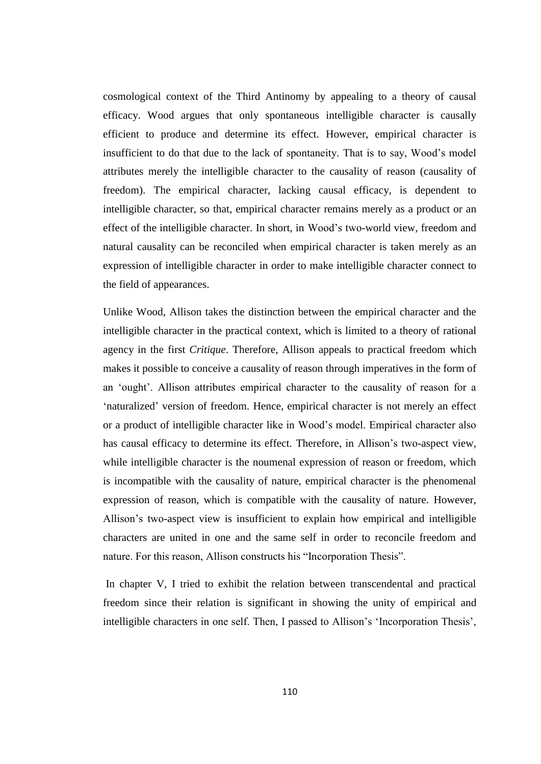cosmological context of the Third Antinomy by appealing to a theory of causal efficacy. Wood argues that only spontaneous intelligible character is causally efficient to produce and determine its effect. However, empirical character is insufficient to do that due to the lack of spontaneity. That is to say, Wood's model attributes merely the intelligible character to the causality of reason (causality of freedom). The empirical character, lacking causal efficacy, is dependent to intelligible character, so that, empirical character remains merely as a product or an effect of the intelligible character. In short, in Wood's two-world view, freedom and natural causality can be reconciled when empirical character is taken merely as an expression of intelligible character in order to make intelligible character connect to the field of appearances.

Unlike Wood, Allison takes the distinction between the empirical character and the intelligible character in the practical context, which is limited to a theory of rational agency in the first *Critique*. Therefore, Allison appeals to practical freedom which makes it possible to conceive a causality of reason through imperatives in the form of an 'ought'. Allison attributes empirical character to the causality of reason for a 'naturalized' version of freedom. Hence, empirical character is not merely an effect or a product of intelligible character like in Wood's model. Empirical character also has causal efficacy to determine its effect. Therefore, in Allison's two-aspect view, while intelligible character is the noumenal expression of reason or freedom, which is incompatible with the causality of nature, empirical character is the phenomenal expression of reason, which is compatible with the causality of nature. However, Allison's two-aspect view is insufficient to explain how empirical and intelligible characters are united in one and the same self in order to reconcile freedom and nature. For this reason, Allison constructs his "Incorporation Thesis".

In chapter V, I tried to exhibit the relation between transcendental and practical freedom since their relation is significant in showing the unity of empirical and intelligible characters in one self. Then, I passed to Allison's 'Incorporation Thesis',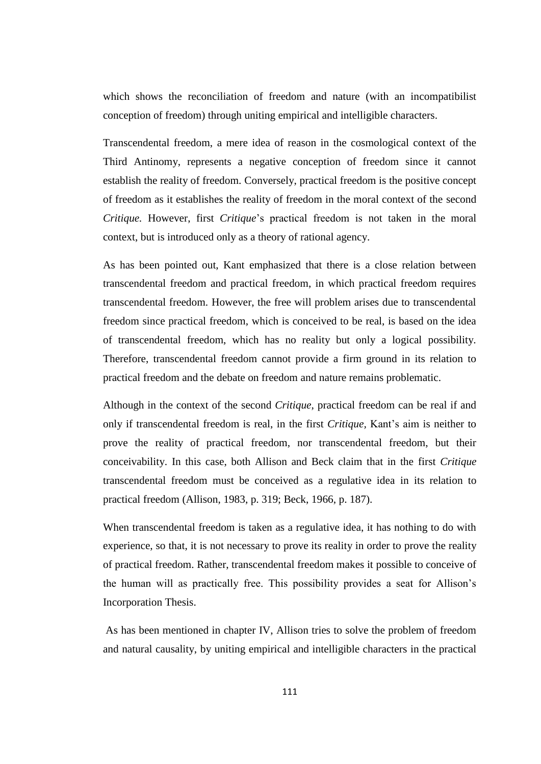which shows the reconciliation of freedom and nature (with an incompatibilist conception of freedom) through uniting empirical and intelligible characters.

Transcendental freedom, a mere idea of reason in the cosmological context of the Third Antinomy, represents a negative conception of freedom since it cannot establish the reality of freedom. Conversely, practical freedom is the positive concept of freedom as it establishes the reality of freedom in the moral context of the second *Critique.* However, first *Critique*'s practical freedom is not taken in the moral context, but is introduced only as a theory of rational agency.

As has been pointed out, Kant emphasized that there is a close relation between transcendental freedom and practical freedom, in which practical freedom requires transcendental freedom. However, the free will problem arises due to transcendental freedom since practical freedom, which is conceived to be real, is based on the idea of transcendental freedom, which has no reality but only a logical possibility. Therefore, transcendental freedom cannot provide a firm ground in its relation to practical freedom and the debate on freedom and nature remains problematic.

Although in the context of the second *Critique*, practical freedom can be real if and only if transcendental freedom is real, in the first *Critique,* Kant's aim is neither to prove the reality of practical freedom, nor transcendental freedom, but their conceivability. In this case, both Allison and Beck claim that in the first *Critique*  transcendental freedom must be conceived as a regulative idea in its relation to practical freedom (Allison, 1983, p. 319; Beck, 1966, p. 187).

When transcendental freedom is taken as a regulative idea, it has nothing to do with experience, so that, it is not necessary to prove its reality in order to prove the reality of practical freedom. Rather, transcendental freedom makes it possible to conceive of the human will as practically free. This possibility provides a seat for Allison's Incorporation Thesis.

As has been mentioned in chapter IV, Allison tries to solve the problem of freedom and natural causality, by uniting empirical and intelligible characters in the practical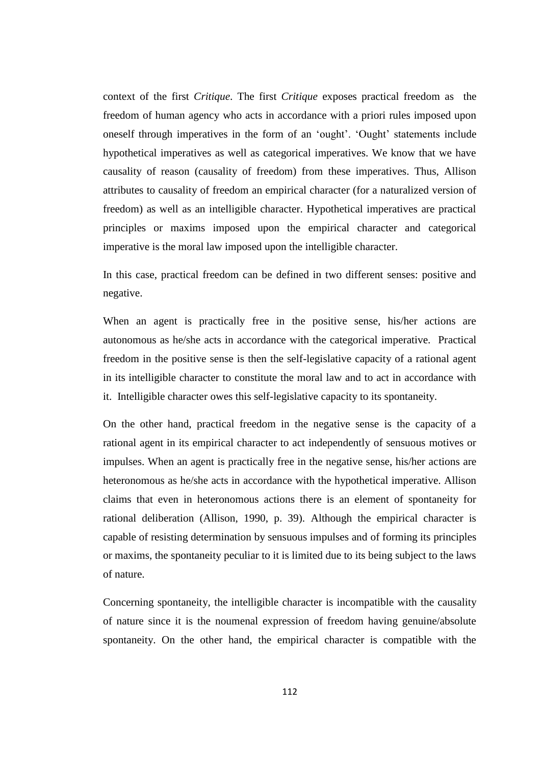context of the first *Critique*. The first *Critique* exposes practical freedom as the freedom of human agency who acts in accordance with a priori rules imposed upon oneself through imperatives in the form of an 'ought'. 'Ought' statements include hypothetical imperatives as well as categorical imperatives. We know that we have causality of reason (causality of freedom) from these imperatives. Thus, Allison attributes to causality of freedom an empirical character (for a naturalized version of freedom) as well as an intelligible character. Hypothetical imperatives are practical principles or maxims imposed upon the empirical character and categorical imperative is the moral law imposed upon the intelligible character.

In this case, practical freedom can be defined in two different senses: positive and negative.

When an agent is practically free in the positive sense, his/her actions are autonomous as he/she acts in accordance with the categorical imperative. Practical freedom in the positive sense is then the self-legislative capacity of a rational agent in its intelligible character to constitute the moral law and to act in accordance with it. Intelligible character owes this self-legislative capacity to its spontaneity.

On the other hand, practical freedom in the negative sense is the capacity of a rational agent in its empirical character to act independently of sensuous motives or impulses. When an agent is practically free in the negative sense, his/her actions are heteronomous as he/she acts in accordance with the hypothetical imperative. Allison claims that even in heteronomous actions there is an element of spontaneity for rational deliberation (Allison, 1990, p. 39). Although the empirical character is capable of resisting determination by sensuous impulses and of forming its principles or maxims, the spontaneity peculiar to it is limited due to its being subject to the laws of nature.

Concerning spontaneity, the intelligible character is incompatible with the causality of nature since it is the noumenal expression of freedom having genuine/absolute spontaneity. On the other hand, the empirical character is compatible with the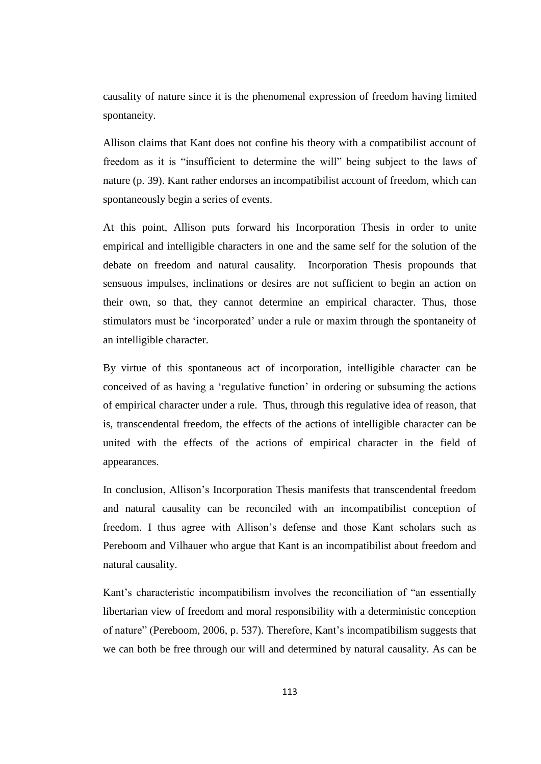causality of nature since it is the phenomenal expression of freedom having limited spontaneity.

Allison claims that Kant does not confine his theory with a compatibilist account of freedom as it is "insufficient to determine the will" being subject to the laws of nature (p. 39). Kant rather endorses an incompatibilist account of freedom, which can spontaneously begin a series of events.

At this point, Allison puts forward his Incorporation Thesis in order to unite empirical and intelligible characters in one and the same self for the solution of the debate on freedom and natural causality. Incorporation Thesis propounds that sensuous impulses, inclinations or desires are not sufficient to begin an action on their own, so that, they cannot determine an empirical character. Thus, those stimulators must be 'incorporated' under a rule or maxim through the spontaneity of an intelligible character.

By virtue of this spontaneous act of incorporation, intelligible character can be conceived of as having a 'regulative function' in ordering or subsuming the actions of empirical character under a rule. Thus, through this regulative idea of reason, that is, transcendental freedom, the effects of the actions of intelligible character can be united with the effects of the actions of empirical character in the field of appearances.

In conclusion, Allison's Incorporation Thesis manifests that transcendental freedom and natural causality can be reconciled with an incompatibilist conception of freedom. I thus agree with Allison's defense and those Kant scholars such as Pereboom and Vilhauer who argue that Kant is an incompatibilist about freedom and natural causality.

Kant's characteristic incompatibilism involves the reconciliation of "an essentially libertarian view of freedom and moral responsibility with a deterministic conception of nature" (Pereboom, 2006, p. 537). Therefore, Kant's incompatibilism suggests that we can both be free through our will and determined by natural causality. As can be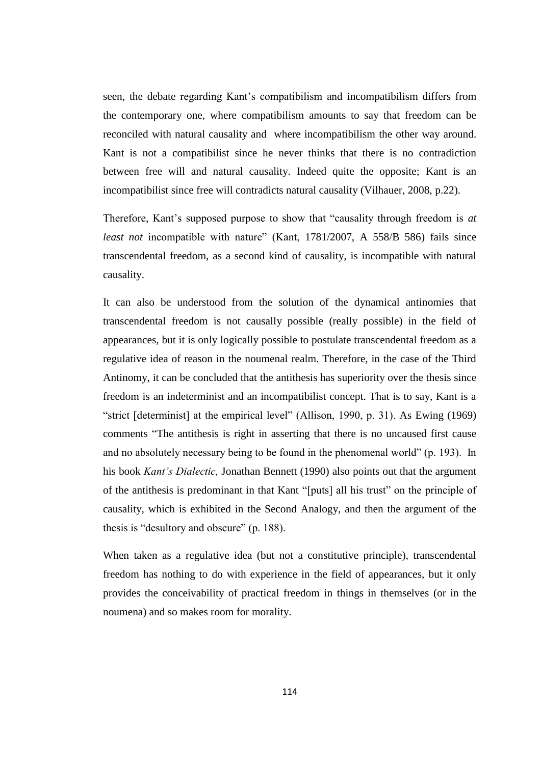seen, the debate regarding Kant's compatibilism and incompatibilism differs from the contemporary one, where compatibilism amounts to say that freedom can be reconciled with natural causality and where incompatibilism the other way around. Kant is not a compatibilist since he never thinks that there is no contradiction between free will and natural causality. Indeed quite the opposite; Kant is an incompatibilist since free will contradicts natural causality (Vilhauer, 2008, p.22).

Therefore, Kant's supposed purpose to show that "causality through freedom is *at least not* incompatible with nature" (Kant, 1781/2007, A 558/B 586) fails since transcendental freedom, as a second kind of causality, is incompatible with natural causality.

It can also be understood from the solution of the dynamical antinomies that transcendental freedom is not causally possible (really possible) in the field of appearances, but it is only logically possible to postulate transcendental freedom as a regulative idea of reason in the noumenal realm. Therefore, in the case of the Third Antinomy, it can be concluded that the antithesis has superiority over the thesis since freedom is an indeterminist and an incompatibilist concept. That is to say, Kant is a "strict [determinist] at the empirical level" (Allison, 1990, p. 31). As Ewing (1969) comments "The antithesis is right in asserting that there is no uncaused first cause and no absolutely necessary being to be found in the phenomenal world" (p. 193). In his book *Kant's Dialectic,* Jonathan Bennett (1990) also points out that the argument of the antithesis is predominant in that Kant "[puts] all his trust" on the principle of causality, which is exhibited in the Second Analogy, and then the argument of the thesis is "desultory and obscure" (p. 188).

When taken as a regulative idea (but not a constitutive principle), transcendental freedom has nothing to do with experience in the field of appearances, but it only provides the conceivability of practical freedom in things in themselves (or in the noumena) and so makes room for morality.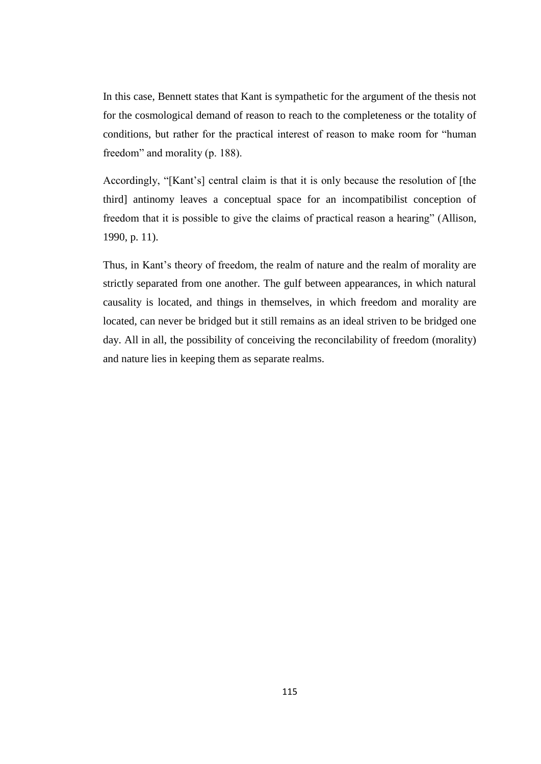In this case, Bennett states that Kant is sympathetic for the argument of the thesis not for the cosmological demand of reason to reach to the completeness or the totality of conditions, but rather for the practical interest of reason to make room for "human freedom" and morality (p. 188).

Accordingly, "[Kant's] central claim is that it is only because the resolution of [the third] antinomy leaves a conceptual space for an incompatibilist conception of freedom that it is possible to give the claims of practical reason a hearing" (Allison, 1990, p. 11).

Thus, in Kant's theory of freedom, the realm of nature and the realm of morality are strictly separated from one another. The gulf between appearances, in which natural causality is located, and things in themselves, in which freedom and morality are located, can never be bridged but it still remains as an ideal striven to be bridged one day. All in all, the possibility of conceiving the reconcilability of freedom (morality) and nature lies in keeping them as separate realms.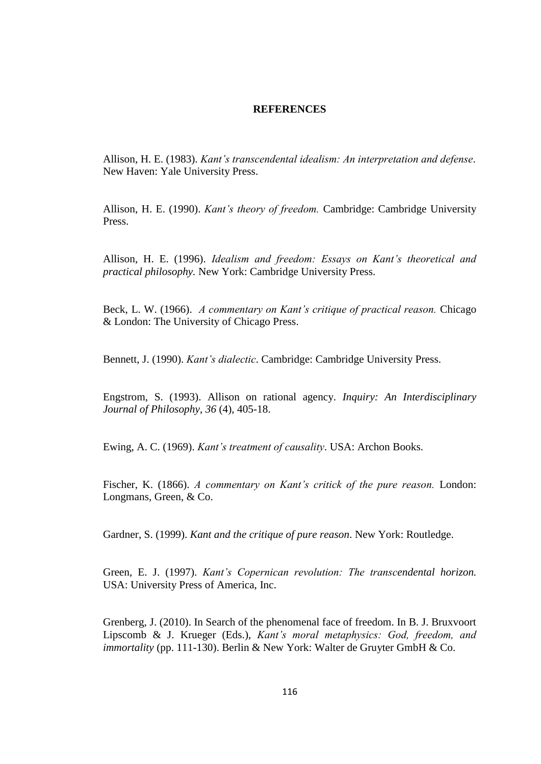#### **REFERENCES**

Allison, H. E. (1983). *Kant's transcendental idealism: An interpretation and defense*. New Haven: Yale University Press.

Allison, H. E. (1990). *Kant's theory of freedom.* Cambridge: Cambridge University Press.

Allison, H. E. (1996). *Idealism and freedom: Essays on Kant's theoretical and practical philosophy.* New York: Cambridge University Press.

Beck, L. W. (1966). *A commentary on Kant's critique of practical reason.* Chicago & London: The University of Chicago Press.

Bennett, J. (1990). *Kant's dialectic*. Cambridge: Cambridge University Press.

Engstrom, S. (1993). Allison on rational agency. *Inquiry: An Interdisciplinary Journal of Philosophy*, *36* (4), 405-18.

Ewing, A. C. (1969). *Kant's treatment of causality*. USA: Archon Books.

Fischer, K. (1866). *A commentary on Kant's critick of the pure reason.* London: Longmans, Green, & Co.

Gardner, S. (1999). *Kant and the critique of pure reason*. New York: Routledge.

Green, E. J. (1997). *Kant's Copernican revolution: The transcendental horizon.*  USA: University Press of America, Inc.

Grenberg, J. (2010). In Search of the phenomenal face of freedom. In B. J. Bruxvoort Lipscomb & J. Krueger (Eds.), *Kant's moral metaphysics: God, freedom, and immortality* (pp. 111-130). Berlin & New York: Walter de Gruyter GmbH & Co.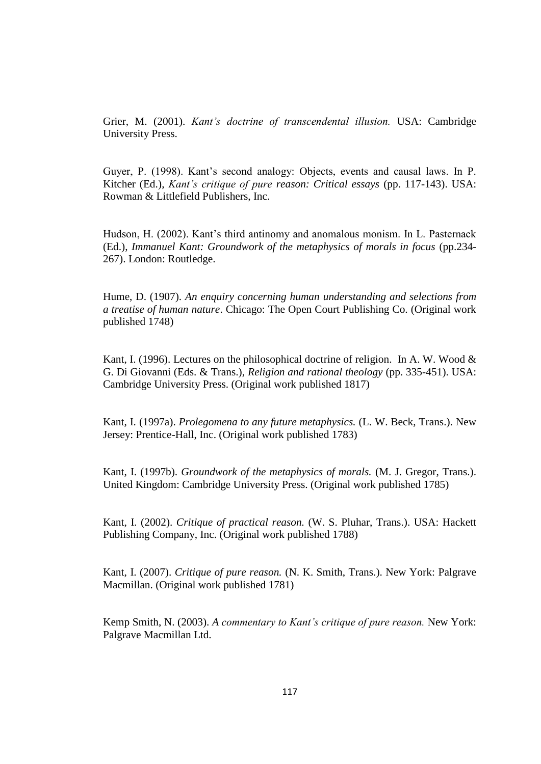Grier, M. (2001). *Kant's doctrine of transcendental illusion.* USA: Cambridge University Press.

Guyer, P. (1998). Kant's second analogy: Objects, events and causal laws. In P. Kitcher (Ed.), *Kant's critique of pure reason: Critical essays* (pp. 117-143). USA: Rowman & Littlefield Publishers, Inc.

Hudson, H. (2002). Kant's third antinomy and anomalous monism. In L. Pasternack (Ed.), *Immanuel Kant: Groundwork of the metaphysics of morals in focus* (pp.234- 267). London: Routledge.

Hume, D. (1907). *An enquiry concerning human understanding and selections from a treatise of human nature*. Chicago: The Open Court Publishing Co. (Original work published 1748)

Kant, I. (1996). Lectures on the philosophical doctrine of religion. In A. W. Wood  $\&$ G. Di Giovanni (Eds. & Trans.), *Religion and rational theology* (pp. 335-451). USA: Cambridge University Press. (Original work published 1817)

Kant, I. (1997a). *Prolegomena to any future metaphysics.* (L. W. Beck, Trans.). New Jersey: Prentice-Hall, Inc. (Original work published 1783)

Kant, I. (1997b). *Groundwork of the metaphysics of morals.* (M. J. Gregor, Trans.). United Kingdom: Cambridge University Press. (Original work published 1785)

Kant, I. (2002). *Critique of practical reason.* (W. S. Pluhar, Trans.). USA: Hackett Publishing Company, Inc. (Original work published 1788)

Kant, I. (2007). *Critique of pure reason.* (N. K. Smith, Trans.). New York: Palgrave Macmillan. (Original work published 1781)

Kemp Smith, N. (2003). *A commentary to Kant's critique of pure reason.* New York: Palgrave Macmillan Ltd.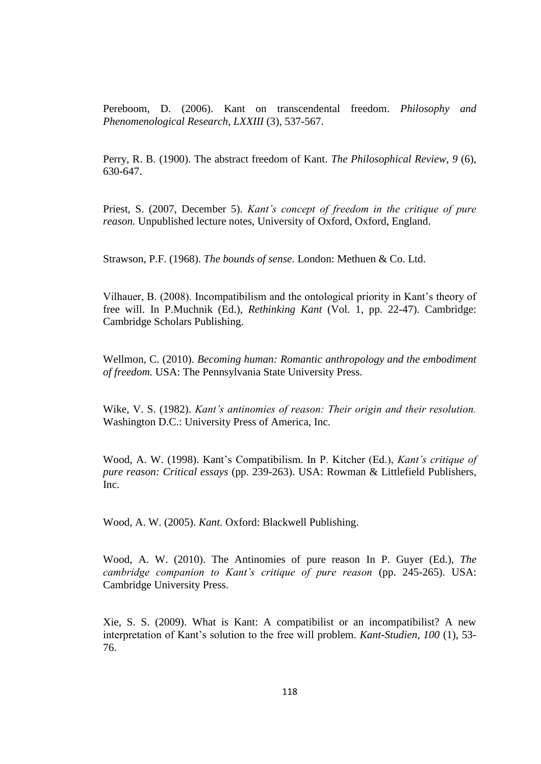Pereboom, D. (2006). Kant on transcendental freedom. *Philosophy and Phenomenological Research, LXXIII* (3), 537-567.

Perry, R. B. (1900). The abstract freedom of Kant. *The Philosophical Review, 9* (6), 630-647.

Priest, S. (2007, December 5). *Kant's concept of freedom in the critique of pure reason.* Unpublished lecture notes, University of Oxford, Oxford, England.

Strawson, P.F. (1968). *The bounds of sense*. London: Methuen & Co. Ltd.

Vilhauer, B. (2008). Incompatibilism and the ontological priority in Kant's theory of free will. In P.Muchnik (Ed.), *Rethinking Kant* (Vol. 1, pp. 22-47). Cambridge: Cambridge Scholars Publishing.

Wellmon, C. (2010). *Becoming human: Romantic anthropology and the embodiment of freedom.* USA: The Pennsylvania State University Press.

Wike, V. S. (1982). *Kant's antinomies of reason: Their origin and their resolution.*  Washington D.C.: University Press of America, Inc.

Wood, A. W. (1998). Kant's Compatibilism. In P. Kitcher (Ed.), *Kant's critique of pure reason: Critical essays* (pp. 239-263). USA: Rowman & Littlefield Publishers, Inc.

Wood, A. W. (2005). *Kant.* Oxford: Blackwell Publishing.

Wood, A. W. (2010). The Antinomies of pure reason In P. Guyer (Ed.), *The cambridge companion to Kant's critique of pure reason* (pp. 245-265). USA: Cambridge University Press.

Xie, S. S. (2009). What is Kant: A compatibilist or an incompatibilist? A new interpretation of Kant's solution to the free will problem. *Kant-Studien, 100* (1), 53- 76.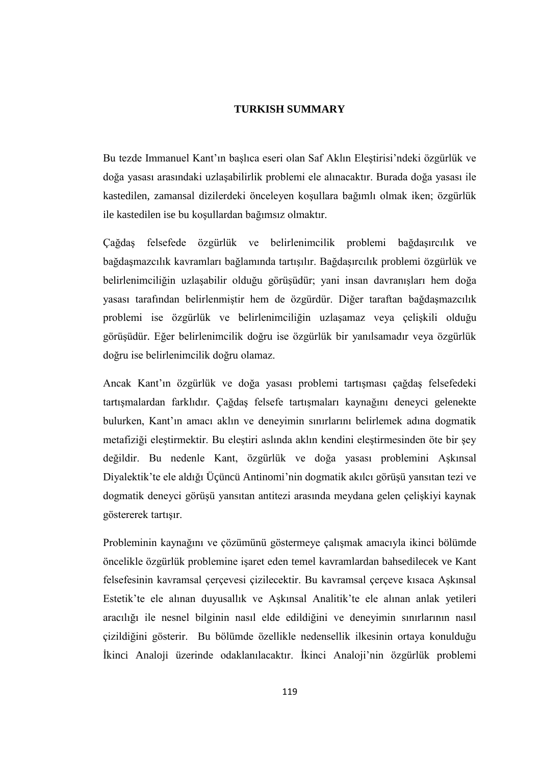### **TURKISH SUMMARY**

Bu tezde Immanuel Kant'ın başlıca eseri olan Saf Aklın Eleştirisi'ndeki özgürlük ve doğa yasası arasındaki uzlaşabilirlik problemi ele alınacaktır. Burada doğa yasası ile kastedilen, zamansal dizilerdeki önceleyen koşullara bağımlı olmak iken; özgürlük ile kastedilen ise bu koşullardan bağımsız olmaktır.

Çağdaş felsefede özgürlük ve belirlenimcilik problemi bağdaşırcılık ve bağdaşmazcılık kavramları bağlamında tartışılır. Bağdaşırcılık problemi özgürlük ve belirlenimciliğin uzlaşabilir olduğu görüşüdür; yani insan davranışları hem doğa yasası tarafından belirlenmiştir hem de özgürdür. Diğer taraftan bağdaşmazcılık problemi ise özgürlük ve belirlenimciliğin uzlaşamaz veya çelişkili olduğu görüşüdür. Eğer belirlenimcilik doğru ise özgürlük bir yanılsamadır veya özgürlük doğru ise belirlenimcilik doğru olamaz.

Ancak Kant'ın özgürlük ve doğa yasası problemi tartışması çağdaş felsefedeki tartışmalardan farklıdır. Çağdaş felsefe tartışmaları kaynağını deneyci gelenekte bulurken, Kant'ın amacı aklın ve deneyimin sınırlarını belirlemek adına dogmatik metafiziği eleştirmektir. Bu eleştiri aslında aklın kendini eleştirmesinden öte bir şey değildir. Bu nedenle Kant, özgürlük ve doğa yasası problemini Aşkınsal Diyalektik'te ele aldığı Üçüncü Antinomi'nin dogmatik akılcı görüşü yansıtan tezi ve dogmatik deneyci görüşü yansıtan antitezi arasında meydana gelen çelişkiyi kaynak göstererek tartışır.

Probleminin kaynağını ve çözümünü göstermeye çalışmak amacıyla ikinci bölümde öncelikle özgürlük problemine işaret eden temel kavramlardan bahsedilecek ve Kant felsefesinin kavramsal çerçevesi çizilecektir. Bu kavramsal çerçeve kısaca Aşkınsal Estetik'te ele alınan duyusallık ve Aşkınsal Analitik'te ele alınan anlak yetileri aracılığı ile nesnel bilginin nasıl elde edildiğini ve deneyimin sınırlarının nasıl çizildiğini gösterir. Bu bölümde özellikle nedensellik ilkesinin ortaya konulduğu İkinci Analoji üzerinde odaklanılacaktır. İkinci Analoji'nin özgürlük problemi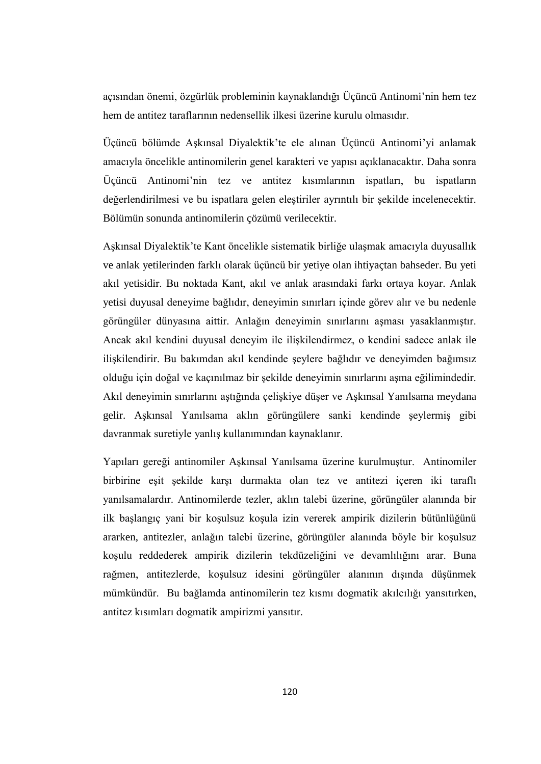açısından önemi, özgürlük probleminin kaynaklandığı Üçüncü Antinomi'nin hem tez hem de antitez taraflarının nedensellik ilkesi üzerine kurulu olmasıdır.

Üçüncü bölümde Aşkınsal Diyalektik'te ele alınan Üçüncü Antinomi'yi anlamak amacıyla öncelikle antinomilerin genel karakteri ve yapısı açıklanacaktır. Daha sonra Üçüncü Antinomi'nin tez ve antitez kısımlarının ispatları, bu ispatların değerlendirilmesi ve bu ispatlara gelen eleştiriler ayrıntılı bir şekilde incelenecektir. Bölümün sonunda antinomilerin çözümü verilecektir.

Aşkınsal Diyalektik'te Kant öncelikle sistematik birliğe ulaşmak amacıyla duyusallık ve anlak yetilerinden farklı olarak üçüncü bir yetiye olan ihtiyaçtan bahseder. Bu yeti akıl yetisidir. Bu noktada Kant, akıl ve anlak arasındaki farkı ortaya koyar. Anlak yetisi duyusal deneyime bağlıdır, deneyimin sınırları içinde görev alır ve bu nedenle görüngüler dünyasına aittir. Anlağın deneyimin sınırlarını aşması yasaklanmıştır. Ancak akıl kendini duyusal deneyim ile ilişkilendirmez, o kendini sadece anlak ile ilişkilendirir. Bu bakımdan akıl kendinde şeylere bağlıdır ve deneyimden bağımsız olduğu için doğal ve kaçınılmaz bir şekilde deneyimin sınırlarını aşma eğilimindedir. Akıl deneyimin sınırlarını aştığında çelişkiye düşer ve Aşkınsal Yanılsama meydana gelir. Aşkınsal Yanılsama aklın görüngülere sanki kendinde şeylermiş gibi davranmak suretiyle yanlış kullanımından kaynaklanır.

Yapıları gereği antinomiler Aşkınsal Yanılsama üzerine kurulmuştur. Antinomiler birbirine eşit şekilde karşı durmakta olan tez ve antitezi içeren iki taraflı yanılsamalardır. Antinomilerde tezler, aklın talebi üzerine, görüngüler alanında bir ilk başlangıç yani bir koşulsuz koşula izin vererek ampirik dizilerin bütünlüğünü ararken, antitezler, anlağın talebi üzerine, görüngüler alanında böyle bir koşulsuz koşulu reddederek ampirik dizilerin tekdüzeliğini ve devamlılığını arar. Buna rağmen, antitezlerde, koşulsuz idesini görüngüler alanının dışında düşünmek mümkündür. Bu bağlamda antinomilerin tez kısmı dogmatik akılcılığı yansıtırken, antitez kısımları dogmatik ampirizmi yansıtır.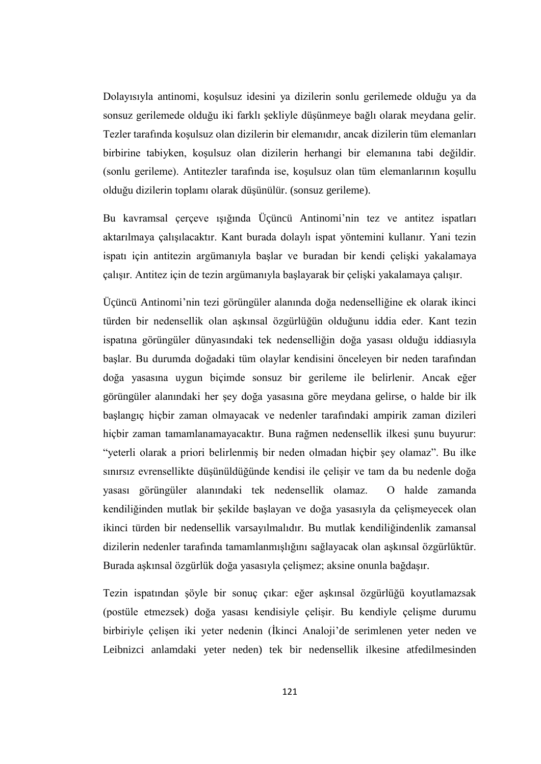Dolayısıyla antinomi, koşulsuz idesini ya dizilerin sonlu gerilemede olduğu ya da sonsuz gerilemede olduğu iki farklı şekliyle düşünmeye bağlı olarak meydana gelir. Tezler tarafında koşulsuz olan dizilerin bir elemanıdır, ancak dizilerin tüm elemanları birbirine tabiyken, koşulsuz olan dizilerin herhangi bir elemanına tabi değildir. (sonlu gerileme). Antitezler tarafında ise, koşulsuz olan tüm elemanlarının koşullu olduğu dizilerin toplamı olarak düşünülür. (sonsuz gerileme).

Bu kavramsal çerçeve ışığında Üçüncü Antinomi'nin tez ve antitez ispatları aktarılmaya çalışılacaktır. Kant burada dolaylı ispat yöntemini kullanır. Yani tezin ispatı için antitezin argümanıyla başlar ve buradan bir kendi çelişki yakalamaya çalışır. Antitez için de tezin argümanıyla başlayarak bir çelişki yakalamaya çalışır.

Üçüncü Antinomi'nin tezi görüngüler alanında doğa nedenselliğine ek olarak ikinci türden bir nedensellik olan aşkınsal özgürlüğün olduğunu iddia eder. Kant tezin ispatına görüngüler dünyasındaki tek nedenselliğin doğa yasası olduğu iddiasıyla başlar. Bu durumda doğadaki tüm olaylar kendisini önceleyen bir neden tarafından doğa yasasına uygun biçimde sonsuz bir gerileme ile belirlenir. Ancak eğer görüngüler alanındaki her şey doğa yasasına göre meydana gelirse, o halde bir ilk başlangıç hiçbir zaman olmayacak ve nedenler tarafındaki ampirik zaman dizileri hiçbir zaman tamamlanamayacaktır. Buna rağmen nedensellik ilkesi şunu buyurur: "yeterli olarak a priori belirlenmiş bir neden olmadan hiçbir şey olamaz". Bu ilke sınırsız evrensellikte düşünüldüğünde kendisi ile çelişir ve tam da bu nedenle doğa yasası görüngüler alanındaki tek nedensellik olamaz. O halde zamanda kendiliğinden mutlak bir şekilde başlayan ve doğa yasasıyla da çelişmeyecek olan ikinci türden bir nedensellik varsayılmalıdır. Bu mutlak kendiliğindenlik zamansal dizilerin nedenler tarafında tamamlanmışlığını sağlayacak olan aşkınsal özgürlüktür. Burada aşkınsal özgürlük doğa yasasıyla çelişmez; aksine onunla bağdaşır.

Tezin ispatından şöyle bir sonuç çıkar: eğer aşkınsal özgürlüğü koyutlamazsak (postüle etmezsek) doğa yasası kendisiyle çelişir. Bu kendiyle çelişme durumu birbiriyle çelişen iki yeter nedenin (İkinci Analoji'de serimlenen yeter neden ve Leibnizci anlamdaki yeter neden) tek bir nedensellik ilkesine atfedilmesinden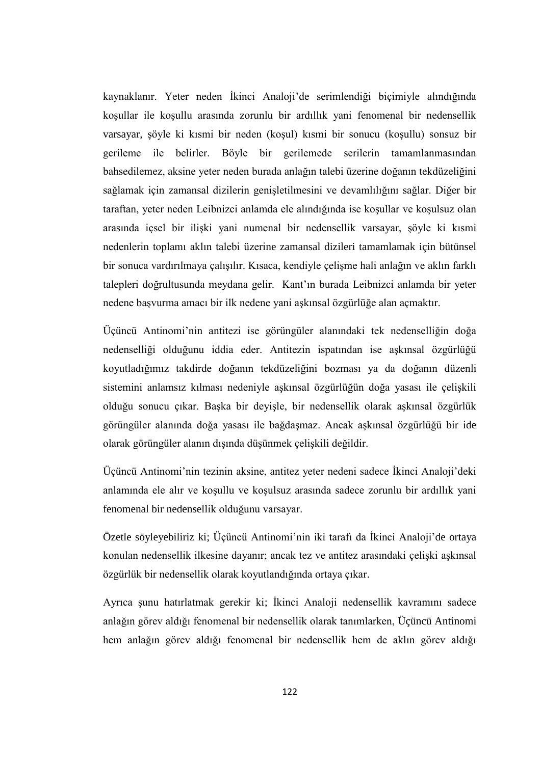kaynaklanır. Yeter neden İkinci Analoji'de serimlendiği biçimiyle alındığında koşullar ile koşullu arasında zorunlu bir ardıllık yani fenomenal bir nedensellik varsayar, şöyle ki kısmi bir neden (koşul) kısmi bir sonucu (koşullu) sonsuz bir gerileme ile belirler. Böyle bir gerilemede serilerin tamamlanmasından bahsedilemez, aksine yeter neden burada anlağın talebi üzerine doğanın tekdüzeliğini sağlamak için zamansal dizilerin genişletilmesini ve devamlılığını sağlar. Diğer bir taraftan, yeter neden Leibnizci anlamda ele alındığında ise koşullar ve koşulsuz olan arasında içsel bir ilişki yani numenal bir nedensellik varsayar, şöyle ki kısmi nedenlerin toplamı aklın talebi üzerine zamansal dizileri tamamlamak için bütünsel bir sonuca vardırılmaya çalışılır. Kısaca, kendiyle çelişme hali anlağın ve aklın farklı talepleri doğrultusunda meydana gelir. Kant'ın burada Leibnizci anlamda bir yeter nedene başvurma amacı bir ilk nedene yani aşkınsal özgürlüğe alan açmaktır.

Üçüncü Antinomi'nin antitezi ise görüngüler alanındaki tek nedenselliğin doğa nedenselliği olduğunu iddia eder. Antitezin ispatından ise aşkınsal özgürlüğü koyutladığımız takdirde doğanın tekdüzeliğini bozması ya da doğanın düzenli sistemini anlamsız kılması nedeniyle aşkınsal özgürlüğün doğa yasası ile çelişkili olduğu sonucu çıkar. Başka bir deyişle, bir nedensellik olarak aşkınsal özgürlük görüngüler alanında doğa yasası ile bağdaşmaz. Ancak aşkınsal özgürlüğü bir ide olarak görüngüler alanın dışında düşünmek çelişkili değildir.

Üçüncü Antinomi'nin tezinin aksine, antitez yeter nedeni sadece İkinci Analoji'deki anlamında ele alır ve koşullu ve koşulsuz arasında sadece zorunlu bir ardıllık yani fenomenal bir nedensellik olduğunu varsayar.

Özetle söyleyebiliriz ki; Üçüncü Antinomi'nin iki tarafı da İkinci Analoji'de ortaya konulan nedensellik ilkesine dayanır; ancak tez ve antitez arasındaki çelişki aşkınsal özgürlük bir nedensellik olarak koyutlandığında ortaya çıkar.

Ayrıca şunu hatırlatmak gerekir ki; İkinci Analoji nedensellik kavramını sadece anlağın görev aldığı fenomenal bir nedensellik olarak tanımlarken, Üçüncü Antinomi hem anlağın görev aldığı fenomenal bir nedensellik hem de aklın görev aldığı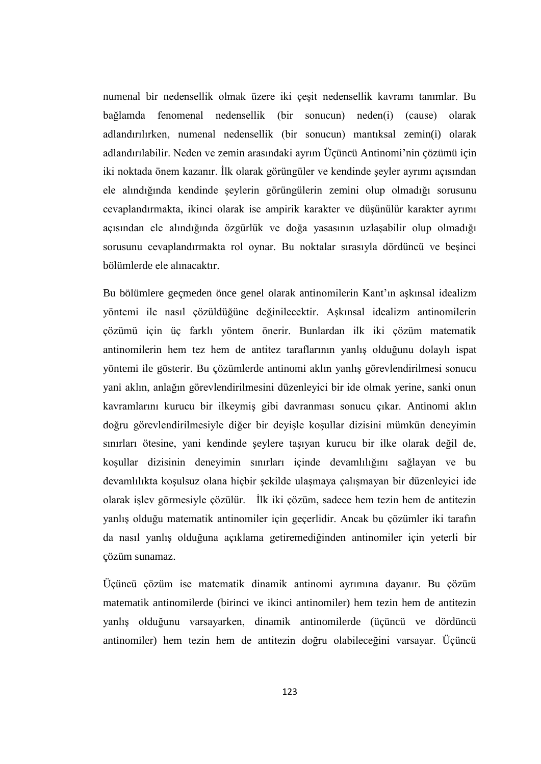numenal bir nedensellik olmak üzere iki çeşit nedensellik kavramı tanımlar. Bu bağlamda fenomenal nedensellik (bir sonucun) neden(i) (cause) olarak adlandırılırken, numenal nedensellik (bir sonucun) mantıksal zemin(i) olarak adlandırılabilir. Neden ve zemin arasındaki ayrım Üçüncü Antinomi'nin çözümü için iki noktada önem kazanır. İlk olarak görüngüler ve kendinde şeyler ayrımı açısından ele alındığında kendinde şeylerin görüngülerin zemini olup olmadığı sorusunu cevaplandırmakta, ikinci olarak ise ampirik karakter ve düşünülür karakter ayrımı açısından ele alındığında özgürlük ve doğa yasasının uzlaşabilir olup olmadığı sorusunu cevaplandırmakta rol oynar. Bu noktalar sırasıyla dördüncü ve beşinci bölümlerde ele alınacaktır.

Bu bölümlere geçmeden önce genel olarak antinomilerin Kant'ın aşkınsal idealizm yöntemi ile nasıl çözüldüğüne değinilecektir. Aşkınsal idealizm antinomilerin çözümü için üç farklı yöntem önerir. Bunlardan ilk iki çözüm matematik antinomilerin hem tez hem de antitez taraflarının yanlış olduğunu dolaylı ispat yöntemi ile gösterir. Bu çözümlerde antinomi aklın yanlış görevlendirilmesi sonucu yani aklın, anlağın görevlendirilmesini düzenleyici bir ide olmak yerine, sanki onun kavramlarını kurucu bir ilkeymiş gibi davranması sonucu çıkar. Antinomi aklın doğru görevlendirilmesiyle diğer bir deyişle koşullar dizisini mümkün deneyimin sınırları ötesine, yani kendinde şeylere taşıyan kurucu bir ilke olarak değil de, koşullar dizisinin deneyimin sınırları içinde devamlılığını sağlayan ve bu devamlılıkta koşulsuz olana hiçbir şekilde ulaşmaya çalışmayan bir düzenleyici ide olarak işlev görmesiyle çözülür. İlk iki çözüm, sadece hem tezin hem de antitezin yanlış olduğu matematik antinomiler için geçerlidir. Ancak bu çözümler iki tarafın da nasıl yanlış olduğuna açıklama getiremediğinden antinomiler için yeterli bir çözüm sunamaz.

Üçüncü çözüm ise matematik dinamik antinomi ayrımına dayanır. Bu çözüm matematik antinomilerde (birinci ve ikinci antinomiler) hem tezin hem de antitezin yanlış olduğunu varsayarken, dinamik antinomilerde (üçüncü ve dördüncü antinomiler) hem tezin hem de antitezin doğru olabileceğini varsayar. Üçüncü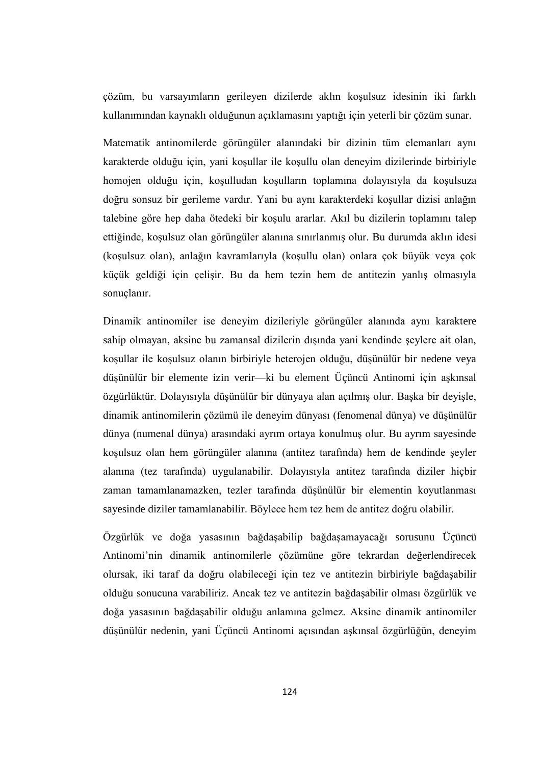çözüm, bu varsayımların gerileyen dizilerde aklın koşulsuz idesinin iki farklı kullanımından kaynaklı olduğunun açıklamasını yaptığı için yeterli bir çözüm sunar.

Matematik antinomilerde görüngüler alanındaki bir dizinin tüm elemanları aynı karakterde olduğu için, yani koşullar ile koşullu olan deneyim dizilerinde birbiriyle homojen olduğu için, koşulludan koşulların toplamına dolayısıyla da koşulsuza doğru sonsuz bir gerileme vardır. Yani bu aynı karakterdeki koşullar dizisi anlağın talebine göre hep daha ötedeki bir koşulu ararlar. Akıl bu dizilerin toplamını talep ettiğinde, koşulsuz olan görüngüler alanına sınırlanmış olur. Bu durumda aklın idesi (koşulsuz olan), anlağın kavramlarıyla (koşullu olan) onlara çok büyük veya çok küçük geldiği için çelişir. Bu da hem tezin hem de antitezin yanlış olmasıyla sonuclanır.

Dinamik antinomiler ise deneyim dizileriyle görüngüler alanında aynı karaktere sahip olmayan, aksine bu zamansal dizilerin dışında yani kendinde şeylere ait olan, koşullar ile koşulsuz olanın birbiriyle heterojen olduğu, düşünülür bir nedene veya düşünülür bir elemente izin verir—ki bu element Üçüncü Antinomi için aşkınsal özgürlüktür. Dolayısıyla düşünülür bir dünyaya alan açılmış olur. Başka bir deyişle, dinamik antinomilerin çözümü ile deneyim dünyası (fenomenal dünya) ve düşünülür dünya (numenal dünya) arasındaki ayrım ortaya konulmuş olur. Bu ayrım sayesinde koşulsuz olan hem görüngüler alanına (antitez tarafında) hem de kendinde şeyler alanına (tez tarafında) uygulanabilir. Dolayısıyla antitez tarafında diziler hiçbir zaman tamamlanamazken, tezler tarafında düşünülür bir elementin koyutlanması sayesinde diziler tamamlanabilir. Böylece hem tez hem de antitez doğru olabilir.

Özgürlük ve doğa yasasının bağdaşabilip bağdaşamayacağı sorusunu Üçüncü Antinomi'nin dinamik antinomilerle çözümüne göre tekrardan değerlendirecek olursak, iki taraf da doğru olabileceği için tez ve antitezin birbiriyle bağdaşabilir olduğu sonucuna varabiliriz. Ancak tez ve antitezin bağdaşabilir olması özgürlük ve doğa yasasının bağdaşabilir olduğu anlamına gelmez. Aksine dinamik antinomiler düşünülür nedenin, yani Üçüncü Antinomi açısından aşkınsal özgürlüğün, deneyim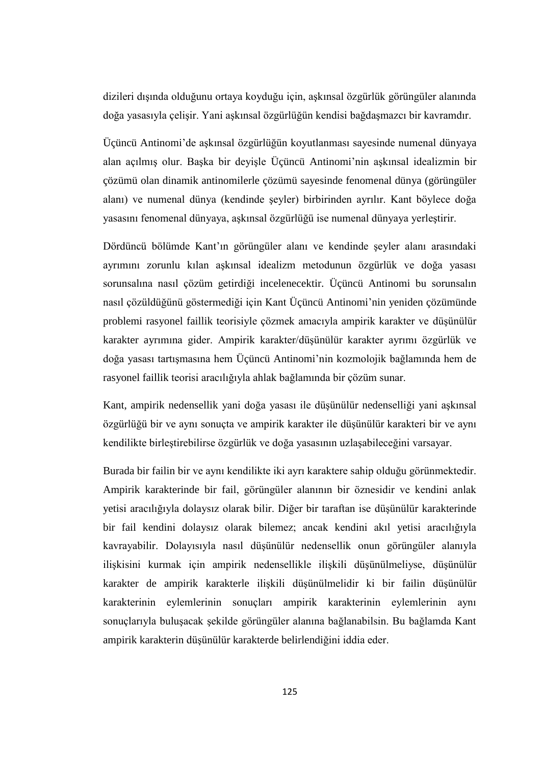dizileri dışında olduğunu ortaya koyduğu için, aşkınsal özgürlük görüngüler alanında doğa yasasıyla çelişir. Yani aşkınsal özgürlüğün kendisi bağdaşmazcı bir kavramdır.

Üçüncü Antinomi'de aşkınsal özgürlüğün koyutlanması sayesinde numenal dünyaya alan açılmış olur. Başka bir deyişle Üçüncü Antinomi'nin aşkınsal idealizmin bir çözümü olan dinamik antinomilerle çözümü sayesinde fenomenal dünya (görüngüler alanı) ve numenal dünya (kendinde şeyler) birbirinden ayrılır. Kant böylece doğa yasasını fenomenal dünyaya, aşkınsal özgürlüğü ise numenal dünyaya yerleştirir.

Dördüncü bölümde Kant'ın görüngüler alanı ve kendinde şeyler alanı arasındaki ayrımını zorunlu kılan aşkınsal idealizm metodunun özgürlük ve doğa yasası sorunsalına nasıl çözüm getirdiği incelenecektir. Üçüncü Antinomi bu sorunsalın nasıl çözüldüğünü göstermediği için Kant Üçüncü Antinomi'nin yeniden çözümünde problemi rasyonel faillik teorisiyle çözmek amacıyla ampirik karakter ve düşünülür karakter ayrımına gider. Ampirik karakter/düşünülür karakter ayrımı özgürlük ve doğa yasası tartışmasına hem Üçüncü Antinomi'nin kozmolojik bağlamında hem de rasyonel faillik teorisi aracılığıyla ahlak bağlamında bir çözüm sunar.

Kant, ampirik nedensellik yani doğa yasası ile düşünülür nedenselliği yani aşkınsal özgürlüğü bir ve aynı sonuçta ve ampirik karakter ile düşünülür karakteri bir ve aynı kendilikte birleştirebilirse özgürlük ve doğa yasasının uzlaşabileceğini varsayar.

Burada bir failin bir ve aynı kendilikte iki ayrı karaktere sahip olduğu görünmektedir. Ampirik karakterinde bir fail, görüngüler alanının bir öznesidir ve kendini anlak yetisi aracılığıyla dolaysız olarak bilir. Diğer bir taraftan ise düşünülür karakterinde bir fail kendini dolaysız olarak bilemez; ancak kendini akıl yetisi aracılığıyla kavrayabilir. Dolayısıyla nasıl düşünülür nedensellik onun görüngüler alanıyla ilişkisini kurmak için ampirik nedensellikle ilişkili düşünülmeliyse, düşünülür karakter de ampirik karakterle ilişkili düşünülmelidir ki bir failin düşünülür karakterinin eylemlerinin sonuçları ampirik karakterinin eylemlerinin aynı sonuçlarıyla buluşacak şekilde görüngüler alanına bağlanabilsin. Bu bağlamda Kant ampirik karakterin düşünülür karakterde belirlendiğini iddia eder.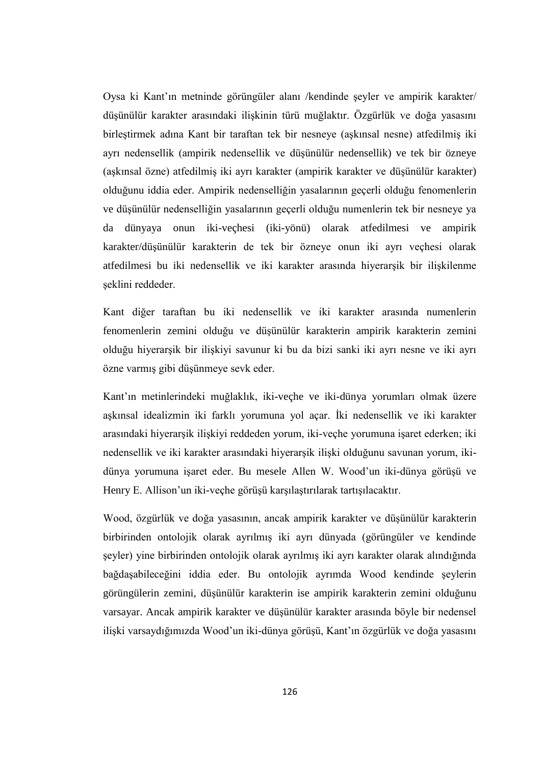Oysa ki Kant'ın metninde görüngüler alanı /kendinde şeyler ve ampirik karakter/ düşünülür karakter arasındaki ilişkinin türü muğlaktır. Özgürlük ve doğa yasasını birleştirmek adına Kant bir taraftan tek bir nesneye (aşkınsal nesne) atfedilmiş iki ayrı nedensellik (ampirik nedensellik ve düşünülür nedensellik) ve tek bir özneye (aşkınsal özne) atfedilmiş iki ayrı karakter (ampirik karakter ve düşünülür karakter) olduğunu iddia eder. Ampirik nedenselliğin yasalarının geçerli olduğu fenomenlerin ve düşünülür nedenselliğin yasalarının geçerli olduğu numenlerin tek bir nesneye ya da dünyaya onun iki-veçhesi (iki-yönü) olarak atfedilmesi ve ampirik karakter/düşünülür karakterin de tek bir özneye onun iki ayrı veçhesi olarak atfedilmesi bu iki nedensellik ve iki karakter arasında hiyerarşik bir ilişkilenme şeklini reddeder.

Kant diğer taraftan bu iki nedensellik ve iki karakter arasında numenlerin fenomenlerin zemini olduğu ve düşünülür karakterin ampirik karakterin zemini olduğu hiyerarşik bir ilişkiyi savunur ki bu da bizi sanki iki ayrı nesne ve iki ayrı özne varmış gibi düşünmeye sevk eder.

Kant'ın metinlerindeki muğlaklık, iki-veçhe ve iki-dünya yorumları olmak üzere aşkınsal idealizmin iki farklı yorumuna yol açar. İki nedensellik ve iki karakter arasındaki hiyerarşik ilişkiyi reddeden yorum, iki-veçhe yorumuna işaret ederken; iki nedensellik ve iki karakter arasındaki hiyerarşik ilişki olduğunu savunan yorum, ikidünya yorumuna işaret eder. Bu mesele Allen W. Wood'un iki-dünya görüşü ve Henry E. Allison'un iki-veçhe görüşü karşılaştırılarak tartışılacaktır.

Wood, özgürlük ve doğa yasasının, ancak ampirik karakter ve düşünülür karakterin birbirinden ontolojik olarak ayrılmış iki ayrı dünyada (görüngüler ve kendinde şeyler) yine birbirinden ontolojik olarak ayrılmış iki ayrı karakter olarak alındığında bağdaşabileceğini iddia eder. Bu ontolojik ayrımda Wood kendinde şeylerin görüngülerin zemini, düşünülür karakterin ise ampirik karakterin zemini olduğunu varsayar. Ancak ampirik karakter ve düşünülür karakter arasında böyle bir nedensel ilişki varsaydığımızda Wood'un iki-dünya görüşü, Kant'ın özgürlük ve doğa yasasını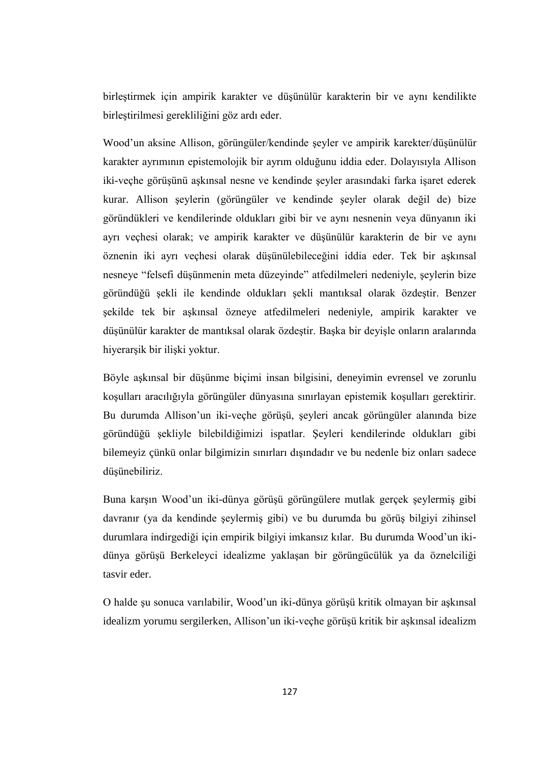birleştirmek için ampirik karakter ve düşünülür karakterin bir ve aynı kendilikte birleştirilmesi gerekliliğini göz ardı eder.

Wood'un aksine Allison, görüngüler/kendinde şeyler ve ampirik karekter/düşünülür karakter ayrımının epistemolojik bir ayrım olduğunu iddia eder. Dolayısıyla Allison iki-veçhe görüşünü aşkınsal nesne ve kendinde şeyler arasındaki farka işaret ederek kurar. Allison şeylerin (görüngüler ve kendinde şeyler olarak değil de) bize göründükleri ve kendilerinde oldukları gibi bir ve aynı nesnenin veya dünyanın iki ayrı veçhesi olarak; ve ampirik karakter ve düşünülür karakterin de bir ve aynı öznenin iki ayrı veçhesi olarak düşünülebileceğini iddia eder. Tek bir aşkınsal nesneye "felsefi düşünmenin meta düzeyinde" atfedilmeleri nedeniyle, şeylerin bize göründüğü şekli ile kendinde oldukları şekli mantıksal olarak özdeştir. Benzer şekilde tek bir aşkınsal özneye atfedilmeleri nedeniyle, ampirik karakter ve düşünülür karakter de mantıksal olarak özdeştir. Başka bir deyişle onların aralarında hiyerarşik bir ilişki yoktur.

Böyle aşkınsal bir düşünme biçimi insan bilgisini, deneyimin evrensel ve zorunlu koşulları aracılığıyla görüngüler dünyasına sınırlayan epistemik koşulları gerektirir. Bu durumda Allison'un iki-veçhe görüşü, şeyleri ancak görüngüler alanında bize göründüğü şekliyle bilebildiğimizi ispatlar. Şeyleri kendilerinde oldukları gibi bilemeyiz çünkü onlar bilgimizin sınırları dışındadır ve bu nedenle biz onları sadece düşünebiliriz.

Buna karşın Wood'un iki-dünya görüşü görüngülere mutlak gerçek şeylermiş gibi davranır (ya da kendinde şeylermiş gibi) ve bu durumda bu görüş bilgiyi zihinsel durumlara indirgediği için empirik bilgiyi imkansız kılar. Bu durumda Wood'un ikidünya görüşü Berkeleyci idealizme yaklaşan bir görüngücülük ya da öznelciliği tasvir eder.

O halde şu sonuca varılabilir, Wood'un iki-dünya görüşü kritik olmayan bir aşkınsal idealizm yorumu sergilerken, Allison'un iki-veçhe görüşü kritik bir aşkınsal idealizm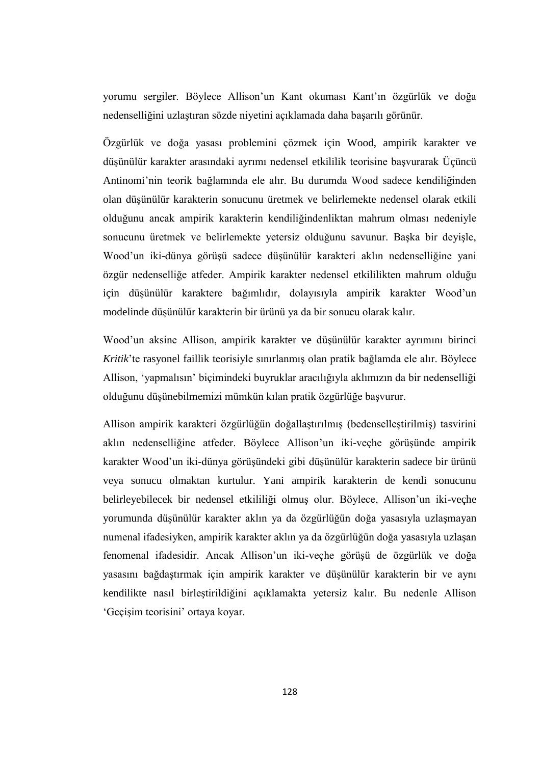yorumu sergiler. Böylece Allison'un Kant okuması Kant'ın özgürlük ve doğa nedenselliğini uzlaştıran sözde niyetini açıklamada daha başarılı görünür.

Özgürlük ve doğa yasası problemini çözmek için Wood, ampirik karakter ve düşünülür karakter arasındaki ayrımı nedensel etkililik teorisine başvurarak Üçüncü Antinomi'nin teorik bağlamında ele alır. Bu durumda Wood sadece kendiliğinden olan düşünülür karakterin sonucunu üretmek ve belirlemekte nedensel olarak etkili olduğunu ancak ampirik karakterin kendiliğindenliktan mahrum olması nedeniyle sonucunu üretmek ve belirlemekte yetersiz olduğunu savunur. Başka bir deyişle, Wood'un iki-dünya görüşü sadece düşünülür karakteri aklın nedenselliğine yani özgür nedenselliğe atfeder. Ampirik karakter nedensel etkililikten mahrum olduğu için düşünülür karaktere bağımlıdır, dolayısıyla ampirik karakter Wood'un modelinde düşünülür karakterin bir ürünü ya da bir sonucu olarak kalır.

Wood'un aksine Allison, ampirik karakter ve düşünülür karakter ayrımını birinci *Kritik*'te rasyonel faillik teorisiyle sınırlanmış olan pratik bağlamda ele alır. Böylece Allison, 'yapmalısın' biçimindeki buyruklar aracılığıyla aklımızın da bir nedenselliği olduğunu düşünebilmemizi mümkün kılan pratik özgürlüğe başvurur.

Allison ampirik karakteri özgürlüğün doğallaştırılmış (bedenselleştirilmiş) tasvirini aklın nedenselliğine atfeder. Böylece Allison'un iki-veçhe görüşünde ampirik karakter Wood'un iki-dünya görüşündeki gibi düşünülür karakterin sadece bir ürünü veya sonucu olmaktan kurtulur. Yani ampirik karakterin de kendi sonucunu belirleyebilecek bir nedensel etkililiği olmuş olur. Böylece, Allison'un iki-veçhe yorumunda düşünülür karakter aklın ya da özgürlüğün doğa yasasıyla uzlaşmayan numenal ifadesiyken, ampirik karakter aklın ya da özgürlüğün doğa yasasıyla uzlaşan fenomenal ifadesidir. Ancak Allison'un iki-veçhe görüşü de özgürlük ve doğa yasasını bağdaştırmak için ampirik karakter ve düşünülür karakterin bir ve aynı kendilikte nasıl birleştirildiğini açıklamakta yetersiz kalır. Bu nedenle Allison 'Geçişim teorisini' ortaya koyar.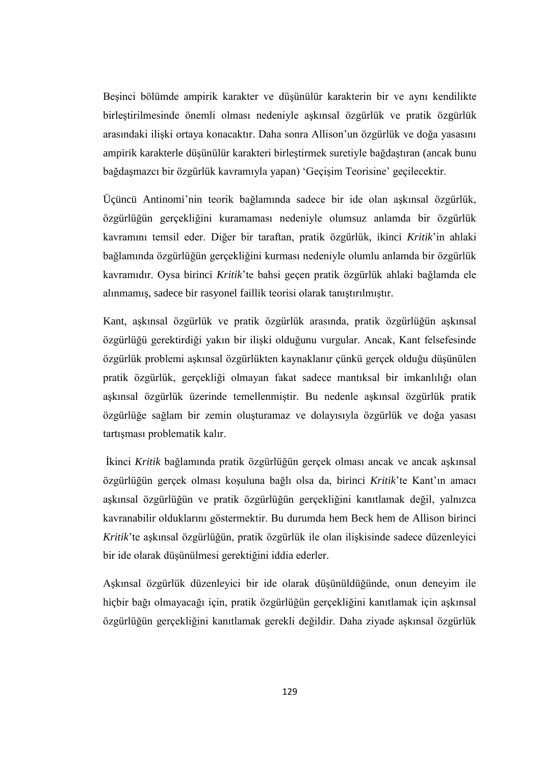Beşinci bölümde ampirik karakter ve düşünülür karakterin bir ve aynı kendilikte birleştirilmesinde önemli olması nedeniyle aşkınsal özgürlük ve pratik özgürlük arasındaki ilişki ortaya konacaktır. Daha sonra Allison'un özgürlük ve doğa yasasını ampirik karakterle düşünülür karakteri birleştirmek suretiyle bağdaştıran (ancak bunu bağdaşmazcı bir özgürlük kavramıyla yapan) 'Geçişim Teorisine' geçilecektir.

Üçüncü Antinomi'nin teorik bağlamında sadece bir ide olan aşkınsal özgürlük, özgürlüğün gerçekliğini kuramaması nedeniyle olumsuz anlamda bir özgürlük kavramını temsil eder. Diğer bir taraftan, pratik özgürlük, ikinci *Kritik*'in ahlaki bağlamında özgürlüğün gerçekliğini kurması nedeniyle olumlu anlamda bir özgürlük kavramıdır. Oysa birinci *Kritik*'te bahsi geçen pratik özgürlük ahlaki bağlamda ele alınmamış, sadece bir rasyonel faillik teorisi olarak tanıştırılmıştır.

Kant, aşkınsal özgürlük ve pratik özgürlük arasında, pratik özgürlüğün aşkınsal özgürlüğü gerektirdiği yakın bir ilişki olduğunu vurgular. Ancak, Kant felsefesinde özgürlük problemi aşkınsal özgürlükten kaynaklanır çünkü gerçek olduğu düşünülen pratik özgürlük, gerçekliği olmayan fakat sadece mantıksal bir imkanlılığı olan aşkınsal özgürlük üzerinde temellenmiştir. Bu nedenle aşkınsal özgürlük pratik özgürlüğe sağlam bir zemin oluşturamaz ve dolayısıyla özgürlük ve doğa yasası tartışması problematik kalır.

İkinci *Kritik* bağlamında pratik özgürlüğün gerçek olması ancak ve ancak aşkınsal özgürlüğün gerçek olması koşuluna bağlı olsa da, birinci *Kritik*'te Kant'ın amacı aşkınsal özgürlüğün ve pratik özgürlüğün gerçekliğini kanıtlamak değil, yalnızca kavranabilir olduklarını göstermektir. Bu durumda hem Beck hem de Allison birinci *Kritik*'te aşkınsal özgürlüğün, pratik özgürlük ile olan ilişkisinde sadece düzenleyici bir ide olarak düşünülmesi gerektiğini iddia ederler.

Aşkınsal özgürlük düzenleyici bir ide olarak düşünüldüğünde, onun deneyim ile hiçbir bağı olmayacağı için, pratik özgürlüğün gerçekliğini kanıtlamak için aşkınsal özgürlüğün gerçekliğini kanıtlamak gerekli değildir. Daha ziyade aşkınsal özgürlük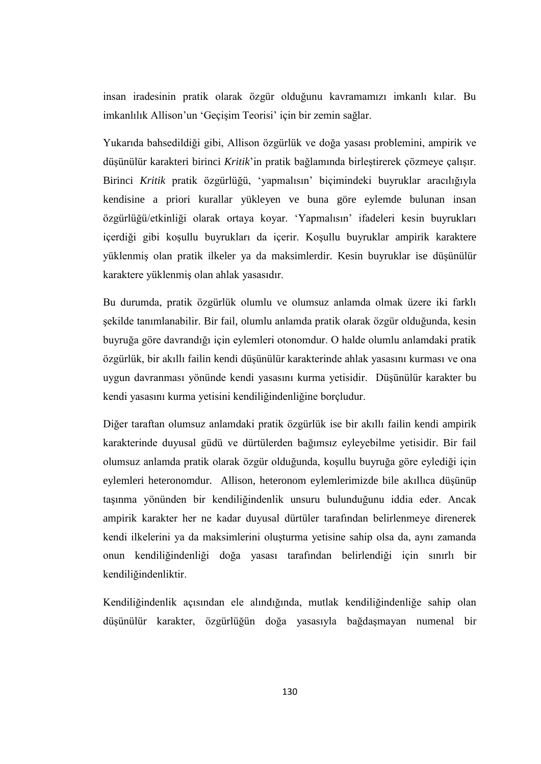insan iradesinin pratik olarak özgür olduğunu kavramamızı imkanlı kılar. Bu imkanlılık Allison'un 'Geçişim Teorisi' için bir zemin sağlar.

Yukarıda bahsedildiği gibi, Allison özgürlük ve doğa yasası problemini, ampirik ve düşünülür karakteri birinci *Kritik*'in pratik bağlamında birleştirerek çözmeye çalışır. Birinci *Kritik* pratik özgürlüğü, 'yapmalısın' biçimindeki buyruklar aracılığıyla kendisine a priori kurallar yükleyen ve buna göre eylemde bulunan insan özgürlüğü/etkinliği olarak ortaya koyar. 'Yapmalısın' ifadeleri kesin buyrukları içerdiği gibi koşullu buyrukları da içerir. Koşullu buyruklar ampirik karaktere yüklenmiş olan pratik ilkeler ya da maksimlerdir. Kesin buyruklar ise düşünülür karaktere yüklenmiş olan ahlak yasasıdır.

Bu durumda, pratik özgürlük olumlu ve olumsuz anlamda olmak üzere iki farklı şekilde tanımlanabilir. Bir fail, olumlu anlamda pratik olarak özgür olduğunda, kesin buyruğa göre davrandığı için eylemleri otonomdur. O halde olumlu anlamdaki pratik özgürlük, bir akıllı failin kendi düşünülür karakterinde ahlak yasasını kurması ve ona uygun davranması yönünde kendi yasasını kurma yetisidir. Düşünülür karakter bu kendi yasasını kurma yetisini kendiliğindenliğine borçludur.

Diğer taraftan olumsuz anlamdaki pratik özgürlük ise bir akıllı failin kendi ampirik karakterinde duyusal güdü ve dürtülerden bağımsız eyleyebilme yetisidir. Bir fail olumsuz anlamda pratik olarak özgür olduğunda, koşullu buyruğa göre eylediği için eylemleri heteronomdur. Allison, heteronom eylemlerimizde bile akıllıca düşünüp taşınma yönünden bir kendiliğindenlik unsuru bulunduğunu iddia eder. Ancak ampirik karakter her ne kadar duyusal dürtüler tarafından belirlenmeye direnerek kendi ilkelerini ya da maksimlerini oluşturma yetisine sahip olsa da, aynı zamanda onun kendiliğindenliği doğa yasası tarafından belirlendiği için sınırlı bir kendiliğindenliktir.

Kendiliğindenlik açısından ele alındığında, mutlak kendiliğindenliğe sahip olan düşünülür karakter, özgürlüğün doğa yasasıyla bağdaşmayan numenal bir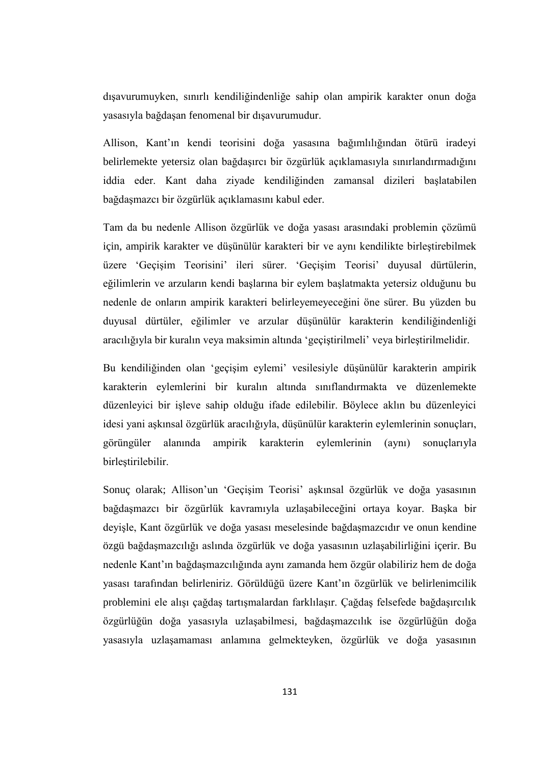dışavurumuyken, sınırlı kendiliğindenliğe sahip olan ampirik karakter onun doğa yasasıyla bağdaşan fenomenal bir dışavurumudur.

Allison, Kant'ın kendi teorisini doğa yasasına bağımlılığından ötürü iradeyi belirlemekte yetersiz olan bağdaşırcı bir özgürlük açıklamasıyla sınırlandırmadığını iddia eder. Kant daha ziyade kendiliğinden zamansal dizileri başlatabilen bağdaşmazcı bir özgürlük açıklamasını kabul eder.

Tam da bu nedenle Allison özgürlük ve doğa yasası arasındaki problemin çözümü için, ampirik karakter ve düşünülür karakteri bir ve aynı kendilikte birleştirebilmek üzere 'Geçişim Teorisini' ileri sürer. 'Geçişim Teorisi' duyusal dürtülerin, eğilimlerin ve arzuların kendi başlarına bir eylem başlatmakta yetersiz olduğunu bu nedenle de onların ampirik karakteri belirleyemeyeceğini öne sürer. Bu yüzden bu duyusal dürtüler, eğilimler ve arzular düşünülür karakterin kendiliğindenliği aracılığıyla bir kuralın veya maksimin altında 'geçiştirilmeli' veya birleştirilmelidir.

Bu kendiliğinden olan 'geçişim eylemi' vesilesiyle düşünülür karakterin ampirik karakterin eylemlerini bir kuralın altında sınıflandırmakta ve düzenlemekte düzenleyici bir işleve sahip olduğu ifade edilebilir. Böylece aklın bu düzenleyici idesi yani aşkınsal özgürlük aracılığıyla, düşünülür karakterin eylemlerinin sonuçları, görüngüler alanında ampirik karakterin eylemlerinin (aynı) sonuçlarıyla birleştirilebilir.

Sonuç olarak; Allison'un 'Geçişim Teorisi' aşkınsal özgürlük ve doğa yasasının bağdaşmazcı bir özgürlük kavramıyla uzlaşabileceğini ortaya koyar. Başka bir deyişle, Kant özgürlük ve doğa yasası meselesinde bağdaşmazcıdır ve onun kendine özgü bağdaşmazcılığı aslında özgürlük ve doğa yasasının uzlaşabilirliğini içerir. Bu nedenle Kant'ın bağdaşmazcılığında aynı zamanda hem özgür olabiliriz hem de doğa yasası tarafından belirleniriz. Görüldüğü üzere Kant'ın özgürlük ve belirlenimcilik problemini ele alışı çağdaş tartışmalardan farklılaşır. Çağdaş felsefede bağdaşırcılık özgürlüğün doğa yasasıyla uzlaşabilmesi, bağdaşmazcılık ise özgürlüğün doğa yasasıyla uzlaşamaması anlamına gelmekteyken, özgürlük ve doğa yasasının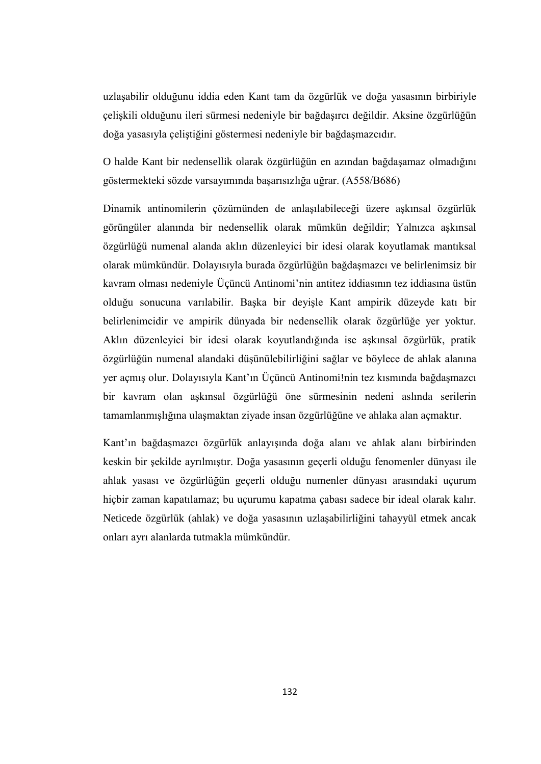uzlaşabilir olduğunu iddia eden Kant tam da özgürlük ve doğa yasasının birbiriyle çelişkili olduğunu ileri sürmesi nedeniyle bir bağdaşırcı değildir. Aksine özgürlüğün doğa yasasıyla çeliştiğini göstermesi nedeniyle bir bağdaşmazcıdır.

O halde Kant bir nedensellik olarak özgürlüğün en azından bağdaşamaz olmadığını göstermekteki sözde varsayımında başarısızlığa uğrar. (A558/B686)

Dinamik antinomilerin çözümünden de anlaşılabileceği üzere aşkınsal özgürlük görüngüler alanında bir nedensellik olarak mümkün değildir; Yalnızca aşkınsal özgürlüğü numenal alanda aklın düzenleyici bir idesi olarak koyutlamak mantıksal olarak mümkündür. Dolayısıyla burada özgürlüğün bağdaşmazcı ve belirlenimsiz bir kavram olması nedeniyle Üçüncü Antinomi'nin antitez iddiasının tez iddiasına üstün olduğu sonucuna varılabilir. Başka bir deyişle Kant ampirik düzeyde katı bir belirlenimcidir ve ampirik dünyada bir nedensellik olarak özgürlüğe yer yoktur. Aklın düzenleyici bir idesi olarak koyutlandığında ise aşkınsal özgürlük, pratik özgürlüğün numenal alandaki düşünülebilirliğini sağlar ve böylece de ahlak alanına yer açmış olur. Dolayısıyla Kant'ın Üçüncü Antinomi!nin tez kısmında bağdaşmazcı bir kavram olan aşkınsal özgürlüğü öne sürmesinin nedeni aslında serilerin tamamlanmışlığına ulaşmaktan ziyade insan özgürlüğüne ve ahlaka alan açmaktır.

Kant'ın bağdaşmazcı özgürlük anlayışında doğa alanı ve ahlak alanı birbirinden keskin bir şekilde ayrılmıştır. Doğa yasasının geçerli olduğu fenomenler dünyası ile ahlak yasası ve özgürlüğün geçerli olduğu numenler dünyası arasındaki uçurum hiçbir zaman kapatılamaz; bu uçurumu kapatma çabası sadece bir ideal olarak kalır. Neticede özgürlük (ahlak) ve doğa yasasının uzlaşabilirliğini tahayyül etmek ancak onları ayrı alanlarda tutmakla mümkündür.